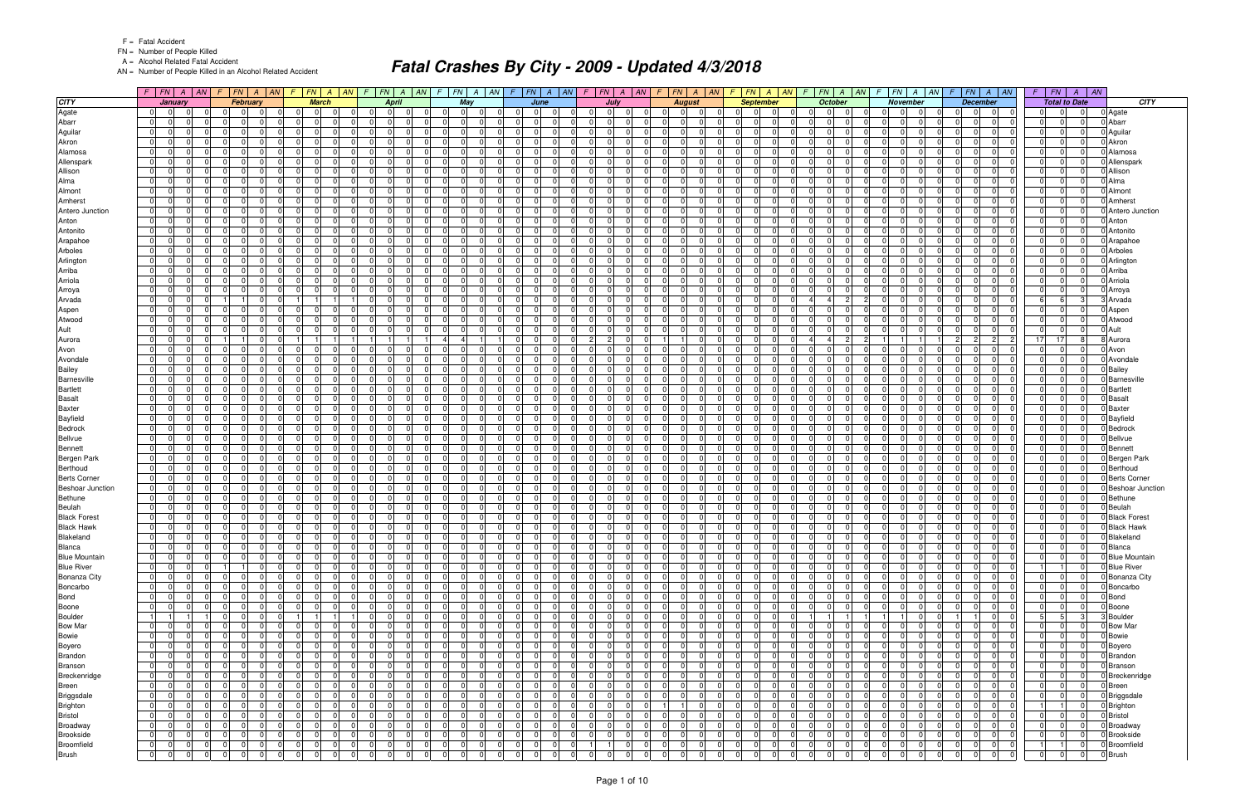FN = Number of People Killed

A = Alcohol Related Fatal Accident

AN = Number of People Killed in an Alcohol Related Accident

|                                                | $F$ $FN$ $A$                                              | AN <br>F. | $FN$ $A$ $AN$                                                      |                                  | $FN \mid A \mid$<br>AN<br>$\sqrt{F}$   | $FN \mid A$                             | AN                         | $\mathcal{F}$                                   | $FN$ $A$<br> AN            | $F$ $FN$ $A$ $AN$                                        |                                                          | $F$ $ FN $ $A$ $ AN$                   |                                                       |             | $ FN $ $A$ $ AN $ $F$ $ FN $ $A$ $ AN$                                        | $FN \mid A$                                              | AN <br>F. | FN<br>$A \mid AN$                                                                 |                       | $F$ $FN$ $A$ $AN$                                        | FN<br>$\sqrt{ }$ | $\parallel AN$<br>$\overline{A}$ |                                      |
|------------------------------------------------|-----------------------------------------------------------|-----------|--------------------------------------------------------------------|----------------------------------|----------------------------------------|-----------------------------------------|----------------------------|-------------------------------------------------|----------------------------|----------------------------------------------------------|----------------------------------------------------------|----------------------------------------|-------------------------------------------------------|-------------|-------------------------------------------------------------------------------|----------------------------------------------------------|-----------|-----------------------------------------------------------------------------------|-----------------------|----------------------------------------------------------|------------------|----------------------------------|--------------------------------------|
| <b>CITY</b>                                    | January                                                   |           | <b>February</b>                                                    |                                  | <b>March</b>                           | <b>April</b>                            |                            |                                                 | May                        | June                                                     |                                                          | July                                   | <b>August</b>                                         |             | <b>September</b>                                                              | <b>October</b>                                           |           | <b>November</b>                                                                   |                       | <b>December</b>                                          |                  | <b>Total to Date</b>             | <b>CITY</b>                          |
| Agate                                          | 0 <br>0 I                                                 |           | $\Omega$<br>$\Omega$<br>$\mathbf 0$                                |                                  | 0 I<br>$\Omega$                        | 0 I<br>$\Omega$                         |                            | $\Omega$                                        | 0 I<br>- 01                | $\Omega$<br>$\Omega$                                     | $\Omega$                                                 | $\overline{0}$<br>$\Omega$             | $\overline{0}$<br>$\overline{0}$                      |             | $\Omega$<br>$\Omega$                                                          | 0 <br>$\Omega$<br>$\Omega$                               |           | $\overline{0}$<br>$\Omega$<br>$\overline{0}$                                      | $\overline{0}$        | $\mathbf 0$<br>- 01                                      |                  | $\Omega$<br>$\Omega$             | 0 Agate                              |
| Abarr                                          | 0 I<br>- 01                                               |           | $\Omega$<br>$\Omega$                                               | $\Omega$                         | 0                                      | 01<br>- 0                               |                            | $\Omega$                                        | -0                         | $\Omega$                                                 | <sup>0</sup>                                             | $\Omega$<br>$\Omega$                   | 0<br>-01                                              |             | $\Omega$<br><sup>0</sup>                                                      | $\Omega$<br>n                                            |           | $\Omega$<br>$\Omega$                                                              | $\Omega$              | $\Omega$<br>.0                                           |                  | $\Omega$                         | 0 Abarr                              |
| Aguilar                                        | $\overline{0}$<br> 0 <br>$\Omega$                         |           | $\overline{0}$<br>$\Omega$<br>$\cap$                               | $\Omega$                         | - 0 I<br>$\Omega$                      | 0 <br>$\Omega$                          | $\Omega$                   | $\Omega$<br>$\overline{0}$                      | $\Omega$                   | $\overline{0}$<br>$\Omega$                               | $\Omega$<br>$\Omega$                                     | $\Omega$<br>0 I                        | 0 I<br>$\overline{0}$                                 |             | $\Omega$<br>$\Omega$<br>$\Omega$                                              | $\Omega$<br>$\Omega$<br>$\Omega$                         |           | $\Omega$<br>$\Omega$<br>$\Omega$                                                  | $\Omega$              | $\overline{0}$<br>$\Omega$                               | $\Omega$         | $\Omega$<br>$\Omega$             | 0 Aguilar                            |
| Akron                                          | $\Omega$<br>$\Omega$                                      |           | $\Omega$<br>$\Omega$                                               |                                  | $\Omega$                               | $\Omega$                                |                            | 0                                               | -0                         | $\mathbf 0$                                              | $\Omega$                                                 | $\Omega$<br>$\Omega$                   | $\Omega$<br>0                                         |             | $\Omega$<br>0                                                                 | $\Omega$                                                 |           | $\Omega$<br>$\Omega$<br>0                                                         | $\Omega$              | $\Omega$                                                 |                  | $\Omega$                         | 0 Akron                              |
| Alamosa                                        | 0 <br>$\Omega$<br>0 I                                     |           | $\overline{0}$<br>$\Omega$<br>$\Omega$                             | $\Omega$                         | $\Omega$<br>$\Omega$                   | $\overline{0}$<br>$\Omega$              | $\Omega$                   | <sup>0</sup><br>$\overline{0}$                  | $\Omega$                   | 0 I<br>$\Omega$                                          | $\Omega$<br>$\Omega$                                     | $\overline{0}$<br>. OI                 | $\Omega$<br>$\overline{0}$                            |             | $\Omega$<br>$\Omega$<br>$\Omega$                                              | $\Omega$<br>$\overline{0}$<br>$\Omega$                   |           | $\overline{0}$<br>$\Omega$<br>$\Omega$                                            | $\Omega$              | $\overline{0}$<br>$\Omega$                               |                  | $\Omega$<br>$\Omega$             | 0 Alamosa                            |
| Allenspark                                     | 0 I<br>- 01                                               |           | $\Omega$<br>0<br>$\cap$                                            | $\Omega$<br>$\Omega$             | $\Omega$<br>$\Omega$<br>$\Omega$       | $\overline{0}$<br>- 0                   | $\Omega$<br>$\Omega$       | $\Omega$<br>$\mathbf 0$                         | $\Omega$                   | - 0 I<br>n<br>$\Omega$                                   | $\Omega$<br>$\Omega$                                     | $\overline{0}$<br>0I                   | $\mathbf 0$<br>- 01                                   |             | $\Omega$<br>$\Omega$                                                          | $\Omega$<br>$\Omega$<br>$\Omega$<br>$\Omega$<br>$\Omega$ |           | $\Omega$<br>$\Omega$<br>$\Omega$                                                  | $\Omega$              | 01<br>$\Omega$<br>$\Omega$                               |                  | $\Omega$<br>$\Omega$<br>$\Omega$ | 0 Allenspark                         |
| Allison<br>Alma                                | 0 I<br>$\overline{0}$<br>0 I<br>$\Omega$                  |           | $\Omega$<br>$\Omega$<br>$\Omega$<br>$\Omega$                       | $\Omega$                         | $\Omega$<br>$\Omega$                   | 0 <br>- 0<br>$\Omega$<br>n              | <sup>0</sup>               | $\Omega$<br>$\mathbf 0$<br>$\Omega$<br>$\Omega$ | $\Omega$<br>$\Omega$       | 0 I<br>$\Omega$                                          | $\Omega$<br>$\Omega$                                     | $\Omega$<br>0I<br>$\Omega$<br>$\Omega$ | $\Omega$<br>$\overline{0}$<br>$\Omega$<br>$\Omega$    |             | $\Omega$<br>$\Omega$<br>$\Omega$<br>$\Omega$                                  | $\Omega$<br>$\Omega$<br>n                                |           | $\Omega$<br>$\Omega$<br>$\Omega$<br>$\Omega$<br><sup>0</sup><br>$\Omega$          | $\Omega$<br>$\Omega$  | $\overline{0}$<br>$\Omega$                               |                  | $\Omega$                         | 0 Allison<br>0 Alma                  |
| Almont                                         | 0 <br>$\Omega$<br>0 I                                     |           | $\overline{0}$<br>$\overline{0}$                                   | $\Omega$                         | 0 I<br>$\Omega$                        | $\overline{0}$<br>$\Omega$              | $\Omega$                   | $\overline{0}$<br>0 I                           | - 01                       | $\overline{0}$<br>$\Omega$                               | $\Omega$<br>$\Omega$                                     | $\overline{0}$<br>- OI                 | 0 I<br>$\overline{0}$                                 |             | $\mathbf 0$<br>$\overline{0}$<br>$\Omega$                                     | $\Omega$<br>$\Omega$<br>$\overline{0}$                   |           | $\overline{0}$<br>$\Omega$<br>$\Omega$                                            | 0 I                   | $\overline{0}$<br>$\Omega$                               | $\Omega$         | $\Omega$<br>$\overline{0}$       | 0 Almont                             |
| Amherst                                        | 0 I<br>- 01                                               |           | $\Omega$<br>$\Omega$                                               | $\Omega$                         | $\Omega$<br>$\Omega$                   | $\overline{0}$<br>- C                   | $\Omega$                   | <sup>0</sup><br>$\Omega$                        | - 0                        | 0                                                        | $\Omega$                                                 | $\Omega$<br>$\Omega$                   | $\Omega$<br>- 01                                      |             | $\Omega$<br>$\Omega$                                                          | $\Omega$<br><sup>n</sup>                                 |           | $\Omega$<br>$\Omega$<br>$\Omega$                                                  | $\Omega$              | $\Omega$<br>$\Omega$                                     |                  | $\Omega$                         | 0 Amherst                            |
| Antero Junction                                | 0 I<br> 0 <br>$\Omega$                                    |           | -01<br>$\Omega$                                                    | $\Omega$                         | - 0 I<br>$\Omega$                      | 0 <br>$\Omega$                          | n l                        | $\overline{0}$<br>$\Omega$                      | $\Omega$                   | $\overline{0}$<br>$\Omega$                               | $\Omega$<br>$\Omega$                                     | $\Omega$<br>0 I                        | 0 I<br>$\overline{0}$                                 |             | $\Omega$<br>$\Omega$<br>$\Omega$                                              | $\Omega$<br>$\Omega$<br>$\Omega$                         |           | $\Omega$<br>$\Omega$<br>$\Omega$                                                  | $\Omega$              | 0 <br>$\Omega$                                           | $\Omega$         | $\Omega$                         | 0 Antero Junction                    |
| Anton                                          | $\overline{0}$<br>$\Omega$                                |           | $\overline{0}$<br>$\Omega$                                         | $\Omega$                         | $\Omega$                               | $\overline{0}$<br>O                     |                            | $\Omega$<br>$\Omega$                            | - 0                        | $\Omega$                                                 | $\Omega$                                                 | $\Omega$<br>0I                         | $\Omega$<br>$\Omega$                                  |             | 0<br>$\Omega$                                                                 | $\Omega$                                                 |           | $\Omega$<br>0<br>$\Omega$                                                         | $\Omega$              | $\Omega$                                                 |                  | $\Omega$                         | 0 Anton                              |
| Antonito                                       | 0 I<br>- 01                                               |           | $\Omega$<br>$\Omega$                                               | $\Omega$                         | $\Omega$                               | $\overline{0}$<br>- 0                   | $\Omega$                   | $\Omega$<br>$\Omega$                            | $\Omega$                   | - 0 I<br>$\Omega$                                        | $\Omega$<br>$\Omega$                                     | $\Omega$<br>0I                         | $\Omega$<br>- 01                                      |             | $\Omega$<br>$\Omega$                                                          | $\Omega$<br>- 0                                          |           | $\Omega$<br>$\Omega$<br>$\Omega$                                                  | $\Omega$              | $\Omega$<br>$\Omega$                                     |                  | $\Omega$                         | 0 Antonito                           |
| Arapahoe                                       | 0 I<br>$\overline{0}$                                     |           | $\Omega$<br>0                                                      | $\Omega$                         | $\Omega$<br>$\Omega$                   | $\overline{0}$<br>- 0                   | $\Omega$                   | $\Omega$<br>$\Omega$                            | - 0                        | 0 <br><sup>n</sup>                                       | $\Omega$                                                 | $\Omega$<br>$\Omega$                   | $\Omega$<br>- 01                                      |             | $\Omega$<br>$\Omega$                                                          | $\Omega$<br>- 0<br>$\Omega$                              |           | $\Omega$<br>$\Omega$<br>$\Omega$                                                  | $\Omega$              | $\Omega$<br>$\Omega$                                     |                  | $\Omega$<br>$\Omega$             | 0 Arapahoe                           |
| Arboles                                        | 0 I<br>- 01                                               |           | $\Omega$<br>$\Omega$                                               | $\Omega$                         | $\Omega$<br>$\Omega$                   | $\overline{0}$<br>- 0                   | $\Omega$                   | 0<br>$\Omega$                                   | $\Omega$                   | - 0 I                                                    | $\Omega$                                                 | $\Omega$<br>$\Omega$                   | 0<br>- 01                                             |             | $\Omega$<br>$\Omega$                                                          | $\Omega$<br>$\Omega$<br>$\Omega$                         |           | $\Omega$<br>$\Omega$<br>$\Omega$                                                  | 0 I                   | $\overline{0}$<br>$\Omega$                               |                  | $\Omega$                         | 0 Arboles                            |
| Arlington                                      | $\overline{0}$<br>$\Omega$                                |           | $\Omega$<br>0                                                      | $\Omega$                         | $\Omega$<br>$\Omega$                   | 0 <br>- 0                               | $\Omega$                   | $\Omega$<br>$\Omega$                            | $\Omega$                   | 0 <br>$\Omega$                                           | $\Omega$                                                 | $\Omega$<br>0I                         | $\Omega$<br>- 01                                      |             | $\Omega$<br>$\Omega$                                                          | $\Omega$<br>$\Omega$<br>$\Omega$                         |           | $\Omega$<br>$\Omega$<br>$\Omega$                                                  | $\Omega$              | $\overline{0}$<br>$\Omega$                               |                  | $\Omega$                         | 0 Arlington                          |
| Arriba                                         | 0 I<br>$\overline{0}$                                     |           | $\Omega$<br>.0                                                     | $\Omega$                         | $\Omega$                               | - 0 I<br>- 0                            | <sup>0</sup>               | $\Omega$<br>$\Omega$                            | $\Omega$                   | 0 <br>$\Omega$                                           | $\Omega$                                                 | $\Omega$<br>$\Omega$                   | $\Omega$<br>$\Omega$                                  |             | $\Omega$<br>$\Omega$                                                          | $\overline{0}$<br>$\Omega$                               |           | $\Omega$<br>$\Omega$<br>$\Omega$                                                  | 0 I                   | $\Omega$<br>$\Omega$                                     |                  | $\Omega$                         | 0 Arriba                             |
| Arriola                                        | 0 I<br>$\overline{0}$                                     |           | $\Omega$<br>$\Omega$                                               | $\Omega$                         | $\Omega$<br>$\Omega$                   | $\Omega$<br>- 0                         | $\Omega$                   | $\Omega$<br>$\Omega$                            | - 0                        | - 0 I<br>$\Omega$                                        | $\Omega$                                                 | $\Omega$<br>$\Omega$                   | $\Omega$<br>- 01                                      |             | $\Omega$<br>$\Omega$                                                          | $\Omega$<br>$\Omega$                                     |           | $\Omega$<br>$\Omega$                                                              | $\Omega$              | $\Omega$<br>$\Omega$                                     |                  | $\Omega$                         | 0 Arriola                            |
| Arroya                                         | 0 I<br>- 01<br><sup>n</sup>                               |           | $\Omega$<br>$\Omega$                                               | $\Omega$                         | $\Omega$<br>$\Omega$                   | $\Omega$<br>$\Omega$                    | $\Omega$                   | $\Omega$<br>$\Omega$                            | $\Omega$                   | $\overline{0}$<br>$\Omega$                               | $\Omega$                                                 | $\Omega$<br>$\Omega$                   | $\Omega$<br>- 01                                      |             | $\Omega$<br>$\Omega$                                                          | $\Omega$<br>$\overline{0}$<br>$\Omega$                   |           | $\Omega$<br>$\Omega$<br>$\Omega$                                                  | $\overline{0}$        | $\overline{0}$<br>$\Omega$                               |                  | $\Omega$<br>$\Omega$             | 0 Arroya                             |
| Arvada                                         | $\overline{0}$<br>$\Omega$                                |           | $\Omega$                                                           |                                  |                                        | 0 <br>$\Omega$                          | $\Omega$                   | $\Omega$<br>$\Omega$                            | $\Omega$                   | 0 <br>$\Omega$                                           | $\Omega$<br>$\Omega$                                     | $\Omega$<br>0I                         | $\overline{0}$<br>$\Omega$                            |             | $\mathbf 0$<br>$\Omega$                                                       | $\overline{2}$                                           |           | $\Omega$<br>$\Omega$<br>$\Omega$                                                  | $\Omega$              | $\overline{0}$<br>$\Omega$                               |                  | 3                                | Arvada                               |
| Aspen                                          | 0 <br>0 I                                                 |           | 01<br>$\Omega$                                                     | $\Omega$                         | $\Omega$<br>$\Omega$                   | $\overline{0}$<br>$\Omega$              | $\Omega$                   | $\Omega$<br>$\Omega$                            | $\Omega$                   | 0 I<br>$\Omega$                                          | $\Omega$<br>$\Omega$                                     | $\Omega$<br>$\Omega$                   | $\Omega$<br>$\overline{0}$                            |             | $\Omega$<br>$\Omega$                                                          | $\Omega$<br>$\Omega$<br>$\Omega$                         |           | $\Omega$<br>$\Omega$<br>$\Omega$                                                  | 0 I                   | $\Omega$<br>$\Omega$                                     |                  | $\Omega$                         | 0 Aspen                              |
| Atwood                                         | 0 I<br>$\overline{0}$<br>$\Omega$                         |           | $\Omega$<br>$\Omega$                                               | $\Omega$                         | $\Omega$<br>$\Omega$                   | $\overline{0}$<br>-0                    | $\Omega$                   | $\Omega$<br>$\Omega$                            | $\Omega$                   | 0 <br>$\Omega$                                           | $\Omega$<br>$\Omega$                                     | $\Omega$<br>$\Omega$                   | - 0 I<br>- 01                                         |             | $\mathbf 0$<br>$\Omega$                                                       | $\Omega$<br>$\Omega$<br>$\Omega$                         |           | $\Omega$<br>$\Omega$<br>$\Omega$                                                  | $\Omega$              | $\overline{0}$<br>$\Omega$                               |                  | $\Omega$                         | 0 Atwood                             |
| Ault                                           | 0 I<br>- 01<br>$\Omega$                                   |           | $\Omega$<br>$\Omega$                                               | $\Omega$<br>$\overline{1}$       | $\Omega$<br>$\Omega$                   | $\overline{0}$<br>$\Omega$              | $\Omega$                   | 0<br>$\Omega$                                   | - 0                        | $\overline{0}$<br>$\Omega$                               | $\Omega$<br>$\Omega$<br>$\Omega$<br>$\overline{2}$       | $\Omega$<br>$\Omega$<br>$\Omega$       | $\Omega$<br>- 01                                      |             | $\Omega$<br>$\Omega$<br>$\Omega$<br>$\Omega$                                  | $\Omega$<br>$\Omega$                                     |           | $\Omega$<br>$\Omega$                                                              | $\overline{0}$        | $\overline{0}$<br>$\Omega$<br>$\overline{2}$             |                  | $\Omega$<br>17<br>8              | 0 Ault                               |
| Aurora                                         | $\overline{0}$<br>$\overline{0}$<br>0 I<br>$\overline{0}$ |           | $\Omega$<br>$\Omega$<br>.0                                         | $\Omega$                         | $\Omega$<br>$\Omega$                   | 0 <br>$\Omega$                          | <sup>0</sup>               | $\frac{4}{ }$<br>$\Omega$<br>$\mathbf 0$        | $\Omega$                   | 0 <br>0 I                                                | $\Omega$                                                 | $\overline{2}$<br>$\Omega$<br>$\Omega$ | $\Omega$<br>- 01                                      |             | $\Omega$<br>$\Omega$                                                          | $\overline{2}$<br>$\Omega$<br>$\Omega$                   |           | $\Omega$<br>$\Omega$<br>$\Omega$                                                  | $\overline{2}$<br>0 I | 2 <br>$\overline{0}$<br>$\Omega$                         | 17               | 0                                | 8 Aurora<br>0 Avon                   |
| Avon<br>Avondale                               | 0 I<br>$\Omega$                                           |           | $\Omega$<br>$\Omega$                                               | $\Omega$                         | $\Omega$                               | $\overline{0}$<br>$\Omega$              | $\Omega$                   | $\Omega$<br>$\Omega$                            | - 0                        | $\Omega$                                                 | $\Omega$                                                 | $\Omega$<br>$\Omega$                   | $\Omega$<br>$\Omega$                                  |             | $\Omega$<br>$\Omega$                                                          | $\Omega$<br>$\Omega$                                     |           | $\Omega$<br>$\Omega$                                                              | $\Omega$              | n l<br>$\Omega$                                          |                  | $\Omega$                         | 0 Avondale                           |
| <b>Bailey</b>                                  | 01<br> 0 <br><sup>n</sup>                                 |           | $\Omega$<br>$\overline{0}$                                         | $\overline{0}$                   | $\mathbf 0$<br>$\Omega$                | $\overline{0}$<br>-0                    | $\Omega$                   | $\Omega$<br>$\mathbf 0$                         | $\Omega$                   | 0 <br><sup>n</sup>                                       | $\Omega$<br>$\Omega$                                     | $\overline{0}$<br>$\Omega$             | 0 I<br>- 01                                           |             | $\Omega$<br>$\Omega$<br><sup>0</sup>                                          | $\Omega$<br>$\overline{0}$<br>$\Omega$                   |           | $\Omega$<br>$\Omega$<br>$\Omega$                                                  | 0 I                   | $\overline{0}$<br>$\Omega$                               |                  | $\Omega$<br>$\Omega$             | 0 Bailey                             |
| Barnesville                                    | 0 I<br>-01                                                |           | $\Omega$<br>$\Omega$                                               | $\Omega$                         | $\Omega$                               | $\Omega$<br>$\Omega$                    | $\Omega$                   | $\Omega$<br>$\Omega$                            | $\Omega$                   | 0 I                                                      | $\Omega$<br>$\Omega$                                     | $\Omega$<br>$\Omega$                   | $\Omega$<br>$\overline{0}$                            |             | $\Omega$<br>$\Omega$                                                          | $\Omega$<br>$\Omega$<br>$\Omega$                         |           | $\Omega$<br>$\Omega$<br>$\Omega$                                                  | $\Omega$              | $\Omega$<br>$\Omega$                                     |                  | $\Omega$                         | 0 Barnesville                        |
| <b>Bartlett</b>                                | 01<br> 0 <br>U                                            |           | $\Omega$<br>$\Omega$                                               | $\Omega$                         | $\Omega$<br>$\Omega$                   | 0 <br>- 0                               | $\Omega$                   | $\Omega$<br>$\mathbf 0$                         | - 0                        | - 0 I<br>$\Omega$                                        | $\Omega$<br>$\Omega$                                     | $\Omega$<br>$\Omega$                   | $\overline{0}$<br>$\overline{0}$                      |             | $\Omega$<br>$\Omega$                                                          | $\Omega$<br>- 0                                          |           | $\Omega$<br>$\Omega$<br>$\Omega$                                                  | $\Omega$              | 01<br>$\Omega$                                           |                  | $\Omega$                         | 0 Bartlett                           |
| <b>Basalt</b>                                  | $\overline{0}$<br>0 I                                     |           | $\Omega$<br>0                                                      | $\Omega$                         | $\Omega$<br>$\Omega$                   | $\overline{0}$<br>- 0                   | $\Omega$                   | - 0 I<br>$\Omega$                               | $\Omega$                   | 0 I<br>$\Omega$                                          | $\Omega$                                                 | $\Omega$<br>0I                         | 0 <br>$\overline{0}$                                  |             | $\Omega$<br>$\Omega$                                                          | $\Omega$<br>$\Omega$<br>$\overline{0}$                   |           | $\Omega$<br>$\Omega$<br>$\Omega$                                                  | 0 I                   | $\overline{0}$<br>$\Omega$                               |                  | $\Omega$<br>$\overline{0}$       | 0 Basalt                             |
| <b>Baxter</b>                                  | 0 I<br> 0 <br><sup>n</sup>                                |           | $\Omega$<br>$\overline{0}$                                         | $\Omega$                         | $\Omega$<br>$\Omega$                   | $\overline{0}$<br>- 0                   | $\Omega$                   | $\Omega$<br>$\overline{0}$                      | $\Omega$                   | 0 <br>n                                                  | $\Omega$<br>$\Omega$                                     | $\overline{0}$<br>$\Omega$             | $\Omega$<br>$\overline{0}$                            |             | $\Omega$<br>$\Omega$                                                          | $\Omega$<br>$\Omega$<br>- 0                              |           | $\Omega$<br>$\Omega$<br>$\Omega$                                                  | $\Omega$              | $\mathbf 0$<br>$\Omega$                                  |                  | $\Omega$<br>$\Omega$             | 0 Baxter                             |
| <b>Bayfield</b>                                | 0 I<br> 0                                                 |           | $\Omega$<br>$\Omega$                                               | $\Omega$                         | $\Omega$<br>$\Omega$                   | $\Omega$<br>$\Omega$                    | $\Omega$                   | $\Omega$<br>$\Omega$                            | $\Omega$                   | $\Omega$<br>$\Omega$                                     | $\Omega$<br>$\Omega$                                     | $\Omega$<br>$\Omega$                   | 0 <br>$\Omega$                                        |             | $\Omega$<br>$\Omega$<br>$\Omega$                                              | $\Omega$<br>$\Omega$<br>$\Omega$                         |           | $\Omega$<br>$\Omega$<br>$\Omega$                                                  | $\Omega$              | $\Omega$<br>$\Omega$                                     | $\Omega$         | U<br>$\Omega$                    | 0 Bayfield                           |
| <b>Bedrock</b>                                 | 01<br> 0                                                  |           | $\overline{0}$<br>$\Omega$                                         | $\Omega$                         | $\Omega$                               | 0 <br>$\Omega$                          | $\Omega$                   | $\mathbf 0$<br>$\Omega$                         | - 0                        | 0 I<br>$\Omega$                                          | $\overline{0}$                                           | $\overline{0}$<br>$\Omega$             | $\Omega$<br>$\overline{0}$                            |             | 0<br>$\Omega$                                                                 | $\Omega$<br>$\Omega$<br>$\Omega$                         |           | $\Omega$<br>$\mathbf 0$<br>$\Omega$                                               | $\Omega$              | $\Omega$<br>$\Omega$                                     |                  | $\Omega$                         | 0 Bedrock                            |
| <b>Bellvue</b>                                 | 0 I<br> 0                                                 |           | $\Omega$<br>$\Omega$                                               | $\Omega$                         | n l<br>$\Omega$                        | 0 <br>$\Omega$                          | $\Omega$                   | $\Omega$<br>$\Omega$                            | $\Omega$                   | 0 I<br>$\Omega$                                          | $\Omega$<br>$\Omega$                                     | $\Omega$<br>0I                         | $\Omega$<br>$\overline{0}$                            |             | $\Omega$<br>$\Omega$                                                          | $\Omega$<br>$\Omega$<br>$\Omega$                         |           | $\Omega$<br>$\Omega$<br>$\Omega$                                                  | $\Omega$              | $\overline{0}$<br>$\Omega$                               |                  | $\Omega$                         | 0 Bellvue                            |
| <b>Bennett</b>                                 | 01<br> 0 <br>$\Omega$                                     |           | $\Omega$<br>$\overline{0}$                                         | $\overline{0}$                   | $\mathbf 0$<br>$\Omega$                | $\overline{0}$<br>$\Omega$              | $\Omega$                   | $\Omega$<br>$\mathbf 0$                         | $\Omega$                   | 0 <br><sup>n</sup>                                       | $\Omega$<br>$\Omega$                                     | $\overline{0}$<br>-01                  | $\mathbf 0$<br>- 01                                   |             | $\mathbf 0$<br>$\Omega$<br><sup>0</sup>                                       | $\Omega$<br>$\Omega$<br>$\Omega$                         |           | $\Omega$<br>$\Omega$<br>$\Omega$                                                  | 0 I                   | $\overline{0}$<br>$\Omega$                               |                  | $\Omega$<br>$\Omega$             | 0 Bennett                            |
| Bergen Park                                    | 0 <br>$\overline{0}$                                      |           | $\Omega$<br>$\Omega$                                               | $\Omega$                         | $\Omega$                               | 0 <br>$\Omega$                          | $\Omega$                   | $\Omega$<br>$\Omega$                            | - 0                        | $\overline{0}$                                           | $\Omega$<br>$\Omega$                                     | $\Omega$<br>$\Omega$                   | $\Omega$<br>$\Omega$                                  |             | $\Omega$<br>$\Omega$                                                          | $\Omega$<br>$\Omega$<br>$\Omega$                         |           | $\Omega$<br>$\Omega$<br>$\Omega$                                                  | $\Omega$              | $\overline{0}$<br>$\Omega$                               |                  | U<br>$\Omega$                    | 0 Bergen Park                        |
| Berthoud                                       | 01<br> 0 <br>ŋ<br>$\Omega$                                |           | $\Omega$<br>$\overline{0}$                                         | $\Omega$                         | $\Omega$<br>$\Omega$                   | 0 <br>- 0                               | $\Omega$<br>$\Omega$       | $\Omega$<br>$\Omega$                            | - 0                        | - 0 I<br>$\Omega$<br>$\Omega$                            | $\Omega$<br>$\Omega$                                     | -01<br>$\Omega$                        | $\Omega$<br>$\mathbf 0$                               |             | $\mathbf 0$<br>$\Omega$                                                       | $\Omega$<br>$\Omega$<br>$\Omega$                         |           | $\Omega$<br>$\Omega$<br>$\Omega$                                                  | $\Omega$              | $\Omega$<br>$\Omega$                                     |                  | $\Omega$<br>$\Omega$             | 0 Berthoud                           |
| <b>Berts Corner</b><br><b>Beshoar Junction</b> | 0 I<br>$\overline{0}$<br>0 I<br>$\Omega$                  |           | $\overline{0}$<br>$\overline{0}$<br>$\Omega$                       | $\Omega$                         | $\Omega$<br>$\Omega$<br>0              | 0 <br>$\Omega$<br>$\Omega$              |                            | $\Omega$<br>$\mathbf 0$                         | - 01<br>$\Omega$           | 01<br>$\Omega$                                           | $\Omega$<br>$\Omega$<br>$\Omega$                         | $\overline{0}$<br>- OI<br>$\Omega$     | $\overline{0}$<br>$\mathbf 0$<br>$\Omega$<br>$\Omega$ |             | $\mathbf 0$<br>$\Omega$<br>$\Omega$<br>$\Omega$                               | $\Omega$<br>$\overline{0}$                               |           | $\overline{0}$<br>$\Omega$<br>$\mathbf 0$<br>$\Omega$<br>$\Omega$                 | 0 I<br>$\Omega$       | $\overline{0}$<br>$\Omega$<br>$\Omega$<br>$\Omega$       | $\Omega$         | 0 <br>$\Omega$                   | 0 Berts Corner<br>0 Beshoar Junction |
| <b>Bethune</b>                                 | 0 I<br>$\overline{0}$<br>$\Omega$                         |           | $\overline{0}$<br>$\Omega$                                         | $\overline{0}$                   | $\mathbf 0$<br>$\Omega$                | $\overline{0}$<br>$\Omega$              | $\Omega$                   | $\Omega$<br>$\mathbf 0$                         | $\Omega$                   | $\overline{0}$<br>$\Omega$                               | $\Omega$<br>$\Omega$                                     | - 0 I<br>$\overline{0}$                | 0 I<br>- 01                                           |             | $\Omega$<br>$\Omega$                                                          | $\Omega$<br>$\overline{0}$<br>$\Omega$                   |           | $\Omega$<br>$\Omega$<br>$\Omega$                                                  | 0 I                   | $\overline{0}$<br>$\Omega$                               | $\Omega$         | <sup>n</sup><br>$\Omega$         | 0 Bethune                            |
| Beulah                                         | $\Omega$<br>$\Omega$                                      |           | $\Omega$<br>$\Omega$                                               |                                  | $\Omega$                               | $\mathbf{0}$<br>n                       |                            | $\Omega$<br>$\Omega$                            | $\Omega$                   | $\Omega$                                                 | $\Omega$                                                 | $\Omega$<br>$\Omega$                   | $\Omega$<br>0                                         |             | $\Omega$<br>$\Omega$                                                          | $\Omega$<br>$\Omega$                                     |           | $\Omega$<br>0                                                                     | $\Omega$              | $\Omega$                                                 |                  | $\Omega$                         | <b>Beulah</b>                        |
| <b>Black Forest</b>                            | 0 <br>0 I<br>ŋ                                            |           | 01<br>$\overline{0}$                                               | $\Omega$                         | - 0 I                                  | $\overline{0}$<br>$\Omega$              | $\Omega$                   | <sup>0</sup><br>$\Omega$                        | $\Omega$                   | 0 I<br>$\Omega$                                          | $\Omega$<br>$\Omega$                                     | -01<br>- 0 I                           | 0 <br>$\overline{0}$                                  |             | $\Omega$<br>$\Omega$                                                          | $\Omega$<br>$\overline{0}$<br>$\Omega$                   |           | $\Omega$<br>$\Omega$<br>$\Omega$                                                  | 0 I                   | $\overline{0}$<br>$\Omega$                               |                  | $\Omega$                         | 0 Black Forest                       |
| <b>Black Hawk</b>                              | 01<br> 0                                                  |           | $\Omega$<br>0                                                      | $\Omega$                         | $\Omega$<br>$\Omega$                   | - 0 I<br>$\Omega$                       |                            | $\Omega$<br>$\Omega$                            | $\Omega$                   | 0                                                        | $\Omega$                                                 | $\Omega$<br>$\Omega$                   | $\overline{0}$<br>$\Omega$                            |             | $\mathbf 0$<br>$\Omega$                                                       | $\Omega$<br>$\overline{0}$<br>$\Omega$                   |           | $\Omega$<br>$\Omega$<br>$\Omega$                                                  | $\Omega$              | $\Omega$<br>$\Omega$                                     |                  | $\Omega$                         | 0 Black Hawk                         |
| Blakeland                                      | $\overline{0}$<br> 0 <br>$\Omega$                         |           | $\Omega$<br>$\Omega$<br>$\Omega$                                   | $\Omega$                         | - 0 I<br>$\Omega$                      | $\overline{0}$<br>$\Omega$              | $\Omega$                   | $\Omega$<br>$\mathbf 0$                         | $\Omega$                   | $\overline{0}$<br>$\Omega$                               | $\Omega$<br>$\Omega$                                     | - 0 I<br>$\Omega$                      | $\Omega$<br>- 01                                      |             | $\Omega$<br>$\Omega$<br>$\Omega$                                              | $\Omega$<br>$\overline{0}$<br>$\Omega$                   |           | $\Omega$<br>$\Omega$                                                              | $\overline{0}$        | $\overline{0}$<br>$\Omega$                               |                  | $\Omega$                         | 0 Blakeland                          |
| <b>Blanca</b>                                  | 0 <br>$\overline{0}$                                      |           | 01                                                                 |                                  | 0                                      |                                         |                            |                                                 |                            |                                                          | 0                                                        |                                        | 0<br>$\overline{0}$                                   |             |                                                                               |                                                          |           | $\Omega$                                                                          |                       |                                                          |                  |                                  | 0 Blanca                             |
| <b>Blue Mountain</b>                           | $\overline{0}$<br> 0                                      |           | 01<br>$\mathbf 0$                                                  |                                  | 0 <br>$\Omega$                         | 0 <br>$\overline{0}$                    |                            | 0 <br>$\Omega$                                  | $\Omega$                   | $\overline{0}$<br>$\Omega$                               | $\overline{0}$                                           | 0 <br>- 0 I                            | 0 <br>$\overline{0}$                                  |             | $\Omega$<br>$\Omega$                                                          | 0 <br>$\Omega$                                           |           | $\overline{0}$<br>$\overline{0}$<br>$\mathbf 0$                                   | 0 I                   | $\overline{0}$<br>$\Omega$                               |                  | $\Omega$                         | 0 Blue Mountain                      |
| <b>Blue River</b>                              | 0 I<br> 0 <br>$\Omega$                                    |           | $\Omega$                                                           | $\Omega$                         | $\Omega$<br>$\overline{0}$             | 0 <br>$\Omega$                          | $\Omega$                   | $\Omega$<br> 0                                  | $\overline{0}$             | $\overline{0}$<br>$\Omega$                               | $\overline{0}$<br>$\Omega$                               | 0 <br>$\Omega$                         | 0 <br>$\mathbf{0}$                                    |             | $\mathbf 0$<br>$\Omega$                                                       | $\Omega$<br>$\Omega$<br>$\overline{0}$                   |           | $\overline{0}$<br>$\overline{0}$<br>$\mathbf 0$                                   | $\overline{0}$        | 0 <br>$\overline{0}$                                     |                  | $\Omega$                         | 0 Blue River                         |
| Bonanza City                                   | $\overline{0}$<br>$\overline{0}$<br>$\Omega$              |           | $\overline{0}$<br>$\mathbf 0$                                      | $\overline{0}$                   | $\overline{0}$<br>- 01                 | 0 <br>- 01                              | $\overline{0}$             | 0 <br>$\overline{0}$                            | $\overline{0}$             | $\overline{0}$<br>$\Omega$                               | $\overline{0}$<br>$\Omega$                               | $\overline{0}$<br>0 I                  | 0 <br> 0                                              |             | $\overline{0}$<br>$\overline{0}$<br>$\Omega$                                  | $\overline{0}$<br>$\overline{0}$<br>$\Omega$             |           | $\overline{0}$<br>$\overline{0}$<br>$\overline{0}$                                | 0 I                   | 0 <br>$\overline{0}$                                     |                  | $\Omega$<br> 0                   | 0 Bonanza City                       |
| Boncarbo                                       | 0 <br>$\overline{0}$                                      |           | $\overline{0}$<br>$\Omega$                                         |                                  | 0 <br>$\Omega$                         | 0 <br>$\Omega$                          | $\Omega$                   | $\overline{0}$<br> 0                            | $\Omega$                   | 0 <br>$\Omega$                                           | $\mathbf 0$                                              | 0 <br>$\Omega$                         | $\overline{0}$<br>$\mathbf{0}$                        |             | $\overline{0}$<br>$\mathbf 0$                                                 | $\Omega$<br>-01<br>$\Omega$                              |           | $\overline{0}$<br>$\overline{0}$<br>- 0 I                                         | $\overline{0}$        | 0 <br>$\mathbf 0$                                        |                  | $\Omega$                         | 0 Boncarbo                           |
| <b>Bond</b>                                    | $\overline{0}$<br> 0 <br>$\Omega$                         |           | $\overline{0}$<br> 0 <br>$\Omega$                                  | $\Omega$                         | $\overline{0}$<br>$\Omega$             | 0 <br>$\overline{0}$                    | $\Omega$                   | 0 <br> 0                                        | $\overline{0}$             | $\overline{0}$<br>$\Omega$                               | $\overline{0}$<br>- 01                                   | $\overline{0}$<br>01                   | 0 <br>$\overline{0}$                                  |             | $\overline{0}$<br>$\overline{0}$<br>$\Omega$                                  | $\overline{0}$<br> 0 <br>$\Omega$                        |           | $\overline{0}$<br>$\mathbf 0$<br> 0                                               | $\overline{0}$        | $\overline{0}$<br>$\overline{0}$                         |                  | $\overline{0}$                   | 0 Bond                               |
| Boone                                          | 01<br> 0 <br>$\Omega$                                     |           | 0 <br> 0                                                           | $\mathbf{0}$                     | $\overline{0}$<br>$\overline{0}$       | 0 <br>$\mathbf 0$                       | $\overline{0}$             | $\overline{0}$<br> 0                            | $\overline{0}$             | $\overline{0}$<br>$\Omega$                               | 0 <br>$\Omega$                                           | 0 <br>-01                              | $\overline{0}$<br>$\mathbf{0}$                        |             | $\overline{0}$<br>$\overline{0}$<br>$\Omega$                                  | $\overline{0}$<br> 0 <br>0 I                             |           | 0 <br>$\mathbf 0$<br> 0 <br>$\mathbf{1}$                                          | 0                     | 0 <br>$\overline{0}$                                     |                  | $\Omega$<br> 0                   | 0 Boone                              |
| Boulder                                        | -11<br>$\overline{0}$<br> 0 <br>$\Omega$                  |           | $\overline{0}$<br>$\mathbf 0$<br>$\overline{0}$<br>$\Omega$<br>0 I | $\overline{1}$<br>$\overline{0}$ | 11<br>$\overline{0}$<br>$\overline{0}$ | 0 <br>$\Omega$<br> 0 <br>$\overline{0}$ | $\Omega$<br>$\overline{0}$ | $\Omega$<br> 0 <br>$\Omega$<br>$\overline{0}$   | $\Omega$<br>$\overline{0}$ | $\overline{0}$<br>$\Omega$<br>$\overline{0}$<br>$\Omega$ | $\overline{0}$<br>$\Omega$<br>$\overline{0}$<br>$\Omega$ | 0 <br>- 0 I<br> 0 <br>0 I              | $\Omega$<br>$\overline{0}$<br> 0 <br> 0               | $\Omega$    | $\overline{0}$<br>$\mathbf 0$<br>$\overline{0}$<br>$\Omega$<br>$\overline{0}$ | $\overline{0}$<br>$\overline{0}$<br>$\Omega$             |           | $\mathbf 0$<br>$\mathbf{1}$<br>$\overline{0}$<br>$\overline{0}$<br>$\overline{0}$ | $\overline{0}$        | $\overline{0}$<br>11<br>$\overline{0}$<br>$\overline{0}$ | $\Omega$         | 3<br>$\Omega$<br>$\Omega$        | <b>Boulder</b>                       |
| <b>Bow Mar</b><br>Bowie                        | 01<br>$\overline{0}$                                      |           | $\overline{0}$<br>.0                                               | $\mathbf{0}$                     | 0 <br>0                                | 0 <br>$\overline{0}$                    | $\Omega$                   | 0 <br>$\overline{0}$                            | $\overline{0}$             | 0 <br>$\Omega$                                           | $\mathbf 0$                                              | 0 <br>$\overline{0}$                   | $\mathbf{0}$<br>$\overline{0}$                        |             | $\mathbf 0$<br>$\mathbf 0$                                                    | $\mathbf 0$<br> 0 <br>$\Omega$                           |           | $\overline{0}$<br> 0 <br>$\overline{0}$                                           | 0                     | 0 <br>0                                                  |                  | $\mathbf 0$                      | 0 Bow Mar<br>0 Bowie                 |
| Boyero                                         | 0 I<br> 0 <br>$\Omega$                                    |           | $\overline{0}$<br>$\Omega$<br>0 I                                  | ol                               | $\overline{0}$<br>$\overline{0}$       | 0 <br>$\overline{0}$                    | $\overline{0}$             | $\overline{0}$<br>$\overline{0}$                | $\overline{0}$             | $\overline{0}$<br>$\overline{0}$                         | 0 <br>$\overline{0}$                                     | $\overline{0}$<br>0 I                  | $\mathbf 0$<br> 0                                     |             | 0 <br>$\overline{0}$<br>$\overline{0}$                                        | $\overline{0}$<br> 0 <br>$\overline{0}$                  |           | $\overline{0}$<br>$\mathbf 0$<br>$\overline{0}$                                   | 0 I                   | $\overline{0}$<br>$\overline{0}$                         | $\Omega$         | $\Omega$<br>$\overline{0}$       | 0 Boyero                             |
| <b>Brandon</b>                                 | $\overline{0}$<br> 0 <br>$\Omega$                         |           | $\overline{0}$<br> 0                                               | $\overline{0}$                   | 0 <br>$\Omega$                         | 0 <br>0                                 | $\Omega$                   | $\Omega$<br>- 01                                | $\overline{0}$             | $\overline{0}$<br>$\Omega$                               | $\overline{0}$<br>$\Omega$                               | 0 <br>0 I                              | $\overline{0}$<br>$\overline{0}$                      |             | $\mathbf 0$<br>$\overline{0}$<br>$\Omega$                                     | $\overline{0}$<br>$\overline{0}$<br>$\Omega$             |           | $\overline{0}$<br>$\overline{0}$<br> 0                                            | $\overline{0}$        | 0 <br>$\mathbf 0$                                        |                  | $\Omega$<br>$\Omega$             | 0 Brandon                            |
| <b>Branson</b>                                 | $\overline{0}$<br> 0 <br>$\Omega$                         |           | $\overline{0}$<br>$\Omega$<br>$\mathbf 0$                          | $\overline{0}$                   | 0 <br>$\overline{0}$                   | 0 <br>$\Omega$                          | $\overline{0}$             | $\Omega$<br>$\overline{0}$                      | $\Omega$                   | $\overline{0}$<br>$\Omega$                               | $\mathbf 0$<br>$\Omega$                                  | 0 <br>- 0 I                            | 0 <br> 0                                              |             | $\overline{0}$<br>$\Omega$<br>$\overline{0}$                                  | $\overline{0}$<br>-01<br>$\Omega$                        |           | $\overline{0}$<br>$\overline{0}$<br>- 0 I                                         | $\overline{0}$        | $\overline{0}$<br>$\overline{0}$                         |                  | $\Omega$<br>$\Omega$             | 0 Branson                            |
| Breckenridge                                   | $\overline{0}$<br>$\overline{0}$<br>$\Omega$              |           | $\overline{0}$<br>$\mathbf 0$                                      | $\mathbf{0}$                     | $\overline{0}$<br>$\mathbf 0$          | 0 <br>$\overline{0}$                    | $\Omega$                   | $\overline{0}$<br>$\Omega$                      | $\overline{0}$             | $\overline{0}$<br>$\Omega$                               | $\overline{0}$<br>$\Omega$                               | 0 <br>0 I                              | 0 <br> 0                                              |             | $\overline{0}$<br>$\overline{0}$<br>$\Omega$                                  | $\overline{0}$<br>$\overline{0}$<br>$\Omega$             |           | $\overline{0}$<br>$\overline{0}$<br> 0                                            | $\overline{0}$        | 0 <br>0                                                  |                  | $\Omega$                         | 0 Breckenridge                       |
| Breen                                          | $\overline{0}$<br>$\overline{0}$<br>$\Omega$              |           | $\overline{0}$<br>$\mathbf 0$                                      | $\overline{0}$                   | $\overline{0}$<br>$\overline{0}$       | 0 <br>$\overline{0}$                    | $\overline{0}$             | 0 <br>$\overline{0}$                            | $\overline{0}$             | $\overline{0}$<br>$\Omega$                               | 0 <br>$\Omega$                                           | 0 <br>0 I                              | 0 <br>$\mathbf{0}$                                    | - 0         | $\overline{0}$<br>$\Omega$<br>$\overline{0}$                                  | $\overline{0}$<br> 0 <br>$\Omega$                        |           | $\overline{0}$<br>$\overline{0}$<br>$\overline{0}$                                | $\overline{0}$        | $\overline{0}$<br>$\overline{0}$                         | $\Omega$         | $\overline{0}$<br>$\Omega$       | 0 Breen                              |
| Briggsdale                                     | $\overline{0}$<br> 0 <br>$\Omega$                         |           | $\overline{0}$<br>$\mathbf 0$<br>$\Omega$                          | 0                                | 0 <br>- 01                             | 0 <br>$\Omega$                          | $\overline{0}$             | $\Omega$<br>- 01                                | $\overline{0}$             | $\overline{0}$<br>$\Omega$                               | $\overline{0}$<br>$\Omega$                               | 0 <br>- 0 I                            | $\Omega$<br>$\overline{0}$                            |             | $\mathbf 0$<br>$\overline{0}$<br>$\Omega$                                     | $\overline{0}$<br>$\overline{0}$<br>$\Omega$             |           | $\overline{0}$<br>$\overline{0}$<br>$\mathbf 0$                                   | $\overline{0}$        | 0 <br>$\overline{0}$                                     |                  | $\Omega$<br>$\Omega$             | 0 Briggsdale                         |
| Brighton                                       | $\overline{0}$<br>$\overline{0}$<br>$\Omega$              |           | 0 <br>0 I<br>$\Omega$                                              | $\overline{0}$                   | $\overline{0}$<br>$\overline{0}$       | 0 <br>$\overline{0}$                    | $\overline{0}$             | $\overline{0}$<br>$\overline{0}$                | $\overline{0}$             | $\overline{0}$<br>$\Omega$                               | 0 <br>$\Omega$                                           | $\overline{0}$<br>0 I                  | $\overline{1}$<br>$\overline{1}$                      | $\Omega$    | 0 <br>$\Omega$<br> 0                                                          | $\overline{0}$<br>-01<br>$\Omega$                        |           | $\overline{0}$<br>$\overline{0}$<br>$\overline{0}$                                | $\overline{0}$        | $\overline{0}$<br>$\overline{0}$                         |                  | $\Omega$                         | 0 Brighton                           |
| <b>Bristol</b>                                 | 01<br>$\overline{0}$                                      |           | $\overline{0}$<br>$\mathbf{0}$                                     | $\overline{0}$                   | 0 <br>0                                | 0 <br>$\overline{0}$                    | $\Omega$                   | $\overline{0}$<br>$\overline{0}$                | $\mathbf 0$                | $\overline{0}$<br>$\Omega$                               | $\mathbf 0$<br>0                                         | 0 <br>01                               | 0 <br> 0                                              |             | $\overline{0}$<br>$\mathbf 0$                                                 | $\overline{0}$<br> 0 <br>$\Omega$                        |           | $\overline{0}$<br> 0 <br>$\overline{0}$                                           | 0                     | 0 <br>0                                                  |                  | $\Omega$                         | 0 Bristol                            |
| Broadway                                       | 0 I<br> 0 <br>$\Omega$                                    |           | $\overline{0}$<br>$\mathbf 0$                                      | $\Omega$                         | 0 <br>$\Omega$                         | 0 <br>$\Omega$                          | $\overline{0}$             | $\Omega$<br>- 01                                | $\mathbf 0$                | $\overline{0}$<br>$\Omega$                               | $\overline{0}$<br>$\overline{0}$                         | 0 <br>0 I                              | 0 <br>$\overline{0}$                                  |             | $\mathbf 0$<br>$\overline{0}$<br>$\Omega$                                     | $\overline{0}$<br>$\Omega$<br>$\overline{0}$             |           | $\overline{0}$<br>$\overline{0}$<br>- 0 I                                         | $\overline{0}$        | $\overline{0}$<br>$\overline{0}$                         |                  | $\Omega$                         | 0 Broadway                           |
| <b>Brookside</b>                               | $\overline{0}$<br> 0 <br>$\Omega$                         |           | $\overline{0}$<br>$\overline{0}$                                   | $\overline{0}$                   | 0 <br>$\Omega$                         | 0 <br>$\overline{0}$                    | $\mathbf 0$                | $\overline{0}$<br>$\overline{0}$                | - 0                        | $\overline{0}$<br>$\Omega$                               | $\overline{0}$<br>- 01                                   | $\overline{0}$<br>-01                  | $\overline{0}$<br>$\mathbf 0$                         | $\Omega$    | $\mathbf{0}$<br>$\mathbf 0$<br>$\Omega$                                       | $\overline{0}$<br> 0 <br>$\Omega$                        |           | $\overline{0}$<br>$\overline{0}$<br>$\mathbf{0}$                                  | 0                     | $\mathbf 0$<br>$\overline{0}$                            |                  | $\Omega$<br>-01                  | 0 Brookside                          |
| Broomfield                                     | $\overline{0}$<br> 0 <br>$\Omega$                         |           | $\overline{0}$<br>$\overline{0}$<br>01                             | $\overline{0}$                   | 0 <br>$\Omega$                         | 0 <br>$\mathbf 0$                       | $\Omega$                   | $\overline{0}$<br>$\overline{0}$                | $\mathbf 0$                | $\overline{0}$<br>$\Omega$                               | $\mathbf 0$                                              | 0                                      | 0 <br>$\mathbf 0$                                     |             | 0 <br> 0 <br>$\Omega$                                                         | $\overline{0}$<br> 0 <br>$\Omega$                        |           | $\overline{0}$<br>$\mathbf 0$<br> 0                                               | $\overline{0}$        | $\overline{0}$<br>$\mathbf 0$                            |                  | $\overline{0}$                   | 0 Broomfield                         |
| <b>Brush</b>                                   | $\overline{0}$<br>$\overline{0}$<br>$\overline{0}$        |           | 0 <br>$\mathbf 0$<br>$\overline{0}$                                | $\overline{0}$                   | $\overline{0}$<br>$\mathbf 0$          | $\overline{0}$<br>$\overline{0}$        | $\overline{0}$             | $\overline{0}$<br> 0                            | $\mathbf 0$                | $\overline{0}$<br>$\mathbf 0$                            | $\overline{0}$<br>$\mathbf 0$                            | 0 <br>$\overline{0}$                   | $\overline{0}$<br>$\mathbf 0$                         | $\mathbf 0$ | 0 <br> 0 <br> 0                                                               | $\overline{0}$<br> 0 <br>$\overline{0}$                  |           | 0 <br>$\mathbf 0$<br> 0                                                           | $\overline{0}$        | 0 <br>$\mathbf 0$                                        |                  | $\mathbf 0$<br>$\overline{0}$    | 0 Brush                              |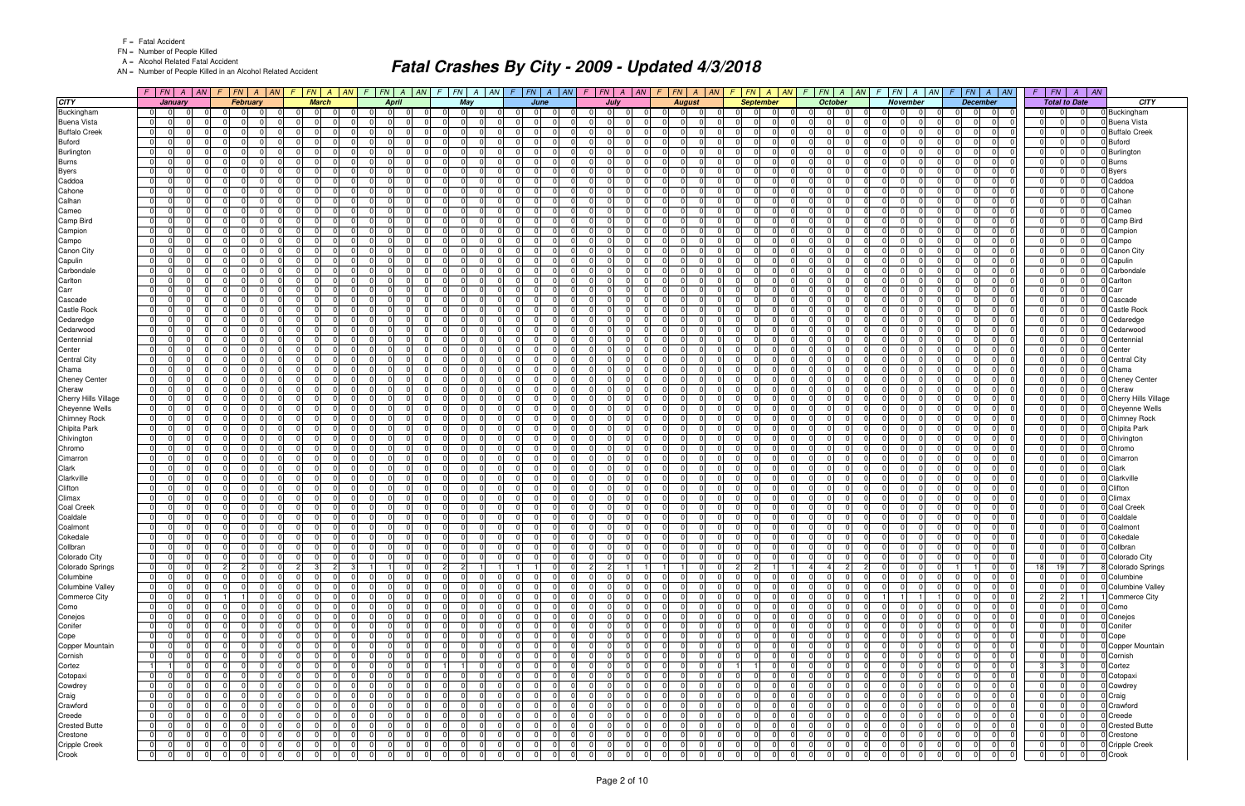FN = Number of People Killed

A = Alcohol Related Fatal Accident

AN = Number of People Killed in an Alcohol Related Accident

|                                       |                                                             | $F$   $FN$   $A$   $AN$ |                            | $F$ $ FN $ $A$ $ M $ $F$ $ FN $ $A$ $ M$ |                          |                                                          |                      | $F$ $FN$ $A$ $AN$                            | $\mathcal{F}$           | $FN$ $A$ $AN$           |                         | $F$ $FN$ $A$ $AN$                                                  |                   |                      | $F$ $ FN $ $A$ $ AN $      |                            | $F$ $FN$ $A$ $AN$                   | $F$ $FN$ $A$ $AN$                                      |                      |                            | $F$ $FN$ $A$ $AN$                | $\mathcal{F}$              | $FN$ $A$ $AN$                       |                             | $F$ $FN$ $A$ $AN$                                                 |                            | $F$   $FN$           | $A \parallel AN$           |                                |
|---------------------------------------|-------------------------------------------------------------|-------------------------|----------------------------|------------------------------------------|--------------------------|----------------------------------------------------------|----------------------|----------------------------------------------|-------------------------|-------------------------|-------------------------|--------------------------------------------------------------------|-------------------|----------------------|----------------------------|----------------------------|-------------------------------------|--------------------------------------------------------|----------------------|----------------------------|----------------------------------|----------------------------|-------------------------------------|-----------------------------|-------------------------------------------------------------------|----------------------------|----------------------|----------------------------|--------------------------------|
| <b>CITY</b>                           | January                                                     |                         |                            | February                                 |                          | <b>March</b>                                             |                      | <b>April</b>                                 |                         | May                     |                         | June                                                               |                   | July                 |                            |                            | <b>August</b>                       | <b>September</b>                                       |                      |                            | October                          |                            | <b>November</b>                     |                             | <b>December</b>                                                   |                            | <b>Total to Date</b> |                            | <b>CITY</b>                    |
| Buckingham                            | 0 I<br>$\overline{0}$                                       |                         |                            | $\cap$<br>$\Omega$                       | $\Omega$                 | $\Omega$                                                 | n I                  | - 0 I                                        | <sup>n</sup>            | $\Omega$<br>$\Omega$    | $\Omega$                | $\Omega$<br>$\Omega$                                               | $\Omega$          | $\Omega$             |                            |                            | $\Omega$<br>- 0                     | 0I<br>$\Omega$                                         | $\Omega$             | n I                        | $\Omega$                         | $\Omega$                   | $\mathbf 0$                         | 0I                          | $\Omega$<br>$\Omega$                                              | -01                        | $\Omega$             | $\Omega$                   | Buckingham                     |
| <b>Buena Vista</b>                    | $\overline{0}$<br>$\Omega$                                  |                         | $\Omega$                   | $\Omega$                                 | $\Omega$                 | $\Omega$                                                 | $\overline{0}$       | -0                                           | $\Omega$                | $\Omega$                |                         | $\Omega$<br>$\Omega$                                               | $\overline{0}$    | $\Omega$             |                            | $\Omega$                   | $\Omega$                            | $\Omega$<br>0                                          | $\Omega$             | $\Omega$                   | $\Omega$                         | $\overline{0}$             | $\Omega$                            | $\Omega$                    | $\overline{0}$<br>0                                               | 0                          | $\Omega$             | $\Omega$                   | <b>Buena Vista</b>             |
| <b>Buffalo Creek</b>                  | $\overline{0}$<br>$\overline{0}$                            |                         | $\Omega$                   | $\Omega$                                 | $\Omega$                 | $\Omega$<br>$\Omega$                                     | 0                    | $\Omega$<br>$\Omega$                         | $\Omega$                | $\Omega$                | $\Omega$                | $\Omega$<br>$\Omega$                                               | - 0 I             | $\Omega$             | $\Omega$                   | $\Omega$                   | $\Omega$                            | $\Omega$<br>$\Omega$                                   | $\Omega$             | 0                          | $\Omega$<br>$\Omega$             | $\Omega$                   | $\mathbf 0$                         | $\Omega$                    | $\Omega$<br>$\Omega$                                              | $\overline{0}$             | $\Omega$             | $\overline{0}$             | <b>Buffalo Creek</b>           |
| <b>Buford</b>                         | $\overline{0}$<br>$\Omega$                                  |                         | $\Omega$                   | $\Omega$                                 | $\Omega$                 | $\Omega$<br>$\Omega$                                     | 0                    | $\Omega$                                     | $\Omega$                | $\Omega$                | $\Omega$                | $\Omega$<br>$\Omega$                                               | - 0 I             | n                    |                            | $\Omega$                   | $\Omega$                            | $\Omega$<br>$\Omega$                                   | $\Omega$             | - 0 I                      | $\Omega$                         | $\Omega$                   | $\Omega$                            | $\Omega$                    | $\Omega$<br>$\Omega$                                              | $\overline{0}$             | $\Omega$             | $\Omega$                   | <b>Buford</b>                  |
| Burlington                            | 01<br>$\Omega$                                              |                         | $\Omega$                   | $\Omega$                                 | $\Omega$                 | $\Omega$<br>$\Omega$                                     | $\overline{0}$       | $\Omega$                                     | $\Omega$                | $\Omega$                | $\Omega$                | 0<br>$\Omega$                                                      | - 0 I             | $\Omega$             |                            | $\Omega$                   | $\Omega$                            | $\Omega$<br>$\Omega$                                   | $\Omega$             | $\overline{0}$             | $\Omega$                         | $\Omega$                   | $\Omega$                            | $\Omega$                    | $\Omega$<br>$\Omega$                                              | $\overline{0}$             | $\Omega$             | $\Omega$                   | Burlington                     |
| <b>Burns</b>                          | $\overline{0}$<br>$\Omega$                                  |                         | $\Omega$                   | $\Omega$                                 | $\Omega$                 | $\Omega$                                                 | $\Omega$             | $\Omega$                                     | <sup>0</sup>            | $\Omega$                | $\Omega$                | $\Omega$<br>$\Omega$                                               | $\Omega$          | $\Omega$             |                            | $\Omega$                   | $\Omega$                            | $\Omega$<br>$\Omega$                                   |                      | $\Omega$                   | $\Omega$                         | <sup>0</sup>               | $\Omega$                            | $\Omega$                    | $\Omega$<br>$\Omega$                                              | $\Omega$                   | $\Omega$             | $\Omega$                   | <b>Burns</b>                   |
| <b>Byers</b>                          | 01<br>$\Omega$                                              |                         | $\Omega$                   | $\mathbf 0$                              | $\Omega$                 | $\Omega$<br>$\Omega$                                     | 0                    | $\Omega$                                     | $\Omega$                | $\mathbf 0$             | $\Omega$                | $\Omega$<br>$\Omega$                                               | 0                 | $\Omega$             |                            | $\Omega$                   | $\Omega$                            | $\Omega$<br>$\Omega$                                   | $\Omega$             | $\overline{0}$             | $\Omega$                         | $\Omega$                   | $\mathbf 0$                         | $\Omega$                    | $\Omega$<br>$\Omega$                                              | $\overline{0}$             | $\Omega$             | $\overline{0}$             | <b>Byers</b>                   |
| Caddoa                                | 0 I<br>$\Omega$                                             |                         | $\Omega$                   | $\Omega$                                 | $\Omega$                 | $\Omega$<br>$\Omega$                                     | 0                    | $\Omega$                                     | ΩI                      | $\Omega$                | $\Omega$                | $\Omega$<br>$\Omega$                                               | - 0 I             | n                    |                            | $\Omega$                   | $\Omega$                            | $\Omega$<br>$\Omega$                                   | $\Omega$             | $\Omega$                   | $\Omega$                         | ΩI                         | $\Omega$                            | $\Omega$                    | $\Omega$<br>$\Omega$                                              | $\Omega$                   | $\Omega$             | $\Omega$                   | Caddoa                         |
| Cahone                                | 01<br>$\Omega$                                              |                         | $\Omega$                   | $\Omega$                                 | $\Omega$                 | - 0 I<br>$\Omega$                                        | $\overline{0}$       | - 0<br>$\Omega$                              | $\Omega$                | $\mathbf 0$             | $\Omega$                | $\Omega$<br>$\Omega$                                               | - 0 I             | $\Omega$             | $\Omega$                   | $\Omega$                   | $\Omega$                            | $\Omega$<br>$\Omega$                                   | $\Omega$             | $\overline{0}$             | $\Omega$<br>$\Omega$             | $\Omega$                   | $\mathbf 0$                         | $\Omega$                    | $\Omega$<br>$\Omega$                                              | $\overline{0}$             | $\Omega$             | $\Omega$                   | Cahone                         |
| Calhan                                | 0 <br>$\Omega$                                              |                         | $\Omega$                   | $\Omega$                                 |                          | $\Omega$                                                 | $\Omega$             | $\Omega$                                     | 0                       | $\Omega$                |                         | $\Omega$<br>$\Omega$                                               | $\Omega$          |                      |                            | $\Omega$                   | $\Omega$                            | $\Omega$<br>$\Omega$                                   |                      | $\Omega$                   |                                  | $\Omega$                   | $\Omega$                            | $\Omega$                    | $\Omega$<br>$\Omega$                                              | $\Omega$                   | $\Omega$             | $\Omega$                   | Calhan                         |
| Cameo                                 | 0 I<br>$\Omega$                                             |                         | $\Omega$                   | $\Omega$                                 | $\Omega$                 | $\Omega$                                                 | 0                    | $\Omega$<br>$\Omega$                         | $\Omega$                | $\Omega$                | $\Omega$                | $\Omega$<br>$\Omega$                                               | - 0 I             | $\Omega$             | <sup>0</sup>               | $\Omega$                   | $\Omega$                            | $\Omega$<br>$\Omega$                                   |                      | $\overline{0}$             | $\Omega$<br>$\Omega$             | $\Omega$                   | $\Omega$                            | $\Omega$                    | $\Omega$<br>$\Omega$                                              | $\overline{0}$             | $\Omega$             | $\Omega$                   | Cameo                          |
| Camp Bird                             | $\overline{0}$<br>$\Omega$                                  |                         | $\Omega$                   | $\Omega$                                 | $\Omega$                 | $\Omega$<br>$\Omega$                                     | 0                    | $\Omega$<br>$\Omega$                         | $\Omega$                | $\Omega$                | $\Omega$                | $\Omega$<br>$\Omega$                                               | - 0 I             | $\Omega$             | $\Omega$                   | $\Omega$                   | $\Omega$                            | $\Omega$<br>$\Omega$                                   | $\Omega$             | - 0 I                      | $\Omega$<br>$\Omega$             | $\Omega$                   | - 0 I                               | $\Omega$                    | $\Omega$<br>$\Omega$                                              | $\overline{0}$             | $\Omega$             | $\Omega$                   | Camp Bird                      |
| Campion                               | 01                                                          |                         |                            | $\Omega$                                 | $\Omega$                 | 0                                                        | $\Omega$             |                                              |                         | - 0                     | $\Omega$                | <sup>0</sup><br>$\Omega$                                           | $\Omega$          |                      |                            | <sup>n</sup>               | $\Omega$                            | $\Omega$<br><sup>0</sup>                               |                      | $\Omega$                   |                                  | <sup>n</sup>               | $\Omega$                            | $\Omega$                    | $\Omega$<br>$\Omega$                                              | $\Omega$                   | $\Omega$             | $\Omega$                   | Campion                        |
| Campo                                 | $\overline{0}$<br>$\Omega$                                  | $\Omega$                | $\Omega$                   | $\Omega$                                 | $\Omega$                 | $\Omega$<br>$\Omega$                                     | 0                    | $\Omega$<br>$\Omega$                         | $\Omega$                | - 0 I<br>$\Omega$       | $\Omega$                | $\Omega$<br>$\Omega$                                               | - 0 I             | $\Omega$             | $\Omega$                   | $\Omega$                   | $\Omega$<br>$\Omega$                | $\Omega$<br>$\Omega$                                   | $\Omega$             | 0                          | $\Omega$<br>$\Omega$             | $\Omega$                   | - 0 I<br>$\cap$                     | $\Omega$                    | $\Omega$<br>$\Omega$                                              | 0 I                        | $\Omega$             | $\Omega$                   | Campo                          |
| Canon City                            | 0 <br>-0                                                    |                         | $\Omega$                   | $\Omega$                                 | $\Omega$                 | $\Omega$<br>$\Omega$                                     | 0                    | $\Omega$                                     | $\overline{0}$          | $\Omega$                | $\Omega$                | $\Omega$<br>$\Omega$                                               | $\overline{0}$    | n                    |                            | $\overline{0}$             | $\Omega$                            | $\mathbf 0$<br>$\Omega$                                |                      | $\overline{0}$             | $\Omega$                         | $\overline{0}$             | $\Omega$                            | $\Omega$                    | $\Omega$<br>0                                                     | $\overline{0}$             | $\Omega$             | $\Omega$                   | Canon City                     |
| Capulin                               | 0 I<br>$\Omega$                                             | $\cap$                  | $\Omega$                   | $\Omega$                                 | $\Omega$                 | $\Omega$<br>$\Omega$                                     | 0                    | $\Omega$<br>$\Omega$                         | $\Omega$                | $\Omega$<br>$\mathbf 0$ | $\Omega$                | $\Omega$<br>$\Omega$                                               | - 0 I             | $\Omega$             | $\Omega$                   | $\Omega$                   | $\Omega$<br>$\Omega$                | $\Omega$<br>$\Omega$                                   | $\Omega$             | 0                          | $\Omega$<br>$\Omega$             | $\Omega$                   | $\mathbf 0$                         | $\Omega$                    | $\Omega$<br>$\Omega$                                              | $\overline{0}$             | $\Omega$             | $\Omega$                   | Capulin                        |
| Carbondale                            | 01<br>$\Omega$                                              | <sup>n</sup>            | $\Omega$                   | $\Omega$                                 | - 0 l                    | $\Omega$<br>$\Omega$                                     | 0                    | $\Omega$<br>$\Omega$                         | $\Omega$                | $\mathbf 0$<br>ി        | $\Omega$                | 0<br>$\Omega$                                                      | $\mathbf 0$       | $\Omega$             | $\Omega$                   | $\Omega$                   | $\Omega$                            | $\mathbf 0$<br>0                                       | $\Omega$             | $\overline{0}$             | $\Omega$<br>$\Omega$             | $\Omega$                   | $\Omega$                            | $\Omega$                    | $\Omega$<br>$\Omega$                                              | $\overline{0}$             | $\Omega$             | $\Omega$                   | Carbondale                     |
| Carlton                               | 0 I<br>$\Omega$                                             |                         | $\Omega$                   | $\Omega$                                 | $\overline{0}$           | $\Omega$<br>$\Omega$                                     | 0                    | $\Omega$<br>$\Omega$                         | $\Omega$                | - 0 I<br>$\cap$         | $\Omega$                | $\Omega$<br>$\Omega$                                               | - 0 I             | $\Omega$             | $\Omega$                   | $\Omega$                   | $\Omega$<br>$\Omega$                | $\overline{0}$<br>$\Omega$                             | $\Omega$             | 0                          | $\Omega$<br>$\Omega$             | $\Omega$                   | - 0 l                               | $\Omega$                    | $\Omega$<br>$\Omega$                                              | $\overline{0}$             | $\Omega$             | $\Omega$                   | Carlton                        |
| Carr                                  | $\overline{0}$<br>$\Omega$                                  |                         | $\Omega$                   | $\Omega$                                 | $\Omega$                 | $\Omega$<br>$\Omega$                                     | 0                    | $\Omega$<br><sup>0</sup>                     | $\Omega$                | $\Omega$                | $\Omega$                | $\Omega$<br>$\Omega$                                               | - 0 l             | <sup>n</sup>         | <sup>0</sup>               | $\Omega$                   | $\Omega$                            | $\Omega$<br>$\Omega$                                   | $\Omega$             | $\Omega$                   | $\Omega$<br><sup>0</sup>         | $\Omega$                   | $\Omega$                            | $\Omega$                    | $\Omega$<br>$\Omega$                                              | $\Omega$                   | $\Omega$             | $\Omega$                   | Carr                           |
| Cascade                               | 0 I<br>$\Omega$                                             |                         | $\Omega$                   | $\mathbf 0$                              | $\Omega$                 | - 0 l<br>$\Omega$                                        | 0                    | $\Omega$<br>$\Omega$                         | $\Omega$                | $\Omega$<br>$\mathbf 0$ | $\Omega$                | $\Omega$<br>$\Omega$                                               | - 0 l             | $\Omega$             | $\Omega$                   | $\Omega$                   | $\mathbf 0$                         | $\Omega$<br>$\Omega$                                   | $\Omega$             | - 0 l                      | $\Omega$<br>$\Omega$             | $\Omega$                   | $\mathbf 0$                         | $\Omega$                    | $\overline{0}$<br>$\Omega$                                        | $\overline{0}$             | $\Omega$             | $\Omega$                   | Cascade                        |
| <b>Castle Rock</b>                    | 01<br>$\Omega$                                              | <sup>n</sup>            | $\Omega$                   | $\Omega$                                 | $\Omega$                 | $\Omega$<br>$\Omega$                                     | $\overline{0}$       | $\Omega$<br>$\Omega$                         | $\Omega$                | $\Omega$                | - 0 l                   | $\Omega$<br>$\Omega$                                               | $\mathbf 0$       | - 0                  | <sup>n</sup>               | $\Omega$                   | $\Omega$                            | $\Omega$<br>0                                          | $\Omega$             | - 0 l                      | - 0<br>$\Omega$                  | $\Omega$                   | $\Omega$                            | $\Omega$                    | $\Omega$<br>$\Omega$                                              | $\overline{0}$             | $\Omega$             | $\Omega$                   | Castle Rock                    |
| Cedaredge                             | 0 I<br>$\Omega$                                             | $\cap$                  | $\Omega$                   | $\Omega$                                 | $\Omega$                 | $\Omega$<br>$\Omega$                                     | $\Omega$             | $\Omega$<br>$\Omega$                         | $\Omega$                | $\Omega$<br>- 0 l       | $\Omega$                | $\Omega$<br>n l                                                    | - 0 l             | $\Omega$             | $\Omega$                   | $\Omega$                   | $\Omega$<br>$\Omega$                | $\Omega$<br>$\Omega$                                   | $\Omega$             | $\Omega$                   | $\Omega$<br>$\Omega$             | $\Omega$                   | $\Omega$<br>- 0 l                   | n                           | $\Omega$<br>$\Omega$                                              | 0 I                        | $\Omega$             | $\overline{0}$             | Cedaredge                      |
| Cedarwood                             | 01<br>-0                                                    |                         | $\overline{0}$             | $\Omega$                                 | 0                        | $\Omega$<br>$\Omega$                                     | 0                    | $\Omega$<br>-0                               | $\overline{0}$          | $\Omega$                | 0                       | $\Omega$<br>$\Omega$                                               | 0                 | $\Omega$             | $\Omega$                   | $\overline{0}$             | $\Omega$                            | $\mathbf 0$<br>$\Omega$                                | $\Omega$             | 0                          | $\Omega$<br>$\Omega$             | $\overline{0}$             | $\Omega$                            | 0                           | $\Omega$<br>$\overline{0}$                                        | $\overline{0}$             | $\Omega$             | $\Omega$                   | Cedarwood                      |
| Centennial                            | 0 I<br>$\Omega$                                             |                         | $\Omega$                   | $\Omega$                                 | $\Omega$                 | $\Omega$                                                 | 0                    | $\Omega$<br>$\Omega$                         | $\Omega$                | $\Omega$                | $\Omega$                | $\Omega$<br>$\Omega$                                               | - 0 I             | $\Omega$             | $\Omega$                   | $\Omega$                   | $\Omega$                            | $\Omega$<br>$\Omega$                                   |                      | $\overline{0}$             | $\Omega$<br>$\Omega$             | $\Omega$                   | $\Omega$                            | $\Omega$                    | $\Omega$<br>$\Omega$                                              | $\overline{0}$             | $\Omega$             | $\overline{0}$             | Centennial                     |
| Center                                | 01<br>$\Omega$                                              | $\Omega$                | $\Omega$                   | $\Omega$                                 | - 0 l<br>$\Omega$        | $\Omega$<br>$\Omega$                                     | $\overline{0}$       | $\Omega$<br>$\Omega$<br><sup>n</sup>         | $\Omega$                | $\mathbf 0$<br>$\Omega$ | - 0 l<br>$\Omega$       | $\Omega$<br>$\Omega$<br>$\Omega$                                   | $\mathbf 0$       | $\Omega$             | $\Omega$                   | $\Omega$                   | $\Omega$                            | - 0 l<br>$\Omega$<br>$\Omega$                          | $\Omega$             | $\overline{0}$             | $\Omega$<br>$\Omega$             | $\Omega$                   | $\Omega$                            | - 0 l<br>$\Omega$           | $\Omega$<br>$\Omega$<br>$\Omega$                                  | $\overline{0}$             | $\Omega$             | 0                          | Center                         |
| <b>Central City</b>                   | 0 I<br>$\Omega$                                             |                         | 0<br>$\Omega$              | $\Omega$                                 |                          | $\Omega$<br>$\Omega$                                     | 0 <br>$\overline{0}$ | $\Omega$<br>- 0                              | 0<br>$\Omega$           | $\Omega$                |                         | 0<br>$\Omega$<br>$\Omega$                                          | - 0 I<br>$\Omega$ | n                    |                            | $\Omega$                   | $\Omega$                            | 0<br>$\Omega$<br>$\Omega$                              |                      | $\overline{0}$<br>$\Omega$ | - 0<br>n                         | 0<br>$\Omega$              | $\Omega$<br>$\Omega$                | $\Omega$                    | $\Omega$<br>$\Omega$<br><sup>n</sup>                              | $\overline{0}$<br>$\Omega$ | $\Omega$<br>$\Omega$ | $\Omega$<br>$\Omega$       | <b>Central City</b>            |
| Chama                                 | $\overline{0}$<br>- 0<br>$\Omega$                           |                         | $\Omega$                   | $\Omega$                                 | $\Omega$                 | $\Omega$<br>$\Omega$                                     |                      | $\Omega$                                     | $\Omega$                | $\Omega$<br>$\Omega$    | $\Omega$                | $\Omega$<br>$\Omega$                                               |                   | $\Omega$             |                            | $\Omega$<br>$\Omega$       | $\Omega$<br>$\Omega$                | $\Omega$<br>$\Omega$                                   | $\Omega$             | $\overline{0}$             | $\Omega$                         | $\Omega$                   |                                     | $\Omega$                    | $\Omega$<br>$\Omega$                                              |                            | $\Omega$             | $\overline{0}$             | Chama                          |
| <b>Cheney Center</b>                  | 01<br> 0 <br>$\Omega$                                       |                         | $\Omega$                   | $\mathbf 0$<br>$\Omega$                  | $\Omega$                 | $\Omega$<br>$\Omega$                                     | 0 <br> 0             | $\Omega$                                     | ΩI                      | $\Omega$                | $\Omega$                | $\Omega$<br>$\Omega$                                               | 0 <br>- 0 I       | n                    |                            | $\Omega$                   | $\Omega$                            | $\Omega$<br>$\Omega$                                   | $\Omega$             | $\Omega$                   | $\Omega$                         | ΩI                         | $\mathbf 0$<br>$\Omega$             | $\Omega$                    | $\Omega$<br>$\Omega$                                              | $\overline{0}$<br>$\Omega$ | $\Omega$             | $\Omega$                   | <b>Cheney Center</b><br>Cheraw |
| Cheraw<br><b>Cherry Hills Village</b> | $\overline{0}$<br>$\Omega$                                  | $\Omega$                | $\Omega$                   | $\Omega$                                 | $\overline{0}$           | - 0 I<br>$\Omega$                                        | $\overline{0}$       | - 0<br>$\Omega$                              | $\Omega$                | - 0 I                   | $\Omega$                | $\Omega$<br>$\Omega$                                               | - 0 I             | $\Omega$             | $\Omega$                   | $\Omega$                   | $\Omega$                            | $\Omega$<br>$\Omega$                                   | $\Omega$             | $\overline{0}$             | $\Omega$<br>$\Omega$             | $\Omega$                   | - 0 I                               | $\Omega$                    | $\Omega$<br>$\Omega$                                              | $\overline{0}$             | $\Omega$             | $\Omega$                   | Cherry Hills Village           |
| Cheyenne Wells                        | 0 <br>$\Omega$                                              |                         | $\Omega$                   | $\Omega$                                 | $\Omega$                 | $\Omega$                                                 | $\Omega$             | $\Omega$                                     | $\Omega$                | $\Omega$                |                         | $\Omega$<br>$\Omega$                                               | $\Omega$          |                      |                            | $\Omega$                   | $\Omega$                            | $\Omega$<br>$\Omega$                                   |                      | $\Omega$                   | n                                | $\Omega$                   | $\Omega$                            | $\Omega$                    | $\Omega$<br>$\Omega$                                              | $\Omega$                   | $\Omega$             | $\Omega$                   | Cheyenne Wells                 |
| <b>Chimney Rock</b>                   | 0 I<br>$\Omega$                                             |                         | $\Omega$                   | $\Omega$                                 | $\Omega$                 | $\Omega$                                                 | 0                    | $\Omega$<br>$\Omega$                         | $\Omega$                | $\Omega$                | $\Omega$                | $\Omega$<br>$\Omega$                                               | - 0 I             | $\Omega$             | <sup>0</sup>               | $\Omega$                   | $\Omega$                            | $\Omega$<br>$\Omega$                                   |                      | $\overline{0}$             | $\Omega$<br>$\Omega$             | $\Omega$                   | $\Omega$                            | $\Omega$                    | $\Omega$<br>$\Omega$                                              | $\overline{0}$             | $\Omega$             | $\Omega$                   | <b>Chimney Rock</b>            |
| Chipita Park                          | $\overline{0}$<br>$\Omega$                                  |                         | $\Omega$                   | $\Omega$                                 | $\Omega$                 | $\Omega$<br>$\Omega$                                     | 0                    | $\Omega$<br>$\Omega$                         | $\Omega$                | $\Omega$                | $\Omega$                | $\Omega$<br>$\Omega$                                               | - 0 I             | $\Omega$             | $\Omega$                   | $\Omega$                   | $\Omega$                            | $\Omega$<br>$\Omega$                                   | $\Omega$             | - 0 I                      | $\Omega$<br>$\Omega$             | $\Omega$                   | - 0 I                               | $\Omega$                    | $\Omega$<br>$\Omega$                                              | $\overline{0}$             | $\Omega$             | $\Omega$                   | Chipita Park                   |
| Chivington                            | 0 I<br>- 0                                                  |                         | $\Omega$                   | $\Omega$                                 | $\Omega$                 | $\Omega$<br>$\Omega$                                     | $\overline{0}$       | $\Omega$<br><sup>n</sup>                     | $\Omega$                | $\Omega$                | $\Omega$                | $\Omega$<br>$\Omega$                                               | - 0 I             | $\Omega$             |                            | $\Omega$                   | $\Omega$                            | $\Omega$<br>$\Omega$                                   | $\Omega$             | $\overline{0}$             | $\Omega$                         | $\Omega$                   | $\Omega$                            | $\Omega$                    | $\Omega$<br>$\Omega$                                              | $\overline{0}$             | $\Omega$             | $\Omega$                   | Chivington                     |
| Chromo                                | $\overline{0}$<br>$\Omega$                                  |                         | $\Omega$                   | $\Omega$                                 | $\Omega$                 | $\Omega$<br>$\Omega$                                     | 0                    | $\Omega$                                     | $\Omega$                | $\Omega$                | $\Omega$                | $\Omega$<br>$\Omega$                                               | $\Omega$          | ∩                    |                            | $\Omega$                   | $\Omega$                            | $\Omega$<br>$\Omega$                                   | $\Omega$             | $\overline{0}$             | $\Omega$<br>$\Omega$             | $\Omega$                   | $\Omega$                            | $\Omega$                    | $\Omega$<br>$\Omega$                                              | $\Omega$                   | $\Omega$             | $\Omega$                   | Chromo                         |
| Cimarron                              | 0 I<br>$\Omega$                                             |                         | $\Omega$                   | $\Omega$                                 | $\Omega$                 | $\Omega$                                                 | 0                    | $\Omega$                                     | $\Omega$                | $\Omega$                |                         | $\Omega$<br>$\Omega$                                               | - 0 I             | $\Omega$             |                            | $\Omega$                   | $\Omega$                            | $\Omega$<br>$\Omega$                                   |                      | - 0 I                      | $\Omega$                         | $\Omega$                   | $\Omega$                            | $\Omega$                    | $\Omega$<br>$\Omega$                                              | $\Omega$                   | $\Omega$             | $\Omega$                   | Cimarron                       |
| Clark                                 | 0 I<br>$\Omega$                                             |                         | $\Omega$                   | $\Omega$                                 | $\Omega$                 | $\Omega$<br>$\Omega$                                     | 0                    | $\Omega$                                     | $\Omega$                | $\Omega$                | $\Omega$                | $\Omega$<br>$\Omega$                                               | - 0 I             | $\Omega$             |                            | $\Omega$                   | $\Omega$                            | $\Omega$<br>$\Omega$                                   | $\Omega$             | 0                          | $\Omega$                         | $\Omega$                   | $\Omega$                            | $\Omega$                    | $\Omega$<br>$\Omega$                                              | $\Omega$                   | $\Omega$             | $\Omega$                   | Clark                          |
| Clarkville                            | 01<br>- 0                                                   |                         | $\Omega$                   | $\Omega$                                 | $\Omega$                 | $\Omega$<br>$\Omega$                                     | $\Omega$             | $\Omega$<br>$\Omega$                         | $\Omega$                | $\mathbf 0$<br>ി        | $\Omega$                | 0<br>$\Omega$                                                      | $\mathbf 0$       | $\Omega$             | $\Omega$                   | $\Omega$                   | $\Omega$                            | $\Omega$<br>0                                          | $\Omega$             | $\Omega$                   | $\Omega$<br>$\Omega$             | $\Omega$                   | $\mathbf 0$                         | $\Omega$                    | $\Omega$<br>$\Omega$                                              | $\overline{0}$             | $\Omega$             | $\Omega$                   | Clarkville                     |
| Clifton                               | 0 <br>n                                                     |                         | $\Omega$                   | $\Omega$                                 | $\Omega$                 | $\Omega$<br>$\Omega$                                     | 0                    | $\Omega$<br>- 0                              | $\Omega$                | $\Omega$                | $\Omega$                | $\Omega$<br>$\Omega$                                               | - 0 I             | ∩                    | $\Omega$                   | $\Omega$                   | $\Omega$                            | $\Omega$<br>$\Omega$                                   | $\Omega$             | 0                          | $\Omega$<br>n                    | $\Omega$                   | $\mathbf 0$                         | $\Omega$                    | $\Omega$<br>$\Omega$                                              | $\Omega$                   | $\Omega$             | $\Omega$                   | Clifton                        |
| Climax                                | $\overline{0}$<br>$\Omega$                                  |                         | $\Omega$                   | $\Omega$                                 | $\Omega$                 | $\Omega$<br>$\Omega$                                     | 0                    | $\Omega$<br>$\Omega$                         | $\Omega$                | $\Omega$                | $\Omega$                | $\Omega$<br>$\Omega$                                               | - 0 I             | $\Omega$             | <sup>0</sup>               | $\Omega$                   | $\Omega$                            | $\Omega$<br>$\Omega$                                   | $\Omega$             | $\Omega$                   | $\Omega$<br>$\Omega$             | $\Omega$                   | $\Omega$                            | $\Omega$                    | $\Omega$<br>$\Omega$                                              | $\Omega$                   | $\Omega$             | $\Omega$                   | Climax                         |
| <b>Coal Creek</b>                     | 0 I<br>$\Omega$                                             |                         | $\Omega$                   | $\mathbf 0$                              | $\Omega$                 | - 0 I<br>$\Omega$                                        | 0                    | $\Omega$<br>$\Omega$                         | $\Omega$                | $\Omega$<br>$\mathbf 0$ | $\Omega$                | $\Omega$<br>$\Omega$                                               | - 0 I             | $\Omega$             | $\Omega$                   | $\Omega$                   | $\Omega$                            | $\Omega$<br>$\Omega$                                   | $\Omega$             | $\overline{0}$             | $\Omega$<br>$\Omega$             | $\Omega$                   | $\mathbf 0$                         | $\Omega$                    | $\overline{0}$<br>$\Omega$                                        | $\overline{0}$             | $\Omega$             | $\Omega$                   | Coal Creek                     |
| Coaldale                              | 01<br>- 0                                                   | <sup>n</sup>            | $\Omega$                   | $\Omega$<br>$\Omega$                     | $\Omega$                 | $\Omega$<br>$\Omega$                                     | $\overline{0}$       | $\Omega$<br>$\Omega$                         | $\Omega$                | $\Omega$                | - 0 l                   | $\Omega$<br>- 01                                                   | $\mathbf 0$       | $\Omega$             | $\Omega$                   | $\Omega$                   | $\Omega$<br>$\Omega$                | $\Omega$<br>$\Omega$                                   | $\Omega$             | $\overline{0}$             | $\Omega$<br>$\Omega$             | $\Omega$                   | $\Omega$                            | $\Omega$                    | $\Omega$<br>$\Omega$                                              | $\overline{0}$             | $\Omega$             | $\Omega$                   | Coaldale                       |
| Coalmont                              | $\overline{0}$<br>$\Omega$                                  | $\Omega$                | $\Omega$                   | $\Omega$<br>$\mathbf 0$                  | $\overline{0}$           | - 0 I<br>$\Omega$                                        | 0                    | $\Omega$<br>$\Omega$                         | $\Omega$                | - 0 I<br>$\Omega$       | $\Omega$                | $\Omega$<br>$\Omega$                                               | - 0 I             | $\Omega$             | $\Omega$                   | $\Omega$                   | $\Omega$<br>$\mathbf 0$             | $\overline{0}$<br>$\Omega$                             | $\Omega$             | 0                          | $\Omega$<br>$\Omega$             | $\Omega$                   | $\Omega$<br>- 0 I                   | $\overline{0}$              | $\Omega$<br>$\Omega$                                              | 0 I                        | $\Omega$             | n l                        | Coalmont                       |
| Cokedale                              | $\overline{0}$<br>$\Omega$                                  |                         | $\mathbf 0$                | $\Omega$<br>$\mathbf 0$                  | $\mathbf{0}$             | $\Omega$<br>$\Omega$                                     | 0                    | $\mathbf 0$<br>$\Omega$                      | $\overline{0}$          | $\mathbf 0$             | $\Omega$                | $\mathbf{0}$<br>$\Omega$                                           | 0                 | $\Omega$             | $\Omega$                   | $\mathbf 0$                | $\Omega$<br>$\mathbf 0$             | $\mathbf{0}$<br>$\Omega$                               | $\Omega$             | 0                          | $\Omega$<br>$\Omega$             | $\overline{0}$             | $\Omega$<br>$\Omega$                | $\Omega$                    | $\Omega$<br>$\Omega$                                              | - 0 I                      | $\Omega$             |                            | Cokedale                       |
| Collbran                              | $\overline{0}$<br> 0                                        | $\Omega$                | 0                          | $\Omega$                                 |                          | $\mathbf 0$<br>$\overline{0}$                            | $\overline{0}$       | $\Omega$                                     | $\Omega$                | 0                       |                         | $\overline{0}$<br>$\mathbf 0$                                      | $\overline{0}$    | $\Omega$             |                            | $\Omega$                   | $\Omega$                            | $\overline{0}$                                         | $\Omega$             | $\overline{0}$             |                                  | $\Omega$                   | $\Omega$                            |                             | $\mathbf 0$<br>$\overline{0}$                                     | $\Omega$                   | $\Omega$             | $\Omega$                   | 0 Collbran                     |
| Colorado City                         | $\overline{0}$<br>$\overline{0}$                            | $\Omega$                | $\Omega$                   | $\mathbf 0$<br>$\Omega$                  | $\overline{0}$           | 0 <br>$\mathbf 0$                                        | 0                    | $\mathbf 0$<br>$\Omega$                      | $\Omega$                | $\Omega$<br> 0          | 0                       | $\overline{0}$<br>$\mathbf 0$                                      | 0                 | $\Omega$             | $\Omega$                   | $\mathbf 0$                | $\Omega$<br>$\mathbf 0$             | $\overline{0}$<br> 0                                   | $\mathbf 0$          | $\overline{0}$             | $\Omega$<br>$\Omega$             | $\Omega$                   | $\Omega$<br>$\mathbf 0$             | $\mathbf 0$                 | $\overline{0}$<br>$\overline{0}$                                  | $\overline{0}$             | $\overline{0}$       | $\overline{0}$             | Colorado City                  |
| Colorado Springs                      | 0 <br>$\overline{0}$                                        |                         | $\overline{2}$             | 2 <sup>1</sup><br>- 0 I                  | $\overline{2}$           | 3 <br>$\overline{2}$                                     | $1 \vert$            | $\Omega$                                     | $\vert$ 2               | $\overline{2}$          | $\overline{1}$          | 1<br>$\overline{0}$                                                | 2                 | $\overline{2}$       |                            |                            | - 0 I                               | $\overline{2}$<br>$\overline{2}$                       |                      | $\overline{4}$             | $\overline{2}$                   | $\Omega$                   | $\Omega$<br>- 0 I                   | $\overline{1}$              | $\overline{1}$<br>$\overline{0}$                                  | 18                         | 19                   | $\overline{7}$             | Colorado Springs               |
| Columbine                             | $\overline{0}$<br> 0                                        | $\Omega$                | $\mathbf 0$                | $\overline{0}$                           | $\overline{0}$           | 0 <br>0                                                  | $\overline{0}$       | $\mathbf 0$<br>$\mathbf 0$                   | $\overline{0}$          | $\overline{0}$<br> 0    | $\mathbf 0$             | $\overline{0}$<br>$\mathbf 0$                                      | 0                 | $\mathbf 0$          | $\Omega$                   | $\overline{0}$             | $\Omega$<br>$\Omega$                | $\mathbf{0}$<br>$\overline{0}$                         | $\mathbf 0$          | 0                          | $\Omega$<br>$\Omega$             | $\overline{0}$             | $\Omega$<br> 0                      | $\mathbf 0$                 | 0 <br>$\mathbf 0$                                                 | $\overline{0}$             | $\overline{0}$       | $\overline{0}$             | Columbine                      |
| <b>Columbine Valley</b>               | 0 <br> 0                                                    |                         | $\Omega$                   | $\mathbf 0$                              | $\overline{0}$           | 0 <br>$\Omega$                                           | 0                    | $\Omega$<br>$\overline{0}$                   | $\overline{0}$          | $\Omega$<br>- 0 I       | $\mathbf 0$             | 0 <br>$\overline{0}$                                               | 0                 | $\overline{0}$       | $\Omega$                   | $\overline{0}$             | $\Omega$<br>$\mathbf 0$             | $\overline{0}$<br> 0                                   | $\overline{0}$       | 0                          | $\overline{0}$<br>0 I            | $\overline{0}$             | $\Omega$<br>- 0 I                   | $\overline{0}$              | $\overline{0}$<br>$\overline{0}$                                  | $\overline{0}$             | $\overline{0}$       | 0                          | <b>Columbine Valley</b>        |
| <b>Commerce City</b>                  | $\overline{0}$<br>$\mathbf 0$                               | $\Omega$                |                            | $\overline{0}$                           | $\overline{0}$           | $\overline{0}$<br>$\Omega$                               | 0                    | $\Omega$<br>$\Omega$                         | $\overline{0}$          | 0 <br>$\Omega$          | 0                       | $\overline{0}$<br>$\mathbf 0$                                      | 0                 | $\Omega$             | $\Omega$                   | $\Omega$                   | $\mathbf 0$<br>$\Omega$             | $\mathbf 0$<br>$\overline{0}$                          | $\mathbf 0$          | 0                          | $\Omega$<br>$\Omega$             |                            |                                     | $\mathbf 0$                 | $\overline{0}$<br>$\mathbf 0$                                     | $\overline{2}$             | $\overline{2}$       |                            | <b>Commerce City</b>           |
| Como                                  | $\overline{0}$<br>$\overline{0}$                            | $\Omega$                | $\mathbf 0$                | $\Omega$<br>$\mathbf 0$                  | $\overline{0}$           | 0 <br>$\Omega$                                           | $\overline{0}$       | - 01<br>$\Omega$                             | $\mathbf 0$             | 0 <br>- 0 I             | $\overline{0}$          | $\overline{0}$<br>$\overline{0}$                                   | 0                 | $\Omega$             | $\Omega$                   | $\mathbf 0$                | $\Omega$<br>$\mathbf 0$             | $\overline{0}$<br> 0                                   | - 01                 | 0                          | - 01<br>$\Omega$                 | $\overline{0}$             | $\overline{0}$<br> 0                | $\overline{0}$              | $\overline{0}$<br>$\mathbf 0$                                     | $\overline{0}$             | $\overline{0}$       | 0                          | Como                           |
| Conejos                               | 0                                                           |                         | $\overline{0}$             | $\Omega$                                 |                          | 0                                                        | $\overline{0}$       | $\Omega$                                     | $\overline{0}$          | $\Omega$                |                         | 0<br>0                                                             | $\overline{0}$    |                      |                            | 0                          | $\Omega$                            | 0                                                      | $\Omega$             | $\overline{0}$             |                                  | $\overline{0}$             | $\Omega$                            |                             | $\overline{0}$<br>0 <sub>1</sub>                                  | $\Omega$                   | $\Omega$             | $\Omega$                   | Conejos                        |
| Conifer                               | $\overline{0}$<br>- 01                                      |                         | $\Omega$                   | $\mathbf 0$                              | $\Omega$                 | 0 <br>$\Omega$                                           | 0                    | $\overline{0}$<br>$\Omega$                   | $\overline{0}$          | 0                       | $\Omega$                | $\overline{0}$<br>$\overline{0}$                                   | 0                 | $\Omega$             | $\Omega$                   | $\Omega$                   | $\Omega$                            | $\Omega$<br>- 0 I                                      | $\Omega$             | 0                          | $\Omega$<br>$\Omega$             | $\Omega$                   | $\Omega$<br> 0                      | $\Omega$                    | 0 <br>$\overline{0}$                                              | 0 I                        | $\Omega$             | $\overline{0}$             | Conifer                        |
| Cope                                  | $\overline{0}$<br>$\Omega$                                  |                         | $\mathbf 0$                | $\Omega$                                 | $\Omega$                 | $\overline{0}$<br>$\Omega$                               | 0                    | $\Omega$<br>$\mathbf 0$                      | $\overline{0}$          | - 0 I                   | $\mathbf{0}$            | $\overline{0}$<br>$\overline{0}$                                   | 0                 | $\Omega$             | $\Omega$                   | $\mathbf 0$                | $\Omega$                            | $\mathbf{0}$<br>$\mathbf 0$                            | $\Omega$             | 0                          | $\Omega$                         | $\Omega$                   | - 0 I                               | $\mathbf{0}$                | 0 <br>$\overline{0}$                                              | $\overline{0}$             | $\overline{0}$       | $\overline{0}$             | Cope                           |
| Copper Mountain                       | $\overline{0}$<br>$\Omega$<br>$\overline{0}$<br>$\mathbf 0$ |                         | $\Omega$<br>$\mathbf 0$    | $\mathbf 0$<br>$\Omega$<br>$\mathbf 0$   | $\Omega$<br>$\mathbf{0}$ | $\overline{0}$<br>$\Omega$<br>$\overline{0}$<br>$\Omega$ | 0 <br> 0             | $\Omega$<br>$\Omega$<br>$\Omega$<br>$\Omega$ | $\Omega$<br>$\mathbf 0$ | - 0 I<br>$\Omega$<br> 0 | $\Omega$<br>$\mathbf 0$ | $\overline{0}$<br>$\overline{0}$<br>$\mathbf{0}$<br>$\overline{0}$ | - 0 I<br> 0       | $\Omega$<br>$\Omega$ | $\Omega$                   | $\Omega$<br>$\mathbf 0$    | $\mathbf 0$<br>$\Omega$<br>$\Omega$ | $\Omega$<br>$\Omega$<br>$\mathbf{0}$<br>$\mathbf{0}$   | $\Omega$<br>$\Omega$ | 0 <br> 0                   | $\Omega$<br>$\Omega$             | $\Omega$<br>$\overline{0}$ | - 0 I<br>$\Omega$<br>$\Omega$<br> 0 | $\mathbf 0$<br>$\mathbf 0$  | $\overline{0}$<br>$\mathbf 0$<br>$\overline{0}$<br>$\overline{0}$ | $\overline{0}$<br> 0       | $\Omega$<br>$\Omega$ | 0 <br>$\Omega$             | Copper Mountain                |
| Cornish                               |                                                             |                         |                            |                                          | $\Omega$                 |                                                          |                      |                                              |                         |                         |                         |                                                                    |                   |                      |                            |                            |                                     |                                                        |                      |                            |                                  |                            |                                     |                             |                                                                   |                            |                      |                            | Cornish                        |
| Cortez                                | 11<br>$\overline{0}$<br>$\Omega$                            |                         | $\overline{0}$<br>$\Omega$ | $\mathbf 0$<br>$\Omega$                  | $\Omega$                 | $\overline{0}$<br>$\Omega$<br>$\Omega$<br>$\Omega$       | 0 <br> 0             | $\mathbf 0$<br>$\Omega$<br>$\mathbf 0$       | $\overline{0}$          | 0 <br>$\Omega$          | 0<br>$\Omega$           | $\overline{0}$<br>$\overline{0}$<br>$\Omega$<br>$\overline{0}$     | 0 <br>- 0 I       | $\Omega$<br>$\Omega$ |                            | $\overline{0}$<br>$\Omega$ | $\Omega$<br>$\Omega$                | $\mathbf{1}$<br>$\overline{1}$<br>$\Omega$<br>$\Omega$ | $\Omega$<br>$\Omega$ | 0 <br> 0                   | $\Omega$<br>$\Omega$             | $\overline{0}$<br>$\Omega$ | 0 <br>$\Omega$                      | $\mathbf{0}$<br>$\mathbf 0$ | 0 <br>$\overline{0}$<br>$\overline{0}$<br>$\overline{0}$          | $\mathbf{3}$<br>$\Omega$   | 3<br>$\Omega$        | $\overline{0}$<br>$\Omega$ | Cortez<br>Cotopaxi             |
| Cotopaxi<br>Cowdrey                   | $\overline{0}$<br>$\Omega$                                  |                         | $\Omega$                   | $\mathbf 0$                              | $\Omega$                 | 0 <br>$\Omega$                                           | 0                    | - 01<br>$\Omega$                             | $\Omega$                | - 0 I                   | - 0 l                   | $\Omega$<br>$\overline{0}$                                         | - 0 I             | $\Omega$             | $\Omega$                   | $\Omega$                   | $\mathbf 0$                         | $\overline{0}$<br> 0                                   | $\Omega$             | 0                          | $\Omega$<br>$\Omega$             | $\Omega$                   | - 0 I<br>$\Omega$                   | - 0 l                       | $\overline{0}$<br>$\overline{0}$                                  | $\overline{0}$             | $\Omega$             | $\overline{0}$             | Cowdrey                        |
| Craig                                 | 0                                                           |                         | $\overline{0}$             | $\Omega$                                 | $\mathbf 0$              | $\overline{0}$<br>$\Omega$                               | 0                    | $\Omega$                                     | $\mathbf 0$             | $\mathbf 0$             | $\mathbf 0$             | $\overline{0}$<br>$\mathbf{0}$                                     | $\overline{0}$    | $\Omega$             |                            | $\overline{0}$             | $\Omega$                            | $\mathbf 0$<br>$\overline{0}$                          | 0                    | $\overline{0}$             | $\Omega$                         | $\overline{0}$             | $\mathbf 0$                         | $\mathbf 0$                 | $\overline{0}$<br>$\mathbf 0$                                     | $\overline{0}$             | $\overline{0}$       | $\overline{0}$             | Craig                          |
| Crawford                              | $\overline{0}$<br>- 01                                      | $\Omega$                | $\overline{0}$             | $\mathbf 0$                              | $\Omega$                 | 0 <br>$\Omega$                                           | 0                    | $\Omega$<br>$\mathbf 0$                      | 0                       | 0 <br>$\Omega$          | $\Omega$                | $\overline{0}$<br>$\overline{0}$                                   | 0                 | $\Omega$             | $\Omega$                   | $\overline{0}$             | $\Omega$                            | $\Omega$<br> 0                                         | $\Omega$             | 0                          | $\Omega$<br>$\Omega$             | 0                          | $\Omega$<br> 0                      | $\Omega$                    | 0 <br>$\overline{0}$                                              | 0                          | $\Omega$             | $\overline{0}$             | Crawford                       |
| Creede                                | $\overline{0}$<br>0                                         |                         | $\mathbf 0$                | $\mathbf 0$                              | $\mathbf{0}$             | 0 <br>$\Omega$                                           | 0                    | $\Omega$<br>$\mathbf 0$                      | $\overline{0}$          | 0 <br>$\Omega$          | $\mathbf{0}$            | $\overline{0}$<br>$\overline{0}$                                   | 0                 | $\Omega$             | $\Omega$                   | $\mathbf 0$                | $\Omega$                            | 0 <br>$\mathbf{0}$                                     | $\mathbf 0$          | 0                          | $\mathbf 0$<br>$\Omega$          | $\Omega$                   | 0 <br>$\Omega$                      | $\mathbf{0}$                | 0 <br>$\overline{0}$                                              | $\overline{0}$             | $\overline{0}$       | $\overline{0}$             | Creede                         |
| <b>Crested Butte</b>                  | $\overline{0}$<br>0                                         |                         | $\mathbf 0$                | $\mathbf 0$<br>$\Omega$                  | $\overline{0}$           | $\overline{0}$<br>0                                      | 0                    | 0<br>$\Omega$                                | $\overline{0}$          | 0 <br>$\Omega$          | 0                       | $\overline{0}$<br>$\mathbf 0$                                      | 0                 | $\Omega$             | $\Omega$                   | $\overline{0}$             | $\mathbf 0$<br>$\Omega$             | $\mathbf 0$<br>$\overline{0}$                          | - 01                 | 0                          | $\Omega$<br>$\Omega$             | $\Omega$                   | 0 <br>$\Omega$                      | 0                           | $\overline{0}$<br>$\overline{0}$                                  | $\overline{0}$             | $\overline{0}$       | $\Omega$                   | <b>Crested Butte</b>           |
| Crestone                              | $\overline{0}$<br>$\Omega$                                  |                         | $\Omega$                   | $\Omega$                                 | $\Omega$                 | $\overline{0}$<br>$\Omega$                               | $\overline{0}$       | $\Omega$<br>$\Omega$                         | $\overline{0}$          | 0 <br>$\Omega$          | $\Omega$                | $\overline{0}$<br>$\overline{0}$                                   | - 0 l             | $\Omega$             | $\Omega$                   | $\mathbf 0$                | $\Omega$                            | $\Omega$<br>$\overline{0}$                             | $\Omega$             | 0                          | $\Omega$<br>$\Omega$             | $\overline{0}$             | 0 <br>$\Omega$                      | $\mathbf{0}$                | $\overline{0}$<br>- 01                                            | $\overline{0}$             | $\Omega$             | $\Omega$                   | Crestone                       |
| Cripple Creek                         | $\overline{0}$<br>0                                         |                         | 0                          | $\overline{0}$<br>$\mathbf{0}$           | $\overline{0}$           | 0 <br>0                                                  | 0                    | $\mathbf 0$<br>$\overline{0}$                | 0                       | 0 <br> 0                | $\mathbf 0$             | $\overline{0}$<br>$\mathbf 0$                                      | 0                 | 0                    | $\overline{0}$             | 0                          | $\overline{0}$<br>$\mathbf{0}$      | $\overline{0}$<br>$\overline{0}$                       | $\mathbf 0$          | 0                          | $\overline{0}$<br>0              | 0                          | 0 <br> 0                            | $\mathbf 0$                 | 0 <br>$\mathbf 0$                                                 | $\overline{0}$             | $\mathbf 0$          | $\mathbf 0$                | Cripple Creek                  |
| Crook                                 | $\overline{0}$<br> 0                                        | 0 <br>$\Omega$          | $\overline{0}$             | 0 <br> 0                                 | $\overline{0}$           | 0 <br>$\Omega$                                           | 0                    | $\overline{0}$<br> 0 <br>$\Omega$            | 0                       | 0 <br> 0                |                         | $\overline{0}$<br>$\overline{0}$<br>$\mathbf 0$                    | 0                 | $\overline{0}$       | $\overline{0}$<br>$\Omega$ | 0                          | 0 <br> 0                            | $\overline{0}$<br>$\overline{0}$                       | $\mathbf 0$          | $\overline{0}$             | 0 <br>$\overline{0}$<br>$\Omega$ | 0                          | $\overline{0}$<br> 0                |                             | $\overline{0}$<br> 0 <br>$\mathbf 0$                              | $\overline{0}$             | $\mathbf 0$          | 0                          | Crook                          |
|                                       |                                                             |                         |                            |                                          |                          |                                                          |                      |                                              |                         |                         |                         |                                                                    |                   |                      |                            |                            |                                     |                                                        |                      |                            |                                  |                            |                                     |                             |                                                                   |                            |                      |                            |                                |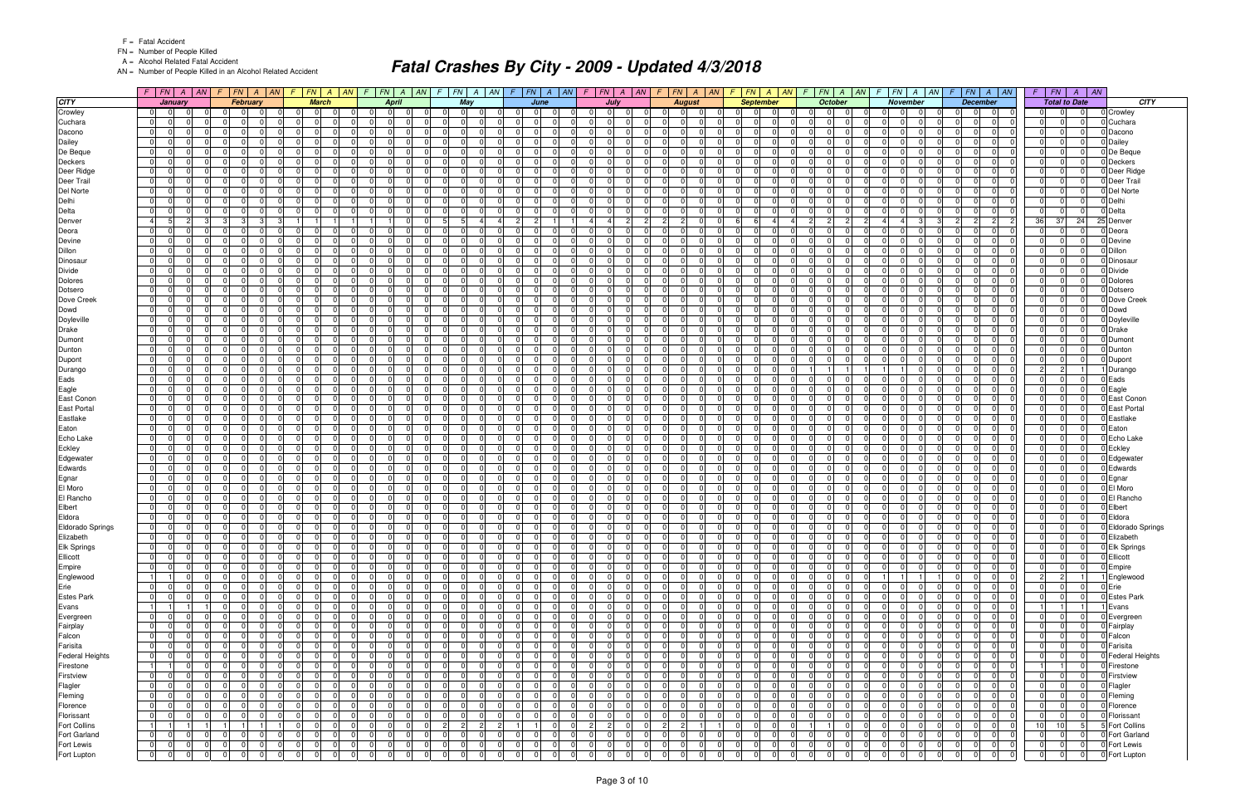FN = Number of People Killed

A = Alcohol Related Fatal Accident

AN = Number of People Killed in an Alcohol Related Accident

|                              |                                  | $F$   $FN$  <br>$\overline{A}$ | AN                       |                 | $FN \mid A \mid AN$               |                                | F N A                                                  | AN | $FN$ $A$<br>F                                   | AN                      | F.                               | $FN$ $A$<br>AN<br>$F_{\perp}$           | FN A                             | $\vert$ AN                    | $F$   $FN$                               | AN <br>$\overline{A}$ | F.                          | $FN \mid A \mid AN$ |                |                                                                | $FN \mid A \mid$<br>AN           | $FN \mid A$                                                       | AN | FN                                       | $A$ $AN$       | $F$ $FN$<br>$A \mid AN$                                                           | FN<br>$\parallel AN$<br>$\overline{A}$<br>F                                  |                                |
|------------------------------|----------------------------------|--------------------------------|--------------------------|-----------------|-----------------------------------|--------------------------------|--------------------------------------------------------|----|-------------------------------------------------|-------------------------|----------------------------------|-----------------------------------------|----------------------------------|-------------------------------|------------------------------------------|-----------------------|-----------------------------|---------------------|----------------|----------------------------------------------------------------|----------------------------------|-------------------------------------------------------------------|----|------------------------------------------|----------------|-----------------------------------------------------------------------------------|------------------------------------------------------------------------------|--------------------------------|
| <b>CITY</b>                  |                                  | January                        |                          |                 | <b>February</b>                   |                                | <b>March</b>                                           |    |                                                 | <b>April</b>            |                                  | May                                     | June                             |                               |                                          | July                  |                             | <b>August</b>       |                |                                                                | <b>September</b>                 | October                                                           |    | <b>November</b>                          |                | <b>December</b>                                                                   | <b>Total to Date</b>                                                         | CITY                           |
| Crowley                      | $\overline{0}$                   | $\Omega$                       | <sup>0</sup>             |                 | $\Omega$<br>$\Omega$              | - 01                           | $\overline{0}$<br>$\Omega$                             |    | 0 <br>$\Omega$                                  | $\Omega$                | $\overline{0}$                   | $\Omega$<br>$\mathbf 0$                 | $\Omega$                         | $\Omega$                      | $\Omega$<br>.0                           |                       | $\Omega$                    | $\Omega$            | $\Omega$       | $\Omega$<br>$\Omega$                                           | $\Omega$                         | $\overline{0}$<br>$\Omega$<br>$\Omega$                            |    | $\Omega$<br> 0                           | - 0            | $\Omega$<br>$\mathbf 0$                                                           | $\Omega$<br>$\overline{0}$<br>$\Omega$                                       | 0 Crowley                      |
| Cuchara                      | $\overline{0}$                   |                                |                          |                 | $\Omega$                          | $\Omega$                       | 0                                                      |    | $\Omega$<br>$\Omega$                            |                         | $\Omega$                         | $\Omega$                                | 0                                | $\Omega$                      | $\Omega$<br>$\Omega$                     |                       | <sup>n</sup>                |                     |                | $\Omega$                                                       |                                  | $\Omega$<br>$\Omega$                                              |    | $\Omega$<br>$\Omega$                     |                | $\Omega$<br>$\Omega$                                                              | $\Omega$<br>$\overline{0}$                                                   | 0 Cuchara                      |
| Dacono                       | 0                                | $\Omega$                       | $\Omega$                 | $\Omega$        | $\Omega$<br>$\Omega$              | $\Omega$                       | $\Omega$<br>$\Omega$                                   |    | 0 I<br>$\Omega$                                 | $\Omega$                | 0                                | $\Omega$<br>$\mathbf 0$                 | $\Omega$<br>$\Omega$             | $\Omega$                      | $\overline{0}$<br>$\Omega$               | $\cap$                | $\Omega$                    | $\Omega$            | $\Omega$       | $\overline{0}$<br>$\Omega$                                     | $\Omega$                         | $\Omega$<br>$\Omega$<br>- 0 I                                     |    | 0 <br>-01                                | $\Omega$       | $\Omega$<br>$\cap$<br>- 0 I                                                       | $\Omega$<br>$\Omega$<br>$\Omega$                                             | Dacono                         |
| Dailey                       | $\Omega$                         |                                | <sup>0</sup>             |                 |                                   | $\Omega$                       | 0                                                      |    | $\Omega$<br>$\Omega$                            |                         | $\Omega$                         | $\Omega$                                | $\Omega$                         |                               | $\Omega$                                 |                       | $\Omega$                    |                     |                | $\Omega$<br>U                                                  |                                  | $\Omega$<br>$\Omega$                                              |    | $\Omega$<br>$\Omega$                     |                | $\Omega$<br>$\mathbf 0$                                                           | $\Omega$<br>$\Omega$                                                         | Dailey                         |
| De Beque                     | $\overline{0}$                   | $\Omega$                       | $\Omega$                 |                 | $\Omega$<br>$\Omega$              | $\Omega$                       | $\Omega$<br>$\Omega$                                   |    | $\Omega$<br>$\overline{0}$                      | $\Omega$                | $\overline{0}$                   | $\mathbf 0$<br>- 0                      | $\Omega$<br>$\Omega$             | $\overline{0}$                | $\overline{0}$<br>$\Omega$               | $\Omega$              | $\Omega$                    | $\Omega$            | $\Omega$       | 0 I<br>$\Omega$                                                | $\Omega$                         | $\Omega$<br>$\Omega$<br>. OI                                      |    | $\Omega$<br> 0                           | $\Omega$       | $\overline{0}$<br>$\Omega$<br>$\Omega$                                            | - Ol<br>$\Omega$<br>$\Omega$                                                 | 0 De Beque                     |
| Deckers                      | $\overline{0}$                   | $\Omega$                       | <sup>0</sup>             |                 | $\Omega$<br>$\Omega$              | $\Omega$                       | $\Omega$<br>$\Omega$                                   |    | $\Omega$<br>- 01                                | $\Omega$                | 01                               | $\mathbf 0$                             | $\Omega$<br>0                    | $\Omega$                      | $\mathbf 0$<br>$\Omega$                  | $\Omega$              | $\Omega$                    | - 0<br>$\Omega$     |                | 0 <br>$\Omega$                                                 | $\Omega$                         | $\Omega$<br>$\Omega$<br>$\Omega$                                  |    | $\Omega$<br>$\overline{0}$               | - 0            | $\Omega$<br>$\Omega$                                                              | $\Omega$<br>$\Omega$<br>$\Omega$                                             | Deckers                        |
| Deer Ridge                   | $\overline{0}$                   |                                | $\Omega$                 |                 | $\Omega$<br>$\Omega$              | $\Omega$                       | $\Omega$<br>$\Omega$                                   |    | 0 I<br>- 0 I                                    | $\Omega$                | $\overline{0}$                   | $\Omega$<br>$\Omega$                    | $\Omega$<br>$\Omega$             | $\overline{0}$                | - 0 I<br>- 0                             | $\Omega$              | $\Omega$                    | $\Omega$            | $\Omega$       | 0 <br>$\Omega$                                                 | $\Omega$                         | $\Omega$<br>$\Omega$<br>$\Omega$                                  |    | $\Omega$<br>-01                          |                | $\Omega$<br>$\Omega$                                                              | $\Omega$<br>$\Omega$<br>$\Omega$                                             | Deer Ridge                     |
| Deer Trail                   | $\Omega$                         |                                | $\Omega$                 |                 | $\Omega$                          | $\Omega$                       | $\Omega$                                               |    | $\Omega$<br>$\Omega$                            | U                       | $\Omega$                         | $\Omega$                                | 0                                | $\Omega$                      | $\Omega$                                 |                       | $\Omega$                    |                     |                | $\Omega$<br>U                                                  | $\Omega$                         | $\Omega$<br>$\Omega$                                              |    | $\Omega$<br>-01                          |                | $\Omega$<br>$\Omega$                                                              | $\Omega$<br>$\Omega$                                                         | 0 Deer Trail                   |
| Del Norte                    | $\overline{0}$                   | $\Omega$                       | $\Omega$                 |                 | $\Omega$<br>$\Omega$              | $\Omega$                       | <sup>0</sup><br>$\Omega$                               |    | 0 I<br>$\overline{0}$                           | $\Omega$                | 0                                | $\mathbf 0$<br>$\Omega$                 | $\Omega$<br>$\Omega$             | $\overline{0}$                | - 0 I<br>$\Omega$                        | $\Omega$              | $\overline{0}$              | $\Omega$            | $\Omega$       | $\overline{0}$<br>$\Omega$                                     | $\Omega$                         | - 0 I<br>$\Omega$<br>- 0 I                                        |    | 0 <br>-01                                | $\Omega$       | $\overline{0}$<br>$\Omega$<br>- 0 I                                               | - Ol<br> 0 <br>$\Omega$                                                      | 0 Del Norte                    |
| Delhi                        | $\overline{0}$                   |                                | 0                        |                 | $\Omega$                          | $\Omega$                       | $\Omega$<br><sup>n</sup>                               |    | $\Omega$<br>$\Omega$                            | $\Omega$                | $\Omega$                         | $\Omega$                                | $\Omega$<br>$\Omega$             | $\Omega$                      | $\mathbf 0$<br>n                         |                       | $\Omega$                    | $\Omega$            | $\Omega$       | $\Omega$<br>$\Omega$                                           | $\Omega$                         | $\Omega$<br>$\Omega$<br>$\Omega$                                  |    | $\Omega$<br>$\Omega$                     |                | $\Omega$<br>$\Omega$                                                              | $\Omega$<br>$\Omega$<br>$\Omega$                                             | 0 Delhi                        |
| Delta                        | $\overline{0}$                   | $\Omega$                       | $\Omega$                 | $\Omega$        | $\Omega$<br>$\Omega$              | $\Omega$                       | $\Omega$<br>$\Omega$                                   |    | $\Omega$<br>$\Omega$                            | $\Omega$                | $\Omega$                         | $\mathbf 0$<br>$\cap$                   | $\Omega$<br>$\Omega$             | $\Omega$                      | - 0 I<br>$\Omega$                        | $\Omega$              | $\Omega$                    | $\Omega$            | $\Omega$       | $\overline{0}$<br>$\Omega$                                     | $\Omega$                         | $\Omega$<br>$\Omega$<br>$\Omega$                                  |    | $\Omega$<br>-01                          | - 0            | $\Omega$<br>$\Omega$<br>- 0 I                                                     | $\Omega$<br>-01<br>$\Omega$                                                  | 0 Delta                        |
| Denver                       | -4                               | 5                              | 2                        | 3               | 3                                 |                                |                                                        |    |                                                 | $\Omega$                | 5 <sup>5</sup>                   | 4                                       | $\overline{c}$<br>2 <sup>1</sup> |                               | 4                                        | $\overline{2}$        | $\overline{2}$              | $\overline{2}$      |                | 6<br>6                                                         |                                  | $\overline{2}$<br>2 <sup>1</sup>                                  |    | $\overline{4}$<br>$\overline{4}$         |                | $\overline{2}$<br>$\overline{2}$<br>2                                             | 36<br>37<br>24                                                               | 25 Denve                       |
| Deora                        | $\Omega$                         |                                | <sup>0</sup>             |                 | $\Omega$                          | $\Omega$                       | $\Omega$                                               |    | $\Omega$<br>$\Omega$                            | $\Omega$                | $\Omega$                         | $\Omega$                                | 0                                | $\Omega$                      | $\mathbf 0$<br>n                         |                       | $\Omega$                    |                     | $\Omega$       | $\Omega$<br>$\Omega$                                           | $\Omega$                         | $\Omega$<br>$\Omega$<br>$\Omega$                                  |    | $\Omega$<br>$\Omega$                     |                | $\Omega$<br>$\Omega$                                                              | $\Omega$<br>$\Omega$<br>$\Omega$                                             | 0 Deora                        |
| Devine                       | $\overline{0}$                   |                                | <sup>0</sup>             |                 | $\Omega$<br>n                     | $\Omega$                       | $\Omega$<br>$\Omega$                                   |    | $\Omega$<br>$\mathbf 0$                         | $\Omega$                | $\overline{0}$                   | $\Omega$                                | $\Omega$<br>$\Omega$             | - 01                          | $\mathbf 0$<br>n                         |                       | $\Omega$                    |                     | $\Omega$       | 0 <br>$\Omega$                                                 | $\Omega$                         | $\Omega$<br>$\Omega$<br>$\Omega$                                  |    | $\Omega$<br>-01                          |                | $\Omega$<br>$\Omega$                                                              | $\Omega$<br>$\Omega$<br>- 0                                                  | 0 Devine                       |
| Dillon                       | $\overline{0}$                   |                                | 0                        |                 | $\Omega$                          | $\Omega$                       | $\Omega$<br>0                                          |    | 0 I<br>$\overline{0}$                           | $\Omega$                | $\Omega$                         | $\Omega$                                | $\Omega$<br>0                    | $\overline{0}$                | - 0 I<br>$\Omega$                        |                       | 0                           | $\Omega$            | $\Omega$       | 0 <br>$\Omega$                                                 | 0                                | $\Omega$<br>$\Omega$<br>$\Omega$                                  |    | $\Omega$<br>-01                          |                | $\Omega$<br>$\Omega$                                                              | $\Omega$<br> 0 <br>$\Omega$                                                  | Dillon                         |
| Dinosaur                     | $\overline{0}$                   |                                | $\Omega$<br><sup>0</sup> |                 | $\Omega$<br>$\Omega$              | $\Omega$                       | $\Omega$<br>$\Omega$                                   |    | $\Omega$<br>- 0 I                               | $\Omega$                | $\overline{0}$                   | $\Omega$                                | $\Omega$<br>$\Omega$             | $\overline{0}$                | - 0 I<br><sup>n</sup>                    |                       | $\Omega$                    |                     | $\Omega$       | $\Omega$<br>$\Omega$                                           | $\Omega$                         | $\Omega$<br>$\Omega$<br>$\Omega$<br>$\Omega$                      |    | $\Omega$<br> 0                           |                | $\Omega$<br>$\Omega$                                                              | $\Omega$                                                                     | Dinosau                        |
| <b>Divide</b>                | $\overline{0}$                   |                                | <sup>0</sup>             |                 | $\Omega$<br>$\Omega$              | $\Omega$<br>$\Omega$           | $\Omega$<br><sup>n</sup>                               |    | $\overline{0}$<br>- 0 I<br>$\Omega$<br>$\Omega$ | $\Omega$<br>$\Omega$    | 01<br>$\Omega$                   | $\Omega$                                | $\Omega$<br>$\Omega$<br>0        | $\Omega$<br>$\Omega$          | $\mathbf 0$<br>$\Omega$<br>$\Omega$<br>n |                       | $\Omega$<br>$\Omega$        |                     | $\Omega$       | $\Omega$<br>$\Omega$<br>$\Omega$<br>$\Omega$                   | $\Omega$<br>$\Omega$             | $\Omega$<br>$\Omega$<br>$\Omega$<br>$\Omega$<br>$\Omega$          |    | $\Omega$<br>-01<br>$\Omega$              |                | $\Omega$<br>$\Omega$<br>$\Omega$<br>$\Omega$                                      | $\Omega$<br>$\Omega$<br>$\Omega$<br>$\Omega$<br>$\Omega$                     | Divide                         |
| <b>Dolores</b>               | $\overline{0}$                   |                                | $\Omega$                 |                 | $\Omega$                          | $\Omega$                       | $\Omega$<br>$\Omega$                                   |    |                                                 | $\Omega$                |                                  | $\Omega$                                | $\Omega$<br>0                    | $\Omega$                      | $\Omega$                                 |                       | $\Omega$                    | $\Omega$            | $\Omega$       | 0 <br>$\Omega$                                                 | $\Omega$                         | $\Omega$<br>$\Omega$                                              |    | $\overline{0}$<br>$\Omega$               |                | $\Omega$<br>$\Omega$                                                              | $\Omega$<br>$\Omega$<br>$\Omega$                                             | Dolores                        |
| Dotsero                      | $\overline{0}$                   |                                | $\Omega$                 |                 | $\Omega$<br>$\Omega$              | $\mathbf 0$                    | $\Omega$<br>$\Omega$                                   |    | 0 I<br>$\overline{0}$<br>$\Omega$<br>$\Omega$   | $\Omega$                | 01                               | $\mathbf 0$                             | $\Omega$<br>$\Omega$             |                               | - 0 I<br>$\Omega$<br>n                   |                       |                             |                     | $\Omega$       | 0 <br>$\Omega$                                                 | $\Omega$                         | - 0 I<br>$\Omega$<br>$\Omega$                                     |    | -01<br>$\Omega$                          |                | $\Omega$                                                                          | $\Omega$<br>$\Omega$                                                         | Dotsero                        |
| Dove Creek                   | $\mathbf 0$<br>$\overline{0}$    |                                | $\Omega$                 |                 | $\Omega$                          | $\Omega$                       | $\Omega$                                               |    | 0 I<br>- 0 I                                    | $\Omega$                | $\overline{0}$<br>$\Omega$       | $\Omega$<br>$\Omega$                    | $\Omega$                         | $\overline{0}$<br>$\Omega$    | - 0 I<br>$\Omega$                        | <sup>n</sup>          | $\Omega$<br>$\Omega$        |                     | $\Omega$       | $\Omega$<br>$\Omega$                                           | $\Omega$                         | $\Omega$<br>$\Omega$<br>$\Omega$<br>$\Omega$                      |    | 0 <br>$\Omega$<br>-01                    |                | $\mathbf 0$<br>$\Omega$<br>$\Omega$                                               | $\Omega$<br>$\Omega$                                                         | Dove Creek<br>0 Dowd           |
| Dowd                         | $\overline{0}$                   |                                | $\Omega$                 |                 | $\Omega$<br>$\Omega$              | $\Omega$                       | $\Omega$<br>$\Omega$                                   |    | $\Omega$<br> 0                                  | $\Omega$                | 01                               | $\Omega$                                | $\Omega$<br>$\Omega$             | $\overline{0}$                | - 0 I<br>$\Omega$                        | $\Omega$              | $\Omega$                    |                     | $\Omega$       | 0 <br>$\Omega$                                                 | $\Omega$                         | $\Omega$<br>$\Omega$<br>$\Omega$                                  |    | $\Omega$<br>-01                          | - 0            | $\Omega$<br>$\Omega$                                                              | $\Omega$<br>$\Omega$<br>$\Omega$                                             | 0 Doyleville                   |
| Doyleville<br><b>Drake</b>   | $\overline{0}$                   |                                | 0                        |                 | $\Omega$<br>$\Omega$              | $\Omega$                       | 0<br>$\Omega$                                          |    | $\Omega$<br>$\overline{0}$                      | $\Omega$                | $\Omega$                         | $\Omega$                                | $\Omega$<br>0                    | $\overline{0}$                | - 0 I<br>$\Omega$                        |                       | $\Omega$                    | $\Omega$            | $\Omega$       | 0 <br>$\Omega$                                                 | 0                                | $\Omega$<br>$\Omega$<br>$\Omega$                                  |    | $\Omega$<br>$\overline{0}$               |                | $\Omega$<br>$\Omega$                                                              | $\Omega$<br>$\Omega$<br>$\Omega$                                             | Drake                          |
| Dumont                       | $\overline{0}$                   |                                | $\Omega$                 |                 | $\Omega$                          | $\Omega$                       | $\Omega$<br>$\Omega$                                   |    | $\Omega$<br>- 0 I                               | $\Omega$                | $\Omega$                         | $\Omega$                                | $\Omega$                         | $\Omega$                      | - 0 I<br>n                               |                       | $\Omega$                    |                     | $\Omega$       | $\Omega$<br>$\Omega$                                           | $\Omega$                         | $\Omega$<br>$\Omega$                                              |    | $\Omega$<br>-01                          |                | $\Omega$<br>$\Omega$                                                              | $\Omega$<br>$\Omega$                                                         |                                |
| Dunton                       | $\overline{0}$                   |                                | 0                        |                 | $\Omega$                          | $\Omega$                       | $\Omega$                                               |    | - 0 I<br>0 I                                    | O                       | $\Omega$                         | $\Omega$                                | $\Omega$                         | $\Omega$                      | $\mathbf 0$<br>$\Omega$                  |                       | $\Omega$                    |                     | $\Omega$       | $\Omega$<br>$\Omega$                                           | 0                                | $\Omega$<br>$\Omega$                                              |    | 0 <br>$\Omega$                           |                | $\Omega$<br>$\Omega$                                                              | $\Omega$<br> 0                                                               | 0 Dumont<br>0 Dunton           |
| Dupont                       | $\overline{0}$                   |                                | <sup>0</sup>             |                 | $\Omega$                          | $\Omega$                       | <sup>n</sup>                                           |    | $\Omega$<br>$\Omega$                            | $\Omega$                | $\Omega$                         | $\Omega$                                | 0                                | $\Omega$                      | - 0 I<br>n                               |                       | $\Omega$                    |                     |                | $\Omega$<br>$\Omega$                                           | $\Omega$                         | $\Omega$<br>n                                                     |    | $\Omega$<br>$\Omega$                     |                | $\Omega$<br>$\Omega$                                                              | $\Omega$<br>$\Omega$                                                         | 0 Dupont                       |
| Durango                      | $\overline{0}$                   |                                | 0                        |                 | $\Omega$<br>- 0                   | $\Omega$                       | $\Omega$<br>$\Omega$                                   |    | 01<br> 0                                        | $\Omega$                | 01<br>- 0                        | $\mathbf 0$                             | $\Omega$<br>$\Omega$             | - 01                          | $\mathbf 0$<br>- 0                       | $\Omega$              | $\Omega$                    | $\Omega$            | $\Omega$       | - 01<br>$\Omega$                                               | $\Omega$                         |                                                                   |    |                                          | - 0            | $\Omega$<br>$\Omega$<br>$\Omega$                                                  | $\overline{2}$<br>$\overline{2}$                                             | Durango                        |
| Eads                         | $\overline{0}$                   |                                | $\Omega$                 |                 | $\Omega$<br>$\Omega$              | $\Omega$                       | $\Omega$<br>$\Omega$                                   |    | $\Omega$<br>$\Omega$                            | $\Omega$                | $\Omega$                         | $\Omega$                                | $\Omega$<br>$\Omega$             | $\Omega$                      | $\Omega$<br>$\Omega$                     |                       | $\Omega$                    | $\Omega$            | $\Omega$       | 0 <br>$\Omega$                                                 | <sup>0</sup>                     | $\Omega$<br>$\Omega$<br>$\Omega$                                  |    | $\Omega$<br>-01                          |                | $\Omega$<br>$\Omega$                                                              | - Ol<br>$\Omega$<br> 0                                                       | Eads                           |
| Eagle                        | $\overline{0}$                   |                                | <sup>0</sup>             |                 | $\Omega$                          | $\Omega$                       | $\Omega$<br>0                                          |    | $\Omega$<br>$\Omega$                            | $\Omega$                | $\Omega$                         | $\Omega$                                | $\Omega$<br>0                    | $\Omega$                      | $\mathbf 0$<br>$\Omega$                  | <sup>0</sup>          | $\Omega$                    |                     | $\Omega$       | $\Omega$<br>$\Omega$                                           | $\Omega$                         | $\Omega$<br>$\Omega$<br>$\Omega$                                  |    | $\Omega$<br>-01                          |                | $\overline{0}$<br>$\Omega$<br>0                                                   | $\Omega$<br>$\Omega$                                                         | 0 Eagle                        |
| East Conon                   | $\overline{0}$                   |                                | $\Omega$                 |                 | $\Omega$<br>$\Omega$              | $\Omega$                       | $\Omega$<br>$\Omega$                                   |    | 0 I<br>$\overline{0}$                           | $\Omega$                | $\overline{0}$                   | $\mathbf 0$                             | $\Omega$<br>$\Omega$             | $\Omega$                      | - 0 I<br>$\Omega$                        |                       | $\Omega$                    | $\Omega$            | $\Omega$       | 0 I<br>$\Omega$                                                | $\Omega$                         | $\Omega$<br>$\Omega$<br>$\Omega$                                  |    | $\Omega$<br>-01                          |                | $\overline{0}$<br>$\Omega$                                                        | - Ol<br>$\Omega$<br>$\Omega$                                                 | D East Conon                   |
| <b>East Portal</b>           | $\overline{0}$                   | $\Omega$                       | 0                        |                 | $\Omega$<br>$\Omega$              | $\Omega$                       | $\Omega$<br>0                                          |    | $\Omega$<br>- 01                                | $\Omega$                | $\Omega$                         | $\Omega$                                | $\Omega$<br>$\Omega$             | - 01                          | $\mathbf 0$<br>- 0                       |                       | $\Omega$                    | $\Omega$<br>- 0     |                | 0 <br>$\Omega$                                                 | $\Omega$                         | $\Omega$<br>$\Omega$<br>$\Omega$                                  |    | $\Omega$<br>-01                          | - 0            | $\Omega$<br>$\mathbf 0$                                                           | $\Omega$<br>$\Omega$<br>$\Omega$                                             | D East Portal                  |
| Eastlake                     | $\overline{0}$                   | $\cap$                         | $\Omega$                 |                 | $\Omega$<br>$\Omega$              | $\Omega$                       | $\Omega$<br>$\Omega$                                   |    | $\Omega$<br>$\Omega$                            | $\Omega$                | $\Omega$                         | $\Omega$                                | $\Omega$<br>$\Omega$             | $\Omega$                      | $\Omega$<br>$\Omega$                     | $\Omega$              | $\Omega$                    | $\Omega$            | $\Omega$       | $\Omega$<br>$\Omega$                                           | $\Omega$                         | $\Omega$<br>$\Omega$<br>$\Omega$                                  |    | $\Omega$<br>-01                          |                | $\Omega$<br>$\Omega$<br>$\Omega$                                                  | $\Omega$<br>$\Omega$<br>$\Omega$                                             | Eastlake                       |
| Eaton                        | $\overline{0}$                   |                                | 0                        |                 | $\Omega$<br>$\Omega$              | $\mathbf 0$                    | 0                                                      |    | $\Omega$<br>$\mathbf 0$                         | $\Omega$                | $\overline{0}$                   | $\Omega$                                | $\Omega$                         | 0                             | 0                                        |                       | $\Omega$                    |                     | $\Omega$       | 0 <br>$\Omega$                                                 | $\Omega$                         | $\Omega$<br>$\Omega$<br>$\Omega$                                  |    | $\overline{0}$<br> 0                     |                | 0<br>$\mathbf 0$                                                                  | $\Omega$<br>$\Omega$                                                         | 0 Eaton                        |
| Echo Lake                    | $\overline{0}$                   | $\Omega$                       | $\Omega$                 |                 | $\Omega$<br>$\Omega$              | $\Omega$                       | $\Omega$<br>$\Omega$                                   |    | $\Omega$<br>- 0 I                               | $\Omega$                | $\Omega$                         | $\Omega$                                | $\Omega$<br>$\Omega$             | $\Omega$                      | - 0 I<br>$\Omega$                        | $\Omega$              | $\Omega$                    | $\Omega$            | $\Omega$       | $\overline{0}$<br>$\Omega$                                     | $\Omega$                         | $\Omega$<br>$\Omega$<br>$\Omega$                                  |    | $\Omega$<br>-01                          |                | $\Omega$<br>$\Omega$                                                              | $\Omega$<br>$\Omega$<br>$\Omega$                                             | D Echo Lake                    |
| Eckley                       | $\overline{0}$                   | $\Omega$                       | 0                        |                 | $\Omega$<br>- 0                   | $\Omega$                       | $\Omega$<br>$\Omega$                                   |    | 0 I<br>$\overline{0}$                           | $\Omega$                | 01<br>- 0                        | $\mathbf 0$                             | $\Omega$<br>$\Omega$             | - 01                          | $\mathbf 0$<br>- 0                       | $\Omega$              | $\Omega$                    | $\Omega$            | $\Omega$       | 0 <br>$\Omega$                                                 | $\Omega$                         | $\Omega$<br>$\Omega$<br>$\Omega$                                  |    | $\Omega$<br> 0                           | - 0            | $\Omega$<br>$\Omega$<br>$\Omega$                                                  | $\Omega$<br>$\Omega$<br>$\overline{0}$                                       | 0 Eckley                       |
| Edgewater                    | $\overline{0}$                   | $\Omega$                       | $\Omega$                 |                 | $\Omega$                          | $\Omega$                       | $\Omega$<br>$\Omega$                                   |    | $\Omega$<br>$\Omega$                            | $\Omega$                | $\Omega$                         | $\Omega$                                | $\Omega$<br>$\Omega$             | $\Omega$                      | $\Omega$<br>$\Omega$                     |                       | $\Omega$                    | $\Omega$            | $\Omega$       | 0 <br>$\Omega$                                                 | <sup>0</sup>                     | $\Omega$<br>$\Omega$<br>$\Omega$                                  |    | $\Omega$<br>-01                          |                | $\Omega$<br>$\Omega$                                                              | $\Omega$<br>$\Omega$<br>$\Omega$                                             | D Edgewate                     |
| Edwards                      | $\overline{0}$                   |                                | $\Omega$                 |                 | $\Omega$<br>$\Omega$              | $\Omega$                       | $\Omega$<br>$\Omega$                                   |    | $\Omega$<br>$\Omega$                            | $\Omega$                | $\Omega$                         | $\Omega$                                | $\Omega$<br>$\Omega$             | $\Omega$                      | $\mathbf 0$<br>$\Omega$                  | $\Omega$              | $\Omega$                    |                     | $\Omega$       | $\Omega$<br>$\Omega$                                           | $\Omega$                         | $\Omega$<br>$\Omega$<br>$\Omega$                                  |    | 0 <br>$\Omega$                           |                | $\mathbf 0$<br>$\mathbf 0$                                                        | $\Omega$<br>$\Omega$                                                         | D Edwards                      |
| Egnar                        | $\overline{0}$                   |                                | 0                        |                 | $\overline{0}$<br>$\Omega$        | $\overline{0}$                 | $\Omega$<br>$\Omega$                                   |    | 01<br>$\overline{0}$                            | $\Omega$                | 0                                | $\mathbf 0$<br>$\Omega$                 | $\Omega$<br>$\Omega$             | - 01                          | $\mathbf 0$<br>$\Omega$                  | $\Omega$              | $\Omega$                    | $\Omega$            | $\Omega$       | $\overline{0}$<br>$\Omega$                                     | $\Omega$                         | $\Omega$<br>$\Omega$<br>-01                                       |    | $\overline{0}$<br> 0                     |                | $\mathbf 0$<br>$\overline{0}$<br>$\Omega$                                         | -01<br> 0 <br>$\Omega$                                                       | 0 Egnar                        |
| El Moro                      | $\overline{0}$                   |                                |                          |                 | $\Omega$                          | $\Omega$                       |                                                        |    | $\Omega$<br>$\Omega$                            |                         | $\Omega$                         | $\Omega$                                | 0                                | $\Omega$                      | $\Omega$                                 |                       | $\Omega$                    |                     |                | $\Omega$                                                       |                                  | $\Omega$                                                          |    | $\Omega$<br>$\Omega$                     |                | $\Omega$<br>$\Omega$                                                              | $\Omega$<br>$\Omega$                                                         | O El Moro                      |
| El Rancho                    | $\overline{0}$                   |                                | 0                        |                 | $\Omega$<br>$\Omega$              | $\Omega$                       | $\Omega$<br>$\Omega$                                   |    | 0 I<br> 0                                       | $\Omega$                | 01                               | $\mathbf 0$<br>- 0                      | $\Omega$<br>$\Omega$             | - 01                          | - 0 I<br>$\Omega$                        | $\Omega$              | $\Omega$                    | $\Omega$            | $\Omega$       | $\overline{0}$<br>$\Omega$                                     | $\Omega$                         | $\Omega$<br>- 0 I<br>$\Omega$                                     |    | $\Omega$<br>$\overline{0}$               | $\Omega$       | $\overline{0}$<br>- 0 I                                                           | $\Omega$<br>$\Omega$<br>$\Omega$                                             | <b>El Rancho</b>               |
| Elbert                       | $\mathbf 0$                      |                                | $\Omega$                 |                 | $\Omega$                          | $\Omega$                       | 0                                                      |    | $\Omega$<br>$\Omega$                            |                         | $\Omega$                         | $\Omega$                                | $\Omega$                         | $\Omega$                      | $\Omega$                                 |                       | $\Omega$                    |                     |                | $\Omega$<br>U                                                  |                                  | $\Omega$<br>$\Omega$                                              |    | $\Omega$<br>$\mathbf 0$                  |                | $\Omega$<br>$\mathbf 0$                                                           | $\Omega$<br>$\Omega$                                                         | Elbert                         |
| Eldora                       | $\overline{0}$                   |                                | $\Omega$                 |                 | $\overline{0}$<br>$\Omega$        | $\Omega$                       | $\Omega$<br>$\Omega$                                   |    | 0 I<br>$\overline{0}$                           | $\Omega$                | $\overline{0}$                   | $\mathbf 0$                             | $\Omega$<br>$\Omega$             | $\Omega$                      | - 0 I<br>$\Omega$                        | <sup>0</sup>          | $\Omega$                    |                     | $\Omega$       | $\Omega$<br>$\Omega$                                           | $\Omega$                         | $\Omega$<br>$\Omega$<br>- 0 I                                     |    | $\Omega$<br>-01                          |                | $\Omega$<br>$\Omega$                                                              | $\Omega$<br>$\Omega$<br>$\Omega$                                             | 0 Eldora                       |
| Eldorado Springs             | $\overline{0}$                   |                                | $\Omega$                 |                 | $\Omega$<br>$\Omega$              | $\mathbf{0}$                   | $\Omega$<br>$\Omega$                                   |    | $\Omega$<br>$\overline{0}$                      | $\Omega$                | $\Omega$                         | $\Omega$                                | $\Omega$                         | $\overline{0}$                | - 0 I<br>$\Omega$                        |                       | $\Omega$                    |                     | $\Omega$       | 0 <br>$\Omega$                                                 | $\Omega$                         | $\Omega$<br>$\Omega$<br>$\Omega$                                  |    | $\Omega$<br>$\overline{0}$               |                | $\overline{0}$<br>$\overline{0}$                                                  | $\Omega$<br>$\Omega$<br>$\Omega$                                             | D Eldorado Springs             |
| Elizabeth                    | $\overline{0}$                   | $\overline{0}$                 | $\Omega$                 |                 | -01<br>- 0                        | $\mathbf{0}$                   | $\Omega$                                               |    | 0 I<br> 0                                       | $\Omega$                | $\Omega$                         | $\Omega$<br>$\Omega$                    | $\Omega$<br>$\Omega$             | $\Omega$                      | - 0 I<br>$\Omega$                        |                       | $\Omega$                    |                     | $\Omega$       | - ol<br>$\Omega$                                               | $\Omega$                         | $\Omega$<br>$\Omega$<br>- 0 I                                     |    | $\Omega$<br> 0                           |                | $\Omega$<br>$\Omega$<br>$\Omega$                                                  | $\Omega$<br>$\Omega$                                                         | 0 Elizabeth                    |
| Elk Springs                  | 0                                |                                |                          |                 | $\Omega$                          |                                | $\Omega$<br>0                                          |    | $\mathbf 0$<br>0                                |                         |                                  | $\Omega$                                | 0                                | 0                             | $\Omega$                                 |                       |                             |                     |                |                                                                | 0                                |                                                                   |    | 0 <br>0                                  |                | $\Omega$                                                                          |                                                                              | 0 Elk Springs                  |
| Ellicott                     | $\overline{0}$                   | $\Omega$                       | $\Omega$                 |                 | -01<br>$\Omega$                   | $\overline{0}$                 | - 0 I<br>$\overline{0}$                                |    | $\overline{0}$<br>$\overline{0}$                | $\Omega$                | $\overline{0}$                   | 0 <br>$\Omega$                          | 0 <br>$\Omega$                   | $\overline{0}$                | 0 <br>$\Omega$                           |                       | $\Omega$                    | $\Omega$            | $\Omega$       | 0 <br>$\Omega$                                                 | $\Omega$                         | - 0 I<br>$\Omega$<br>$\overline{0}$                               |    | 0 <br> 0                                 |                | $\overline{0}$<br>$\overline{0}$<br>$\Omega$                                      | 0 <br> 0 <br>$\Omega$                                                        | 0 Ellicott                     |
| Empire                       | $\overline{0}$                   |                                | $\Omega$                 |                 | -01<br>$\Omega$                   | $\mathbf{0}$                   | 0 <br>$\Omega$                                         |    | $\overline{0}$<br>0 I                           | $\Omega$                | $\overline{0}$                   | - 0 I<br>- 0                            | $\Omega$<br> 0                   | $\mathbf{0}$                  | 0 <br>$\Omega$                           | $\Omega$              | $\overline{0}$              | $\Omega$            | $\Omega$       | 0 <br>$\Omega$                                                 | $\Omega$                         | 0 <br>$\Omega$<br>- 0 I                                           |    | 0 <br> 0                                 | - 0            | 0 <br> 0                                                                          | - Ol<br>$\Omega$<br> 0                                                       | 0 Empire                       |
| Englewood                    |                                  |                                | $\Omega$                 | $\Omega$        | $\overline{0}$<br>$\Omega$        | $\mathbf 0$                    | $\overline{0}$<br>- 01                                 |    | $\overline{0}$<br>$\overline{0}$                | $\overline{0}$          | $\overline{0}$                   | 0 <br>$\Omega$                          | $\overline{0}$<br> 0             | $\overline{0}$                | 0 <br>$\Omega$                           | $\Omega$              | $\Omega$                    | $\mathbf 0$         | $\Omega$       | $\overline{0}$<br>$\overline{0}$                               | $\overline{0}$                   | 0 <br>$\Omega$<br>01                                              |    | 11                                       |                | 0 <br>$\overline{0}$<br>$\Omega$                                                  | $\overline{2}$<br>$\vert$ 2                                                  | Englewood                      |
| Erie                         | $\overline{0}$                   |                                | $\Omega$                 |                 | $\Omega$                          | $\mathbf 0$                    | $\mathbf 0$<br>$\overline{0}$                          |    | 0 <br> 0                                        | $\Omega$                | $\overline{0}$                   | 0                                       | $\overline{0}$                   | $\mathbf 0$                   | 0 <br>$\Omega$                           |                       | $\overline{0}$              | $\Omega$            | $\Omega$       | 0 <br>$\mathbf 0$                                              | $\overline{0}$                   | $\Omega$<br>$\overline{0}$<br>$\overline{0}$                      |    | $\overline{0}$<br>$\overline{0}$         |                | $\mathbf 0$<br> 0                                                                 | 0 <br> 0 <br>$\Omega$                                                        | 0 Erie                         |
| <b>Estes Park</b>            | $\overline{0}$                   | $\Omega$                       | $\Omega$                 | $\Omega$        | 0 <br>$\Omega$                    | $\mathbf 0$                    | 0 <br>$\Omega$                                         |    | $\overline{0}$<br> 0                            | $\overline{0}$          | $\overline{0}$                   | 0 <br>$\Omega$                          | $\mathbf 0$<br>$\overline{0}$    | $\mathbf 0$                   | 0 <br>$\mathbf 0$                        | $\Omega$              | $\Omega$                    | $\Omega$            | $\Omega$       | $\overline{0}$<br>$\overline{0}$                               | $\overline{0}$                   | $\overline{0}$<br> 0 <br>$\overline{0}$                           |    | $\overline{0}$<br>$\overline{0}$         | $\Omega$       | 0 <br>$\Omega$<br> 0                                                              | 0 <br> 0 <br>$\Omega$                                                        | 0 Estes Park                   |
| Evans                        | 11                               | -1                             | 11                       | $\Omega$        | -01<br>$\Omega$                   | $\overline{0}$                 | 0 <br> 0                                               |    | $\overline{0}$<br> 0                            | $\overline{0}$          | $\overline{0}$                   | 0 <br>- 0                               | 0 <br>0                          | $\mathbf{0}$                  | 0 <br>$\mathbf 0$                        | $\overline{0}$        | $\overline{0}$              | $\mathbf 0$         | $\Omega$       | $\overline{0}$<br>$\overline{0}$                               | 0                                | 0 <br>- 01<br>$\overline{0}$                                      |    | 0 <br> 0                                 | - 0            | 0 <br> 0 <br>$\Omega$                                                             | 1                                                                            | Evans                          |
| Evergreen                    | $\overline{0}$                   | - 0                            | $\Omega$                 |                 | $\overline{0}$<br>- 0             | $\mathbf{0}$                   | $\Omega$<br>$\mathbf 0$                                |    | 0 <br> 0                                        | $\Omega$                | $\overline{0}$                   | $\mathbf 0$<br>- 0                      | 0 <br>$\Omega$                   | $\overline{0}$                | - 0 I<br>$\Omega$                        | $\Omega$              | $\Omega$                    | $\Omega$            | $\Omega$       | 0 <br>$\Omega$                                                 | $\Omega$                         | - 0 I<br>$\Omega$<br>- 0 I                                        |    | $\Omega$<br> 0                           |                | $\mathbf{0}$<br> 0                                                                | $\Omega$<br>$\Omega$<br>$\overline{0}$                                       | 0 Evergreen                    |
| Fairplay                     | 0                                | $\Omega$                       | $\Omega$                 | $\Omega$        | -01<br>$\Omega$                   | $\mathbf 0$                    | $\overline{0}$<br>$\overline{0}$                       |    | 0 I<br> 0                                       | $\overline{0}$          | $\overline{0}$                   | - 0 I<br>$\Omega$                       | $\overline{0}$<br> 0             | $\overline{0}$                | $\overline{0}$<br>$\Omega$               | $\Omega$              | $\Omega$                    | - 0 I               | $\Omega$       | $\overline{0}$<br>$\overline{0}$                               | - 0 l                            | $\Omega$<br>0 I<br> 0                                             |    | $\overline{0}$<br> 0                     | - 0            | 0 <br>$\Omega$<br>$\overline{0}$                                                  | $\Omega$<br>-01<br> 0                                                        | 0 Fairplay                     |
| Falcon                       | $\overline{0}$                   |                                | $\Omega$                 |                 | $\overline{0}$<br>$\Omega$        | $\mathbf{0}$                   | $\overline{0}$<br> 0                                   |    | $\overline{0}$<br> 0                            | $\Omega$                | $\overline{0}$                   | 0                                       | 0 <br>0                          | $\mathbf{0}$                  | 0 <br>$\Omega$                           | $\Omega$              | $\overline{0}$              | $\mathbf 0$         | $\Omega$       | $\overline{0}$<br>$\Omega$                                     | $\overline{0}$                   | 0 <br>$\overline{0}$<br>0                                         |    | $\overline{0}$<br> 0                     |                | $\overline{0}$<br> 0 <br>$\Omega$                                                 | $\overline{0}$<br> 0                                                         | 0 Falcon                       |
| Farisita                     | $\overline{0}$                   | - 0 l                          | $\overline{0}$           | $\Omega$        | -01<br>$\Omega$                   | $\mathbf 0$                    | $\overline{0}$<br> 0                                   |    | $\overline{0}$<br> 0                            | $\overline{0}$          | $\overline{0}$                   | 0 <br>- 01                              | $\Omega$<br> 0                   | $\mathbf 0$                   | 0 <br>$\overline{0}$                     | 0 I                   | $\overline{0}$              | - 01                | $\overline{0}$ | $\overline{0}$<br>$\overline{0}$                               | - 0 l                            | $\overline{0}$<br> 0 <br>- 0 I                                    |    | $\overline{0}$<br>$\overline{0}$         | $\overline{0}$ | 0 <br>$\Omega$<br> 0                                                              | - Ol<br>$\Omega$<br> 0                                                       | 0 Farisita                     |
| Federal Heights              | $\overline{0}$                   | $\mathbf 0$                    | 0                        | $\Omega$        | $\overline{0}$<br>$\Omega$        | $\mathbf 0$                    | $\overline{0}$<br> 0                                   |    | $\overline{0}$<br> 0                            | $\Omega$                | $\overline{0}$                   | 0 <br>- 0                               | 0 <br>0                          | $\overline{0}$                | 0 <br>$\Omega$                           | $\Omega$              | $\overline{0}$              | $\mathbf 0$         | $\Omega$       | $\overline{0}$<br>$\Omega$                                     | $\overline{0}$                   | $\Omega$<br>$\overline{0}$<br> 0                                  |    | $\overline{0}$<br> 0                     | $\Omega$       | $\overline{0}$<br> 0 <br>$\Omega$                                                 | $\Omega$<br> 0 <br>$\Omega$                                                  | 0 Federal Heights              |
| Firestone                    |                                  |                                | $\Omega$                 |                 | -01<br>$\Omega$                   | $\mathbf 0$                    | 0 <br>$\Omega$                                         |    | $\overline{0}$<br> 0                            | $\overline{0}$          | $\overline{0}$                   | - 0 I<br>$\Omega$                       | $\mathbf 0$<br> 0                | $\mathbf 0$                   | - 0 I<br>$\Omega$                        | $\Omega$              | $\Omega$                    | 0                   | $\Omega$       | $\overline{0}$<br>$\Omega$                                     | $\Omega$                         | $\Omega$<br>$\overline{0}$<br>- 0 I                               |    | $\overline{0}$<br>$\overline{0}$         | - 0            | $\mathbf{0}$<br>$\Omega$<br> 0                                                    | 0                                                                            | 0 Firestone                    |
| Firstview                    | $\overline{0}$                   | $\Omega$                       | $\Omega$                 | $\Omega$        | 0 <br>$\Omega$                    | $\mathbf 0$                    | 0 <br>$\overline{0}$                                   |    | $\overline{0}$<br> 0                            | $\Omega$                | $\overline{0}$                   | 0 <br>$\Omega$                          | $\mathbf 0$<br> 0                | $\mathbf{0}$                  | 0 <br>$\Omega$                           | $\Omega$              | $\overline{0}$              | 0                   | $\Omega$       | $\overline{0}$<br>$\Omega$                                     | $\overline{0}$                   | 0 <br>$\mathbf 0$<br>$\overline{0}$                               |    | $\overline{0}$<br> 0                     |                | $\overline{0}$<br> 0 <br>$\Omega$                                                 | $\Omega$<br>$\Omega$<br>$\Omega$                                             | 0 Firstview                    |
| Flagler                      | $\overline{0}$                   | $\Omega$                       | $\Omega$                 | $\Omega$        | -01<br>$\Omega$                   | $\mathbf 0$                    | $\overline{0}$<br>- 0 I                                |    | $\overline{0}$<br> 0                            | $\overline{0}$          | $\overline{0}$                   | 0 <br>$\Omega$                          | $\overline{0}$<br> 0             | $\mathbf 0$                   | 0 <br>$\Omega$                           | $\overline{0}$        | $\overline{0}$              | 0                   | -01            | $\overline{0}$<br>$\overline{0}$                               | - 0 l                            | $\Omega$<br>$\overline{0}$<br>01                                  |    | 0 <br> 0                                 | - 0            | 0 <br>$\Omega$<br> 0                                                              | - Ol<br>$\overline{0}$<br> 0                                                 | 0 Flagler                      |
| Fleming                      | $\overline{0}$                   | 0                              | $\Omega$                 |                 | $\overline{0}$<br>$\Omega$        | $\mathbf 0$                    | $\Omega$<br> 0                                         |    | 0<br> 0                                         | $\Omega$                | $\overline{0}$                   | 0 <br>- 0                               | $\overline{0}$<br> 0             | $\overline{0}$                | 0 <br>$\Omega$                           | $\Omega$              | $\Omega$                    | 0                   | $\Omega$       | $\overline{0}$<br>$\Omega$                                     | $\overline{0}$                   | 0 <br>$\Omega$<br>- 0 I                                           |    | 0 <br> 0                                 | - 0            | 0 <br> 0 <br>$\Omega$                                                             | -01<br>$\Omega$<br>$\overline{0}$                                            | 0 Fleming                      |
| Florence                     | 0                                | $\Omega$                       | $\Omega$                 | $\Omega$        | -01<br>$\Omega$                   | $\mathbf 0$                    | $\overline{0}$<br>$\overline{0}$                       |    | 0<br> 0                                         | $\overline{0}$          | $\overline{0}$                   | 0 <br>$\Omega$                          | $\overline{0}$<br> 0             | $\mathbf 0$                   | $\overline{0}$<br>$\Omega$               | $\Omega$              | $\Omega$                    | - 0 I               | $\Omega$       | $\overline{0}$<br>$\overline{0}$                               | - 0 l                            | $\Omega$<br>$\overline{0}$<br> 0                                  |    | $\overline{0}$<br> 0                     | $\Omega$       | 0 <br>$\Omega$<br>$\overline{0}$                                                  | $\Omega$<br>-01<br>$\Omega$                                                  | 0 Florence                     |
| Florissant                   | $\overline{0}$<br>11             | -1                             | $\Omega$<br>11           | $\Omega$<br>- 1 | 0 <br>$\Omega$<br>11              | $\mathbf 0$<br>$\mathbf 0$     | $\overline{0}$<br> 0 <br>$\Omega$<br>$\Omega$          |    | $\overline{0}$<br> 0 <br>$\overline{0}$         | $\Omega$<br>$\Omega$    | $\overline{0}$                   | 0 <br>$\Omega$                          | 0 <br>0<br>$\overline{1}$        | $\mathbf{0}$                  | 0 <br>$\Omega$                           | $\Omega$<br>$\Omega$  | $\overline{0}$              | 0 <br>$\vert$ 2     | $\Omega$       | $\overline{0}$<br>$\overline{0}$<br>$\overline{0}$<br>$\Omega$ | $\overline{0}$<br>$\Omega$       | 0 <br>$\mathbf 0$<br>$\overline{0}$<br>$\Omega$<br>$\overline{1}$ |    | $\overline{0}$<br> 0 <br> 0 <br>$\Omega$ |                | $\overline{0}$<br> 0 <br>$\Omega$<br>$\overline{0}$<br>$\overline{0}$<br>$\Omega$ | 0 <br>$\mathbf 0$<br>$\Omega$                                                | 0 Florissant                   |
| Fort Collins<br>Fort Garland |                                  |                                | $\Omega$                 |                 | $\Omega$                          |                                |                                                        |    | 0 <br>0 I                                       |                         | $\overline{2}$                   | $\overline{2}$<br>$\overline{2}$<br>- 0 | 11                               | $\overline{0}$                | 2 <br>$\overline{2}$<br> 0 <br>$\Omega$  | $\Omega$              | $\vert$ 2<br>$\overline{0}$ | $\Omega$            | $\Omega$       | 0 <br>$\overline{0}$                                           |                                  |                                                                   |    | $\overline{0}$                           | - 0            | $\Omega$                                                                          | 10<br>10 <sup>1</sup><br>5 <sup>1</sup><br> 0 <br>$\overline{0}$<br>$\Omega$ | 5 Fort Collins                 |
| Fort Lewis                   | $\overline{0}$<br>$\overline{0}$ | 0<br>$\Omega$                  | $\overline{0}$           |                 | $\overline{0}$<br> 0 <br>$\Omega$ | $\mathbf{0}$<br>$\overline{0}$ | $\overline{0}$<br>$\mathbf{0}$<br>$\overline{0}$<br> 0 |    | 0 <br>$\overline{0}$<br> 0                      | $\mathbf 0$<br>$\Omega$ | $\overline{0}$<br>$\overline{0}$ | 0 <br>- 01<br> 0                        | 0 <br>0<br>$\overline{0}$<br> 0  | $\mathbf 0$<br>$\overline{0}$ | 0 <br>$\Omega$                           | $\Omega$              | $\overline{0}$              | 0                   | 0              | $\overline{0}$<br>$\overline{0}$                               | $\overline{0}$<br>$\overline{0}$ | 0 <br>- 01<br>-01<br>$\mathbf{0}$<br> 0 <br>$\overline{0}$        |    | 0 <br> 0 <br> 0                          |                | $\mathbf 0$<br> 0 <br> 0 <br> 0 <br>$\Omega$                                      | $\overline{0}$<br> 0 <br>$\overline{0}$                                      | 0 Fort Garland<br>0 Fort Lewis |
|                              | $\overline{0}$                   | $\mathbf{0}$                   | 0                        | $\overline{0}$  | 0 <br>$\mathbf 0$                 | $\overline{0}$<br>$\mathbf 0$  | 0 <br> 0                                               |    | $\overline{0}$                                  | $\mathbf 0$             | 0                                | $\mathbf 0$<br> 0                       | $\overline{0}$<br>$\overline{0}$ | $\mathbf 0$                   | 0 <br>$\mathbf 0$                        | 0                     | $\overline{0}$              | 0                   | 0              | $\overline{0}$<br> 0                                           | $\mathbf 0$                      | $\overline{0}$<br>$\overline{0}$<br> 0                            |    | $\overline{0}$<br> 0                     | $\Omega$       | 0 <br> 0 <br>$\mathbf{0}$                                                         | $\overline{0}$<br>$\overline{0}$<br>$\Omega$                                 |                                |
| Fort Lupton                  |                                  |                                |                          |                 |                                   |                                |                                                        |    | 0                                               |                         |                                  |                                         |                                  |                               |                                          |                       |                             |                     |                |                                                                |                                  |                                                                   |    |                                          |                |                                                                                   |                                                                              | 0 Fort Lupton                  |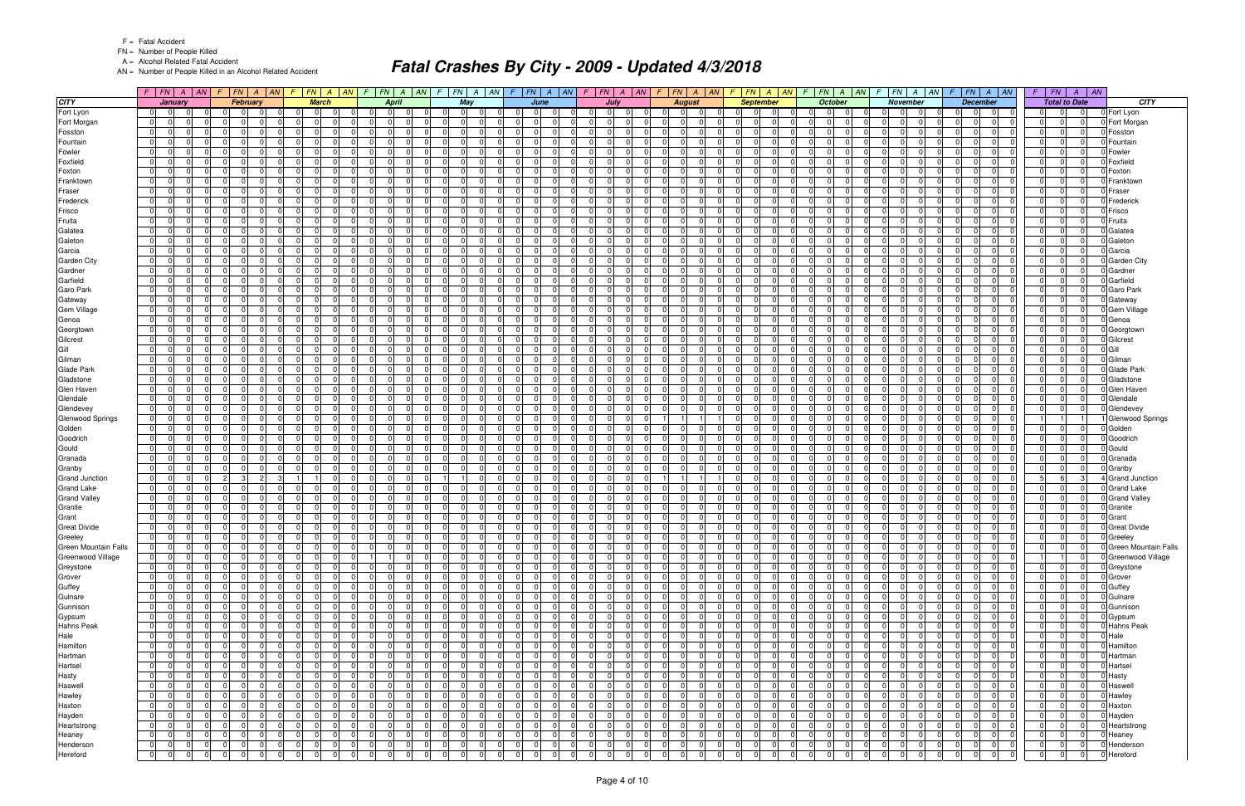FN = Number of People Killed

A = Alcohol Related Fatal Accident

AN = Number of People Killed in an Alcohol Related Accident

|                             |                                  | $F$ $ FN $ $A$ $ AN $                  | $\sqrt{F}$ |                                  | $FN$ $A$ $AN$        |                      |                            | $F$   FN   A   AN   F |                            | FN             | A   AN                     | $\mathcal{F}$  | $FN \mid A \mid AN$  |                                  |                                                          | $F$ $ FN $ $A$ $ AN $ $F$ $ FN $ $A$ $ AN $ |                            |                |                      | F                          | $FN \mid A \mid AN$              |                | $F$ $FN$ $A$ $AN$                      | $FN \mid A \mid AN$<br>-F                                | $FN$ $A$ $AN$<br>F.                                   |                      |                                  | $F$ $FN$ $A$ $AN$                                         | $FN \mid A$<br>F I                                         | $\vert$ AN |                         |
|-----------------------------|----------------------------------|----------------------------------------|------------|----------------------------------|----------------------|----------------------|----------------------------|-----------------------|----------------------------|----------------|----------------------------|----------------|----------------------|----------------------------------|----------------------------------------------------------|---------------------------------------------|----------------------------|----------------|----------------------|----------------------------|----------------------------------|----------------|----------------------------------------|----------------------------------------------------------|-------------------------------------------------------|----------------------|----------------------------------|-----------------------------------------------------------|------------------------------------------------------------|------------|-------------------------|
| <b>CITY</b>                 |                                  | January                                |            |                                  | <b>February</b>      |                      | <b>March</b>               |                       |                            | <b>April</b>   |                            |                | May                  |                                  |                                                          | June                                        |                            | July           |                      |                            | <b>August</b>                    |                | <b>September</b>                       | <b>October</b>                                           | November                                              |                      |                                  | <b>December</b>                                           | <b>Total to Date</b>                                       |            | <b>CITY</b>             |
| Fort Lyon                   | $\overline{0}$                   | $\overline{0}$                         |            | $\Omega$                         | - 0                  | .0                   | - 01                       |                       | $\Omega$                   | $\Omega$       | $\Omega$                   |                | $\overline{0}$       | - 0                              | $\Omega$<br>$\Omega$                                     | <u>n</u>                                    | $\Omega$                   | $\Omega$       | $\Omega$             | $\Omega$                   |                                  | $\Omega$       | 0<br>- 0                               | $\overline{0}$<br>- 01<br>$\Omega$                       | - 0<br>01                                             | $\Omega$             | $\Omega$                         | $\Omega$<br>$\overline{0}$                                | $\overline{0}$<br>$\overline{0}$<br>$\overline{0}$         |            | 0 Fort Lyon             |
| Fort Morgan                 | $\overline{0}$                   | $\Omega$<br>0                          |            | - 0 I                            | $\Omega$             | - 0 I                | $\Omega$                   |                       | $\Omega$                   |                | <sup>0</sup>               |                | - 0 I                | $\Omega$                         | $\Omega$<br>U                                            |                                             | $\Omega$                   | $\Omega$       | $\Omega$             | -01                        | $\Omega$                         | -01            | $\Omega$<br>$\Omega$                   | <sup>0</sup><br>$\Omega$<br>$\Omega$                     | $\Omega$<br>$\Omega$                                  | $\Omega$             | $\Omega$                         | - 0 I<br>$\Omega$                                         | $\Omega$<br> 0 <br>$\Omega$                                |            | Fort Morgan             |
| Fosston                     | 0                                | U                                      |            | $\Omega$                         |                      | $\Omega$             | U                          |                       | $\Omega$                   |                | $\Omega$                   |                | $\Omega$             | $\cap$                           | $\Omega$<br><sup>n</sup>                                 |                                             | $\Omega$                   |                | $\Omega$             | $\Omega$                   |                                  | $\Omega$       | U                                      | nl<br>$\Omega$                                           | $\Omega$                                              | $\Omega$             | $\Omega$                         | $\Omega$<br>$\Omega$                                      | $\Omega$<br>$\Omega$<br>$\Omega$                           |            | Fosston                 |
| Fountain                    | $\overline{0}$                   | 0                                      |            | $\mathbf 0$                      | $\Omega$             | $\overline{0}$       | $\Omega$                   |                       | $\Omega$                   |                | 0                          |                | $\mathbf 0$          | $\Omega$                         | $\Omega$                                                 | $\Omega$                                    | $\Omega$                   |                | $\Omega$             | $\overline{0}$             | $\Omega$                         | $\overline{0}$ | $\Omega$                               | 0 I<br>$\Omega$                                          | $\Omega$<br>$\Omega$                                  | $\Omega$             | $\Omega$                         | $\Omega$<br>$\mathbf 0$                                   | 0 <br>$\Omega$<br>$\Omega$                                 |            | Fountain                |
| Fowler                      | $\overline{0}$                   | 0                                      |            | $\Omega$                         | n                    | $\Omega$             | <sup>n</sup>               |                       | $\Omega$                   |                | 0                          |                | $\Omega$             | $\Omega$                         | $\Omega$<br>0                                            |                                             | $\Omega$                   |                | $\Omega$             | $\Omega$                   |                                  | $\Omega$       |                                        | <sup>0</sup><br>$\Omega$                                 | $\Omega$                                              | $\Omega$             | $\Omega$                         | $\Omega$                                                  | $\Omega$<br> 0                                             |            | Fowler                  |
| Foxfield                    | $\overline{0}$                   | 0                                      |            | $\Omega$                         | $\Omega$             | - 0 I                | $\Omega$                   |                       | $\Omega$                   |                | $\Omega$                   |                | $\mathbf 0$          | $\Omega$                         | $\Omega$                                                 | ΩI                                          | $\Omega$                   |                | $\Omega$             | $\overline{0}$             | $\Omega$                         | $\Omega$       | 0                                      | $\Omega$<br>$\Omega$<br>$\Omega$                         | $\Omega$<br>$\Omega$                                  | $\Omega$             | $\Omega$                         | $\mathbf 0$<br>0                                          | $\Omega$<br>$\overline{0}$<br>$\Omega$                     |            | Foxfield                |
| Foxton                      | $\overline{0}$                   |                                        |            | $\Omega$                         |                      | $\Omega$             |                            |                       | $\Omega$                   |                | $\Omega$                   |                | $\Omega$             | $\Omega$                         | $\Omega$<br>U                                            |                                             | $\Omega$                   |                | $\Omega$             | $\Omega$                   |                                  | $\Omega$       |                                        | $\Omega$<br>$\Omega$                                     | $\sqrt{ }$                                            |                      |                                  | $\Omega$<br>O.                                            | 0 <br>$\Omega$                                             |            | Foxton                  |
| Franktown                   | $\overline{0}$                   | 0                                      |            | $\mathbf 0$                      | $\Omega$             | $\Omega$             | $\Omega$                   |                       | $\Omega$                   |                | $\Omega$                   |                | - 0 I                | $\Omega$                         | $\Omega$<br>0                                            |                                             | $\Omega$                   |                | $\Omega$             | $\overline{0}$             | $\Omega$                         | $\Omega$       | $\Omega$                               | $\overline{0}$<br>$\Omega$                               | $\Omega$<br>$\Omega$                                  | $\Omega$             | $\Omega$                         | - 0 I<br>$\Omega$                                         | $\Omega$<br> 0 <br>$\Omega$                                |            | Franktowr               |
| Fraser                      | $\overline{0}$                   | 0                                      |            | $\Omega$                         | $\Omega$             | $\Omega$             | $\Omega$                   |                       | $\Omega$                   |                | 0                          |                | $\Omega$             | $\Omega$                         | $\overline{0}$<br>$\Omega$                               | $\Omega$                                    | $\Omega$                   |                | $\Omega$             | $\Omega$                   | $\Omega$                         | $\Omega$       | $\Omega$                               | $\Omega$<br>$\Omega$<br>$\Omega$                         | $\Omega$<br>$\Omega$                                  | $\Omega$             | $\Omega$                         | $\Omega$<br>$\Omega$                                      | $\Omega$<br> 0 <br>$\Omega$                                |            | Fraser                  |
| Frederick                   | $\overline{0}$                   | 0                                      |            | $\Omega$                         | $\Omega$             | $\Omega$             |                            |                       | $\Omega$                   |                | <sup>0</sup>               |                | $\mathbf 0$          | $\Omega$                         | $\Omega$<br><sup>n</sup>                                 |                                             | $\Omega$                   |                | $\Omega$             | $\Omega$                   |                                  | $\Omega$       | <sup>n</sup>                           | <sup>0</sup><br>$\Omega$                                 | $\Omega$                                              | $\Omega$             | $\Omega$                         | $\mathbf 0$<br>0                                          | $\Omega$<br> 0 <br>$\Omega$                                |            | Frederick               |
| Frisco                      | $\Omega$                         | U                                      |            | $\Omega$                         |                      | $\Omega$             | $\Omega$                   |                       | $\Omega$                   |                | $\Omega$                   |                | $\Omega$             | $\Omega$                         | $\Omega$<br>U                                            |                                             | $\Omega$                   |                | $\Omega$             | $\Omega$                   |                                  | $\Omega$       | $\Omega$                               | <sup>0</sup><br>$\Omega$                                 | $\Omega$                                              | $\Omega$             | $\Omega$                         | $\Omega$<br>$\Omega$                                      | $\Omega$<br>$\Omega$<br>$\Omega$                           |            | Frisco                  |
| Fruita                      | $\overline{0}$                   | 0                                      |            | $\mathbf 0$                      | $\Omega$             | $\overline{0}$       | $\Omega$                   |                       | $\Omega$                   |                | $\Omega$                   |                | - 0 I                | $\Omega$                         | $\Omega$                                                 | $\Omega$                                    | $\Omega$                   |                | $\Omega$             | $\overline{0}$             | $\Omega$                         | $\overline{0}$ | $\Omega$                               | $\Omega$<br>0 I<br>$\Omega$                              | $\Omega$<br>$\Omega$                                  | $\Omega$             | $\Omega$                         | $\Omega$<br>$\mathbf 0$                                   | 0 <br>$\Omega$<br>$\Omega$                                 |            | Fruita                  |
| Galatea                     | $\overline{0}$                   | 0                                      |            | $\mathbf 0$                      | $\Omega$             | $\Omega$             | $\Omega$                   |                       | $\Omega$                   |                | 0                          |                | $\mathbf 0$          | $\Omega$                         | $\overline{0}$                                           | $\Omega$                                    | $\Omega$                   |                | $\Omega$             | $\overline{0}$             | $\Omega$                         | $\Omega$       | $\Omega$                               | $\Omega$<br>$\Omega$                                     | $\Omega$<br>$\Omega$                                  | $\Omega$             | $\Omega$                         | $\Omega$<br>$\mathbf 0$                                   | $\Omega$<br> 0 <br>0                                       |            | Galatea                 |
| Galeton                     | $\overline{0}$                   | <sup>0</sup>                           |            | $\Omega$                         | $\Omega$             | - 0 I                | $\Omega$                   |                       | $\Omega$                   |                | 0                          |                | $\Omega$             | $\Omega$                         | $\Omega$                                                 | $\Omega$                                    | $\Omega$                   |                | $\Omega$             | $\Omega$                   | $\Omega$                         | $\Omega$       | <sup>n</sup>                           | <sup>0</sup><br>$\Omega$<br>$\Omega$                     | $\Omega$<br>$\Omega$                                  | $\Omega$             | $\Omega$                         | $\mathbf 0$<br>0                                          | $\Omega$<br> 0 <br>$\Omega$                                |            | Galeton                 |
| Garcia                      | $\overline{0}$                   | $\Omega$                               |            | $\Omega$                         | $\Omega$             | 0                    | $\Omega$                   | $\cap$                | $\Omega$                   |                | $\Omega$                   |                | $\Omega$             | $\Omega$                         | $\Omega$                                                 | ΩI<br>$\Omega$                              | $\Omega$                   |                | $\Omega$             | $\Omega$                   | $\Omega$                         | $\mathbf 0$    | $\Omega$<br>$\Omega$                   | $\Omega$<br>$\Omega$<br>$\Omega$                         | $\Omega$<br>$\Omega$                                  | $\Omega$             | $\Omega$                         | - 0 I<br>$\Omega$                                         | $\Omega$<br> 0 <br> 0                                      |            | Garcia                  |
| <b>Garden City</b>          | $\overline{0}$                   | U                                      |            | $\Omega$                         |                      | 0                    | $\Omega$                   |                       | $\Omega$                   |                | <sup>0</sup>               |                | $\Omega$             | $\Omega$                         | $\Omega$<br><sup>0</sup>                                 |                                             | $\Omega$                   |                | $\Omega$             | $\Omega$                   |                                  | $\Omega$       | $\Omega$                               | $\Omega$<br><sup>0</sup><br>$\Omega$                     | $\Omega$<br>$\Omega$                                  | $\Omega$             | $\Omega$                         | $\Omega$<br>$\Omega$                                      | $\Omega$<br> 0 <br>$\Omega$                                |            | <b>Garden City</b>      |
| Gardner                     | $\overline{0}$                   | $\Omega$<br>0                          |            | $\mathbf 0$                      | $\Omega$             | $\overline{0}$       | $\Omega$                   | $\Omega$              | $\Omega$                   |                | $\Omega$                   |                | - 0 I                | $\Omega$                         | $\overline{0}$<br>$\Omega$                               | $\Omega$                                    | $\Omega$                   | $\Omega$       | $\Omega$             | -01<br>$\Omega$            | $\Omega$                         | $\Omega$       | $\Omega$<br>$\Omega$                   | $\overline{0}$<br>$\Omega$<br>$\Omega$                   | $\Omega$<br>$\Omega$                                  | $\Omega$             | $\Omega$                         | - 0 I<br>$\Omega$                                         | $\Omega$<br> 0 <br> 0                                      |            | Gardner                 |
| Garfield                    | 01                               | <sup>0</sup>                           |            | $\Omega$                         | n                    | $\Omega$             | $\Omega$                   |                       | $\Omega$                   |                | <sup>0</sup>               |                | $\Omega$             | $\Omega$                         | $\Omega$<br><sup>n</sup>                                 |                                             | $\Omega$                   |                | $\Omega$             | $\Omega$                   |                                  | $\Omega$       | n                                      | $\Omega$<br>$\Omega$<br>$\Omega$                         | $\Omega$                                              | $\Omega$             | $\Omega$                         | $\mathbf 0$<br>0                                          | $\Omega$<br> 0 <br>$\Omega$                                |            | Garfield                |
| Garo Park                   | $\overline{0}$                   | $\Omega$<br>$\Omega$                   |            | $\Omega$                         | $\Omega$             | 0                    | $\Omega$                   | $\cap$                | $\Omega$                   |                | $\Omega$                   |                | $\Omega$             | $\Omega$                         | $\Omega$<br>$\Omega$                                     | $\Omega$                                    | $\Omega$                   | $\Omega$       | $\Omega$             | $\Omega$<br>$\Omega$       | $\Omega$                         | $\Omega$       | $\Omega$<br>$\Omega$                   | $\Omega$<br>$\Omega$<br>$\Omega$                         | nl<br>$\Omega$                                        | $\Omega$             | $\Omega$                         | - 0 I<br>$\Omega$                                         | $\Omega$<br>$\overline{0}$<br>$\Omega$                     |            | Garo Park               |
| Gateway                     | $\overline{0}$                   | 0                                      |            | $\Omega$                         |                      | $\mathbf 0$          | $\Omega$                   |                       | $\Omega$                   |                | 0                          |                | $\Omega$             | $\Omega$                         | $\Omega$                                                 | $\Omega$                                    | $\Omega$                   |                | $\Omega$             | $\Omega$                   |                                  | $\mathbf 0$    | <sup>n</sup>                           | $\Omega$<br>$\Omega$<br><sup>0</sup>                     | $\Omega$<br>$\Omega$                                  | $\Omega$             | $\Omega$                         | - 0 I<br>$\Omega$                                         | 0 <br>$\mathbf 0$<br>$\Omega$                              |            | Gateway                 |
| Gem Village                 | $\overline{0}$                   | $\Omega$<br>$\Omega$                   |            | $\Omega$                         | $\Omega$             | - 0 l                | $\Omega$                   |                       | $\Omega$                   |                | $\Omega$                   |                | - 0 I                | $\Omega$                         | $\overline{0}$<br>$\Omega$                               |                                             | $\Omega$                   | $\Omega$       | $\Omega$             | $\Omega$                   | $\Omega$                         | $\Omega$       | $\Omega$                               | $\Omega$<br>$\Omega$<br>$\Omega$                         | nl<br>$\Omega$                                        | $\Omega$             | $\Omega$                         | - 0 I<br>$\Omega$                                         | $\Omega$<br> 0 <br>$\Omega$                                |            | <b>Gem Village</b>      |
| Genoa                       | $\overline{0}$                   | <sup>0</sup>                           |            | $\Omega$                         | $\Omega$             | 0                    | $\Omega$                   |                       | $\Omega$                   |                | 0                          |                | $\Omega$             | $\Omega$                         | $\Omega$                                                 | $\Omega$                                    | $\Omega$                   |                | $\Omega$             | $\Omega$                   | $\Omega$                         | $\Omega$       | 0                                      | <sup>0</sup><br>$\Omega$<br>$\Omega$                     | $\Omega$<br>$\Omega$                                  | $\Omega$             | $\Omega$                         | $\Omega$<br>$\mathbf 0$                                   | $\mathbf 0$<br> 0 <br>$\overline{0}$                       |            | Genoa                   |
| Georgtown                   | 0                                | 0                                      |            | $\Omega$                         | $\Omega$             | 0                    | $\Omega$                   | $\cap$                | $\Omega$                   |                | $\Omega$                   |                | $\Omega$             | $\Omega$                         | $\Omega$<br>U                                            | $\Omega$                                    | $\Omega$                   |                | $\Omega$             | $\Omega$                   | $\Omega$                         | $\mathbf 0$    | $\Omega$<br>$\Omega$                   | $\Omega$<br>$\Omega$<br>$\Omega$                         | $\Omega$<br>$\Omega$                                  | $\Omega$             | $\Omega$                         | - 0 I<br>$\Omega$                                         | $\Omega$<br> 0 <br>$\Omega$                                |            | Georgtown               |
| Gilcrest                    | $\overline{0}$                   | <sup>0</sup>                           |            | $\Omega$                         | n                    | 0                    | $\Omega$                   |                       | $\Omega$                   |                | <sup>0</sup>               |                | $\Omega$             | $\Omega$                         | $\Omega$                                                 | ΩI                                          | $\Omega$                   |                | $\Omega$             | $\Omega$                   |                                  | $\Omega$       | $\Omega$                               | $\Omega$<br>$\Omega$<br>$\Omega$                         | $\Omega$<br>$\Omega$                                  | $\Omega$             | $\Omega$                         | - 0 I<br>$\Omega$                                         | $\Omega$<br> 0 <br>$\Omega$                                |            | Gilcrest                |
| Gill                        | $\overline{0}$                   | $\Omega$                               |            | - 0 I                            | $\Omega$             | - 0 l                | $\Omega$                   | $\Omega$              | $\Omega$                   |                | $\Omega$                   |                | - 0 I                | $\Omega$                         | $\overline{0}$<br>$\Omega$                               | $\Omega$                                    | $\Omega$                   |                | $\Omega$             | $\Omega$                   | $\Omega$                         | $\Omega$       | $\Omega$<br>$\Omega$                   | $\overline{0}$<br>$\Omega$<br>$\Omega$                   | $\Omega$<br>$\Omega$                                  | $\Omega$             | $\Omega$                         | - 0 I<br>$\Omega$                                         | $\overline{0}$<br>$\Omega$<br> 0                           |            | Gill                    |
| Gilman                      | $\overline{0}$                   | <sup>0</sup>                           |            | 0                                | n                    | $\Omega$             | $\Omega$                   |                       | $\Omega$                   |                | <sup>n</sup>               |                | n I                  | - 0                              | $\Omega$<br>0                                            |                                             | $\Omega$                   |                | $\Omega$             | $\Omega$                   |                                  | $\Omega$       | <sup>n</sup>                           | 0<br>$\Omega$                                            | $\Omega$                                              |                      | $\Omega$                         | $\overline{0}$<br>0                                       | $\Omega$<br> 0 <br>$\Omega$                                |            | Gilman                  |
| Glade Park                  | $\overline{0}$                   | 0                                      |            | $\Omega$                         | $\Omega$             | - 0 I                | $\Omega$                   |                       | $\Omega$                   |                | $\Omega$                   |                | $\mathbf 0$          | $\Omega$                         | $\Omega$                                                 | ΩI<br>$\Omega$                              | $\Omega$                   |                | $\Omega$             | $\overline{0}$             | $\Omega$                         | $\Omega$       | $\Omega$                               | $\Omega$<br>$\Omega$<br>$\Omega$                         | $\Omega$<br>$\Omega$                                  | $\Omega$             | $\Omega$                         | $\Omega$<br>$\mathbf 0$                                   | $\Omega$<br>$\overline{0}$<br>$\Omega$                     |            | Glade Park              |
| Gladstone                   | $\overline{0}$                   | $\Omega$                               |            | $\Omega$                         | $\Omega$             | $\mathbf 0$          | $\Omega$                   |                       | $\Omega$                   |                | $\Omega$                   |                | $\Omega$             | $\Omega$                         | $\Omega$<br>0                                            |                                             | $\Omega$                   |                | $\Omega$             | $\Omega$                   |                                  | $\mathbf 0$    | U                                      | $\Omega$<br>$\Omega$                                     | $\Omega$                                              | $\Omega$             | $\Omega$                         | - 0 I<br>$\Omega$                                         | 0 <br>$\mathbf 0$<br>$\Omega$                              |            | Gladstone               |
| Glen Haven                  | $\overline{0}$                   | <sup>0</sup>                           |            | $\mathbf 0$                      | $\Omega$             | $\Omega$             | $\Omega$                   |                       | $\Omega$                   |                | 0                          |                | - 0 I                | $\Omega$                         | $\Omega$<br>U                                            |                                             | $\Omega$                   |                | $\Omega$             | -01                        |                                  | $\Omega$       | $\Omega$                               | $\Omega$<br>$\Omega$<br>$\Omega$                         | $\Omega$<br>$\Omega$                                  | $\Omega$             | $\Omega$                         | $\Omega$<br>$\Omega$                                      | $\Omega$<br> 0 <br>$\Omega$                                |            | <b>Glen Haver</b>       |
| Glendale                    | $\overline{0}$                   | 0                                      |            | $\Omega$                         | $\Omega$             | - ol                 | $\Omega$                   | $\Omega$              | $\Omega$                   |                | $\Omega$                   |                | $\Omega$             | $\Omega$                         | $\overline{0}$<br>$\Omega$                               | $\Omega$                                    | $\Omega$                   |                | $\Omega$             | $\Omega$                   | $\Omega$                         | $\Omega$       | $\Omega$                               | $\Omega$<br>$\Omega$<br>$\Omega$                         | $\Omega$                                              | $\Omega$             | $\Omega$                         | $\Omega$<br>$\Omega$                                      | 0 <br>$\Omega$<br> 0                                       |            | Glendale                |
| Glendevey                   | $\overline{0}$                   | 0                                      |            | $\Omega$                         | $\Omega$             | - 0 I                | $\Omega$                   |                       | $\Omega$                   |                | 0                          |                | $\mathbf 0$          | $\Omega$                         | $\Omega$<br>U                                            |                                             | $\Omega$                   |                | $\Omega$             | $\Omega$                   |                                  | $\Omega$       | U                                      | <sup>0</sup><br>$\Omega$<br>$\Omega$                     | $\Omega$                                              | $\Omega$             | $\Omega$                         | $\Omega$<br>$\mathbf 0$                                   | $\Omega$<br> 0 <br> 0                                      |            | Glendevey               |
| <b>Glenwood Springs</b>     | $\overline{0}$                   | $\Omega$                               |            | $\Omega$                         | $\Omega$             | 0                    | $\Omega$                   |                       | $\Omega$                   |                | $\Omega$                   |                | $\Omega$             | $\Omega$                         | $\Omega$                                                 | ΩI                                          | $\Omega$                   |                | $\Omega$             |                            |                                  | $\Omega$       | $\Omega$                               | $\Omega$<br>$\Omega$                                     | $\Omega$                                              | $\Omega$             | $\Omega$                         | $\Omega$<br>$\Omega$                                      |                                                            |            | <b>Glenwood Springs</b> |
| Golden                      | 01                               | 0                                      |            | $\Omega$                         | $\Omega$             | 0                    | $\Omega$                   |                       | $\Omega$                   |                | 0                          |                | $\mathbf 0$          | $\Omega$                         | $\Omega$                                                 | $\Omega$                                    | $\Omega$                   |                | $\Omega$             | $\overline{0}$             | $\Omega$                         | $\overline{0}$ | $\Omega$                               | $\Omega$<br>0 I<br>$\Omega$                              | $\Omega$<br>$\Omega$                                  | $\Omega$             | $\Omega$                         | - 0 I<br>$\Omega$                                         | 0 <br>$\Omega$<br>$\overline{0}$                           |            | Golden                  |
| Goodrich                    | $\overline{0}$                   | 0                                      |            | $\Omega$                         | n                    | $\Omega$             | $\Omega$                   |                       | $\Omega$                   |                | <sup>0</sup>               |                | $\Omega$             | $\Omega$                         | $\Omega$<br>U                                            |                                             | $\Omega$                   |                | $\Omega$             | $\Omega$                   | $\Omega$                         | $\Omega$       | <sup>n</sup>                           | <sup>0</sup><br>$\Omega$                                 | $\Omega$                                              | $\Omega$             | $\Omega$                         | $\Omega$<br><sup>n</sup>                                  | $\Omega$<br> 0 <br>$\Omega$                                |            | Goodrich                |
| Gould                       | $\overline{0}$                   | 0                                      |            | $\Omega$                         | $\Omega$             | - 0 I                | $\Omega$                   |                       | $\Omega$                   |                | $\Omega$                   |                | - 0 I                | $\Omega$                         | $\Omega$                                                 | $\Omega$<br>$\Omega$                        | $\Omega$                   |                | $\Omega$             | $\overline{0}$             | $\Omega$                         | $\Omega$       | $\Omega$                               | 0 I<br>$\Omega$<br>$\Omega$                              | $\Omega$<br>$\Omega$                                  | $\Omega$             | $\Omega$                         | $\Omega$<br>$\mathbf 0$                                   | $\Omega$<br> 0 <br>$\Omega$                                |            | Gould                   |
| Granada                     | $\overline{0}$                   | $\Omega$                               |            | $\Omega$                         |                      | $\Omega$             |                            |                       | $\Omega$                   |                | $\Omega$                   |                | $\Omega$             | $\Omega$                         | $\Omega$<br><sup>0</sup>                                 |                                             | $\Omega$                   |                | $\Omega$             | $\Omega$                   |                                  | $\mathbf 0$    | U                                      | $\Omega$<br>$\Omega$                                     | $\Omega$                                              |                      | $\Omega$                         | $\Omega$<br>$\Omega$                                      | 0 <br>$\Omega$<br>$\Omega$                                 |            | Granada                 |
| Granby                      | $\overline{0}$                   | 0                                      |            | $\mathbf 0$                      | $\Omega$             | - 0 I                | $\Omega$                   |                       | $\Omega$                   |                | $\Omega$                   |                | - 0 I                | $\Omega$                         | $\Omega$                                                 | $\Omega$                                    | $\Omega$                   |                | $\Omega$             | $\overline{0}$             | $\Omega$                         | $\Omega$       | $\Omega$                               | $\overline{0}$<br>$\Omega$<br>$\Omega$                   | $\Omega$<br>$\Omega$                                  | $\Omega$             | $\Omega$                         | - 0 I<br>$\Omega$                                         | $\Omega$<br> 0 <br>$\Omega$                                |            | Granby                  |
| <b>Grand Junction</b>       | $\overline{0}$                   | 0                                      |            | -3 I                             | $\overline{2}$       | $\overline{1}$       |                            |                       | $\Omega$                   |                | 0                          |                |                      | $\Omega$                         | $\Omega$                                                 | $\Omega$                                    | $\Omega$                   |                | $\Omega$             |                            |                                  | $\Omega$       | $\Omega$                               | $\Omega$<br>$\Omega$<br>$\Omega$                         | $\Omega$                                              | $\Omega$             | $\Omega$                         | $\Omega$<br>$\Omega$                                      | 5 <sup>1</sup><br>-61<br>3                                 |            | <b>Grand Junction</b>   |
| <b>Grand Lake</b>           | $\overline{0}$                   | <sup>0</sup>                           |            | $\Omega$                         | $\Omega$             | - 0 I                | $\Omega$                   |                       | $\Omega$                   |                | 0                          |                | $\mathbf 0$          | - 0                              | $\Omega$<br><sup>n</sup>                                 |                                             | $\Omega$                   |                | $\Omega$             | $\Omega$                   | $\Omega$                         | $\Omega$       | n                                      | $\Omega$<br>$\Omega$                                     | $\Omega$                                              | $\Omega$             | $\Omega$                         | 0<br>$\overline{0}$                                       | $\Omega$<br> 0 <br>$\Omega$                                |            | <b>Grand Lake</b>       |
| <b>Grand Valley</b>         | $\overline{0}$                   | $\Omega$                               |            | $\Omega$                         | $\Omega$             | $\overline{0}$       | $\Omega$                   | $\Omega$              | $\Omega$                   |                | $\Omega$                   |                | $\Omega$             | $\Omega$                         | $\Omega$<br>$\Omega$                                     | $\Omega$                                    | $\Omega$                   | $\Omega$       | $\Omega$             | $\Omega$<br>$\Omega$       | $\Omega$                         | - Ol           | $\Omega$<br>$\Omega$                   | $\Omega$<br>$\Omega$<br>$\Omega$                         | nl<br>$\Omega$                                        | $\Omega$             | $\Omega$                         | $\Omega$<br>- 0 I                                         | $\overline{0}$<br>$\overline{0}$<br>$\Omega$               |            | <b>Grand Valley</b>     |
| Granite                     | $\overline{0}$                   | $\Omega$                               |            | $\Omega$                         |                      | $\overline{0}$       | $\Omega$                   |                       | 0                          |                | $\Omega$                   |                | $\mathbf 0$          | $\Omega$                         | $\overline{0}$<br>$\Omega$                               |                                             | $\Omega$                   |                | $\Omega$             | $\Omega$                   |                                  | $\mathbf 0$    | 0                                      | $\Omega$<br>$\Omega$                                     | $\Omega$<br>$\Omega$                                  | $\Omega$             | $\Omega$                         | $\Omega$<br>$\Omega$                                      | 0 <br>$\Omega$<br>$\Omega$                                 |            | Granite                 |
| Grant                       | $\overline{0}$                   | $\Omega$<br>$\Omega$                   |            | - 0 I                            | $\Omega$             | $\overline{0}$       | $\Omega$                   | $\Omega$              | $\overline{0}$             |                | $\Omega$                   |                | $\overline{0}$       | $\Omega$                         | $\overline{0}$<br>$\Omega$                               |                                             | $\Omega$                   | $\Omega$       | $\Omega$             | -01<br>$\Omega$            | $\Omega$                         | - Ol           | $\Omega$                               | $\Omega$<br>$\Omega$<br>$\Omega$                         | $\Omega$<br>$\Omega$                                  | $\Omega$             | $\Omega$                         | $\Omega$<br>- 0 I                                         | $\overline{0}$<br> 0 <br>$\Omega$                          |            | Grant                   |
| <b>Great Divide</b>         | $\overline{0}$                   | $\Omega$                               |            | $\mathbf 0$                      | $\Omega$             | 0                    | $\Omega$                   |                       | $\Omega$                   |                | $\Omega$                   |                | $\mathbf 0$          | $\Omega$                         | $\overline{0}$                                           | $\Omega$<br>$\Omega$                        | $\Omega$                   |                | $\Omega$             | $\overline{0}$<br>$\Omega$ | $\Omega$                         | 0              | $\Omega$<br>$\Omega$                   | 0 I<br>$\Omega$<br>$\Omega$                              | $\Omega$<br>$\Omega$                                  | $\Omega$             | $\Omega$                         | 0<br>$\overline{0}$                                       | $\Omega$<br> 0 <br>$\Omega$                                |            | <b>Great Divide</b>     |
| Greeley                     | $\overline{0}$                   | $\overline{0}$<br>$\Omega$             |            | - 0 I                            | $\Omega$             | $\overline{0}$       | $\Omega$                   |                       | $\Omega$                   | $\Omega$       | $\Omega$                   |                | $\Omega$             | $\Omega$                         | $\Omega$                                                 | $\Omega$                                    | $\Omega$                   |                | $\Omega$             | $\Omega$                   |                                  | - Ol           | $\Omega$                               | $\overline{0}$<br>$\Omega$<br>$\Omega$                   | $\Omega$<br>$\overline{0}$                            | $\Omega$             | $\Omega$                         | $\Omega$<br>$\Omega$                                      | 0 <br>$\overline{0}$<br>$\Omega$                           |            | 0 Greeley               |
| <b>Green Mountain Falls</b> | 01                               | $\overline{0}$<br>0                    |            | - 0 I                            |                      | $\mathbf 0$          | 01                         | $\Omega$              | $\Omega$                   |                | 0                          |                | 0                    | 0                                | 0                                                        | 01                                          | $\Omega$                   |                | 0                    | 0                          | $\Omega$                         | 0              | 0                                      | $\overline{0}$<br>0                                      | 0                                                     | $\Omega$             | $\Omega$                         | 01<br>$\mathbf{0}$                                        | $\mathbf{0}$                                               |            | 0 Green Mountain Falls  |
| Greenwood Village           | 0                                | $\overline{0}$<br> 0                   |            | 0 I                              | 01                   | $\overline{0}$       | $\overline{0}$             | $\Omega$              |                            | -1             | $\Omega$                   |                | 0                    | 0                                | 0 <br>$\overline{0}$                                     | $\Omega$                                    | $\overline{0}$             | $\overline{0}$ | $\overline{0}$       | -01                        | $\Omega$                         | 0              | $\overline{0}$<br>$\Omega$             | $\overline{0}$<br>0 I<br>$\overline{0}$                  | 0 <br>$\overline{0}$                                  | 0 I                  | $\Omega$                         | 0 I<br>$\overline{0}$                                     | 1<br>0 I                                                   |            | 0 Greenwood Village     |
| Greystone                   | $\overline{0}$                   | $\overline{0}$<br>- 0                  |            | $\mathbf 0$                      | $\Omega$             | $\overline{0}$       | 0                          | $\Omega$              | $\overline{0}$             |                | $\mathbf 0$                |                | $\mathbf 0$          | $\overline{0}$                   | $\overline{0}$<br>0                                      | $\Omega$                                    | $\Omega$                   | 0              | $\Omega$             | $\overline{0}$             | -0                               | 0              | $\Omega$<br>$\Omega$                   | 0 I<br>$\mathbf 0$<br>$\Omega$                           | - 01<br>.0                                            | $\Omega$             | $\overline{0}$                   | $\overline{0}$<br>$\overline{0}$                          | $\Omega$<br> 0 <br>$\overline{0}$                          |            | Greystone               |
| Grover                      | $\overline{0}$                   | $\Omega$<br> 0                         |            | 0 I                              | $\Omega$             | 0                    | $\overline{0}$             | $\overline{0}$        | $\overline{0}$             | $\Omega$       | - 0 I                      |                | 0                    | $\overline{0}$                   | 0 <br>$\overline{0}$                                     | - 0 l                                       | $\overline{0}$             | $\Omega$       | $\overline{0}$       | $\Omega$                   | $\overline{0}$<br>$\Omega$       | 0              | 0 I<br>$\Omega$                        | $\overline{0}$<br>$\overline{0}$<br>$\overline{0}$       | 0 <br>$\overline{0}$                                  | 0 I                  | $\overline{0}$                   | 0 <br> 0                                                  | $\overline{0}$<br> 0 <br> 0                                |            | 0 Grover                |
| Guffey                      | $\overline{0}$                   | $\overline{0}$                         |            | 0                                | $\Omega$             | 0                    | $\mathbf 0$                |                       | $\mathbf 0$                |                | $\mathbf 0$                |                | 0                    | 0                                | $\mathbf 0$<br>$\overline{0}$                            |                                             | 0                          |                | $\Omega$             | $\overline{0}$             | $\Omega$                         | $\mathbf 0$    | $\overline{0}$                         | 0 <br>0<br>$\Omega$                                      | 0 <br>$\overline{0}$                                  | $\Omega$             | 0                                | $\overline{0}$<br> 0                                      | 0 <br>$\mathbf 0$<br>0                                     |            | Guffey                  |
| Gulnare                     | $\overline{0}$                   | $\Omega$<br> 0                         |            | $\overline{0}$<br>$\Omega$       | 0                    | $\overline{0}$       | $\overline{0}$             | $\overline{0}$        | 0                          | $\Omega$       | 0                          |                | 0                    | 0                                | 0                                                        | $\overline{0}$<br>$\overline{0}$            | $\overline{0}$             | $\Omega$       | $\overline{0}$       | $\Omega$                   | 0 <br>$\Omega$                   | $\overline{0}$ | $\overline{0}$<br>$\overline{0}$       | $\overline{0}$<br>$\overline{0}$<br>$\overline{0}$       | 0 <br>$\overline{0}$                                  | 0 I                  | $\overline{0}$                   | $\overline{0}$<br>$\overline{0}$                          | 0 <br> 0 <br>$\Omega$                                      |            | Gulnare                 |
| Gunnison                    | 0                                | $\Omega$                               |            | $\mathbf 0$                      | $\Omega$             | $\overline{0}$       | $\mathbf 0$                |                       | $\Omega$                   |                | $\mathbf 0$                |                | - 0 I                | 0                                | $\overline{0}$<br>$\overline{0}$                         | $\Omega$                                    | $\Omega$                   |                | $\Omega$             | $\overline{0}$             | - 0                              | 0              | $\Omega$<br>$\Omega$                   | $\overline{0}$<br>$\Omega$<br>$\Omega$                   | $\Omega$<br>- 01                                      | $\Omega$             | $\overline{0}$                   | $\Omega$<br> 0                                            | $\mathbf 0$<br> 0 <br>$\Omega$                             |            | Gunnison                |
| Gypsum                      | $\overline{0}$                   | $\Omega$<br>$\overline{0}$<br>$\Omega$ |            | 01                               | $\Omega$             | $\overline{0}$       | $\Omega$                   | $\Omega$              | $\overline{0}$<br>$\Omega$ |                | $\mathbf 0$<br>$\Omega$    |                | 0                    | - 01<br>$\Omega$                 | 0 <br>$\Omega$<br>$\mathbf 0$                            | $\Omega$<br>$\Omega$                        | 0 I<br>$\Omega$            | $\Omega$       | $\Omega$<br>$\Omega$ | $\overline{0}$             | $\Omega$                         | 0              | $\Omega$<br>$\Omega$<br>$\Omega$       | $\overline{0}$<br>$\mathbf 0$<br>$\Omega$<br>$\Omega$    | $\Omega$<br>$\mathbf 0$<br>$\Omega$                   | $\Omega$             | $\overline{0}$                   | $\overline{0}$<br>$\overline{0}$                          | $\overline{0}$<br>$\mathbf 0$<br>$\Omega$<br>$\Omega$      |            | Gypsum                  |
| Hahns Peak                  | $\overline{0}$                   |                                        |            | 0                                | $\Omega$             | $\overline{0}$       | $\Omega$                   |                       | $\Omega$                   |                |                            |                | 0                    |                                  | $\Omega$                                                 |                                             |                            |                |                      | -01                        | $\Omega$                         | $\mathbf 0$    |                                        | $\overline{0}$<br>$\Omega$                               | $\overline{0}$                                        | $\Omega$             | $\mathbf 0$                      | 0 <br>$\Omega$                                            | 0 <br>$\overline{0}$                                       |            | 0 Hahns Peak            |
| Hale                        | 0                                | $\Omega$<br>$\Omega$                   |            | 0                                | $\Omega$<br>$\Omega$ | $\overline{0}$<br> 0 | $\overline{0}$             | $\Omega$              | $\overline{0}$             |                | $\overline{0}$<br>$\Omega$ |                | 0                    | $\mathbf 0$                      | $\overline{0}$<br>$\mathbf 0$<br>$\overline{0}$          | $\Omega$                                    | $\Omega$<br>$\overline{0}$ |                | -01<br>$\Omega$      | $\overline{0}$<br>-01      | $\Omega$                         | 0 <br> 0       | $\overline{0}$<br>$\Omega$<br>$\Omega$ | $\overline{0}$<br>$\Omega$<br>$\overline{0}$<br>$\Omega$ | $\Omega$<br>$\mathbf 0$<br>$\overline{0}$<br>$\Omega$ | $\Omega$<br>$\Omega$ | $\overline{0}$<br>$\overline{0}$ | 0 <br>$\overline{0}$                                      | 0 <br>$\overline{0}$<br>$\overline{0}$                     |            | Hale<br>0 Hamilton      |
| Hamilton                    | $\overline{0}$                   | -0<br>$\Omega$<br>$\Omega$             |            | $\mathbf 0$                      | $\Omega$             | $\overline{0}$       | $\overline{0}$             | $\Omega$              | $\overline{0}$             | $\Omega$       | $\overline{0}$             |                | 0 <br>$\overline{0}$ | $\overline{0}$<br>$\overline{0}$ | $\overline{0}$<br>$\Omega$                               |                                             |                            | $\Omega$       | -01                  | -01<br>$\Omega$            | $\Omega$<br>$\Omega$             | 0              | $\Omega$<br>$\Omega$                   | $\mathbf 0$<br>$\overline{0}$<br>$\overline{0}$          | $\overline{0}$                                        | $\Omega$             | $\overline{0}$                   | 0 <br>$\overline{0}$                                      | $\overline{0}$<br> 0 <br>0<br> 0                           |            |                         |
| Hartman                     | 0                                | 0                                      |            | $\mathbf 0$<br> 0                | $\Omega$             | 0                    | - 01<br>$\overline{0}$     |                       | $\mathbf 0$                |                | $\Omega$                   |                |                      | 0                                | 0 <br>$\mathbf 0$<br>$\overline{0}$                      | $\overline{0}$<br>$\Omega$                  | 0 I<br>$\overline{0}$      |                | $\Omega$             | -01                        | $\Omega$                         | 0              | $\Omega$                               | $\overline{0}$<br>$\overline{0}$<br>$\Omega$             | $\overline{0}$<br>$\Omega$<br>$\overline{0}$          | $\Omega$             | $\mathbf 0$                      | $\overline{0}$<br>$\overline{0}$<br> 0 <br>$\overline{0}$ | $\overline{0}$<br> 0 <br> 0 <br>$\mathbf 0$<br>0           |            | Hartmar<br>Hartsel      |
| Hartsel                     | $\overline{0}$<br>$\overline{0}$ | $\Omega$                               |            | 0                                | $\Omega$             | 0                    | $\mathbf 0$                |                       | $\Omega$                   |                | $\Omega$                   |                | 0 <br> 0             | $\overline{0}$                   | $\overline{0}$<br>$\overline{0}$                         |                                             | $\Omega$                   |                | $\Omega$             | 0                          | $\Omega$                         | 0              | $\Omega$                               | $\overline{0}$<br>$\Omega$<br>$\Omega$                   | $\Omega$<br>$\overline{0}$                            | $\Omega$             | $\overline{0}$                   | $\Omega$<br> 0                                            | $\overline{0}$<br> 0 <br>$\Omega$                          |            | Hasty                   |
| Hasty                       |                                  | $\Omega$                               |            |                                  | $\Omega$             | $\overline{0}$       |                            | $\Omega$              | $\overline{0}$             |                | $\overline{0}$             |                | $\overline{0}$       |                                  |                                                          | $\Omega$                                    |                            |                | -01                  | -01                        |                                  | 0              | $\Omega$<br>$\Omega$                   | $\overline{0}$<br>$\Omega$<br>$\Omega$                   | $\overline{0}$<br>$\Omega$                            | $\Omega$             | $\overline{0}$                   | $\Omega$                                                  | $\Omega$                                                   |            |                         |
| Haswell<br>Hawley           | 0 <br> 0                         | $\Omega$<br>$\Omega$                   |            | $\mathbf 0$<br>$\mathbf 0$       | $\Omega$             | 0                    | $\overline{0}$<br>$\Omega$ |                       | $\overline{0}$             |                | $\Omega$                   |                | $\overline{0}$       | $\overline{0}$<br>$\Omega$       | $\overline{0}$<br>$\overline{0}$<br>$\Omega$<br>$\Omega$ | $\Omega$                                    | 0 I<br>$\Omega$            | $\Omega$       | $\Omega$             | -01                        | $\Omega$<br>$\Omega$             | 0              | $\Omega$<br>$\Omega$                   | $\overline{0}$<br>$\Omega$<br>$\Omega$                   | $\overline{0}$<br>$\Omega$                            | $\Omega$             | $\overline{0}$                   | 0 <br>$\overline{0}$<br>$\overline{0}$                    | $\overline{0}$<br> 0 <br>$\Omega$<br> 0 <br>$\overline{0}$ |            | Haswell<br>Hawley       |
| Haxton                      | $\overline{0}$                   | 0                                      |            | 0                                | 0                    | $\overline{0}$       | $\overline{0}$             |                       | $\overline{0}$             |                | $\mathbf 0$                |                | 0                    | $\mathbf 0$                      | 0 <br>$\mathbf 0$                                        | $\Omega$                                    | $\overline{0}$             |                | $\Omega$             | -01                        | $\Omega$                         | 0              | $\overline{0}$<br>$\overline{0}$       | $\overline{0}$<br>$\Omega$<br>0                          | $\Omega$<br>$\overline{0}$                            | $\overline{0}$       | $\mathbf 0$                      | $\overline{0}$<br>$\overline{0}$                          | 0 <br>$\overline{0}$<br>$\Omega$                           |            | 0 Haxton                |
|                             | 0                                | $\Omega$                               |            | 0                                | $\Omega$             | 0                    | $\mathbf 0$                |                       | $\overline{0}$             |                | $\mathbf 0$                |                | 0                    | $\mathbf 0$                      | $\mathbf 0$<br>$\overline{0}$                            |                                             | $\Omega$                   |                | -01                  | $\overline{0}$             | $\Omega$                         | 0              | $\overline{0}$                         | $\overline{0}$<br>$\Omega$<br>$\Omega$                   | $\overline{0}$<br>$\mathbf 0$                         | $\Omega$             | $\overline{0}$                   | 0 <br>$\overline{0}$                                      | $\overline{0}$<br> 0 <br>$\Omega$                          |            | Hayden                  |
| Hayden<br>Heartstrong       | 0                                | $\Omega$                               |            | $\mathbf 0$                      | $\Omega$             | 0                    | $\Omega$                   |                       | $\overline{0}$             |                | $\Omega$                   |                | $\overline{0}$       | $\mathbf 0$                      | $\overline{0}$<br>$\Omega$                               | $\Omega$                                    | 0 I                        |                | $\Omega$             | $\overline{0}$             | $\Omega$                         | 0              | $\Omega$                               | $\overline{0}$<br>$\Omega$<br>$\Omega$                   | - 01                                                  | $\Omega$             | $\overline{0}$                   | 0 <br>$\Omega$                                            | $\mathbf 0$<br> 0                                          |            | 0 Heartstrong           |
| Heaney                      | 0                                | $\Omega$<br>0                          |            | $\mathbf 0$                      | 0                    | $\overline{0}$       | $\overline{0}$             |                       | $\overline{0}$             | $\Omega$       | $\mathbf 0$                |                | $\mathbf 0$          | $\mathbf 0$                      | $\mathbf 0$<br>$\mathbf 0$                               | $\Omega$                                    | 0                          | $\overline{0}$ | $\Omega$             | - 0 I<br>$\overline{0}$    | $\Omega$                         | 0              | $\overline{0}$<br>$\Omega$             | 0 I<br>$\mathbf 0$<br>$\Omega$                           | $\mathbf 0$<br>- 01                                   | $\overline{0}$       | $\overline{0}$                   | $\overline{0}$<br> 0                                      | $\overline{0}$<br> 0 <br>$\Omega$                          |            | Heaney                  |
| Henderson                   | 0                                | $\overline{0}$<br>$\Omega$             |            | 0 <br>$\Omega$                   | $\Omega$             | 0                    | $\Omega$                   | $\Omega$              | $\overline{0}$             | $\Omega$       | 0                          |                | 0                    | $\Omega$                         | 0 <br>$\Omega$                                           | 0                                           | $\overline{0}$             | $\Omega$       | 0                    | $\overline{0}$<br>-01      | $\Omega$                         | 0              | $\Omega$<br>$\Omega$                   | 0 <br>- 01<br>$\overline{0}$                             | $\overline{0}$<br>$\overline{0}$                      | $\overline{0}$       | $\mathbf 0$                      | $\overline{0}$<br> 0                                      | $\overline{0}$<br>$\overline{0}$<br> 0                     |            | Henderson               |
| Hereford                    | $\overline{0}$                   | $\overline{0}$<br>$\overline{0}$       |            | $\overline{0}$<br>$\overline{0}$ | $\overline{0}$       | $\overline{0}$       | 0                          | 0 <br>0               | 0                          | $\overline{0}$ | 0                          | $\overline{0}$ | 0                    | $\mathbf 0$                      | $\overline{0}$<br>$\overline{0}$                         | $\overline{0}$<br>- 0                       | $\overline{0}$             | $\overline{0}$ | $\overline{0}$       | $\overline{0}$             | 0 <br>$\overline{0}$<br>$\Omega$ | $\overline{0}$ | $\overline{0}$<br> 0                   | 0 <br>$\mathbf 0$<br>$\overline{0}$                      | $\overline{0}$<br>$\mathbf 0$                         | $\overline{0}$       | 0                                | 0 <br>$\overline{0}$                                      | $\overline{0}$<br>$\overline{0}$<br> 0                     |            | 0 Hereford              |
|                             |                                  |                                        |            |                                  |                      |                      |                            |                       |                            |                |                            |                |                      |                                  |                                                          |                                             |                            |                |                      |                            |                                  |                |                                        |                                                          |                                                       |                      |                                  |                                                           |                                                            |            |                         |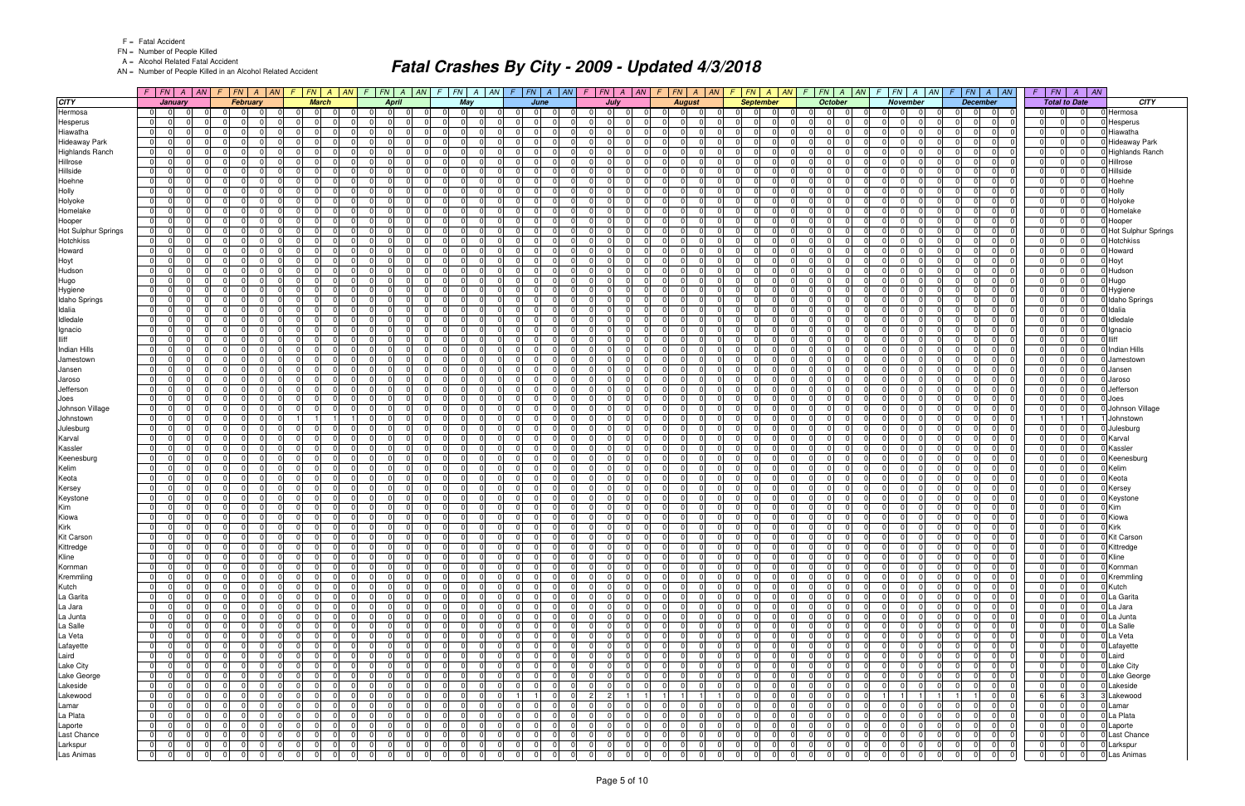FN = Number of People Killed

A = Alcohol Related Fatal Accident

AN = Number of People Killed in an Alcohol Related Accident

|                        |                                  | $F$ $FN$ $A$ $AN$                | $\sqrt{F}$ |                               | $F N$ $A$ $AN$       |                      | $F$ $ FN$ $ A$ $ AN$ $ F$ |                    |                                   | $FN$ $A$ $AN$        | F. | $FN$ $A$ $AN$                    |                      |                                  | $F$ $ FN $ $A$ $ AN $ $F$ $ FN $ $A$ $ AN $              |                                  |                                              |                | F.                         | $FN$ $A$ $AN$ $F$                          | $FN \mid A \mid AN$                               |                      | $\sqrt{F}$           | $FN \mid A \mid AN$  |                            | $FN$ $A$ $AN$<br>F.              |                            | $F$ $FN$ $A$ $AN$                                                | F.                    | $FN \mid A$                      | $\parallel AN$       |                            |
|------------------------|----------------------------------|----------------------------------|------------|-------------------------------|----------------------|----------------------|---------------------------|--------------------|-----------------------------------|----------------------|----|----------------------------------|----------------------|----------------------------------|----------------------------------------------------------|----------------------------------|----------------------------------------------|----------------|----------------------------|--------------------------------------------|---------------------------------------------------|----------------------|----------------------|----------------------|----------------------------|----------------------------------|----------------------------|------------------------------------------------------------------|-----------------------|----------------------------------|----------------------|----------------------------|
| <b>CITY</b>            |                                  | January                          |            |                               | February             |                      | <b>March</b>              |                    | <b>April</b>                      |                      |    | May                              |                      |                                  | June                                                     |                                  | July                                         |                |                            | <b>August</b>                              | <b>September</b>                                  |                      |                      | <b>October</b>       |                            | <b>November</b>                  |                            | <b>December</b>                                                  |                       | <b>Total to Date</b>             |                      | <b>CITY</b>                |
| Hermosa                | $\overline{0}$                   | - 01                             |            | $\Omega$                      |                      | $\overline{0}$       | $\Omega$                  |                    | $\Omega$<br>$\Omega$              | $\Omega$             |    | $\overline{0}$                   | - 0                  | - 0                              | $\Omega$<br>$\Omega$                                     | -01                              | 01<br>$\Omega$                               |                | 0 I                        | $\Omega$                                   | $\Omega$<br>$\Omega$                              | $\overline{0}$       | -01                  | 0                    | - 0                        | 01                               | $\overline{0}$             | $\Omega$<br> 0 <br>$\Omega$                                      | - 0 I                 | $\Omega$                         | -01                  | Hermosa                    |
| Hesperus               | $\overline{0}$                   | $\Omega$<br><sup>0</sup>         |            | $\Omega$                      | - 0                  | - 0 l                | <sup>n</sup>              |                    | 0I                                | $\Omega$             |    | $\Omega$                         | $\Omega$             | $\Omega$                         | $\Omega$<br>$\Omega$                                     | $\Omega$                         | $\Omega$                                     |                | $\Omega$                   | $\Omega$<br>$\Omega$                       | $\Omega$<br>$\Omega$                              | $\overline{0}$       | 0                    | - 01                 | <sup>n</sup>               | 01                               | $\mathbf 0$                | $\Omega$<br>$\Omega$<br>$\Omega$                                 | $\overline{0}$        | $\Omega$                         | $\overline{0}$       | Hesperus                   |
| Hiawatha               | 0                                | $\Omega$                         |            | $\Omega$                      |                      | $\Omega$             | <sup>n</sup>              |                    | $\Omega$                          | $\Omega$             |    | $\Omega$                         |                      | $\Omega$                         | $\Omega$<br>U                                            | $\Omega$                         | nl<br>$\Omega$                               |                | $\Omega$                   |                                            | $\Omega$                                          | $\Omega$             | $\Omega$             | $\Omega$             |                            | $\Omega$                         | $\Omega$                   | $\Omega$<br>$\Omega$                                             | $\Omega$              | $\Omega$                         | $\Omega$             | Hiawatha                   |
| <b>Hideaway Park</b>   | $\overline{0}$                   | 0                                |            | $\Omega$                      | $\Omega$             | $\overline{0}$       | $\Omega$                  |                    | $\Omega$                          | $\Omega$             |    | $\overline{0}$                   | $\Omega$             | $\Omega$                         | $\Omega$<br>$\Omega$                                     | 0 I                              | $\Omega$                                     |                | $\overline{0}$             | $\Omega$                                   | $\Omega$<br>$\Omega$                              | $\Omega$             | 0 I                  | $\overline{0}$       |                            | $\overline{0}$                   | $\Omega$                   | $\Omega$<br>$\Omega$<br>$\Omega$                                 | 0 I                   | $\Omega$                         | $\Omega$             | Hideaway Park              |
| <b>Highlands Ranch</b> | $\overline{0}$                   | $\Omega$                         |            | $\Omega$                      |                      | $\Omega$             | <sup>n</sup>              |                    | $\Omega$                          | $\Omega$             |    | $\Omega$                         |                      | $\Omega$                         | $\Omega$<br>n                                            | $\Omega$                         | $\Omega$                                     |                | $\Omega$                   | $\Omega$                                   | $\Omega$<br>$\Omega$                              | $\Omega$             | $\Omega$             | $\Omega$             |                            | $\Omega$                         | $\Omega$                   | $\Omega$<br>$\Omega$                                             | $\Omega$              | $\Omega$                         | $\overline{0}$       | Highlands Ranch            |
| Hillrose               | $\overline{0}$                   | $\Omega$<br>0                    |            | $\Omega$                      | $\Omega$             | - 0 l                | $\Omega$                  |                    | $\Omega$                          | $\Omega$             |    | $\Omega$                         | $\Omega$             | $\Omega$                         | $\Omega$<br>$\Omega$                                     | 0 I                              | 0 I<br>$\Omega$                              |                | $\overline{0}$             | $\Omega$<br>$\Omega$                       | $\Omega$<br>$\Omega$                              | $\Omega$             | 0 I                  | - 01                 | $\Omega$                   | $\Omega$                         | $\mathbf 0$                | $\Omega$<br>$\Omega$<br>- 01                                     | $\overline{0}$        | $\Omega$                         | $\Omega$<br>$\Omega$ | Hillrose                   |
| Hillside               | $\Omega$<br>$\overline{0}$       | U<br>0                           |            | $\Omega$<br>$\mathbf 0$       | $\Omega$             | $\Omega$<br>$\Omega$ | $\Omega$                  |                    | $\Omega$<br>$\Omega$              | $\Omega$<br>$\Omega$ |    | $\Omega$<br>$\overline{0}$       | $\Omega$             | $\Omega$                         | $\Omega$<br>$\Omega$<br>$\Omega$                         | $\Omega$<br>0 I                  | $\Omega$<br>$\Omega$<br>$\Omega$             |                | $\Omega$<br>$\overline{0}$ | $\Omega$<br>$\Omega$                       | $\Omega$<br>$\Omega$                              | $\Omega$             | $\Omega$<br>0 I      | $\Omega$<br>-01      | $\Omega$                   | $\Omega$<br>$\Omega$             | $\Omega$<br>$\mathbf 0$    | $\Omega$<br>$\Omega$<br>$\Omega$<br>$\Omega$                     | $\Omega$<br>0 I       | $\Omega$<br>$\Omega$             | $\Omega$             | Hillside                   |
| Hoehne<br>Holly        | $\overline{0}$                   | 0                                |            | $\Omega$                      | n                    | - 0 l                | $\Omega$                  |                    | $\Omega$                          | $\Omega$             |    | $\Omega$                         | $\Omega$             | $\Omega$                         | $\Omega$<br>$\Omega$                                     | $\Omega$                         | $\Omega$<br>$\Omega$                         |                | $\overline{0}$             | $\cap$<br>$\Omega$                         | $\Omega$<br>$\Omega$                              | $\Omega$             | $\Omega$             | -01                  |                            | $\Omega$                         | $\Omega$                   | $\Omega$<br>- 01                                                 | $\overline{0}$        | $\Omega$                         | $\Omega$             | Hoehne<br>Holly            |
| Holyoke                | $\overline{0}$                   | <sup>0</sup>                     |            | $\Omega$                      | n                    | $\Omega$             |                           |                    | $\Omega$                          | $\Omega$             |    | $\Omega$                         | $\Omega$             | $\Omega$                         | 0<br>$\Omega$                                            | 0 I                              | $\Omega$                                     |                | $\Omega$                   | $\Omega$<br>$\Omega$                       | $\Omega$<br>$\Omega$                              | $\Omega$             | 0 I                  | $\Omega$             |                            | $\Omega$                         | $\Omega$                   | $\Omega$<br>$\Omega$<br>$\Omega$                                 | $\overline{0}$        | $\Omega$                         | $\Omega$             | Holyoke                    |
| Homelake               | $\overline{0}$                   | $\Omega$                         |            | $\Omega$                      |                      | $\Omega$             | ΩI                        |                    | $\Omega$                          | $\Omega$             |    | $\Omega$                         | $\Omega$             | $\Omega$                         | $\Omega$<br>U                                            | $\Omega$                         | nl<br>$\Omega$                               |                | $\Omega$                   |                                            | $\Omega$                                          | $\Omega$             | $\Omega$             | $\Omega$             |                            | $\Omega$                         | $\Omega$                   | $\Omega$<br>$\Omega$                                             | $\Omega$              | $\Omega$                         | $\Omega$             | Homelake                   |
| Hooper                 | 0                                | 0                                |            | $\Omega$                      | $\Omega$             | $\overline{0}$       | $\Omega$                  |                    | $\Omega$                          | $\Omega$             |    | $\overline{0}$                   | $\Omega$             | $\overline{0}$                   | - 0 I<br>$\Omega$                                        | 0 I                              | $\Omega$<br>$\Omega$                         |                | $\overline{0}$             | $\Omega$                                   | $\Omega$<br>$\Omega$                              | $\Omega$             | 0 I                  | $\overline{0}$       |                            | $\overline{0}$                   | $\mathbf 0$                | $\Omega$<br>$\Omega$<br>$\Omega$                                 | 0 I                   | $\Omega$                         | $\Omega$             | Hooper                     |
| Hot Sulphur Springs    | $\overline{0}$                   | $\Omega$                         |            | - 0 I                         | $\Omega$             | - 0 I                | $\Omega$                  |                    | $\overline{0}$                    | $\Omega$             |    | $\Omega$                         | $\Omega$             | $\Omega$                         | - 0 I<br>$\Omega$                                        | $\Omega$                         | $\Omega$<br>$\Omega$                         |                | $\overline{0}$             | $\Omega$<br>$\Omega$                       | $\Omega$<br>$\Omega$                              | $\Omega$             | 0                    | $\Omega$             |                            | $\Omega$                         | $\Omega$                   | $\Omega$<br>$\Omega$<br>$\Omega$                                 | $\overline{0}$        | $\Omega$                         | $\Omega$             | <b>Hot Sulphur Springs</b> |
| Hotchkiss              | $\overline{0}$                   | 0                                |            | $\Omega$                      | n                    | $\Omega$             | $\Omega$                  |                    | $\Omega$                          | $\Omega$             |    | $\Omega$                         | $\Omega$             | $\Omega$                         | $\Omega$<br>$\mathbf 0$                                  | $\Omega$                         | $\Omega$<br>$\Omega$                         |                | $\overline{0}$             | $\Omega$                                   | $\Omega$<br>$\Omega$                              | $\Omega$             | 0                    | $\Omega$             |                            | $\Omega$                         | $\Omega$                   | $\Omega$<br>$\Omega$<br>$\Omega$                                 | 0 I                   | $\Omega$                         | $\Omega$             | Hotchkiss                  |
| Howard                 | 0                                | $\Omega$                         |            | $\Omega$                      | $\cap$               | 0                    | ΩI                        |                    | $\Omega$                          | $\Omega$             |    | $\Omega$                         | $\Omega$             | $\Omega$                         | $\Omega$<br>$\Omega$                                     | $\Omega$                         | $\Omega$<br>$\Omega$                         |                | $\Omega$                   | $\Omega$<br>$\Omega$                       | $\Omega$<br>$\Omega$                              | $\Omega$             | 0 I                  | $\Omega$             | $\Omega$                   | $\Omega$                         | $\mathbf 0$                | $\Omega$<br>$\Omega$<br>$\Omega$                                 | $\overline{0}$        | $\Omega$                         | $\Omega$             | Howard                     |
| Hoyt                   | $\Omega$                         | <sup>0</sup>                     |            | $\Omega$                      |                      | $\Omega$             | ΩI                        |                    | $\Omega$                          | $\Omega$             |    | $\Omega$                         |                      | $\Omega$                         | $\Omega$<br><sup>0</sup>                                 | $\Omega$                         | $\Omega$<br>$\Omega$                         |                | $\overline{0}$             |                                            | $\Omega$                                          | $\Omega$             | $\Omega$             | $\Omega$             |                            | $\Omega$                         | $\Omega$                   | $\Omega$<br>$\Omega$                                             | $\Omega$              | $\Omega$                         | $\Omega$             | Hoyt                       |
| Hudson                 | $\overline{0}$                   | $\Omega$<br>$\Omega$             |            | - 0 I                         | $\Omega$             | - 0 l                | $\Omega$                  |                    | $\overline{0}$<br>$\Omega$        | $\Omega$             |    | -01<br>$\Omega$                  | $\Omega$             | $\Omega$                         | - 0 I<br>$\Omega$                                        | $\overline{0}$                   | 0 I<br>$\Omega$                              |                | $\overline{0}$             | $\Omega$<br>. OI                           | $\Omega$<br>$\Omega$                              | -01                  | 0 I                  | -01                  | $\Omega$                   | $\overline{0}$                   | $\mathbf 0$                | 0 <br>$\Omega$<br>- 01                                           | 0 I                   | $\Omega$                         | $\overline{0}$       | Hudson                     |
| Hugo                   | 01                               | <sup>0</sup>                     |            | $\Omega$                      |                      | $\Omega$             | <sup>n</sup>              |                    | $\Omega$                          | $\Omega$             |    | $\Omega$                         |                      | $\Omega$                         | $\Omega$<br><sup>n</sup>                                 | $\Omega$                         | $\Omega$                                     |                | $\Omega$                   | $\Omega$                                   | $\Omega$<br>$\Omega$                              | $\Omega$             | $\Omega$             | $\Omega$             |                            | $\Omega$                         | $\Omega$                   | $\Omega$<br>0<br>$\Omega$                                        | $\Omega$              | $\Omega$                         | $\Omega$             | Hugo                       |
| Hygiene                | 0                                | $\Omega$<br>$\Omega$             |            | $\Omega$                      | $\Omega$             | 0                    | $\Omega$                  |                    | $\Omega$<br>$\Omega$              | $\Omega$             |    | $\Omega$                         | $\Omega$             | $\Omega$                         | - 0 I<br>$\Omega$                                        | $\overline{0}$                   | $\Omega$<br>$\Omega$                         |                | $\overline{0}$             | $\Omega$<br>$\Omega$                       | $\Omega$<br>$\Omega$                              | $\Omega$             | 0 I                  | $\Omega$             | $\Omega$                   | $\Omega$                         | - 0 I                      | $\Omega$<br>$\Omega$<br>$\Omega$                                 | $\overline{0}$        | $\Omega$                         | n l                  | Hygiene                    |
| Idaho Springs          | $\overline{0}$                   | U                                |            | $\Omega$                      |                      | $\Omega$             | $\Omega$                  |                    | $\Omega$                          | $\Omega$             |    | $\Omega$                         |                      | $\Omega$                         | - 0 I<br>$\Omega$                                        | $\Omega$                         | $\Omega$<br>$\Omega$                         |                | $\Omega$                   |                                            | $\Omega$                                          | $\Omega$             | $\Omega$             | $\Omega$             |                            | $\overline{0}$                   | $\Omega$                   | $\Omega$<br>$\Omega$                                             | $\Omega$              | $\Omega$                         | $\Omega$             | <b>Idaho Springs</b>       |
| Idalia                 | $\overline{0}$                   | $\Omega$<br>$\Omega$             |            | $\Omega$                      | $\Omega$             | - 0 l                | $\Omega$                  |                    | $\Omega$                          | $\Omega$             |    | $\Omega$                         | $\Omega$             | $\Omega$                         | $\Omega$<br>$\Omega$                                     | $\Omega$                         | $\Omega$<br>$\Omega$                         |                | $\Omega$                   | $\Omega$<br>$\Omega$                       | $\Omega$<br>$\Omega$                              | $\Omega$             | $\Omega$             | 0 <sup>1</sup>       | $\Omega$                   | $\Omega$                         | $\mathbf 0$                | $\Omega$<br>$\Omega$<br>$\Omega$                                 | $\Omega$              | $\Omega$                         | $\Omega$             | Idalia                     |
| Idledale               | $\overline{0}$                   | <sup>0</sup><br>$\Omega$         |            | $\Omega$<br>$\Omega$          | - 0<br>$\cap$        | $\Omega$<br> 0       | $\Omega$<br><sup>0</sup>  |                    | $\Omega$<br>$\Omega$<br>$\Omega$  | $\Omega$<br>$\Omega$ |    | $\Omega$<br>$\Omega$             | $\Omega$<br>$\Omega$ | $\Omega$<br>$\Omega$             | $\Omega$<br>$\mathbf 0$<br>- 0 I<br>$\Omega$             | 0 I<br>$\Omega$                  | $\Omega$<br>$\Omega$<br>$\Omega$<br>$\Omega$ |                | $\overline{0}$<br>$\Omega$ | $\cap$<br>$\Omega$<br>$\Omega$<br>$\Omega$ | $\Omega$<br>$\Omega$<br>$\Omega$<br>$\Omega$      | $\Omega$<br>$\Omega$ | 0 <br>$\Omega$       | $\Omega$<br>$\Omega$ | $\Omega$<br>$\Omega$       | $\Omega$<br>$\Omega$             | $\mathbf 0$<br>$\mathbf 0$ | $\Omega$<br>$\Omega$<br>- 01<br>$\Omega$<br>$\Omega$<br>$\Omega$ | 0 I<br>$\overline{0}$ | $\Omega$<br>$\Omega$             | $\Omega$<br>$\Omega$ | dledale                    |
| Ignacio<br>lliff       | $\overline{0}$<br>$\overline{0}$ | <sup>0</sup>                     |            | $\Omega$                      |                      | $\Omega$             | ΩI                        |                    | $\Omega$                          | $\Omega$             |    | $\Omega$                         | $\Omega$             | $\Omega$                         | $\Omega$<br>$\Omega$                                     | $\Omega$                         | $\Omega$<br>$\Omega$                         |                | $\overline{0}$             |                                            | $\Omega$<br>$\Omega$                              | $\Omega$             | 0                    | $\Omega$             | <sup>n</sup>               | $\Omega$                         | $\Omega$                   | $\Omega$<br>$\Omega$<br>$\Omega$                                 | $\Omega$              | $\Omega$                         | $\Omega$             | Ignacio<br>lliff           |
| <b>Indian Hills</b>    | $\overline{0}$                   | $\Omega$<br>$\Omega$             |            | $\Omega$                      | $\Omega$             | - 0 l                | $\Omega$                  |                    | $\overline{0}$                    | $\Omega$             |    | $\Omega$                         | $\Omega$             | $\Omega$                         | $\Omega$<br>- 0 I                                        | $\overline{0}$                   | $\Omega$<br>$\Omega$                         |                | $\overline{0}$             | $\Omega$<br>$\Omega$                       | $\Omega$<br>$\Omega$                              | -01                  | 0 I                  | -01                  | $\Omega$                   | $\overline{0}$                   | $\mathbf 0$                | 0 <br>$\Omega$<br>$\Omega$                                       | 0 I                   | $\Omega$                         | $\overline{0}$       | Indian Hills               |
| Jamestown              | $\overline{0}$                   | <sup>0</sup>                     |            | 0                             |                      | $\Omega$             | <sup>n</sup>              |                    | $\Omega$                          | $\Omega$             |    | $\Omega$                         |                      | $\Omega$                         | <sup>n</sup><br>$\Omega$                                 | 0I                               | $\Omega$                                     |                | $\Omega$                   | - 0                                        | $\Omega$<br>$\Omega$                              | - 0                  | $\Omega$             | $\Omega$             |                            | $\Omega$                         | $\Omega$                   | <sup>0</sup><br>$\Omega$                                         | $\Omega$              | $\Omega$                         | $\Omega$             | Jamestowr                  |
| Jansen                 | $\overline{0}$                   | 0                                |            | $\Omega$                      | $\Omega$             | 0                    | ΩI                        |                    | $\Omega$                          | $\Omega$             |    | $\Omega$                         | $\Omega$             | $\Omega$                         | $\Omega$<br>$\Omega$                                     | 0 I                              | $\Omega$<br>$\Omega$                         |                | 01                         | $\Omega$<br>$\Omega$                       | $\Omega$<br>$\Omega$                              | $\Omega$             | 0 I                  | $\Omega$             | $\Omega$                   | $\Omega$                         | $\mathbf 0$                | $\Omega$<br>$\Omega$<br>- 01                                     | $\overline{0}$        | $\Omega$                         | $\Omega$             | Jansen                     |
| Jaroso                 | $\overline{0}$                   | $\Omega$                         |            | $\Omega$                      | ∩                    | $\mathbf 0$          | 0                         |                    | $\Omega$                          | $\Omega$             |    | $\Omega$                         | $\Omega$             | $\Omega$                         | $\Omega$<br>0                                            | $\Omega$                         | $\Omega$<br>$\Omega$                         |                | $\Omega$                   |                                            | $\Omega$<br>$\Omega$                              | $\Omega$             | $\Omega$             | $\Omega$             | $\Omega$                   | $\overline{0}$                   | $\Omega$                   | $\Omega$<br>$\Omega$<br>$\Omega$                                 | $\Omega$              | $\Omega$                         | $\Omega$             | Jaroso                     |
| Jefferson              | $\overline{0}$                   | <sup>0</sup>                     |            | $\mathbf 0$                   |                      | $\Omega$             | ΩI                        |                    | $\Omega$                          | $\Omega$             |    | $\Omega$                         | $\Omega$             | $\Omega$                         | $\Omega$<br>$\Omega$                                     | $\overline{0}$                   | $\Omega$<br>$\Omega$                         |                | $\overline{0}$             | $\Omega$                                   | $\Omega$<br>$\Omega$                              | $\Omega$             | 0 I                  | -01                  | <sup>n</sup>               | $\Omega$                         | $\Omega$                   | $\Omega$<br>$\Omega$<br>$\Omega$                                 | $\overline{0}$        | $\Omega$                         | $\Omega$             | Jefferson                  |
| Joes                   | 0                                | $\Omega$                         |            | $\Omega$                      | - 0                  | $\overline{0}$       | $\Omega$                  |                    | $\Omega$                          | $\Omega$             |    | $\Omega$                         | $\Omega$             | $\Omega$                         | $\Omega$<br>$\Omega$                                     | $\Omega$                         | $\Omega$<br>$\Omega$                         |                | $\Omega$                   | $\Omega$<br>$\Omega$                       | $\Omega$<br>$\Omega$                              | $\Omega$             | $\Omega$             | -01                  | $\Omega$                   | $\Omega$                         | $\Omega$                   | $\Omega$<br>$\Omega$<br>- 01                                     | $\overline{0}$        | $\Omega$                         | $\Omega$             | Joes                       |
| Johnson Village        | $\overline{0}$                   | <sup>0</sup>                     |            | $\Omega$                      | $\Omega$             | - 0 I                | <sup>n</sup>              |                    | $\Omega$                          | $\Omega$             |    | $\Omega$                         | $\Omega$             | $\Omega$                         | $\Omega$<br>$\Omega$                                     | $\Omega$                         | $\mathbf 0$                                  |                | $\Omega$                   | $\Omega$<br>$\Omega$                       | $\Omega$<br>$\Omega$                              | $\Omega$             | 0                    | $\Omega$             |                            | $\Omega$                         | $\mathbf 0$                | $\Omega$<br>$\Omega$<br>$\Omega$                                 | $\overline{0}$        | $\Omega$                         | $\overline{0}$       | Johnson Village            |
| Johnstown              | 0                                | $\Omega$                         |            | $\Omega$                      | $\Omega$             | $\mathbf{1}$         |                           |                    | $\Omega$                          | $\Omega$             |    | $\Omega$                         | $\Omega$             | $\Omega$                         | $\Omega$<br>$\Omega$                                     | $\Omega$                         | $\Omega$<br>$\Omega$                         |                | $\Omega$                   | $\Omega$                                   | $\Omega$                                          | $\Omega$             | $\Omega$             | $\Omega$             | $\Omega$                   | $\Omega$                         | $\Omega$                   | $\Omega$<br>$\Omega$<br>$\Omega$                                 |                       |                                  |                      | Johnstown                  |
| Julesburg              | $\overline{0}$                   | 0                                |            | $\Omega$                      | $\Omega$             | 0                    | $\Omega$                  |                    | 0 I                               | $\Omega$             |    | $\overline{0}$                   | $\Omega$             | $\Omega$                         | - 0 I<br>$\Omega$                                        | 0 I                              | $\Omega$<br>$\overline{0}$                   |                | $\overline{0}$             | $\Omega$                                   | $\Omega$<br>$\Omega$                              | $\overline{0}$       | 0 I                  | $\overline{0}$       |                            | $\overline{0}$                   | $\mathbf 0$                | $\Omega$<br>$\Omega$                                             | $\Omega$              | $\Omega$                         | $\Omega$             | Julesburg                  |
| Karval                 | $\overline{0}$                   | $\Omega$                         |            | $\Omega$                      | ∩                    | $\Omega$             | <sup>0</sup>              |                    | $\Omega$                          | $\Omega$             |    | $\Omega$                         | $\Omega$             | $\Omega$                         | $\Omega$<br><sup>0</sup>                                 | $\Omega$                         | $\Omega$<br>$\Omega$                         |                | $\Omega$                   | $\Omega$                                   | $\Omega$<br>$\Omega$                              | $\Omega$             | $\Omega$             | $\Omega$             |                            | $\Omega$                         | $\Omega$                   | $\Omega$<br>$\Omega$<br>$\Omega$                                 | $\Omega$              | $\Omega$                         | $\Omega$             | Karval                     |
| Kassler                | $\overline{0}$                   | 0                                |            | $\Omega$                      | $\Omega$             | - 0 I                | $\Omega$                  |                    | $\Omega$                          | $\Omega$             |    | $\Omega$                         | $\Omega$             | $\Omega$                         | - 0 I<br>$\Omega$                                        | 0 I                              | 0 I<br>$\Omega$                              |                | $\overline{0}$             | $\Omega$<br>$\Omega$                       | $\Omega$<br>$\Omega$                              | $\Omega$             | 0 I                  | - 01                 | $\Omega$                   | $\Omega$                         | $\mathbf 0$                | $\Omega$<br>$\Omega$<br>$\Omega$                                 | $\overline{0}$        | $\Omega$                         | $\Omega$             | Kassler                    |
| Keenesburg             | $\overline{0}$                   | U                                |            | $\Omega$                      |                      | $\Omega$             |                           |                    | $\Omega$                          | $\Omega$             |    | $\Omega$                         |                      | $\Omega$                         | $\Omega$<br>U                                            | $\Omega$                         | $\Omega$<br>$\Omega$                         |                | $\Omega$                   |                                            | 0                                                 | $\Omega$             | $\Omega$             | $\Omega$             |                            | $\Omega$                         | $\Omega$                   | $\Omega$<br>$\Omega$                                             | $\Omega$              | $\Omega$                         | $\Omega$             | Keenesburg                 |
| Kelim                  | 01<br>$\overline{0}$             | 0<br>0                           |            | $\mathbf 0$<br>$\Omega$       | $\Omega$<br>$\Omega$ | - 0 I<br>$\Omega$    | $\Omega$<br>$\Omega$      |                    | $\overline{0}$<br>$\Omega$        | $\Omega$<br>$\Omega$ |    | $\overline{0}$<br>$\Omega$       | $\Omega$<br>$\Omega$ | $\Omega$<br>$\Omega$             | $\Omega$<br>$\Omega$<br>- 0 I<br>$\Omega$                | $\overline{0}$<br>$\overline{0}$ | 0 <br>$\Omega$<br>$\Omega$<br>$\Omega$       |                | $\overline{0}$<br>$\Omega$ | $\Omega$<br>$\Omega$<br>$\Omega$           | $\Omega$<br>$\Omega$<br>$\Omega$<br>$\Omega$      | $\Omega$<br>$\Omega$ | 0 I<br>0 I           | -01<br>$\Omega$      | <sup>n</sup>               | $\Omega$<br>$\Omega$             | $\mathbf 0$<br>$\Omega$    | $\Omega$<br>$\Omega$<br>$\Omega$<br>$\Omega$<br>$\Omega$         | 0 I<br>$\overline{0}$ | $\Omega$<br>$\Omega$             | $\Omega$<br>$\Omega$ | Kelim                      |
| Keota<br>Kersey        | $\overline{0}$                   | <sup>0</sup>                     |            | $\Omega$                      | n                    | $\Omega$             |                           |                    | $\Omega$                          | $\Omega$             |    | $\Omega$                         | $\Omega$             | $\Omega$                         | $\Omega$<br>0                                            | $\Omega$                         | $\Omega$                                     |                | $\Omega$                   | - 0<br>$\Omega$                            | $\Omega$<br>$\Omega$                              | - 0                  | $\overline{0}$       | - 0                  |                            | $\Omega$                         | $\Omega$                   | $\Omega$<br>$\Omega$<br>$\Omega$                                 | $\Omega$              | $\Omega$                         | $\Omega$             | Keota<br>Kersev            |
| Keystone               | 0                                | $\Omega$                         |            | $\Omega$                      | $\Omega$             | 0                    | $\Omega$                  |                    | $\Omega$                          | $\Omega$             |    | $\Omega$                         | $\Omega$             | $\Omega$                         | $\Omega$<br>$\Omega$                                     | $\overline{0}$                   | $\Omega$<br>$\Omega$                         |                | $\overline{0}$             | $\Omega$<br>$\Omega$                       | $\Omega$<br>$\Omega$                              | $\Omega$             | 0 I                  | $\Omega$             | $\Omega$                   | $\Omega$                         | - 0 I                      | $\Omega$<br>$\Omega$<br>$\Omega$                                 | $\overline{0}$        | $\Omega$                         | $\Omega$             | Keystone                   |
| Kim                    | $\Omega$                         | 0                                |            | $\Omega$                      |                      | $\mathbf 0$          | $\Omega$                  |                    | $\Omega$                          | $\Omega$             |    | $\Omega$                         | $\Omega$             | 0                                | - 0 I<br>$\Omega$                                        | $\Omega$                         | $\Omega$<br>$\Omega$                         |                | $\overline{0}$             | $\Omega$                                   | $\Omega$                                          | $\Omega$             | $\Omega$             | $\Omega$             |                            | $\overline{0}$                   | $\mathbf 0$                | 0<br>0                                                           | $\Omega$              | $\Omega$                         | $\Omega$             | Kim                        |
| Kiowa                  | 01                               | $\Omega$<br>$\Omega$             |            | - 0 I                         | $\Omega$             | 0                    | $\Omega$                  |                    | $\overline{0}$<br>$\Omega$        | $\Omega$             |    | $\Omega$<br>-01                  | $\Omega$             | $\Omega$                         | 0 <br>$\Omega$                                           | $\overline{0}$                   | 0 I<br>$\Omega$                              |                | 0                          | $\Omega$<br>$\Omega$                       | $\Omega$<br>$\Omega$                              | $\Omega$             | 0 I                  | 0                    | $\Omega$                   | $\Omega$                         | $\mathbf 0$                | $\Omega$<br> 0 <br>$\Omega$                                      | $\overline{0}$        | $\Omega$                         | $\Omega$             | Kiowa                      |
| Kirk                   | $\overline{0}$                   | $\Omega$                         |            | $\mathbf 0$                   | - 0                  | 0                    | $\Omega$                  |                    | 0 I                               | $\Omega$             |    | $\Omega$                         | $\Omega$             | $\Omega$                         | $\mathbf 0$<br>$\Omega$                                  | 0 I                              | $\Omega$<br>$\Omega$                         |                | $\mathbf 0$                | $\Omega$<br>$\Omega$                       | $\Omega$<br>$\overline{0}$                        | $\overline{0}$       | 0 I                  | 0                    | $\Omega$                   | $\Omega$                         | $\mathbf 0$                | $\Omega$<br>$\Omega$<br>$\overline{0}$                           | 0                     | $\Omega$                         | 0                    | Kirk                       |
| <b>Kit Carson</b>      | $\overline{0}$                   | $\Omega$<br>$\Omega$             |            | $\Omega$                      | $\Omega$             | 0                    | $\Omega$                  |                    | $\overline{0}$<br>$\Omega$        | $\Omega$             |    | $\Omega$                         | $\Omega$             | $\Omega$                         | $\Omega$<br>$\Omega$                                     | $\overline{0}$                   | $\Omega$<br>$\Omega$                         |                | $\overline{0}$             | $\Omega$<br>$\Omega$                       | $\Omega$<br>$\Omega$                              | $\Omega$             | $\overline{0}$       | $\Omega$             |                            | $\Omega$<br>$\Omega$             | $\Omega$                   | $\Omega$<br> 0 <br>$\Omega$                                      | $\Omega$              | $\Omega$                         | $\Omega$             | <b>Kit Carson</b>          |
| Kittredge              | 01                               | 0                                |            | - 0 I                         |                      | 0                    | 01                        | $\Omega$           | $\overline{0}$                    | 0                    |    | $\overline{0}$                   | $\Omega$             | 0                                | 0 <br>01                                                 | 0                                | -01<br>0                                     |                | 0                          | 0 <br>$\Omega$                             | 0                                                 | $\overline{0}$       | $\overline{0}$       | $\overline{0}$       | 0 I                        | 01                               | .0                         | $\mathbf 0$<br>$\overline{0}$                                    |                       | $\overline{0}$                   |                      | 0 Kittredge                |
| Kline                  | $\overline{0}$                   | $\overline{0}$<br> 0             |            | $\overline{0}$                | $\Omega$             | 0                    | 0 I                       |                    | $\overline{0}$<br>$\overline{0}$  | 0                    |    | -01                              | 0 I                  | $\overline{0}$                   | $\overline{0}$<br> 0                                     | 0 I                              | $\overline{0}$<br>- 0 I                      |                | $\overline{0}$             | $\overline{0}$<br>- 0 I                    | $\Omega$<br>0 I                                   | 0                    | $\overline{0}$       | $\overline{0}$       | $\Omega$                   | $\overline{0}$<br>$\Omega$       | $\mathbf 0$                | $\Omega$<br> 0 <br>$\overline{0}$                                | 01                    | $\overline{0}$                   | 0 I                  | Kline                      |
| Kornman                | 0                                | 0 I<br>- 0                       |            | $\mathbf 0$                   | -0                   | 0                    | $\Omega$                  | $\Omega$           | 0 I<br>$\overline{0}$             | -01                  |    | $\overline{0}$                   | $\Omega$             | $\overline{0}$                   | 0 <br>$\overline{0}$                                     | 0 I                              | $\overline{0}$<br>- 01                       |                | $\overline{0}$             | - 01<br>$\Omega$                           | $\Omega$<br>0                                     | 0                    | 0                    | $\overline{0}$       | $\Omega$                   | $\overline{0}$<br>$\Omega$       | 0                          | $\overline{0}$<br> 0 <br>$\overline{0}$                          | $\overline{0}$        | $\overline{0}$                   | 0                    | Kornman                    |
| Kremmling              | $\overline{0}$                   | $\Omega$<br> 0                   |            | $\overline{0}$                | $\Omega$             | 0                    | - O I                     | - 0 l              | $\overline{0}$<br>$\overline{0}$  | 0                    |    | $\overline{0}$<br>$\Omega$       | $\overline{0}$       | $\overline{0}$                   | 0 <br>$\overline{0}$                                     | 0 I                              | $\overline{0}$<br>- 0 I                      |                | $\overline{0}$             | - 01<br>- 0 I                              | $\Omega$<br> 0                                    | 0                    | 0                    | $\overline{0}$       | $\overline{0}$             | $\overline{0}$<br>$\Omega$       | - 0 I                      | $\overline{0}$<br> 0 <br> 0                                      | $\overline{0}$        | $\overline{0}$                   | 0 I                  | Kremmling                  |
| Kutch                  | $\overline{0}$                   | 0 I                              |            | 0                             | -0                   | 0                    | $\overline{0}$            |                    | 0                                 | $\overline{0}$       |    | $\Omega$<br>-01                  | $\Omega$             | 0                                | 0 <br>$\overline{0}$                                     | $\Omega$                         | 0 <br>$\mathbf 0$                            |                | $\overline{0}$             | $\Omega$                                   | $\mathbf 0$<br>$\overline{0}$                     | 0                    | 0                    | 0                    |                            | $\overline{0}$                   | 0                          | 0<br> 0 <br>$\mathbf 0$                                          | $\overline{0}$        | $\overline{0}$                   | $\overline{0}$       | Kutch                      |
| La Garita              | $\overline{0}$                   | $\overline{0}$<br> 0             |            | 0 <br>$\Omega$                | $\overline{0}$       | $\overline{0}$       | $\overline{0}$            | - 0 l              | $\overline{0}$<br>- 0 l           | 0                    |    | 0 <br>$\overline{0}$             | 0 I                  | $\overline{0}$                   | 0 <br> 0                                                 | 0 I                              | $\overline{0}$<br>$\overline{0}$             |                | $\overline{0}$             | $\overline{0}$<br>0 I                      | $\overline{0}$<br>$\overline{0}$<br>$\Omega$      | 0                    | 0                    | $\overline{0}$       | $\overline{0}$             | 0 <br>$\overline{0}$             | 01                         | $\overline{0}$<br>$\overline{0}$<br> 0                           | 0 I                   | $\mathbf 0$                      | 0 I                  | La Garita                  |
| La Jara<br>La Junta    | 0                                | 0 I<br>$\Omega$<br>0 I           |            | $\mathbf 0$<br>$\overline{0}$ | $\Omega$<br>$\Omega$ | $\overline{0}$<br> 0 | $\Omega$<br>$\Omega$      | $\Omega$           | 0 I<br>$\overline{0}$<br>$\Omega$ | 0 <br> 0             |    | $\overline{0}$<br>$\overline{0}$ | $\Omega$<br>$\Omega$ | $\overline{0}$<br>$\overline{0}$ | 0 <br>$\overline{0}$<br>$\overline{0}$<br>$\overline{0}$ | 0 I<br>01                        | $\overline{0}$<br> 0 <br>$\overline{0}$      |                | 0                          | $\Omega$<br>$\Omega$<br>- 01               | 0<br>$\overline{0}$<br>$\Omega$<br>$\overline{0}$ | -01                  | $\overline{0}$<br> 0 | 0                    | $\Omega$<br>$\Omega$       | $\overline{0}$<br>$\Omega$       | 0                          | $\overline{0}$<br>$\Omega$<br>$\overline{0}$<br>$\Omega$         | $\overline{0}$<br>0 I | $\overline{0}$<br>$\overline{0}$ | $\overline{0}$       | La Jara                    |
| La Salle               | $\overline{0}$<br>$\overline{0}$ | $\Omega$                         |            | - 0 I                         | $\Omega$             | 0                    | $\Omega$                  |                    | $\overline{0}$                    | $\Omega$             |    | -01                              | $\Omega$             | $\mathbf 0$                      | 0 <br>$\Omega$                                           | $\overline{0}$                   | $\overline{0}$<br> 0 <br>$\Omega$            |                | 0 <br> 0                   | -01<br>$\Omega$                            | $\mathbf 0$<br>$\overline{0}$                     | 0 <br> 0             | 0                    | $\overline{0}$<br> 0 | $\Omega$                   | $\overline{0}$<br>$\overline{0}$ | 0 <br> 0                   | 0 <br>$\overline{0}$<br>$\overline{0}$<br>$\overline{0}$         | $\Omega$              | $\overline{0}$                   | 0 <br>$\Omega$       | La Junta<br>La Salle       |
| La Veta                | 0                                | $\Omega$                         |            | 0                             | $\Omega$             | 0                    | $\mathbf 0$               |                    | $\overline{0}$                    | 0                    |    | -01                              | $\Omega$             | $\overline{0}$                   | 0 <br>$\overline{0}$                                     | 0 I                              | $\overline{0}$<br>$\overline{0}$             |                | 0                          | $\Omega$<br>-01                            | 0<br> 0                                           | 0                    | $\overline{0}$       | 0                    | $\Omega$                   | $\overline{0}$                   | 0                          | 0 <br>$\overline{0}$<br>0                                        | 0                     | $\overline{0}$                   | 0 I                  | La Veta                    |
| Lafayette              | $\overline{0}$                   | 0 <br>0                          |            | $\mathbf 0$                   | $\Omega$             | $\overline{0}$       | 0 I                       | $\Omega$           | $\overline{0}$<br>$\mathbf 0$     | 0                    |    | -01                              | $\Omega$             | $\overline{0}$                   | 0 <br>$\overline{0}$                                     | $\overline{0}$                   | 0 <br>$\overline{0}$                         |                | 0                          | $\Omega$<br>$\Omega$                       | $\overline{0}$<br>$\Omega$                        | 0                    | 0                    | $\overline{0}$       | $\overline{0}$             | $\overline{0}$                   | 0                          | $\overline{0}$<br> 0 <br>$\overline{0}$                          | $\Omega$              | $\overline{0}$                   | $\overline{0}$       | Lafayette                  |
| Laird                  | $\overline{0}$                   | 0 <br>$\Omega$                   |            | $\mathbf 0$                   | $\Omega$             | $\overline{0}$       | - 01                      | $\Omega$           | $\overline{0}$<br>$\Omega$        | 0                    |    | -01<br>$\Omega$                  | $\Omega$             | $\overline{0}$                   | $\overline{0}$<br>$\overline{0}$                         | 01                               | 0 <br>- 0 I                                  |                | $\overline{0}$             | - 01<br>- 0 I                              | $\overline{0}$<br>$\overline{0}$                  | 0                    | 0                    | $\overline{0}$       | $\overline{0}$             | $\overline{0}$<br>$\Omega$       | 0                          | $\overline{0}$<br> 0 <br>$\overline{0}$                          | $\overline{0}$        | 0                                | $\overline{0}$       | Laird                      |
| Lake City              | $\overline{0}$                   | 0                                |            | 0                             | $\Omega$             | 0                    | $\Omega$                  |                    | $\overline{0}$                    | -01                  |    | -01<br>$\Omega$                  | $\Omega$             | $\mathbf 0$                      | 0 <br>$\overline{0}$                                     | $\overline{0}$                   | 0 <br>$\mathbf 0$                            |                | 0                          | $\Omega$                                   | $\mathbf 0$<br>$\overline{0}$                     | 0                    | $\mathbf{0}$         | 0                    | $\Omega$                   | $\overline{0}$                   | 0                          | $\mathbf 0$<br>$\overline{0}$<br>$\mathbf{0}$                    | $\overline{0}$        | $\mathbf 0$                      | 0                    | Lake City                  |
| Lake George            | $\overline{0}$                   | $\Omega$<br>$\Omega$             |            | - 0 I                         | $\Omega$             | 0                    | $\Omega$                  |                    | $\overline{0}$                    | $\overline{0}$       |    | -01                              | $\Omega$             | $\overline{0}$                   | 0 <br> 0                                                 | 0 I                              | $\overline{0}$<br>$\overline{0}$             |                | $\overline{0}$             | - 01<br>$\Omega$                           | $\mathbf 0$<br> 0                                 | 0                    | 0                    | 0                    | $\overline{0}$             | $\overline{0}$                   | 0                          | $\Omega$<br> 0 <br>$\overline{0}$                                | 0 I                   | $\overline{0}$                   | 0 I                  | Lake George                |
| Lakeside               | $\overline{0}$                   | $\Omega$<br>0                    |            | $\mathbf 0$                   | $\Omega$             | $\overline{0}$       | - O I                     |                    | $\overline{0}$<br>$\Omega$        | 0                    |    | -01                              | $\Omega$             | $\overline{0}$                   | 0 <br> 0                                                 | 0 I                              | 0 <br>$\overline{0}$                         |                | 0                          | $\Omega$<br>-01                            | $\mathbf 0$<br>$\overline{0}$                     | 0                    | $\overline{0}$       | 0                    | $\Omega$                   | $\overline{0}$                   | $\mathbf 0$                | $\mathbf 0$<br> 0 <br>$\overline{0}$                             | $\overline{0}$        | $\overline{0}$                   | 0                    | Lakeside                   |
| Lakewood               | $\overline{0}$                   | $\Omega$<br>$\Omega$             |            | $\mathbf 0$                   | $\Omega$             | 0                    | $\Omega$                  | $\Omega$           | $\overline{0}$<br>$\Omega$        | -01                  |    | -01                              | $\Omega$             |                                  | 0                                                        | $2 \mid$                         | $\overline{2}$                               |                |                            |                                            | $\Omega$<br>$\overline{0}$                        | 0                    | $\overline{0}$       | $\overline{0}$       | $\Omega$                   |                                  |                            | $\overline{0}$<br>$\overline{1}$<br>11                           | 6                     | 6                                | 3                    | Lakewood                   |
| Lamar                  | $\overline{0}$                   | 0                                |            | 0                             | 0                    | $\overline{0}$       | $\Omega$                  |                    | $\overline{0}$                    | 0                    |    | $\Omega$<br>-01                  | $\Omega$             | $\mathbf{0}$                     | 0 <br> 0                                                 | $\overline{0}$                   | $\overline{0}$<br>$\overline{0}$             |                | $\overline{0}$             | -01<br>-01                                 | $\mathbf 0$<br> 0                                 | 0                    | $\overline{0}$       | $\overline{0}$       | $\Omega$                   | $\overline{0}$                   | 0                          | $\overline{0}$<br> 0 <br>$\overline{0}$                          | $\overline{0}$        | $\overline{0}$                   | 0                    | Lamar                      |
| La Plata               | 0                                | 0                                |            | $\mathbf 0$                   | $\Omega$             | 0                    | $\overline{0}$            |                    | $\overline{0}$                    | 0                    |    | 0 <br>$\Omega$                   | $\Omega$             | $\overline{0}$                   | 0 <br>$\overline{0}$                                     | 01                               | $\overline{0}$<br>$\overline{0}$             |                | 0                          | - 01<br>-01                                | $\mathbf 0$<br> 0                                 | 0                    | $\overline{0}$       | 0                    | $\Omega$                   | $\overline{0}$                   | 0                          | $\overline{0}$<br> 0 <br>$\overline{0}$                          | 0                     | $\overline{0}$                   | $\overline{0}$       | La Plata                   |
| Laporte                | $\overline{0}$                   | $\Omega$<br>$\Omega$             |            | $\mathbf 0$                   | $\Omega$             | 0                    | $\Omega$                  |                    | $\overline{0}$                    | -01                  |    | $\overline{0}$                   | $\Omega$             | $\overline{0}$                   | 0 <br>$\Omega$                                           | 0 I                              | $\overline{0}$<br>$\overline{0}$             |                | $\overline{0}$             | $\Omega$<br>$\Omega$                       | $\Omega$<br>$\Omega$                              | 0                    | 01                   | 0                    | $\Omega$                   | $\overline{0}$                   | 0                          | $\Omega$<br>01<br>$\mathbf 0$                                    | 0 I                   | $\overline{0}$                   | $\Omega$             | Laporte                    |
| Last Chance            | $\overline{0}$                   | $\Omega$<br>$\overline{0}$       |            | $\mathbf 0$                   | $\Omega$             | $\overline{0}$       | $\mathbf 0$               | $\Omega$           | 0 I<br>$\mathbf 0$                | 0                    |    | $\Omega$<br>$\overline{0}$       | $\overline{0}$       | $\overline{0}$                   | 0 <br>$\overline{0}$                                     | 0 I                              | 01<br>$\Omega$                               |                | 0                          | - 0 I<br>-01                               | $\overline{0}$<br>$\overline{0}$                  | 0                    | $\overline{0}$       | 0                    | $\Omega$                   | $\overline{0}$                   | 0                          | $\overline{0}$<br>$\overline{0}$<br>$\overline{0}$               | $\overline{0}$        | $\overline{0}$                   | $\overline{0}$       | <b>Last Chance</b>         |
| Larkspur               | 0                                | $\Omega$<br> 0                   |            | - 0 I                         | $\Omega$             | $\overline{0}$       | $\Omega$                  | $\Omega$           | $\overline{0}$<br>$\overline{0}$  | 0                    |    | 0 <br>-01                        | $\Omega$             | $\mathbf 0$                      | 0 <br> 0                                                 | $\overline{0}$                   | $\overline{0}$                               | $\overline{0}$ | 0                          | $\overline{0}$<br>- 0 I                    | $\mathbf 0$<br> 0                                 | 0                    | $\overline{0}$       | 0                    | $\Omega$                   | $\overline{0}$<br>$\overline{0}$ | 0                          | $\overline{0}$<br>$\overline{0}$<br>$\mathbf{0}$                 | $\overline{0}$        | $\mathbf 0$                      | 0                    | Larkspur                   |
| Las Animas             | $\overline{0}$                   | $\overline{0}$<br>$\overline{0}$ |            | 0 <br>$\overline{0}$          | $\overline{0}$       | $\overline{0}$       | $\overline{0}$            | $\mathbf 0$<br>- 0 | 0 <br>$\overline{0}$              | 0                    |    | $\overline{0}$<br>$\overline{0}$ | $\overline{0}$       | $\overline{0}$<br>$\Omega$       | $\overline{0}$<br> 0                                     | $\overline{0}$                   | 0                                            | $\overline{0}$ | 0                          | $\overline{0}$<br>$\overline{0}$           | $\overline{0}$<br>$\overline{0}$<br>$\Omega$      | 0                    | $\overline{0}$       | $\overline{0}$       | $\overline{0}$<br>$\Omega$ | $\overline{0}$<br>$\overline{0}$ | $\overline{0}$             | $\overline{0}$<br>$\overline{0}$<br>$\mathbf 0$                  | $\overline{0}$        | $\overline{0}$                   | 0                    | 0 Las Animas               |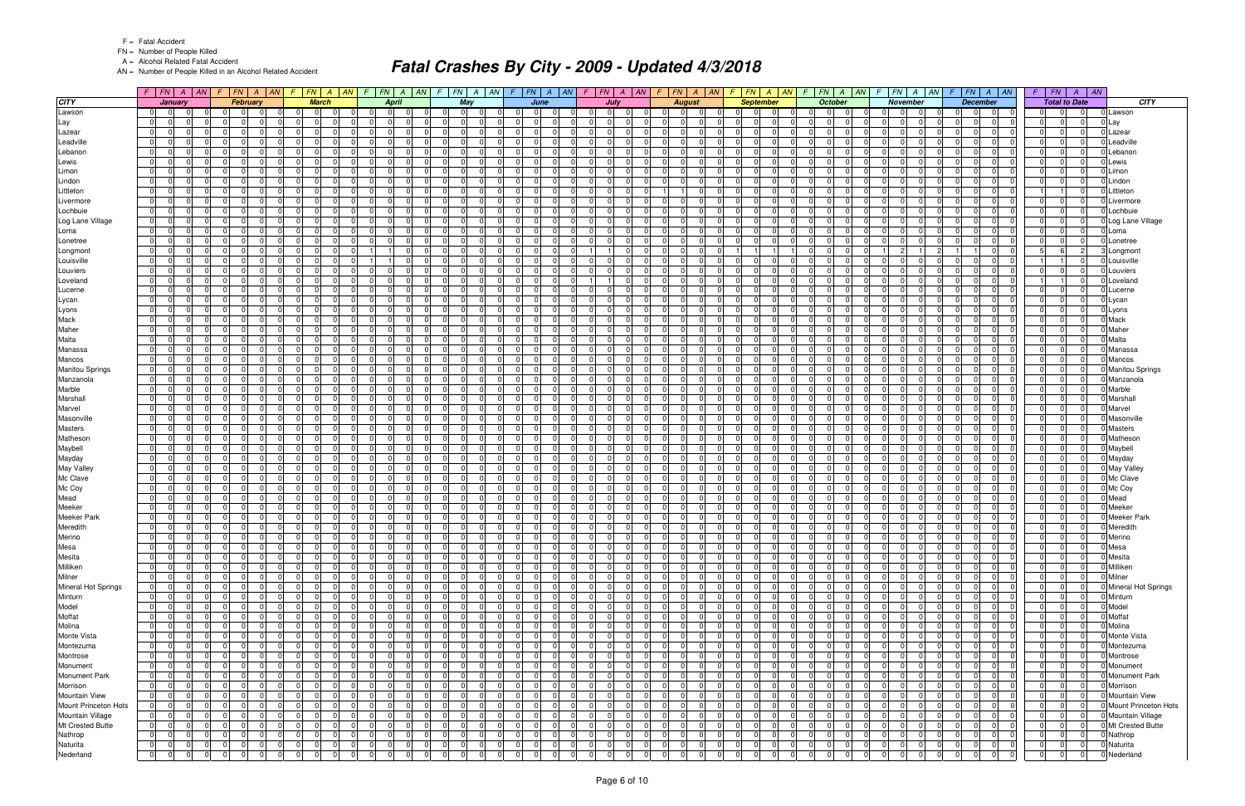FN = Number of People Killed

A = Alcohol Related Fatal Accident

AN = Number of People Killed in an Alcohol Related Accident

|                               | $F$   $FN$   $A$   $AN$                                                                        |                                                                                                | $F$ $ FN $ $A$ $ AN $ $F$ $ FN $ $A$ $ AN $                                                     | $F$ $FN$ $A$ $AN$                                                                    | $F$ $ FN $ $A$ $ AN $ $F$ $ FN $ $A$ $ AN $                                       |                                                           | $F$ $ FN $ $A$ $ AN $                                    | $F$ $ FN $ $A$ $ AN $ $F$ $ FN $ $A$ $ AN$                                                         |                                                                                | $F$ $ FN $ $A$ $ AN $                                                       |                                                                                    | $F$ $FN$ $A$ $AN$ $F$ $FN$ $A$ $AN$                                                      | $F$   $FN$   $A$   $AN$                                                 |                            |
|-------------------------------|------------------------------------------------------------------------------------------------|------------------------------------------------------------------------------------------------|-------------------------------------------------------------------------------------------------|--------------------------------------------------------------------------------------|-----------------------------------------------------------------------------------|-----------------------------------------------------------|----------------------------------------------------------|----------------------------------------------------------------------------------------------------|--------------------------------------------------------------------------------|-----------------------------------------------------------------------------|------------------------------------------------------------------------------------|------------------------------------------------------------------------------------------|-------------------------------------------------------------------------|----------------------------|
| <b>CITY</b>                   | January                                                                                        | February                                                                                       | <b>March</b>                                                                                    | <b>April</b>                                                                         | May                                                                               | June                                                      | July                                                     | <b>August</b>                                                                                      | <b>September</b>                                                               | October                                                                     | <b>November</b>                                                                    | <b>December</b>                                                                          | <b>Total to Date</b>                                                    | CITY                       |
| Lawson                        | 0 I<br>$\overline{0}$                                                                          | $\cap$<br>$\Omega$                                                                             | $\Omega$<br>$\Omega$                                                                            | 0 <br>.0<br>$\Omega$                                                                 | $\Omega$<br>$\Omega$<br>$\Omega$                                                  | $\Omega$<br>$\overline{0}$                                | - 01<br>$\Omega$                                         | $\Omega$<br>$\Omega$<br>$\Omega$                                                                   | $\Omega$<br>$\Omega$<br>$\Omega$                                               | - 01<br>$\Omega$                                                            | ΩI<br>-01                                                                          | $\overline{0}$<br>$\Omega$<br>$\Omega$                                                   | $\Omega$<br>$\Omega$<br>$\Omega$                                        | Lawson                     |
| Lay                           | $\overline{0}$<br>$\Omega$                                                                     | 0<br>$\Omega$                                                                                  | 0 I<br>0                                                                                        | 0 <br>$\Omega$                                                                       | 0<br>$\Omega$                                                                     | $\Omega$<br> 0                                            | $\Omega$<br>$\Omega$                                     | 0                                                                                                  | $\Omega$<br>$\Omega$<br>$\overline{0}$                                         | $\Omega$<br>$\overline{0}$<br>$\Omega$                                      | $\overline{0}$<br>$\Omega$                                                         | -01<br>0<br>0                                                                            | 0 <br>0<br>$\overline{0}$                                               | Lay                        |
| Lazear                        | 0 I<br>- 01                                                                                    | $\Omega$<br>$\Omega$                                                                           | $\Omega$<br>$\Omega$<br>$\Omega$                                                                | $\overline{0}$<br>- 01<br>$\Omega$                                                   | $\Omega$<br>$\mathbf 0$                                                           | -01<br>$\Omega$<br>$\Omega$                               | 0 I<br>$\overline{0}$                                    | $\Omega$<br>01<br>$\Omega$                                                                         | $\Omega$<br>$\Omega$<br>$\overline{0}$                                         | 0 I<br> 0 <br>$\Omega$                                                      | $\overline{0}$<br>- 0 I                                                            | -01<br>$\Omega$<br>$\Omega$                                                              | $\overline{0}$<br>-01<br>$\Omega$                                       | Lazear                     |
| Leadville                     | 01<br>$\Omega$                                                                                 | $\Omega$<br>$\Omega$                                                                           | $\Omega$<br>$\Omega$<br>$\Omega$                                                                | 0 <br>$\Omega$                                                                       | $\Omega$<br>$\Omega$                                                              | 0<br>$\overline{0}$                                       | $\Omega$<br>$\Omega$                                     | $\Omega$<br>$\Omega$                                                                               | $\Omega$<br>$\Omega$<br>$\Omega$                                               | $\Omega$<br>$\Omega$<br>$\Omega$                                            | $\Omega$<br>$\Omega$                                                               | $\Omega$<br>$\Omega$<br>$\overline{0}$                                                   | $\Omega$<br>$\Omega$<br> 0                                              | Leadville                  |
| _ebanon                       | 01<br>$\Omega$                                                                                 | $\Omega$<br>$\overline{0}$                                                                     | $\Omega$<br>$\Omega$<br>$\Omega$                                                                | 0 I<br>$\Omega$                                                                      | $\Omega$<br>$\mathbf 0$                                                           | $\Omega$<br>$\Omega$<br>$\overline{0}$                    | $\Omega$<br>$\Omega$                                     | $\Omega$<br>$\Omega$                                                                               | $\Omega$<br>$\Omega$<br>$\overline{0}$                                         | 0 I<br>$\overline{0}$                                                       | $\Omega$<br>- 0 I                                                                  | $\Omega$<br>$\Omega$<br>$\overline{0}$                                                   | $\Omega$<br> 0 <br>$\overline{0}$                                       | Lebanor                    |
| Lewis                         | $\overline{0}$<br>$\Omega$                                                                     | $\Omega$<br>$\Omega$                                                                           | $\Omega$                                                                                        | $\Omega$<br>$\Omega$                                                                 | $\Omega$<br>$\Omega$                                                              | $\Omega$<br>$\Omega$                                      | $\Omega$<br>$\Omega$                                     | $\Omega$                                                                                           | $\Omega$<br>$\Omega$                                                           | $\Omega$<br>$\Omega$<br>$\Omega$                                            | $\Omega$<br>$\Omega$                                                               | $\Omega$<br>$\Omega$                                                                     | $\Omega$<br>$\Omega$<br>$\Omega$                                        | Lewis                      |
| Limon                         | 01<br>- 01                                                                                     | $\Omega$<br>$\overline{0}$                                                                     | $\Omega$<br>$\Omega$<br>$\Omega$                                                                | 01<br>- 01                                                                           | $\overline{0}$<br>$\mathbf 0$                                                     | $\Omega$<br>$\Omega$<br>-01                               | $\mathbf 0$<br>01                                        | $\Omega$<br>$\overline{0}$<br>$\overline{0}$                                                       | $\Omega$<br>$\Omega$<br>$\overline{0}$                                         | 0 I<br>$\overline{0}$<br>$\Omega$                                           | $\overline{0}$<br>- 0 I                                                            | $\Omega$<br>$\Omega$<br>$\overline{0}$                                                   | $\Omega$<br> 0 <br>$\overline{0}$                                       | Limon                      |
| Lindon<br>Littleton           | 0 I<br>$\Omega$<br>0 I<br>- 01                                                                 | $\Omega$<br>$\Omega$<br>$\Omega$<br>$\mathbf 0$                                                | $\Omega$<br>0<br>$\Omega$<br>$\Omega$<br>$\Omega$<br>$\Omega$                                   | $\Omega$<br>$\Omega$<br>0 I<br>$\Omega$<br>$\Omega$                                  | $\Omega$<br>$\Omega$<br>$\Omega$<br>$\mathbf 0$                                   | $\Omega$<br>0<br>$\Omega$<br>$\Omega$<br>$\overline{0}$   | $\Omega$<br>$\Omega$<br>$\mathbf 0$<br>$\Omega$          | $\Omega$<br>$\Omega$<br>$\Omega$<br>$\Omega$                                                       | $\Omega$<br>$\Omega$<br>$\Omega$<br>$\Omega$<br>$\Omega$<br>$\overline{0}$     | $\Omega$<br>$\Omega$<br>$\Omega$<br>0 I<br>- 01<br>$\Omega$                 | $\Omega$<br>$\Omega$<br>01<br>- 0 I                                                | $\Omega$<br>$\Omega$<br>$\overline{0}$<br>$\Omega$<br>$\Omega$<br>$\overline{0}$         | $\Omega$<br> 0 <br>$\Omega$<br>$\overline{0}$                           | Lindon<br>Littleton        |
| Livermore                     | $\Omega$<br>$\Omega$                                                                           | $\Omega$<br>$\Omega$                                                                           | $\Omega$                                                                                        | $\Omega$<br>$\Omega$                                                                 | ΩI<br>$\Omega$                                                                    | $\Omega$<br>0                                             | $\Omega$<br>$\Omega$                                     | $\overline{0}$                                                                                     | 0<br>$\Omega$                                                                  | $\Omega$<br>$\Omega$                                                        | $\Omega$<br>$\Omega$                                                               | $\Omega$<br>$\Omega$                                                                     | $\overline{0}$<br>$\Omega$<br>$\Omega$                                  | Livermore                  |
| Lochbuie                      | 0 I<br>- 01                                                                                    | $\Omega$<br>$\overline{0}$                                                                     | $\Omega$<br>$\mathbf 0$<br>$\Omega$                                                             | 0 I<br>- 01<br>$\Omega$                                                              | $\Omega$<br>$\mathbf 0$                                                           | -01<br>$\Omega$<br>$\Omega$                               | 0 I<br>$\overline{0}$                                    | $\Omega$<br>01<br>$\overline{0}$                                                                   | $\Omega$<br>$\Omega$<br>$\Omega$                                               | 0 <br>0 I<br>$\Omega$                                                       | $\overline{0}$<br>- 0 I                                                            | $\Omega$<br>$\Omega$<br>$\overline{0}$                                                   | $\Omega$<br>$\Omega$<br>$\overline{0}$                                  | Lochbuie                   |
| Log Lane Village              | 01<br>$\Omega$                                                                                 | $\Omega$<br>$\Omega$                                                                           | $\Omega$<br>$\Omega$<br>$\Omega$                                                                | 0 I<br>$\Omega$<br>$\Omega$                                                          | $\Omega$<br>$\Omega$                                                              | -01<br>$\Omega$<br>$\Omega$                               | $\Omega$<br>$\Omega$                                     | $\Omega$<br>$\Omega$<br>$\Omega$                                                                   | $\Omega$<br>$\Omega$<br>$\overline{0}$                                         | $\Omega$<br>$\overline{0}$<br>$\Omega$                                      | $\Omega$<br>$\Omega$                                                               | $\Omega$<br>$\Omega$<br>$\overline{0}$                                                   | $\Omega$<br> 0 <br>$\Omega$                                             | Log Lane Village           |
| Loma                          | 0 <br>- 0                                                                                      | $\Omega$                                                                                       | <sup>0</sup><br>$\Omega$                                                                        | $\Omega$<br>$\Omega$                                                                 | ΩI<br>$\Omega$                                                                    | $\overline{0}$<br><sup>0</sup>                            | 0I<br>$\Omega$                                           | $\Omega$<br>n                                                                                      | $\Omega$<br>$\Omega$<br>$\Omega$                                               | $\Omega$<br>$\Omega$                                                        | $\Omega$<br>$\Omega$                                                               | $\Omega$<br>$\overline{0}$                                                               | $\Omega$<br> 0 <br>0 I                                                  | Loma                       |
| Lonetree                      | $\overline{0}$<br>$\Omega$                                                                     | $\Omega$<br>$\Omega$                                                                           | $\Omega$<br>$\Omega$<br>$\Omega$                                                                | 0 <br>$\Omega$<br>$\Omega$                                                           | $\Omega$<br>$\mathbf 0$                                                           | $\Omega$<br>$\Omega$<br>-01                               | $\Omega$<br>$\Omega$                                     | $\Omega$<br>$\Omega$<br>0I                                                                         | $\Omega$<br>$\Omega$<br>$\Omega$                                               | 0 <br>-01<br>$\Omega$                                                       | $\Omega$<br>$\Omega$                                                               | $\Omega$<br>-01<br>$\Omega$                                                              | $\Omega$<br>-01<br>$\Omega$                                             | Lonetree                   |
| Longmon                       | 0 <br>$\Omega$                                                                                 | 01<br>$\Omega$                                                                                 | $\Omega$<br>$\Omega$<br>$\Omega$                                                                |                                                                                      | $\overline{0}$<br>$\overline{0}$                                                  | $\Omega$<br> 0                                            |                                                          | $\overline{0}$<br>$\Omega$                                                                         |                                                                                | $\overline{0}$<br>$\Omega$                                                  |                                                                                    | 0                                                                                        | $\overline{2}$<br>5<br>-61                                              | Longmont                   |
| Louisville                    | 0 I<br>$\overline{0}$<br>$\Omega$                                                              | $\Omega$<br>$\Omega$                                                                           | $\Omega$<br>$\Omega$<br>$\Omega$                                                                | $\Omega$                                                                             | $\Omega$<br>$\mathbf 0$<br>$\Omega$                                               | $\Omega$<br>-01<br>$\Omega$                               | -01<br>0 I                                               | $\Omega$<br>$\overline{0}$<br>$\Omega$<br>0I                                                       | $\Omega$<br>$\Omega$<br>-01                                                    | $\Omega$<br> 0 <br>$\Omega$                                                 | $\overline{0}$<br>$\Omega$<br>-01                                                  | -01<br>$\Omega$<br>$\Omega$                                                              | $\Omega$                                                                | Louisville                 |
| Louviers                      | 01<br>$\Omega$                                                                                 | $\Omega$<br>$\overline{0}$                                                                     | $\Omega$<br>$\Omega$<br>$\Omega$                                                                | 0 I<br>$\Omega$<br>$\Omega$                                                          | $\Omega$<br>$\mathbf 0$                                                           | $\Omega$<br>0<br>$\overline{0}$                           | $\Omega$<br>$\Omega$                                     | $\overline{0}$<br>$\Omega$<br>$\Omega$                                                             | $\Omega$<br>$\Omega$<br>$\overline{0}$                                         | $\overline{0}$<br>$\overline{0}$<br>$\Omega$                                | 01<br>- 0 I                                                                        | $\Omega$<br>$\Omega$<br>$\overline{0}$                                                   | $\Omega$<br>$\mathbf 0$<br>$\Omega$                                     | Louviers                   |
| Loveland                      | 0 I<br>$\Omega$                                                                                | $\Omega$<br>0                                                                                  | $\Omega$<br>$\Omega$<br>$\Omega$                                                                | 0 I<br>$\Omega$<br>$\Omega$                                                          | $\Omega$<br>$\mathbf 0$                                                           | $\Omega$<br>-01<br>0                                      |                                                          | $\Omega$<br>$\Omega$<br>$\Omega$<br>0I                                                             | $\Omega$<br>-01<br>$\Omega$                                                    | $\Omega$<br>$\Omega$<br>$\overline{0}$                                      | $\Omega$<br>$\Omega$                                                               | $\Omega$<br>$\Omega$<br>$\overline{0}$                                                   | 0 I                                                                     | Loveland                   |
| Lucerne                       | 01<br>$\Omega$                                                                                 | $\Omega$<br>$\Omega$                                                                           | $\Omega$<br>$\Omega$<br>$\Omega$                                                                | $\overline{0}$<br>$\Omega$<br><sup>0</sup>                                           | $\Omega$<br>$\Omega$                                                              | $\Omega$<br>0<br>$\overline{0}$                           | $\mathbf 0$<br>$\Omega$                                  | $\Omega$<br><sup>n</sup><br>$\Omega$                                                               | $\Omega$<br>$\Omega$<br>$\overline{0}$                                         | 0 <br>$\overline{0}$<br>$\Omega$                                            | $\Omega$<br>$\Omega$                                                               | $\Omega$<br>$\Omega$<br>$\overline{0}$                                                   | $\Omega$<br> 0 <br>$\Omega$                                             | Lucerne                    |
| Lycan                         | 0 I<br>$\Omega$                                                                                | $\Omega$<br>$\Omega$                                                                           | $\Omega$<br>- 0 l<br>$\Omega$                                                                   | 0 I<br>$\Omega$<br>$\Omega$                                                          | 01<br>$\mathbf 0$                                                                 | $\Omega$<br>-01<br>$\Omega$                               | $\mathbf 0$<br>$\Omega$                                  | $\overline{0}$<br>$\Omega$<br>$\Omega$                                                             | $\Omega$<br>$\Omega$<br>-01                                                    | $\overline{0}$<br>$\Omega$<br>0 I                                           | $\overline{0}$<br>-01                                                              | -01<br>$\Omega$<br>$\Omega$                                                              | 0 <br>0 I<br>$\Omega$                                                   | Lycan                      |
| Lyons                         | 01<br>$\Omega$<br>U                                                                            | $\Omega$<br>$\overline{0}$                                                                     | $\Omega$<br>$\Omega$<br>$\Omega$                                                                | 0 I<br>$\Omega$<br>$\Omega$                                                          | $\Omega$<br>$\Omega$                                                              | $\Omega$<br>$\Omega$<br> 0                                | $\Omega$<br>$\Omega$                                     | $\Omega$<br>$\Omega$<br>$\Omega$                                                                   | $\Omega$<br>$\Omega$<br>$\overline{0}$                                         | $\overline{0}$<br>$\Omega$<br><sup>n</sup>                                  | $\Omega$<br>$\Omega$                                                               | $\Omega$<br> 0 <br>$\Omega$                                                              | $\Omega$<br> 0 <br>01                                                   | Lyons                      |
| Mack                          | 0 I<br>$\Omega$                                                                                | $\Omega$<br>$\Omega$                                                                           | $\Omega$<br>- 0 l<br>$\Omega$                                                                   | $\Omega$<br>$\Omega$<br>$\Omega$                                                     | $\Omega$<br>$\mathbf 0$                                                           | $\Omega$<br>$\Omega$<br>-01                               | $\Omega$<br>$\Omega$                                     | $\Omega$<br>$\Omega$<br>$\Omega$                                                                   | $\Omega$<br>$\Omega$<br>$\Omega$                                               | $\Omega$<br>$\Omega$<br>$\Omega$                                            | $\Omega$<br>- 0 I                                                                  | $\Omega$<br>-01<br>$\Omega$                                                              | $\Omega$<br>-01<br>$\Omega$                                             | Mack                       |
| Maher<br>Malta                | 01<br>$\Omega$<br>0 I<br>$\Omega$                                                              | $\overline{0}$<br>$\Omega$<br>$\Omega$<br>$\Omega$                                             | 0<br>$\Omega$<br>$\Omega$<br>$\Omega$<br>$\Omega$<br>$\Omega$                                   | 01<br>$\Omega$<br>0<br>0 I<br>$\Omega$<br>$\Omega$                                   | $\overline{0}$<br>$\Omega$<br>$\Omega$<br>$\Omega$                                | $\Omega$<br> 0 <br>0<br>$\Omega$<br>-01                   | 0<br>$\Omega$<br>$\Omega$<br>$\Omega$                    | $\overline{0}$<br>$\Omega$<br>$\Omega$<br>$\Omega$<br>$\overline{0}$<br>$\Omega$                   | 0<br>$\Omega$<br> 0 <br>$\Omega$<br>$\Omega$<br>$\Omega$                       | 01<br> 0 <br>$\Omega$<br>$\Omega$<br>-01<br>$\Omega$                        | $\overline{0}$<br>$\Omega$<br>$\Omega$<br>$\Omega$                                 | $\Omega$<br> 0 <br>0<br>-01<br>$\Omega$<br>$\Omega$                                      | $\overline{0}$<br> 0 <br>$\overline{0}$<br>$\Omega$<br>-01<br>$\Omega$  | Maher<br>Malta             |
| Manassa                       | 01<br>$\Omega$<br>$\Omega$                                                                     | $\Omega$<br>$\overline{0}$                                                                     | $\Omega$<br>$\mathbf 0$<br>$\Omega$                                                             | 0 I<br>$\Omega$<br>$\Omega$                                                          | $\Omega$<br>$\mathbf 0$                                                           | $\Omega$<br>$\Omega$<br>$\overline{0}$                    | $\mathbf 0$<br>$\Omega$                                  | $\overline{0}$<br>$\Omega$<br>$\overline{0}$                                                       | $\Omega$<br>$\Omega$<br>$\overline{0}$                                         | 0 I<br>- 01<br>$\Omega$                                                     | $\Omega$<br>-01                                                                    | $\Omega$<br>$\Omega$<br>$\overline{0}$                                                   | $\overline{0}$<br> 0 <br>0 I                                            | Manassa                    |
| Mancos                        | $\overline{0}$<br>$\Omega$                                                                     | 0<br>$\Omega$                                                                                  | $\Omega$<br>0<br>$\Omega$                                                                       | 0 <br>$\Omega$                                                                       | $\Omega$<br>$\Omega$                                                              | $\Omega$<br>0<br>$\overline{0}$                           | $\Omega$<br>$\Omega$                                     | $\Omega$<br>$\Omega$                                                                               | $\Omega$<br>$\Omega$<br>$\overline{0}$                                         | $\overline{0}$<br>$\Omega$                                                  | $\Omega$<br>$\Omega$                                                               | $\Omega$<br>$\Omega$<br>$\overline{0}$                                                   | 0 <br>$\overline{0}$<br>$\Omega$                                        | Mancos                     |
| <b>Manitou Springs</b>        | 01<br>$\Omega$                                                                                 | $\Omega$<br>$\Omega$                                                                           | $\Omega$                                                                                        | 0 <br>$\Omega$                                                                       | $\Omega$<br>$\Omega$                                                              | $\Omega$<br><sup>0</sup>                                  | $\Omega$<br>$\Omega$                                     | $\Omega$                                                                                           | $\Omega$<br>- 0                                                                | $\Omega$<br>$\Omega$<br><sup>n</sup>                                        | $\Omega$<br>$\Omega$                                                               | $\overline{0}$<br>0.                                                                     | $\Omega$<br><sup>n</sup><br>$\Omega$                                    | <b>Manitou Springs</b>     |
| Manzanola                     | 01<br>- 01                                                                                     | $\Omega$<br>$\overline{0}$                                                                     | $\Omega$<br>$\Omega$<br>$\Omega$                                                                | 01<br>$\Omega$                                                                       | $\overline{0}$<br>$\mathbf 0$                                                     | $\Omega$<br>$\Omega$<br>$\overline{0}$                    | $\mathbf 0$<br>$\Omega$                                  | $\overline{0}$<br>$\Omega$                                                                         | $\Omega$<br>$\Omega$<br>$\overline{0}$                                         | 0 I<br>$\overline{0}$<br>$\Omega$                                           | 01<br>- 0 I                                                                        | $\Omega$<br>$\Omega$<br>$\overline{0}$                                                   | 0 I<br>$\Omega$<br> 0                                                   | Manzanola                  |
| Marble                        | 0 I<br>$\Omega$                                                                                | $\Omega$<br>$\Omega$                                                                           | $\Omega$<br>0<br>$\Omega$                                                                       | 0 <br>$\Omega$                                                                       | $\Omega$<br>$\Omega$                                                              | $\Omega$<br>0                                             | $\Omega$<br>$\Omega$                                     | $\Omega$                                                                                           | $\Omega$<br>$\Omega$<br>$\Omega$                                               | $\Omega$<br>$\Omega$                                                        | $\Omega$<br>$\Omega$                                                               | $\Omega$<br>$\Omega$<br>$\overline{0}$                                                   | $\Omega$<br>-01<br>$\Omega$                                             | Marble                     |
| Marshall                      | 0 I<br>- 01                                                                                    | $\Omega$<br>$\mathbf 0$                                                                        | $\Omega$<br>$\Omega$<br>$\Omega$                                                                | 0 I<br>$\Omega$<br>$\Omega$                                                          | $\Omega$<br>$\mathbf 0$                                                           | $\Omega$<br>$\Omega$<br>$\overline{0}$                    | $\mathbf 0$<br>$\Omega$                                  | $\Omega$<br>$\overline{0}$<br>$\Omega$                                                             | $\Omega$<br>$\Omega$<br>$\overline{0}$                                         | 0 I<br>- 01<br>$\Omega$                                                     | 01<br>- 0 I                                                                        | $\Omega$<br>$\Omega$<br>$\overline{0}$                                                   | $\Omega$<br> 0 <br>$\overline{0}$                                       | Marshal                    |
| Marvel                        | 0 <br>$\Omega$                                                                                 | $\Omega$<br>$\Omega$                                                                           | $\Omega$                                                                                        | 0 <br>$\Omega$                                                                       | $\overline{0}$<br>$\Omega$                                                        | $\Omega$<br>0                                             | $\Omega$<br>$\Omega$                                     | $\overline{0}$                                                                                     | $\Omega$<br>0                                                                  | $\Omega$<br>$\Omega$                                                        | $\Omega$<br>$\Omega$                                                               | -01<br>$\Omega$                                                                          | $\Omega$<br>$\Omega$<br>$\Omega$                                        | Marvel                     |
| Masonville                    | 0 I<br>- 01                                                                                    | $\Omega$<br>$\overline{0}$                                                                     | $\Omega$<br>$\mathbf 0$<br>$\Omega$                                                             | 0 I<br>- 01<br>$\Omega$                                                              | $\Omega$<br>$\mathbf 0$                                                           | -01<br>$\Omega$<br>$\Omega$                               | 0 I<br>$\overline{0}$                                    | $\Omega$<br>01<br>$\Omega$                                                                         | $\Omega$<br>$\Omega$<br>$\Omega$                                               | 0 <br>0 I<br>$\Omega$                                                       | $\overline{0}$<br>- 0 I                                                            | $\Omega$<br>$\Omega$<br>$\overline{0}$                                                   | $\Omega$<br>$\Omega$<br>$\overline{0}$                                  | Masonville                 |
| Masters                       | 01<br>$\Omega$                                                                                 | $\Omega$<br>$\Omega$                                                                           | $\Omega$<br>$\Omega$<br>$\Omega$                                                                | 0 <br>$\Omega$<br>$\Omega$                                                           | $\Omega$<br>$\Omega$                                                              | -01<br>$\Omega$<br>$\Omega$                               | $\Omega$<br>$\Omega$                                     | $\Omega$<br>$\Omega$                                                                               | $\Omega$<br>$\Omega$<br>$\overline{0}$                                         | $\Omega$<br>$\overline{0}$<br>$\Omega$                                      | 01<br>$\Omega$                                                                     | $\Omega$<br>$\overline{0}$<br>$\Omega$                                                   | $\Omega$<br> 0 <br>0 I                                                  | <b>Masters</b>             |
| Matheson                      | 0 I<br>$\Omega$                                                                                | $\Omega$<br>$\Omega$                                                                           | $\Omega$<br>$\Omega$<br>$\Omega$                                                                | 0 I<br>- 0<br>$\Omega$                                                               | $\Omega$<br>$\Omega$                                                              | $\Omega$<br>-01<br>$\Omega$                               | $\Omega$<br>$\Omega$                                     | $\Omega$<br>$\Omega$                                                                               | $\Omega$<br>$\Omega$<br>$\overline{0}$                                         | 0 I<br>$\Omega$<br>$\Omega$                                                 | $\Omega$<br>$\Omega$                                                               | $\Omega$<br>$\Omega$<br>$\overline{0}$                                                   | $\Omega$<br> 0 <br>$\overline{0}$                                       | Mathesor                   |
| Maybell                       | $\overline{0}$<br>$\Omega$                                                                     | $\Omega$<br>$\Omega$                                                                           | $\Omega$<br>$\Omega$<br>$\Omega$                                                                | $\overline{0}$<br>$\Omega$                                                           | $\Omega$<br>$\Omega$                                                              | -01<br>0                                                  | $\Omega$<br>$\Omega$                                     | $\Omega$<br>$\Omega$                                                                               | $\Omega$<br>$\Omega$                                                           | $\Omega$<br>$\Omega$<br>$\Omega$                                            | $\Omega$<br>$\Omega$                                                               | -01<br>$\Omega$                                                                          | $\Omega$<br>-01<br>$\Omega$                                             | Maybell                    |
| Mayday                        | 0 I<br>$\Omega$                                                                                | $\Omega$<br>$\Omega$                                                                           | $\Omega$                                                                                        | $\overline{0}$<br>$\Omega$                                                           | $\overline{0}$<br>$\mathbf 0$                                                     | -01<br>$\Omega$                                           | $\mathbf 0$<br>$\Omega$                                  | $\overline{0}$<br>$\Omega$                                                                         | $\Omega$<br>$\Omega$<br>$\Omega$                                               | 0 I<br>$\overline{0}$<br>$\Omega$                                           | 01<br>-01                                                                          | $\Omega$<br>$\overline{0}$<br>$\Omega$                                                   | 0 <br>$\Omega$<br> 0                                                    | Mayday                     |
| <b>May Valley</b><br>Mc Clave | $\overline{0}$<br>$\Omega$<br>0 I<br>-0                                                        | $\Omega$<br>$\Omega$<br>$\Omega$<br>$\Omega$                                                   | $\Omega$<br>$\Omega$<br>$\Omega$<br>$\Omega$<br>$\Omega$<br>$\Omega$                            | 0 <br>$\Omega$<br>$\Omega$<br>$\Omega$<br>$\Omega$                                   | $\Omega$<br>$\Omega$<br>$\Omega$<br>$\mathbf 0$                                   | -01<br>$\Omega$<br>0<br>$\Omega$<br>0<br>$\overline{0}$   | $\Omega$<br>$\Omega$<br>$\Omega$<br>$\Omega$             | 01<br>$\Omega$<br>$\Omega$<br>$\Omega$                                                             | $\Omega$<br>$\Omega$<br>$\Omega$<br>$\Omega$<br>$\Omega$<br>$\overline{0}$     | $\Omega$<br>$\Omega$<br>$\Omega$<br>$\Omega$<br>$\Omega$                    | $\Omega$<br>$\Omega$<br>$\Omega$<br>- 0 I                                          | $\Omega$<br>$\Omega$<br>$\overline{0}$<br>$\Omega$<br>$\Omega$<br>$\overline{0}$         | $\Omega$<br> 0 <br>$\Omega$<br>$\Omega$<br>$\overline{0}$<br>$\Omega$   | May Valley<br>Mc Clave     |
| Mc Coy                        | 0 <br>- 0                                                                                      | $\Omega$<br>$\Omega$                                                                           | $\Omega$<br>$\Omega$<br>$\Omega$                                                                | 0 <br>$\Omega$                                                                       | $\Omega$<br>$\Omega$                                                              | $\Omega$<br>-01<br>$\Omega$                               | $\Omega$<br>$\Omega$                                     | $\Omega$<br>$\Omega$                                                                               | $\Omega$<br>$\Omega$<br>$\overline{0}$                                         | $\overline{0}$<br>$\Omega$<br>$\Omega$                                      | $\Omega$<br>$\Omega$                                                               | $\Omega$<br>$\Omega$<br>$\overline{0}$                                                   | $\Omega$<br>$\Omega$<br> 0                                              | Mc Coy                     |
| Mead                          | 01<br>$\Omega$                                                                                 | $\Omega$<br>$\Omega$                                                                           | $\Omega$<br>$\Omega$<br>$\Omega$                                                                | 0 <br>$\Omega$<br>0                                                                  | $\Omega$<br>$\overline{0}$                                                        | $\Omega$<br>$\Omega$<br> 0                                | $\mathbf 0$<br>$\Omega$                                  | 0<br>01<br>$\Omega$                                                                                | $\Omega$<br>$\Omega$<br>$\overline{0}$                                         | $\overline{0}$<br>$\overline{0}$<br>$\Omega$                                | $\Omega$<br>$\Omega$                                                               | $\Omega$<br> 0 <br>$\Omega$                                                              | $\Omega$<br> 0 <br>$\Omega$                                             | Mead                       |
| Meeker                        | 0 I<br>$\Omega$                                                                                | $\Omega$<br>$\Omega$                                                                           | $\Omega$<br>$\Omega$<br>$\Omega$                                                                | 0 I<br>$\Omega$<br>$\Omega$                                                          | 01<br>$\mathbf 0$                                                                 | $\Omega$<br>-01<br>$\Omega$                               | $\mathbf 0$<br>$\Omega$                                  | $\overline{0}$<br>$\Omega$<br>0I                                                                   | $\Omega$<br>$\Omega$<br>-01                                                    | 0 I<br>$\overline{0}$<br>$\Omega$                                           | $\overline{0}$<br>-01                                                              | -01<br>$\Omega$<br>$\Omega$                                                              | $\Omega$<br>-01<br>0 I                                                  | Meeker                     |
| Meeker Park                   | 0 <br>$\Omega$<br><sup>n</sup>                                                                 | $\Omega$<br>$\overline{0}$                                                                     | $\Omega$<br>$\Omega$<br>- 01                                                                    | 0 I<br>$\Omega$<br>$\Omega$                                                          | $\Omega$<br>$\mathbf 0$                                                           | $\Omega$<br>$\Omega$<br> 0                                | $\Omega$<br>$\Omega$                                     | 01<br>$\Omega$<br>$\Omega$                                                                         | $\Omega$<br>$\Omega$<br>$\overline{0}$                                         | $\overline{0}$<br>$\Omega$<br>$\Omega$                                      | $\Omega$<br>-01                                                                    | $\Omega$<br>$\Omega$<br> 0                                                               | $\Omega$<br> 0 <br>$\Omega$                                             | <b>Meeker Park</b>         |
| Meredith                      | 01<br>- 01<br>$\Omega$                                                                         | $\Omega$<br>$\mathbf 0$                                                                        | $\overline{0}$<br>$\Omega$<br>$\Omega$                                                          | 0 I<br>$\Omega$<br>$\Omega$                                                          | $\Omega$<br>$\mathbf 0$                                                           | $\Omega$<br>-01<br>$\Omega$                               | $\mathbf 0$<br>$\Omega$                                  | $\Omega$<br>$\Omega$<br>0I                                                                         | $\Omega$<br>$\Omega$<br>$\overline{0}$                                         | 0 I<br>$\overline{0}$<br>$\Omega$                                           | $\Omega$<br>- 0 I<br>$\Omega$                                                      | $\Omega$<br>-01<br>$\Omega$                                                              | $\Omega$<br>-01<br>$\Omega$                                             | Meredith                   |
| Merino                        | 0 <br>$\mathbf 0$<br>$\Omega$                                                                  | $\overline{0}$<br>$\Omega$<br>$\overline{0}$                                                   | $\mathbf{0}$<br> 0 <br>$\overline{0}$                                                           | $\overline{0}$<br>$\overline{0}$<br>$\Omega$                                         | $\overline{0}$<br>$\mathbf 0$<br>$\Omega$                                         | 0 <br> 0 <br>0                                            | $\overline{0}$<br>$\Omega$                               | $\overline{0}$<br>$\Omega$<br>$\overline{0}$                                                       | $\overline{0}$<br>0<br>$\overline{0}$                                          | $\overline{0}$<br> 0 <br>$\Omega$                                           | $\overline{0}$<br>$\Omega$<br>$\Omega$                                             | 0<br>$\overline{0}$<br>$\overline{0}$                                                    | $\overline{0}$<br> 0                                                    | Merino                     |
| Mesa                          | $\overline{0}$<br>$\Omega$<br> 0                                                               | $\overline{0}$<br>.0                                                                           | $\overline{0}$<br>0 I                                                                           | 0 <br>$\mathbf 0$<br>$\overline{0}$                                                  | 01<br>- 0 I                                                                       | 0 <br>$\overline{0}$                                      | $\overline{0}$<br>$\overline{0}$                         | $\Omega$<br>$\overline{0}$<br>$\Omega$                                                             | $\overline{0}$<br>$\overline{0}$                                               | $\overline{0}$<br> 0 <br>$\Omega$                                           | 01<br>$\Omega$                                                                     | 0 <br>$\overline{0}$                                                                     | 0 <br>$\Omega$<br> 0                                                    | 0 Mesa                     |
| Mesita                        | $\overline{0}$<br>$\overline{0}$<br>$\Omega$                                                   | $\Omega$<br>$\mathbf 0$                                                                        | $\overline{0}$<br> 0 <br>$\mathbf 0$                                                            | $\overline{0}$<br>$\mathbf 0$<br>$\Omega$                                            | $\overline{0}$<br> 0 <br>$\Omega$                                                 | 0<br>$\overline{0}$<br> 0                                 | 01<br>$\overline{0}$                                     | $\Omega$<br>$\overline{0}$<br> 0 <br>$\Omega$                                                      | 0<br>$\overline{0}$<br> 0                                                      | $\overline{0}$<br> 0 <br>$\Omega$                                           | $\overline{0}$<br>$\overline{0}$<br>- 0                                            | 0<br>$\overline{0}$<br> 0                                                                | $\overline{0}$<br>$\overline{0}$<br>$\mathbf 0$                         | Mesita                     |
| Milliken                      | 0 <br>- 01                                                                                     | $\Omega$<br>$\Omega$<br>$\mathbf 0$                                                            | $\Omega$<br> 0 <br>$\Omega$                                                                     | $\overline{0}$<br> 0 <br>$\Omega$                                                    | $\overline{0}$<br>- 0 I<br>$\Omega$                                               | $\Omega$<br>$\overline{0}$<br> 0                          | $\Omega$<br>$\overline{0}$                               | $\Omega$<br>$\overline{0}$<br>$\Omega$<br>$\mathbf 0$                                              | $\Omega$<br>$\overline{0}$<br> 0                                               | 0 <br> 0 <br>$\Omega$                                                       | $\overline{0}$<br>$\overline{0}$<br>$\Omega$                                       | $\Omega$<br>$\overline{0}$<br> 0                                                         | $\Omega$<br> 0 <br>$\overline{0}$                                       | Milliken                   |
| Milner                        | $\overline{0}$<br>$\mathbf 0$<br>$\Omega$                                                      | $\overline{0}$<br>$\Omega$<br>$\mathbf{0}$                                                     | $\mathbf{0}$<br>01<br>$\mathbf 0$                                                               | $\overline{0}$<br> 0 <br>$\overline{0}$                                              | $\overline{0}$<br> 0 <br>- 0                                                      | 0 <br>0<br> 0                                             | 01<br>$\overline{0}$                                     | $\Omega$<br> 0 <br>- 01<br>$\mathbf{0}$                                                            | 0<br> 0 <br> 0                                                                 | $\overline{0}$<br> 0 <br>$\Omega$                                           | $\overline{0}$<br>$\Omega$<br>0 I                                                  | 0<br> 0 <br> 0                                                                           | $\overline{0}$<br> 0 <br> 0                                             | Milner                     |
| Mineral Hot Springs           | $\overline{0}$<br> 0                                                                           | $\overline{0}$<br>$\mathbf 0$                                                                  | $\mathbf 0$<br> 0 <br>$\overline{0}$                                                            | $\overline{0}$<br> 0 <br>$\Omega$                                                    | $\overline{0}$<br>$\mathbf 0$<br>$\Omega$                                         | $\mathbf 0$<br> 0 <br> 0                                  | 0 <br>01                                                 | $\overline{0}$<br>$\Omega$<br>$\mathbf 0$                                                          | $\mathbf 0$<br> 0 <br> 0                                                       | $\overline{0}$<br>$\overline{0}$<br>$\Omega$                                | $\overline{0}$<br>- 0 I                                                            | 0 <br> 0 <br>0                                                                           | $\overline{0}$<br> 0 <br>$\overline{0}$<br>$\Omega$                     | <b>Mineral Hot Springs</b> |
| Minturn<br>Model              | 01<br>$\mathbf 0$<br>$\Omega$<br> 0 <br>$\overline{0}$<br>$\Omega$                             | $\overline{0}$<br>$\Omega$<br>$\mathbf{0}$<br>$\overline{0}$<br>$\Omega$<br> 0                 | $\overline{0}$<br>0 I<br>$\mathbf 0$<br>$\overline{0}$<br>01<br>$\mathbf 0$                     | $\overline{0}$<br>$\mathbf 0$<br>$\overline{0}$<br>$\overline{0}$<br> 0 <br>$\Omega$ | $\overline{0}$<br> 0 <br>- 0<br>$\overline{0}$<br>$\Omega$<br> 0                  | 0<br>$\overline{0}$<br> 0 <br>$\overline{0}$<br> 0 <br> 0 | 01<br> 0 <br>01<br>$\overline{0}$                        | $\Omega$<br>$\overline{0}$<br>- 01<br>$\mathbf{0}$<br>$\Omega$<br>$\overline{0}$<br>$\Omega$<br> 0 | $\mathbf 0$<br>$\overline{0}$<br> 0 <br>$\overline{0}$<br>$\overline{0}$<br> 0 | 01<br> 0 <br>$\Omega$<br> 0 <br>$\overline{0}$<br>$\Omega$                  | $\overline{0}$<br>$\overline{0}$<br>$\Omega$<br> 0 <br>- 01                        | $\overline{0}$<br>$\overline{0}$<br> 0 <br>$\overline{0}$<br> 0 <br>01<br>$\overline{0}$ | 0 <br>01<br>$\overline{0}$<br>$\overline{0}$<br>$\overline{0}$          | Minturn<br>Model           |
| Moffat                        | 0                                                                                              | 0<br>$\Omega$                                                                                  | 0<br>0                                                                                          | 0 <br>0                                                                              | 0 <br>0                                                                           | 0 <br>0                                                   | $\overline{0}$<br>$\mathbf 0$                            | $\overline{0}$<br>$\Omega$                                                                         | $\overline{0}$<br> 0                                                           | $\overline{0}$<br>$\mathbf 0$                                               | $\overline{0}$<br>$\Omega$                                                         | 0 <br>0                                                                                  | 0 <br>$\mathbf 0$<br>0                                                  | Moffat                     |
| Molina                        | $\overline{0}$<br>$\mathbf 0$                                                                  | $\overline{0}$<br>$\overline{0}$                                                               | $\Omega$<br>$\overline{0}$<br>$\overline{0}$                                                    | 0 <br>$\overline{0}$<br>$\Omega$                                                     | $\overline{0}$<br> 0 <br>- 0                                                      | 0 <br> 0 <br>$\Omega$                                     | $\overline{0}$<br> 0                                     | $\overline{0}$<br>$\Omega$<br>$\Omega$<br>$\overline{0}$                                           | 0 <br>$\Omega$<br>$\overline{0}$                                               | $\overline{0}$<br>$\overline{0}$<br>$\Omega$                                | $\overline{0}$<br>$\overline{0}$<br>- 0                                            | 0 <br>$\Omega$<br>$\overline{0}$                                                         | $\overline{0}$<br> 0 <br>$\Omega$                                       | Molina                     |
| Monte Vista                   | $\overline{0}$<br>$\mathbf 0$                                                                  | $\overline{0}$<br>$\mathbf 0$                                                                  | $\mathbf 0$<br> 0 <br>$\overline{0}$                                                            | $\overline{0}$<br> 0 <br>$\Omega$                                                    | $\overline{0}$<br> 0                                                              | $\overline{0}$<br> 0 <br>0                                | 0 <br>$\overline{0}$                                     | $\overline{0}$<br>$\Omega$<br>$\Omega$                                                             | $\mathbf 0$<br>$\overline{0}$<br> 0                                            | 0 <br> 0 <br>$\Omega$                                                       | $\overline{0}$<br>- 0 I                                                            | $\overline{0}$<br> 0 <br>0                                                               | $\overline{0}$<br> 0 <br>$\Omega$                                       | <b>Monte Vista</b>         |
| Montezuma                     | $\overline{0}$<br>$\Omega$                                                                     | $\Omega$<br>$\mathbf 0$<br>$\Omega$                                                            | $\Omega$<br>0 I<br>$\overline{0}$                                                               | $\overline{0}$<br>$\overline{0}$<br>$\Omega$                                         | $\overline{0}$<br>$\mathbf 0$<br>$\Omega$                                         | $\overline{0}$<br>$\overline{0}$<br> 0                    | -01<br>0 I                                               | $\overline{0}$<br>$\Omega$<br>$\Omega$<br>$\mathbf 0$                                              | $\Omega$<br> 0 <br>$\overline{0}$                                              | $\overline{0}$<br> 0 <br>$\Omega$                                           | $\overline{0}$<br>- 0 I<br>$\Omega$                                                | $\Omega$<br> 0 <br>$\overline{0}$                                                        | $\Omega$<br> 0 <br>$\overline{0}$                                       | Montezuma                  |
| Montrose                      | $\overline{0}$<br>$\mathbf 0$                                                                  | $\overline{0}$<br>$\mathbf 0$                                                                  | $\mathbf 0$<br> 0 <br>0                                                                         | $\overline{0}$<br>$\overline{0}$<br>$\Omega$                                         | $\overline{0}$<br> 0                                                              | 0 <br>$\mathbf 0$<br>$\overline{0}$                       | $\overline{0}$<br>$\overline{0}$                         | $\Omega$<br>$\overline{0}$<br>$\Omega$                                                             | $\mathbf 0$<br>$\overline{0}$<br> 0                                            | 0 <br> 0 <br>$\Omega$                                                       | $\overline{0}$<br>$\overline{0}$                                                   | $\mathbf 0$<br>$\overline{0}$<br> 0                                                      | 0 <br> 0 <br>$\overline{0}$                                             | Montrose                   |
| Monument                      | $\overline{0}$<br>$\mathbf 0$                                                                  | $\overline{0}$<br>$\mathbf{0}$                                                                 | 0 <br>$\Omega$<br>$\Omega$                                                                      | $\overline{0}$<br>$\overline{0}$<br>$\Omega$                                         | $\overline{0}$<br> 0                                                              | 0 <br> 0 <br>0                                            | 01<br>$\overline{0}$                                     | $\overline{0}$<br>$\Omega$<br>$\Omega$                                                             | $\overline{0}$<br> 0 <br>0                                                     | $\overline{0}$<br> 0 <br>$\Omega$                                           | $\overline{0}$<br>$\overline{0}$                                                   | 0<br> 0 <br> 0                                                                           | 0 <br>$\overline{0}$<br>$\overline{0}$                                  | Monument                   |
| Monument Park                 | $\overline{0}$<br>$\overline{0}$                                                               | $\Omega$<br>.0                                                                                 | $\Omega$<br>$\Omega$<br>$\overline{0}$                                                          | 0 <br>$\overline{0}$<br>$\Omega$                                                     | $\overline{0}$<br>$\Omega$                                                        | $\Omega$<br>$\Omega$<br> 0                                | $\Omega$<br>$\overline{0}$                               | $\overline{0}$<br>$\Omega$<br>$\Omega$                                                             | $\Omega$<br> 0 <br>$\Omega$                                                    | 0 <br> 0 <br>$\Omega$                                                       | $\overline{0}$<br>$\Omega$                                                         | $\Omega$<br> 0 <br>$\Omega$                                                              | $\Omega$<br> 0 <br> 0                                                   | <b>Monument Park</b>       |
| Morrison                      | $\overline{0}$<br>- 01<br>$\Omega$                                                             | $\Omega$<br>$\mathbf 0$                                                                        | $\Omega$<br>0 I<br>- 01                                                                         | $\overline{0}$<br>$\overline{0}$<br>$\Omega$                                         | $\overline{0}$<br>$\mathbf 0$                                                     | $\Omega$<br> 0 <br>$\overline{0}$                         | 0 I<br>$\overline{0}$                                    | $\Omega$<br>$\overline{0}$<br>$\mathbf 0$                                                          | $\Omega$<br>$\overline{0}$<br> 0                                               | 0 I<br>$\overline{0}$<br>$\Omega$                                           | $\overline{0}$<br>- 0 I<br>$\Omega$                                                | $\Omega$<br> 0 <br>$\overline{0}$                                                        | $\Omega$<br> 0 <br>$\overline{0}$                                       | Morrison                   |
| Mountain View                 | 0 <br>$\mathbf 0$                                                                              | $\overline{0}$<br>$\Omega$                                                                     | $\mathbf 0$<br> 0 <br>$\overline{0}$                                                            | 0 <br>$\overline{0}$                                                                 | $\overline{0}$<br>$\mathbf 0$                                                     | 0 <br>$\mathbf 0$<br>$\overline{0}$                       | 0 <br>$\overline{0}$                                     | $\mathbf 0$<br>$\Omega$                                                                            | $\mathbf 0$<br>$\overline{0}$<br> 0                                            | 0 <br> 0 <br>$\Omega$                                                       | $\overline{0}$<br>$\overline{0}$                                                   | $\mathbf 0$<br> 0 <br>$\overline{0}$                                                     | 0 <br> 0 <br>$\overline{0}$                                             | <b>Mountain View</b>       |
| Mount Princeton Hots          | $\overline{0}$<br> 0 <br>$\Omega$                                                              | $\overline{0}$<br>$\mathbf 0$                                                                  | $\Omega$<br>$\overline{0}$<br>$\overline{0}$                                                    | $\overline{0}$<br> 0 <br>$\Omega$                                                    | $\overline{0}$<br> 0 <br>- 0                                                      | $\Omega$<br> 0 <br> 0                                     | $\overline{0}$<br> 0                                     | $\Omega$<br>$\overline{0}$<br>$\mathbf 0$<br>$\Omega$                                              | $\Omega$<br> 0 <br> 0                                                          | $\overline{0}$<br>$\overline{0}$<br>$\Omega$                                | $\overline{0}$<br>$\overline{0}$<br>- 0                                            | $\Omega$<br> 0 <br> 0                                                                    | $\overline{0}$<br> 0 <br>$\Omega$                                       | Mount Princeton Hots       |
| Mountain Village              | $\overline{0}$<br>$\overline{0}$<br>$\Omega$                                                   | $\overline{0}$<br>$\overline{0}$                                                               | $\mathbf 0$<br> 0 <br>$\overline{0}$                                                            | $\overline{0}$<br>$\mathbf{0}$<br>$\Omega$                                           | $\overline{0}$<br> 0 <br>- 0                                                      | 0 <br> 0 <br>0                                            | $\mathbf 0$<br>$\overline{0}$                            | 0 <br>$\Omega$<br>$\Omega$                                                                         | $\mathbf 0$<br>$\overline{0}$<br> 0                                            | $\overline{0}$<br> 0 <br>$\Omega$                                           | $\overline{0}$<br>- 0 I                                                            | 0<br> 0 <br> 0                                                                           | $\overline{0}$<br>$\overline{0}$<br> 0                                  | Mountain Village           |
| Mt Crested Butte              | $\overline{0}$<br>$\mathbf 0$<br>$\Omega$                                                      | $\overline{0}$<br>$\Omega$<br>$\overline{0}$                                                   | 0<br>0 I<br>$\mathbf 0$                                                                         | 0 <br>$\mathbf 0$<br>$\Omega$<br>$\Omega$                                            | $\overline{0}$<br> 0 <br>$\Omega$                                                 | 0<br>$\overline{0}$<br> 0 <br>$\Omega$                    | $\Omega$<br>$\overline{0}$                               | $\overline{0}$<br>$\Omega$<br>$\Omega$<br>$\Omega$<br>$\Omega$                                     | $\Omega$<br>$\overline{0}$<br> 0                                               | 0 <br> 0 <br>$\Omega$                                                       | $\overline{0}$<br>$\overline{0}$                                                   | $\overline{0}$<br>$\overline{0}$<br> 0                                                   | $\overline{0}$<br> 0 <br> 0                                             | Mt Crested Butte           |
| Nathrop                       | $\overline{0}$<br>$\Omega$                                                                     | $\overline{0}$<br>.0                                                                           | $\Omega$<br> 0 <br>$\Omega$                                                                     | 0 <br>$\mathbf 0$<br>$\overline{0}$                                                  | $\overline{0}$<br>$\mathbf 0$                                                     | $\overline{0}$<br> 0                                      | $\Omega$<br>01                                           | $\overline{0}$<br>$\Omega$<br>$\overline{0}$                                                       | $\Omega$<br>$\overline{0}$<br> 0                                               | 0 <br> 0 <br>$\Omega$<br>$\overline{0}$                                     | $\overline{0}$<br>- 0 I                                                            | $\Omega$<br>$\overline{0}$<br> 0                                                         | $\overline{0}$<br> 0 <br> 0                                             | Nathrop                    |
| Naturita<br>Nederland         | $\overline{0}$<br> 0 <br>$\overline{0}$<br>$\overline{0}$<br> 0 <br>$\overline{0}$<br>$\Omega$ | $\overline{0}$<br>$\mathbf{0}$<br>0<br>0<br>$\overline{0}$<br>$\overline{0}$<br>$\overline{0}$ | $\mathbf 0$<br>$\overline{0}$<br>$\mathbf 0$<br>$\mathbf 0$<br>$\overline{0}$<br>$\overline{0}$ | $\overline{0}$<br> 0 <br>$\overline{0}$<br>$\overline{0}$<br> 0                      | $\overline{0}$<br> 0 <br>$\overline{0}$<br>$\overline{0}$<br>$\overline{0}$<br> 0 | 0<br> 0 <br> 0 <br>$\mathbf 0$<br>$\overline{0}$<br> 0    | $\overline{0}$<br>$\overline{0}$<br>$\overline{0}$<br> 0 | $\overline{0}$<br>$\mathbf{0}$<br>0<br>$\overline{0}$<br> 0 <br>$\overline{0}$<br>$\overline{0}$   | 0<br>$\overline{0}$<br> 0 <br>$\mathbf 0$<br> 0 <br> 0                         | $\overline{0}$<br> 0 <br>$\overline{0}$<br>$\overline{0}$<br>$\overline{0}$ | $\overline{0}$<br>- 0<br>0 I<br>$\overline{0}$<br>$\overline{0}$<br>$\overline{0}$ | 0<br> 0 <br> 0 <br>$\mathbf 0$<br> 0 <br> 0                                              | $\overline{0}$<br> 0 <br> 0 <br>$\overline{0}$<br> 0 <br>$\overline{0}$ | Naturita<br>0 Nederland    |
|                               |                                                                                                |                                                                                                |                                                                                                 |                                                                                      |                                                                                   |                                                           |                                                          |                                                                                                    |                                                                                |                                                                             |                                                                                    |                                                                                          |                                                                         |                            |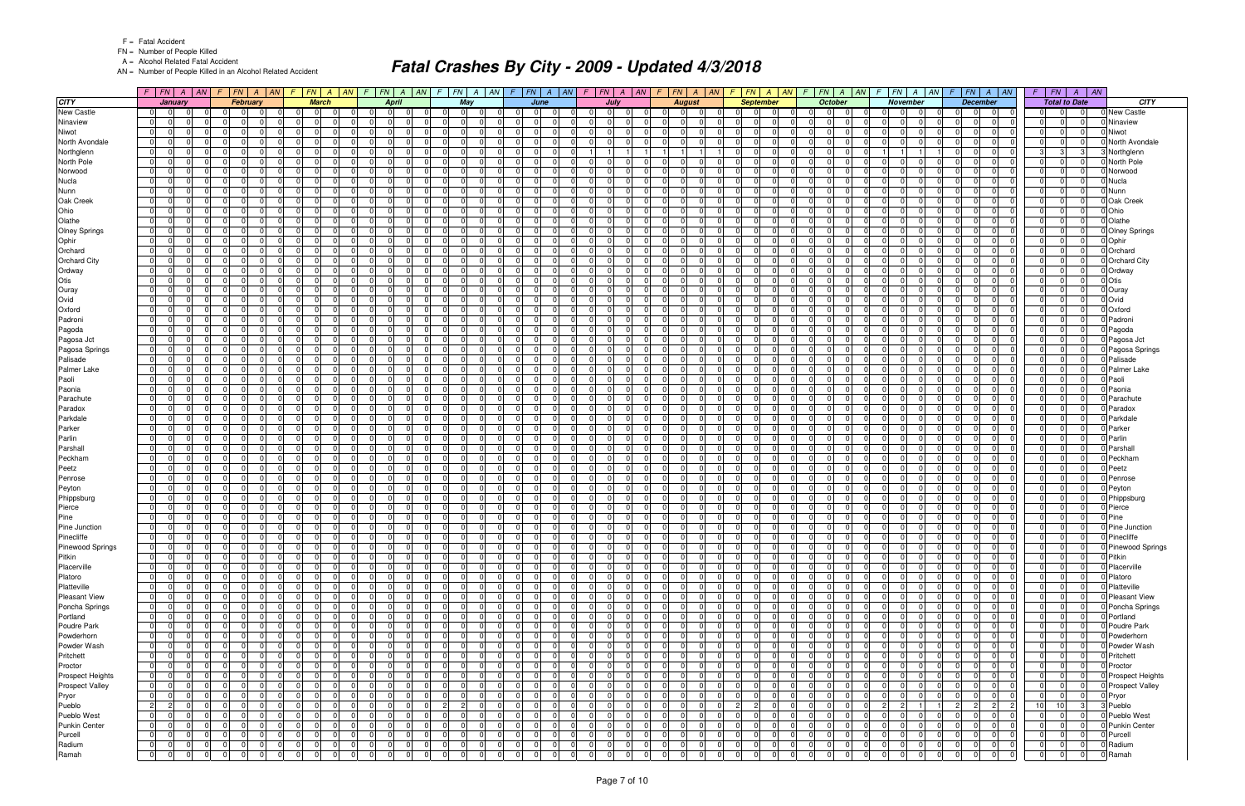FN = Number of People Killed

A = Alcohol Related Fatal Accident

AN = Number of People Killed in an Alcohol Related Accident

|                            |                                  | $F$ $ FN $ $A$ $ AN $                 | F |                      | FN A AN              |                      | $F$ $FN$ $A$ $AN$ $F$ |                      |                       |                | FN A AN              | $\mathcal{F}$        |                      |                      |                                  | $ FN A AN$ $F FN A AN$                           |                            | $F$ $ FN $ $A$ $ AN $                        | F.                                     |                                  | $ FN $ A $ AN $ F $ FN $ A $ AN$                |                      | $F$ $ FN $ $A$ $ AN $                                  |                            | $\mathcal{F}$                    | FN A AN                 | $F$ $FN$ $A$ $AN$                                                         |                            |                            | $F$ $FN$ $A$ $AN$    |                            |
|----------------------------|----------------------------------|---------------------------------------|---|----------------------|----------------------|----------------------|-----------------------|----------------------|-----------------------|----------------|----------------------|----------------------|----------------------|----------------------|----------------------------------|--------------------------------------------------|----------------------------|----------------------------------------------|----------------------------------------|----------------------------------|-------------------------------------------------|----------------------|--------------------------------------------------------|----------------------------|----------------------------------|-------------------------|---------------------------------------------------------------------------|----------------------------|----------------------------|----------------------|----------------------------|
| <b>CITY</b>                |                                  | January                               |   | <b>February</b>      |                      |                      | <b>March</b>          |                      |                       | <b>April</b>   |                      |                      | May                  |                      |                                  | June                                             |                            | July                                         |                                        | <b>August</b>                    | <b>September</b>                                |                      | October                                                |                            | <b>November</b>                  |                         | <b>December</b>                                                           |                            | <b>Total to Date</b>       |                      | <b>CITY</b>                |
| <b>New Castle</b>          | 0 I                              | $\Omega$                              |   | $\Omega$             |                      | $\Omega$             | $\Omega$              |                      |                       | $\Omega$       | $\Omega$             |                      | $\overline{0}$       | n                    | $\Omega$                         | $\Omega$<br>$\Omega$                             | $\Omega$                   | $\overline{0}$                               | $\Omega$                               |                                  |                                                 | $\Omega$             | - 01<br>-01                                            |                            |                                  | $\Omega$                | $\Omega$<br>$\Omega$                                                      | $\Omega$                   |                            |                      | New Castle                 |
| Ninaview                   | $\overline{0}$                   | <sup>0</sup>                          |   | $\mathbf 0$          |                      | 0                    | $\Omega$              |                      | $\Omega$              |                | $\Omega$             |                      | $\Omega$             |                      | 0                                | $\Omega$<br>0                                    | $\Omega$                   | $\overline{0}$<br>$\Omega$                   | $\Omega$<br>- 0                        |                                  | 0<br>$\Omega$                                   | 0                    | $\overline{0}$<br>$\overline{0}$                       | <sup>n</sup>               | $\overline{0}$                   | $\Omega$                | 0 I<br>$\Omega$<br> 0                                                     | $\Omega$                   | $\overline{0}$             | $\Omega$             | Ninaview                   |
| Niwot                      | $\overline{0}$                   | <sup>0</sup>                          |   | - 0 I                | $\Omega$             | - 0 I                | $\Omega$              |                      | $\overline{0}$        |                | $\Omega$             |                      | -01                  | $\Omega$             | $\Omega$                         | $\Omega$<br>$\Omega$                             | $\overline{0}$             | $\Omega$<br>$\Omega$                         | $\overline{0}$<br>$\Omega$             | $\Omega$                         | $\Omega$<br>$\Omega$                            | -01                  | 0 I<br>$\overline{0}$                                  | $\Omega$                   | $\Omega$                         | $\mathbf 0$             | $\Omega$<br>$\Omega$<br>$\Omega$                                          | 0 I                        | $\Omega$                   | $\Omega$             | Niwot                      |
| North Avondale             | $\overline{0}$                   | <sup>0</sup>                          |   | $\Omega$             | n                    | $\overline{0}$       | $\Omega$              |                      | $\Omega$              |                | $\Omega$             |                      | $\Omega$             | - 0                  | $\Omega$                         | $\Omega$<br>$\Omega$                             | $\Omega$                   | $\Omega$<br>$\Omega$                         | - 0 I<br>$\Omega$                      | $\Omega$                         | $\Omega$<br>$\Omega$                            | - 0                  | $\Omega$<br>$\Omega$                                   |                            | $\Omega$                         | $\Omega$                | $\Omega$<br>$\Omega$<br>$\Omega$                                          | $\Omega$                   | $\Omega$                   | $\Omega$             | Vorth Avondale             |
| Northglenn                 | $\overline{0}$                   | <sup>0</sup>                          |   | $\Omega$             |                      | $\Omega$             |                       |                      | $\Omega$              |                | $\Omega$             |                      | $\Omega$             | $\Omega$             | $\Omega$                         | $\Omega$<br>$\mathbf 0$                          |                            | 11                                           |                                        |                                  | $\Omega$<br>$\Omega$                            | $\Omega$             | 0 I<br>$\Omega$                                        |                            |                                  |                         | $\Omega$<br>$\Omega$<br>$\Omega$                                          | 3 <sup>1</sup>             | $\mathbf{3}$               | $3 \,$               | <b>Northglenn</b>          |
| North Pole                 | $\overline{0}$                   | $\Omega$                              |   | $\Omega$             |                      | $\Omega$             | U                     |                      | $\Omega$              |                | $\Omega$             |                      | $\Omega$             | $\Omega$             | $\Omega$                         | $\Omega$<br>U                                    | $\Omega$                   | n l<br>$\Omega$                              | $\Omega$                               |                                  | $\Omega$                                        | $\Omega$             | $\Omega$<br>$\Omega$                                   | $\Omega$                   | $\Omega$                         | $\Omega$                | $\Omega$<br>$\Omega$                                                      | $\Omega$                   | $\Omega$                   | $\Omega$             | North Pole                 |
| Norwood                    | 01                               | 0                                     |   | $\mathbf 0$          | $\Omega$             | 0                    | $\Omega$              |                      | 0 I                   |                | $\Omega$             |                      | $\overline{0}$       | $\Omega$             | $\Omega$                         | - 0 I<br>$\Omega$                                | 0 I                        | $\overline{0}$<br>$\Omega$                   | 01                                     | $\Omega$                         | $\Omega$<br>$\Omega$                            | $\overline{0}$       | 0 I<br>$\overline{0}$                                  |                            | $\overline{0}$                   | $\mathbf 0$             | $\Omega$<br>$\Omega$<br>$\Omega$                                          | 0 I                        | $\Omega$                   | $\overline{0}$       | Norwood                    |
| <b>Nucla</b>               | $\overline{0}$                   | 0                                     |   | $\Omega$             | n                    | $\Omega$             | <sup>n</sup>          |                      | $\Omega$              |                | $\Omega$             |                      | $\Omega$             | $\Omega$             | $\Omega$                         | $\Omega$<br><sup>n</sup>                         | $\Omega$                   | $\Omega$<br>$\Omega$                         | $\Omega$<br>$\Omega$                   |                                  | $\Omega$<br>$\Omega$                            | - 0                  | $\Omega$<br>$\Omega$                                   |                            | $\Omega$                         | $\Omega$                | $\Omega$<br>$\Omega$                                                      | $\Omega$                   | $\Omega$                   | $\Omega$             | Nucla                      |
| Nunn                       | $\overline{0}$                   | 0<br>U                                |   | $\Omega$<br>$\Omega$ | $\Omega$             | - 0 I<br>$\Omega$    | $\Omega$              |                      | $\Omega$<br>$\Omega$  |                | $\Omega$<br>$\Omega$ |                      | $\Omega$<br>$\Omega$ | $\Omega$             | $\Omega$<br>$\Omega$             | $\Omega$<br>$\Omega$<br>$\Omega$<br><sup>0</sup> | 0 I<br>$\Omega$            | $\Omega$<br>$\Omega$<br>$\Omega$<br>$\Omega$ | $\overline{0}$<br>$\Omega$<br>$\Omega$ | $\Omega$                         | $\Omega$<br>$\Omega$<br>U                       | $\Omega$             | 0 I<br>- 01<br>$\Omega$<br>$\Omega$                    | $\Omega$                   | $\Omega$                         | $\mathbf 0$             | $\Omega$<br>$\Omega$<br>- 01<br>$\Omega$                                  | $\overline{0}$<br>$\Omega$ | $\Omega$<br>$\Omega$       | $\Omega$<br>$\Omega$ | Nunn                       |
| Oak Creek<br>Ohio          | $\Omega$<br>01                   | 0                                     |   | $\mathbf 0$          | $\Omega$             | $\Omega$             | $\Omega$              |                      | $\overline{0}$        |                | $\Omega$             |                      | $\overline{0}$       | $\Omega$             | $\Omega$                         | $\Omega$<br>$\Omega$                             | 0 I                        | $\overline{0}$<br>$\Omega$                   | $\overline{0}$<br>$\Omega$             | $\Omega$                         | $\Omega$<br>$\Omega$                            | $\Omega$             | 0 I<br>$\overline{0}$                                  | $\Omega$                   | $\Omega$<br>$\Omega$             | $\Omega$<br>$\mathbf 0$ | $\Omega$<br>$\Omega$<br>$\Omega$<br>$\Omega$                              | 0 I                        | $\Omega$                   | $\Omega$             | Oak Creek<br>Ohio          |
| Olathe                     | $\overline{0}$                   | <sup>0</sup>                          |   | $\Omega$             | n                    | $\overline{0}$       | $\Omega$              |                      | $\Omega$              |                | $\Omega$             |                      | $\Omega$             | $\Omega$             | $\Omega$                         | $\Omega$<br>$\Omega$                             | $\Omega$                   | $\Omega$<br>$\Omega$                         | $\Omega$<br>$\cap$                     | $\Omega$                         | $\Omega$<br>$\Omega$                            | $\Omega$             | $\Omega$<br>$\Omega$                                   |                            | $\Omega$                         | $\Omega$                | $\Omega$<br>$\Omega$<br>$\Omega$                                          | $\Omega$                   | $\Omega$                   | $\Omega$             | Olathe                     |
| Olney Springs              | 01                               | <sup>0</sup>                          |   | $\Omega$             |                      | $\Omega$             | <sup>n</sup>          |                      | $\Omega$              |                | $\Omega$             |                      | $\Omega$             | $\Omega$             | $\Omega$                         | 0<br>$\overline{0}$                              | 0I                         | $\Omega$                                     | $\Omega$                               |                                  | n<br>$\Omega$                                   | - 0                  | $\overline{0}$<br>$\Omega$                             |                            | $\Omega$                         | $\Omega$                | $\Omega$<br>$\Omega$<br>$\Omega$                                          | $\Omega$                   | $\Omega$                   | $\Omega$             | <b>Olney Springs</b>       |
| Ophir                      | $\overline{0}$                   | $\Omega$                              |   | n l                  |                      | $\Omega$             | <sup>0</sup>          |                      | $\Omega$              |                | $\Omega$             |                      | $\Omega$             | $\Omega$             | $\Omega$                         | $\Omega$<br><sup>0</sup>                         | $\Omega$                   | nl                                           | $\Omega$                               |                                  | $\Omega$                                        |                      | $\Omega$<br>$\Omega$                                   |                            | $\Omega$                         | $\Omega$                | $\Omega$<br>$\Omega$<br>$\Omega$                                          | $\overline{0}$             | $\Omega$                   | $\Omega$             | Ophir                      |
| Orchard                    | $\overline{0}$                   | 0                                     |   | $\Omega$             |                      | $\mathbf 0$          | 0                     |                      | $\Omega$              |                | $\Omega$             |                      | $\Omega$             | $\Omega$             | $\Omega$                         | $\Omega$<br>$\Omega$                             | $\Omega$                   | $\Omega$<br>$\Omega$                         | $\Omega$                               | $\Omega$                         | $\Omega$                                        | $\Omega$             | $\Omega$<br>$\Omega$                                   |                            | $\overline{0}$                   | $\Omega$                | $\Omega$<br>0                                                             | $\Omega$                   | 0                          | $\Omega$             | Orchard                    |
| <b>Orchard City</b>        | $\overline{0}$                   | $\Omega$<br>$\Omega$                  |   | - 0 l                | $\Omega$             | $\overline{0}$       | $\Omega$              |                      | $\Omega$              |                | $\Omega$             |                      | -01                  | $\Omega$             | $\Omega$                         | $\Omega$<br>$\Omega$                             | $\Omega$                   | $\Omega$<br>$\Omega$                         | $\overline{0}$                         | $\Omega$<br>$\Omega$             | $\Omega$<br>$\Omega$                            | $\Omega$             | 0 I<br>-01                                             |                            | $\Omega$                         | $\mathbf 0$             | $\Omega$<br> 0 <br>$\Omega$                                               | $\Omega$                   | $\Omega$                   | $\Omega$             | <b>Orchard City</b>        |
| Ordway                     | $\overline{0}$                   | 0                                     |   | $\Omega$             | - 0                  | $\Omega$             | $\Omega$              |                      | $\Omega$              | $\Omega$       | $\Omega$             |                      | $\Omega$             | $\Omega$             | $\Omega$                         | $\Omega$<br>$\mathbf 0$                          | 0 I                        | $\Omega$<br>$\Omega$                         | $\overline{0}$<br>$\Omega$             | $\Omega$                         | $\Omega$<br>$\Omega$                            | - 0                  | $\overline{0}$<br>$\Omega$                             | $\Omega$                   | $\Omega$                         | $\mathbf 0$             | $\Omega$<br>$\Omega$<br>- 01                                              | 0 I                        | $\Omega$                   | 0                    | Ordway                     |
| Otis                       | 01                               | $\Omega$                              |   | $\Omega$             | $\Omega$             | 0                    | ΩI                    |                      | $\Omega$              |                | $\Omega$             |                      | $\Omega$             | $\Omega$             | $\Omega$                         | $\Omega$<br>$\Omega$                             | $\Omega$                   | $\Omega$<br>$\Omega$                         | $\Omega$<br>$\Omega$                   | $\Omega$                         | $\Omega$<br>$\Omega$                            | $\Omega$             | 0 I<br>$\Omega$                                        | $\Omega$                   | $\Omega$                         | $\Omega$                | $\Omega$<br>$\Omega$<br>$\Omega$                                          | $\overline{0}$             | $\Omega$                   | $\overline{0}$       | Otis                       |
| Ouray                      | $\Omega$                         | U                                     |   | $\Omega$             |                      | $\Omega$             |                       |                      | $\Omega$              |                | $\Omega$             |                      | $\Omega$             | $\Omega$             | $\Omega$                         | $\Omega$<br>n                                    | $\Omega$                   | $\Omega$<br>$\Omega$                         | $\Omega$                               |                                  | $\Omega$                                        | $\Omega$             | $\Omega$<br>$\Omega$                                   |                            | $\Omega$                         | $\Omega$                | 0<br>$\Omega$                                                             | $\Omega$                   |                            | $\Omega$             | Ouray                      |
| Ovid                       | $\overline{0}$                   | $\Omega$                              |   | - 0 l                | $\Omega$             | - 0 l                | $\Omega$              |                      | $\overline{0}$        |                | $\Omega$             |                      | -01                  | $\Omega$             | $\Omega$                         | $\Omega$<br>- 0 I                                | $\overline{0}$             | $\Omega$<br>$\Omega$                         | $\overline{0}$<br>$\Omega$             | . OI                             | $\Omega$<br>$\Omega$                            | $\Omega$             | 0 I<br>$\overline{0}$                                  | $\Omega$                   | $\overline{0}$                   | $\mathbf 0$             | 0 <br>$\overline{0}$<br>$\Omega$                                          | 0 I                        | $\Omega$                   | $\overline{0}$       | Ovid                       |
| Oxford                     | 01                               | 0                                     |   | $\Omega$             |                      | $\Omega$             |                       |                      | $\Omega$              |                | $\Omega$             |                      | $\Omega$             | $\Omega$             | $\Omega$                         | $\Omega$<br>n                                    | $\Omega$                   | $\Omega$                                     | $\Omega$<br>$\Omega$                   | $\Omega$                         | $\Omega$<br>$\Omega$                            | - 0                  | $\Omega$<br>- 0                                        |                            | $\Omega$                         | $\Omega$                | $\Omega$<br>$\Omega$<br>$\Omega$                                          | $\Omega$                   | $\Omega$                   | $\Omega$             | Oxford                     |
| Padroni                    | $\overline{0}$                   | $\Omega$                              |   | $\Omega$             | $\Omega$             | 0                    | $\Omega$              | $\cap$               | $\Omega$              | $\Omega$       | $\Omega$             |                      | $\Omega$             | $\Omega$             | $\Omega$                         | $\Omega$<br>$\Omega$                             | $\overline{0}$             | $\Omega$<br>$\Omega$                         | $\overline{0}$<br>$\Omega$             | $\Omega$                         | $\Omega$<br>$\Omega$                            | $\Omega$             | $\Omega$<br>$\Omega$                                   | $\Omega$                   | $\Omega$                         | - 0 I                   | $\Omega$<br>$\Omega$<br>$\Omega$                                          | $\overline{0}$             | $\Omega$                   | n l                  | Padroni                    |
| Pagoda                     | $\overline{0}$                   | 0                                     |   | $\Omega$             |                      | $\mathbf 0$          | 0                     |                      | $\Omega$              |                | $\Omega$             |                      | $\Omega$             | $\Omega$             | $\Omega$                         | $\Omega$<br>0                                    | $\Omega$                   | $\Omega$<br>$\Omega$                         | $\Omega$                               | n                                | $\Omega$                                        | $\Omega$             | $\Omega$<br>$\Omega$                                   |                            | $\overline{0}$                   | $\Omega$                | $\Omega$<br>$\Omega$                                                      | $\Omega$                   | 0                          | $\Omega$             | Pagoda                     |
| Pagosa Jct                 | $\overline{0}$                   | $\Omega$<br>$\Omega$                  |   | - 0 I                | $\Omega$             | $\overline{0}$       | $\Omega$              |                      | $\Omega$              |                | $\Omega$             |                      | $\Omega$             | $\Omega$             | $\Omega$                         | $\Omega$<br>$\Omega$                             | $\Omega$                   | $\Omega$<br>$\Omega$                         | $\Omega$<br>$\Omega$                   | $\Omega$                         | $\Omega$<br>$\Omega$                            | $\Omega$             | $\Omega$<br>$\overline{0}$                             | $\Omega$                   | $\Omega$                         | $\mathbf 0$             | $\Omega$<br>$\Omega$<br>$\Omega$                                          | $\Omega$                   | $\Omega$                   | $\Omega$             | Pagosa Jct                 |
| Pagosa Springs             | $\overline{0}$                   | <sup>0</sup>                          |   | $\Omega$             | n                    | $\Omega$             | <sup>n</sup>          |                      | $\Omega$              |                | $\Omega$             |                      | $\Omega$             | $\Omega$             | $\Omega$                         | $\Omega$<br>$\Omega$                             | 0 I                        | $\Omega$<br>$\Omega$                         | $\overline{0}$<br>$\Omega$             | $\Omega$                         | $\Omega$<br>$\Omega$                            | $\Omega$             | $\overline{0}$<br>$\Omega$                             | $\Omega$                   | $\Omega$                         | $\Omega$                | $\Omega$<br>$\Omega$<br>- 01                                              | $\Omega$                   | $\Omega$                   | $\Omega$             | Pagosa Springs             |
| Palisade                   | $\overline{0}$                   | <sup>0</sup><br>$\Omega$              |   | $\Omega$             |                      | $\Omega$             | <sup>n</sup>          |                      | $\Omega$              |                | $\Omega$             |                      | $\Omega$             | n                    | $\Omega$                         | $\Omega$<br>0                                    | $\Omega$                   | $\Omega$                                     | $\Omega$<br>$\Omega$                   | n                                | $\Omega$<br>$\Omega$                            | $\Omega$             | 0 I<br>$\Omega$                                        |                            | $\Omega$                         | $\Omega$                | $\Omega$<br>$\Omega$<br>$\Omega$                                          | 0 I                        | $\Omega$                   | $\Omega$             | Palisade                   |
| Palmer Lake                | $\overline{0}$                   |                                       |   | $\Omega$             |                      | $\Omega$             | <sup>n</sup>          |                      | $\Omega$              |                | $\Omega$             |                      | $\Omega$             |                      |                                  | $\Omega$<br>n                                    | $\Omega$                   | $\Omega$                                     | $\Omega$                               |                                  | $\Omega$                                        |                      | $\Omega$<br>$\Omega$                                   |                            | $\Omega$                         | $\Omega$                | 0<br>$\Omega$                                                             | $\Omega$                   | $\Omega$                   |                      | Palmer Lake                |
| Paoli                      | 01                               | 0                                     |   | $\Omega$             |                      | $\Omega$             | 0                     |                      | $\Omega$              |                | $\Omega$             |                      | $\Omega$             | $\Omega$             | $\Omega$                         | $\Omega$<br>$\Omega$                             | 0 I                        | $\Omega$<br>$\Omega$                         | $\Omega$                               | $\Omega$                         | $\Omega$<br>$\Omega$                            | $\Omega$             | 0 I<br>$\overline{0}$                                  |                            | $\Omega$                         | $\Omega$                | $\Omega$<br>$\Omega$                                                      | $\Omega$                   | $\Omega$                   | $\Omega$             | Paoli                      |
| Paonia                     | 01                               | <sup>0</sup>                          |   | $\Omega$             |                      | $\Omega$             | ΩI                    |                      | $\Omega$              |                | $\Omega$             |                      | $\Omega$             | $\Omega$             | $\Omega$                         | $\Omega$<br><sup>n</sup>                         | $\Omega$                   | $\Omega$                                     | $\Omega$                               |                                  | $\Omega$<br>$\Omega$                            | $\Omega$             | $\Omega$<br>$\Omega$                                   |                            | $\Omega$                         | $\Omega$                | $\Omega$<br>$\Omega$<br>$\Omega$                                          | $\Omega$                   | $\Omega$                   | $\Omega$             | Paonia                     |
| Parachute                  | $\overline{0}$                   | <sup>0</sup>                          |   | $\Omega$             | $\Omega$             | $\Omega$             | $\Omega$              |                      | $\Omega$              |                | $\Omega$             |                      | $\Omega$             | $\Omega$             | $\Omega$                         | $\Omega$<br>$\Omega$                             | 0 I                        | $\Omega$<br>$\Omega$                         | $\overline{0}$<br>$\Omega$             | $\Omega$                         | $\Omega$<br>$\Omega$                            | $\Omega$             | 0 I<br>- 01                                            | $\Omega$                   | $\Omega$                         | $\mathbf 0$             | $\Omega$<br>$\Omega$<br>- 01                                              | $\overline{0}$             | $\Omega$                   | $\Omega$             | Parachute                  |
| Paradox                    | $\overline{0}$                   | $\Omega$                              |   | $\Omega$             |                      | $\mathbf 0$          | $\Omega$              |                      | $\Omega$              |                | $\Omega$             |                      | $\Omega$             | $\Omega$             | $\Omega$                         | - 0 I<br>$\Omega$                                | $\Omega$                   | $\Omega$<br>$\Omega$                         | $\Omega$                               |                                  | $\Omega$<br>$\Omega$                            | $\Omega$             | 0 <br>$\Omega$                                         |                            | $\overline{0}$                   | $\Omega$                | $\Omega$<br>0                                                             | $\Omega$                   | $\Omega$                   | $\Omega$             | Paradox                    |
| Parkdale                   | $\overline{0}$                   | <sup>0</sup><br>0                     |   | $\Omega$<br>$\Omega$ | n                    | $\Omega$<br>- 0      | $\Omega$              |                      | $\Omega$              |                | $\Omega$<br>$\Omega$ |                      | $\Omega$<br>$\Omega$ | $\Omega$             | $\Omega$<br>$\Omega$             | $\Omega$<br>U<br>$\Omega$<br>$\Omega$            | $\overline{0}$             | $\Omega$<br>$\Omega$<br>$\Omega$<br>$\Omega$ | $\Omega$                               | $\Omega$                         | $\Omega$<br>$\Omega$                            |                      | 0 <br>-01<br>$\Omega$                                  | $\Omega$                   | $\Omega$                         | $\Omega$                | $\Omega$<br>$\Omega$                                                      | $\Omega$                   |                            | $\Omega$<br>$\Omega$ | Parkdale                   |
| Parker<br>Parlin           | $\overline{0}$<br>01             | <sup>0</sup>                          |   | $\Omega$             |                      | $\Omega$             |                       |                      | $\Omega$<br>$\Omega$  |                | $\Omega$             |                      | $\Omega$             | $\Omega$<br>$\Omega$ | $\Omega$                         | U<br>$\Omega$                                    | $\Omega$<br>$\Omega$       | $\Omega$                                     | - 0 l<br>$\Omega$                      | $\Omega$<br>$\Omega$             | $\Omega$<br>$\Omega$<br>$\Omega$                | - 0<br>$\Omega$      | $\overline{0}$<br> 0 <br>$\Omega$                      |                            | $\Omega$<br>$\Omega$             | $\Omega$<br>$\Omega$    | $\Omega$<br>$\Omega$<br>$\Omega$<br>$\Omega$<br>$\Omega$                  | 0 I<br>$\Omega$            | $\Omega$<br>$\Omega$       | $\Omega$             | Parker<br>Parlin           |
| Parshall                   | $\overline{0}$                   | $\Omega$                              |   | $\Omega$             |                      | $\Omega$             | ΩI                    |                      | $\Omega$              |                | $\Omega$             |                      | $\Omega$             | $\Omega$             | $\Omega$                         | $\Omega$<br>$\Omega$                             | $\Omega$                   | $\Omega$<br>$\Omega$                         | $\Omega$                               |                                  | $\Omega$                                        | $\Omega$             | $\Omega$<br>$\Omega$                                   | $\Omega$                   | $\Omega$                         | $\Omega$                | $\Omega$<br>$\Omega$                                                      | $\Omega$                   | $\Omega$                   | $\Omega$             | Parshall                   |
| Peckham                    | 01                               | 0                                     |   | $\Omega$             |                      | $\Omega$             | 0                     |                      | $\Omega$              |                | $\Omega$             |                      | $\Omega$             | $\Omega$             | $\Omega$                         | $\Omega$<br>$\Omega$                             | $\Omega$                   | $\Omega$                                     | $\Omega$                               | $\Omega$                         | $\Omega$                                        | $\Omega$             | $\overline{0}$<br>$\overline{0}$                       |                            | $\Omega$                         | $\Omega$                | $\Omega$<br>$\Omega$                                                      | $\Omega$                   | 0                          | $\Omega$             | Peckhan                    |
| Peetz                      | 01                               | <sup>0</sup>                          |   | $\Omega$             | n                    | $\Omega$             | $\Omega$              |                      | $\Omega$              |                | $\Omega$             |                      | $\Omega$             | $\Omega$             | $\Omega$                         | $\Omega$<br>0                                    | $\Omega$                   | $\Omega$<br>$\Omega$                         | $\Omega$<br>$\cap$                     |                                  | $\Omega$<br>$\Omega$                            | - 0                  | $\Omega$<br>$\Omega$                                   |                            | $\Omega$                         | $\Omega$                | $\Omega$<br>$\Omega$                                                      | $\Omega$                   | $\Omega$                   | $\Omega$             | Peetz                      |
| Penrose                    | $\overline{0}$                   | 0                                     |   | $\Omega$             | $\Omega$             | - 0 l                | $\Omega$              |                      | $\Omega$              |                | $\Omega$             |                      | $\Omega$             | $\Omega$             | $\Omega$                         | $\Omega$<br>$\mathbf 0$                          | 0 I                        | $\Omega$<br>$\Omega$                         | $\overline{0}$<br>- 0                  | $\Omega$                         | $\Omega$<br>$\Omega$                            | $\overline{0}$       | 0 I<br>$\Omega$                                        | $\Omega$                   | $\Omega$                         | $\mathbf 0$             | $\Omega$<br>$\Omega$<br>- 01                                              | 0 I                        | $\Omega$                   | $\Omega$             | Penrose                    |
| Peyton                     | $\overline{0}$                   | 0                                     |   | $\Omega$             |                      | $\Omega$             | <sup>n</sup>          |                      | $\Omega$              |                | $\Omega$             |                      | $\Omega$             | n                    | $\Omega$                         | $\Omega$<br><sup>n</sup>                         | $\Omega$                   | $\Omega$<br>$\Omega$                         | $\Omega$                               |                                  | 0                                               | $\Omega$             | $\Omega$<br>$\Omega$                                   |                            | $\Omega$                         | $\Omega$                | $\Omega$<br>$\Omega$                                                      | $\Omega$                   | $\Omega$                   | $\Omega$             | Peyton                     |
| Phippsburg                 | $\overline{0}$                   | <sup>0</sup>                          |   | $\mathbf 0$          | n                    | $\Omega$             | $\Omega$              |                      | $\Omega$              |                | $\Omega$             |                      | $\Omega$             | $\Omega$             | $\Omega$                         | $\Omega$<br>0                                    | 0 I                        | $\Omega$<br>$\Omega$                         | $\overline{0}$                         | $\Omega$                         | $\Omega$<br>$\Omega$                            | $\Omega$             | $\overline{0}$<br>$\overline{0}$                       | $\Omega$                   | $\Omega$                         | $\Omega$                | $\Omega$<br>$\Omega$<br>$\Omega$                                          | $\Omega$                   | $\Omega$                   | $\Omega$             | Phippsburg                 |
| Pierce                     | $\overline{0}$                   | 0                                     |   | n l                  | n                    | - 0 I                | $\Omega$              |                      | $\Omega$              |                | $\Omega$             |                      | $\Omega$             | $\Omega$             | $\Omega$                         | - 0 I<br>$\Omega$                                | 0 I                        | $\Omega$<br>$\Omega$                         | $\overline{0}$                         | $\Omega$                         | $\Omega$<br>$\Omega$                            | $\Omega$             | 0 I<br>-01                                             |                            | $\Omega$                         | $\mathbf 0$             | $\Omega$<br>$\Omega$<br>$\Omega$                                          | 0 I                        | $\Omega$                   | $\Omega$             | Pierce                     |
| Pine                       | 01                               | 0                                     |   | $\mathbf 0$          | - 0                  | $\Omega$             | $\Omega$              |                      | $\Omega$              |                | $\Omega$             |                      | $\Omega$             | - 0                  | $\Omega$                         | $\mathbf 0$<br>0                                 | $\Omega$                   | $\Omega$<br><sup>n</sup>                     | 01<br>$\Omega$                         | $\Omega$                         | $\Omega$<br>$\Omega$                            | $\overline{0}$       | $\overline{0}$<br>$\Omega$                             | $\Omega$                   | $\Omega$                         | $\Omega$                | $\Omega$<br>$\Omega$<br>$\Omega$                                          | $\Omega$                   | $\Omega$                   | $\Omega$             | Pine                       |
| Pine Junction              | 0                                | $\Omega$                              |   | - 0 I                | - 0                  | 0                    | $\Omega$              |                      | $\Omega$              | $\cap$         | $\Omega$             |                      | $\Omega$             | $\Omega$             | $\Omega$                         | - 0 I<br>$\Omega$                                | $\overline{0}$             | $\Omega$<br>$\Omega$                         | $\overline{0}$<br>$\Omega$             | $\Omega$                         | $\Omega$<br>$\Omega$                            | $\Omega$             | 0 I<br>$\Omega$                                        | $\Omega$                   | $\Omega$                         | $\mathbf 0$             | $\Omega$<br>$\Omega$<br>$\Omega$                                          | $\overline{0}$             | $\Omega$                   | $\Omega$             | Pine Junction              |
| Pinecliffe                 | $\overline{0}$                   | $\Omega$<br> 0                        |   | - 0 I                | $\Omega$             | 0                    | $\overline{0}$        |                      | 0 I                   |                | $\Omega$             | $\Omega$             | $\overline{0}$       | $\Omega$             | $\Omega$                         | $\Omega$<br>$\mathbf 0$                          | 0                          | $\Omega$<br>$\Omega$                         | $\overline{0}$                         | $\Omega$                         | $\Omega$<br>$\overline{0}$                      | $\Omega$             | $\overline{0}$<br>$\overline{0}$                       | 0                          | $\overline{0}$                   | $\Omega$                | $\Omega$<br>$\Omega$<br>$\Omega$                                          | 0 I                        | $\Omega$                   | $\Omega$             | Pinecliffe                 |
| <b>Pinewood Springs</b>    | $\overline{0}$                   | 0 <br> 0                              |   | 0                    | $\Omega$             | $\mathbf 0$          | $\Omega$              |                      | $\Omega$              |                | $\overline{0}$       |                      | $\overline{0}$       | $\Omega$             | $\mathbf 0$                      | $\overline{0}$<br> 0                             | $\Omega$                   | $\overline{0}$<br>$\mathbf 0$                | $\overline{0}$                         | $\Omega$<br>$\Omega$             | $\overline{0}$<br>0                             | 0                    | 0 <br>$\overline{0}$                                   | $\overline{0}$             | 01                               | 0 I                     | 0 <br>$\overline{0}$                                                      |                            | $\Omega$                   |                      | 0 Pinewood Springs         |
| Pitkin                     | 0                                | $\Omega$<br> 0                        |   | $\mathbf 0$          | $\Omega$             | 0                    | $\Omega$              | $\Omega$             | $\Omega$              | $\overline{0}$ | $\Omega$             | $\Omega$             | $\overline{0}$       | $\overline{0}$       | $\overline{0}$                   | 0 <br>$\overline{0}$                             | 0                          | $\overline{0}$<br>$\Omega$                   | 0                                      | - 01<br>- 0 I                    | $\overline{0}$<br>$\overline{0}$                | 0                    | $\overline{0}$<br> 0                                   | $\Omega$                   | $\overline{0}$<br>$\Omega$       | 0                       | $\overline{0}$<br> 0 <br>$\overline{0}$                                   | 0                          | $\mathbf 0$                | 0                    | Pitkin                     |
| Placerville                | 0                                | $\Omega$<br>$\Omega$                  |   | - 0 I                | $\Omega$             | 0                    | $\Omega$              |                      | $\overline{0}$        | $\Omega$       | $\Omega$             |                      | -01                  | $\Omega$             | $\mathbf{0}$                     | $\Omega$<br> 0                                   | $\overline{0}$             | $\overline{0}$<br>$\Omega$                   | $\overline{0}$                         | $\Omega$<br>$\Omega$             | $\Omega$<br>$\Omega$                            | 0                    | 0 <br>$\overline{0}$                                   | $\Omega$                   | $\overline{0}$                   | - 0 I                   | $\Omega$<br> 0 <br>$\overline{0}$                                         | $\overline{0}$             | $\mathbf 0$                | $\overline{0}$       | Placerville                |
| Platoro                    | $\overline{0}$                   | 0 I<br>0                              |   | 0                    | 0                    | 0                    | $\overline{0}$        | $\Omega$             | $\overline{0}$        | 0              | $\Omega$             | $\Omega$             | 0                    | $\overline{0}$       | $\overline{0}$                   | 0 <br>$\overline{0}$                             | 0                          | $\overline{0}$<br>$\overline{0}$             | 0                                      | - 01<br>0 I                      | 0<br>$\overline{0}$                             | 0                    | $\overline{0}$<br> 0                                   | $\Omega$                   | $\overline{0}$                   | 0                       | $\mathbf 0$<br>$\overline{0}$<br>$\mathbf 0$                              | 0                          | $\overline{0}$             | $\Omega$             | Platoro                    |
| Platteville                | 0                                | $\Omega$<br>$\Omega$                  |   | - 0 I                | $\Omega$             | $\overline{0}$       | $\overline{0}$        | $\Omega$             | $\overline{0}$        | $\Omega$       | -01                  | $\Omega$             | -01                  | $\Omega$             | $\overline{0}$                   | 0 <br>$\Omega$                                   | $\overline{0}$             | 0 <br>$\overline{0}$                         | $\overline{0}$                         | $\Omega$<br>- 0 I                | $\mathbf 0$<br>$\Omega$                         | 0                    | $\overline{0}$<br> 0                                   | $\Omega$                   | $\overline{0}$                   | $\mathbf 0$             | $\mathbf 0$<br>$\overline{0}$<br>$\overline{0}$                           | $\overline{0}$             | $\overline{0}$             | $\overline{0}$       | Platteville                |
| <b>Pleasant View</b>       | $\overline{0}$                   | 0<br>$\Omega$<br>$\Omega$<br>$\Omega$ |   | 0                    | $\Omega$<br>$\Omega$ | 0 <br>$\overline{0}$ | $\Omega$<br>$\Omega$  | $\Omega$<br>$\Omega$ | 0 I<br>$\overline{0}$ | 0<br>$\Omega$  | $\Omega$<br>-01      | $\Omega$<br>$\Omega$ | 0 <br>-01            | $\Omega$<br>$\Omega$ | $\overline{0}$<br>$\overline{0}$ | $\overline{0}$<br> 0 <br>$\Omega$                | 0 I                        | 01<br>$\Omega$<br>$\Omega$                   | $\overline{0}$                         | - 01<br>$\Omega$                 | $\overline{0}$<br>$\overline{0}$<br>$\mathbf 0$ | 0                    | $\overline{0}$<br> 0                                   | $\Omega$<br>$\Omega$       | $\overline{0}$<br>$\Omega$       | 0                       | $\overline{0}$<br> 0 <br>$\mathbf 0$                                      | $\overline{0}$             | $\overline{0}$<br>$\Omega$ | $\Omega$             | <b>Pleasant View</b>       |
| Poncha Springs<br>Portland | $\overline{0}$<br>$\overline{0}$ | 0                                     |   | 0 <br>$\Omega$       |                      | $\mathbf 0$          | 0                     |                      | $\Omega$              |                | $\Omega$             |                      | $\Omega$             | $\Omega$             | $\mathbf 0$                      | 0 <br> 0 <br>$\Omega$                            | $\overline{0}$<br>$\Omega$ | $\overline{0}$<br> 0 <br>$\Omega$            | 0 <br>$\overline{0}$                   | - 01<br>- 0 I<br>$\Omega$        | $\overline{0}$<br>$\mathbf 0$<br>0              | 0                    | $\overline{0}$<br> 0 <br>$\overline{0}$<br>$\mathbf 0$ |                            | $\overline{0}$<br>$\overline{0}$ | $\overline{0}$<br>0     | $\overline{0}$<br>$\overline{0}$<br>$\overline{0}$<br>$\overline{0}$<br>0 | $\overline{0}$<br>$\Omega$ | $\overline{0}$             | 0 <br>$\Omega$       | Poncha Springs<br>Portland |
| Poudre Park                | $\overline{0}$                   | $\Omega$<br>$\Omega$                  |   | 0                    | $\Omega$             | 0                    | $\Omega$              |                      | $\overline{0}$        | $\Omega$       | $\Omega$             | $\Omega$             | 0                    | $\Omega$             | $\overline{0}$                   | 0 <br>$\Omega$                                   | $\overline{0}$             | $\overline{0}$<br>$\overline{0}$             | 0                                      | - 01<br>- 0 I                    | $\mathbf 0$<br>$\overline{0}$                   | $\overline{0}$<br> 0 | $\overline{0}$<br>$\overline{0}$                       | $\Omega$                   | $\overline{0}$<br>- 0            | 0                       | $\Omega$<br>$\overline{0}$<br>$\overline{0}$                              | 0 I                        | $\Omega$                   | $\overline{0}$       | Poudre Park                |
| Powderhorn                 | 0                                | $\Omega$                              |   | - 0 l                | $\Omega$             | 0                    | $\Omega$              | $\Omega$             | $\overline{0}$        |                | $\Omega$             |                      | - Ol                 | $\Omega$             | $\overline{0}$                   | 0 <br>$\Omega$                                   | $\overline{0}$             | 0 <br>$\Omega$                               | 0 <br>$\Omega$                         | $\Omega$                         | $\mathbf 0$<br>$\overline{0}$                   | 0                    | 0 <br> 0                                               | $\Omega$                   | $\overline{0}$                   | 0                       | $\mathbf 0$<br> 0 <br>$\overline{0}$                                      | $\overline{0}$             | $\overline{0}$             | $\Omega$             | Powderhorn                 |
| Powder Wash                | $\overline{0}$                   | $\Omega$<br>$\Omega$                  |   | - 0 I                | $\Omega$             | 0                    | $\Omega$              | $\Omega$             | $\overline{0}$        | $\Omega$       | $\Omega$             | $\Omega$             | -01                  | $\Omega$             | $\overline{0}$                   | 0 <br>$\overline{0}$                             | 0 I                        | $\overline{0}$<br>$\Omega$                   | 0                                      | - 01<br>- 0 I                    | $\mathbf 0$<br>$\overline{0}$                   | 0                    | $\overline{0}$<br> 0                                   | $\Omega$                   | $\overline{0}$                   | 0                       | $\overline{0}$<br> 0 <br>$\mathbf 0$                                      | $\overline{0}$             | $\overline{0}$             | 0                    | Powder Wash                |
| Pritchett                  | $\overline{0}$                   | $\Omega$                              |   | - 0 I                | $\Omega$             | 0                    | $\Omega$              |                      | $\overline{0}$        |                | $\Omega$             |                      | - Ol                 | $\Omega$             | $\mathbf 0$                      | 0 <br>$\Omega$                                   | $\overline{0}$             | $\overline{0}$<br>$\Omega$                   | 0 <br>$\Omega$                         | $\Omega$                         | $\mathbf 0$<br>$\overline{0}$                   | -01                  | 0 <br>$\mathbf{0}$                                     | $\Omega$                   | $\overline{0}$                   | 0                       | $\Omega$<br>$\overline{0}$<br>$\overline{0}$                              | $\overline{0}$             | $\Omega$                   | $\Omega$             | Pritchett                  |
| Proctor                    | 0                                | $\Omega$<br>$\Omega$                  |   | 0                    | $\mathbf 0$          | 0                    | $\mathbf 0$           |                      | 0                     | $\Omega$       | $\overline{0}$       | $\Omega$             | 0                    | $\overline{0}$       | $\overline{0}$                   | 0 <br>$\overline{0}$                             | 0                          | 0 <br>$\overline{0}$                         | $\overline{0}$<br>$\Omega$             | -01                              | 0<br>$\overline{0}$                             | 0                    | $\overline{0}$<br> 0                                   | $\Omega$                   | $\overline{0}$                   | 0                       | 0 <br>0<br>$\mathbf 0$                                                    | 0                          | $\overline{0}$             | $\overline{0}$       | Proctor                    |
| Prospect Heights           | $\overline{0}$                   | $\Omega$<br>0                         |   | - 0 I                | $\Omega$             | 0                    | $\Omega$              | $\Omega$             | $\overline{0}$        |                | $\Omega$             |                      | -01                  | $\Omega$             | $\Omega$                         | 0 <br>$\Omega$                                   | $\Omega$                   | 0 <br>$\Omega$                               | $\overline{0}$<br>$\Omega$             | $\Omega$                         | $\mathbf 0$<br>$\Omega$                         | 0                    | 0 <br> 0                                               | $\Omega$                   | $\overline{0}$                   | - 0 I                   | $\Omega$<br> 0 <br>$\overline{0}$                                         | $\overline{0}$             | $\Omega$                   | $\Omega$             | <b>Prospect Heights</b>    |
| <b>Prospect Valley</b>     | $\overline{0}$                   | $\Omega$<br>$\Omega$                  |   | $\mathbf 0$          | $\Omega$             | 0                    | $\Omega$              | $\Omega$             | $\overline{0}$        | $\Omega$       | $\Omega$             | $\Omega$             | -01                  | $\Omega$             | $\overline{0}$                   | 0 <br>$\Omega$                                   | 0 I                        | 0 <br>$\Omega$                               | 0                                      | $\Omega$<br>- 0 I                | $\mathbf 0$<br>$\overline{0}$                   | 0                    | $\overline{0}$<br>$\overline{0}$                       | $\Omega$                   | $\overline{0}$<br>$\Omega$       | 0                       | $\Omega$<br> 0 <br>$\overline{0}$                                         | $\overline{0}$             | $\Omega$                   | $\overline{0}$       | <b>Prospect Valley</b>     |
| Pryor                      | $\overline{0}$                   | $\Omega$                              |   | $\Omega$             |                      | $\mathbf 0$          | $\Omega$              |                      | $\Omega$              |                | $\Omega$             |                      | - Ol                 | $\Omega$             | $\mathbf 0$                      | 0 <br>$\Omega$                                   | $\Omega$                   | 0 <br>$\Omega$                               | $\overline{0}$                         | $\Omega$                         | $\mathbf 0$<br>$\overline{0}$                   | $\overline{0}$       | 0 <br>$\overline{0}$                                   |                            | $\overline{0}$                   | $\Omega$                | $\overline{0}$<br>$\mathbf{0}$                                            | $\overline{0}$             | $\overline{0}$             | $\overline{0}$       | Pryor                      |
| Pueblo                     | $\vert$ 2                        | $\overline{2}$<br> 0                  |   | 0                    | $\Omega$             | 0                    | $\Omega$              |                      | $\overline{0}$        | $\Omega$       | 0                    | $\overline{2}$       | $\vert$ 2            | $\overline{0}$       | $\overline{0}$                   | 0 <br> 0                                         | $\overline{0}$             | $\overline{0}$<br>$\overline{0}$             | 0                                      | - 01<br>- 0 I                    | $\overline{2}$<br>$\vert$ 2                     | 0                    | 0 <br>$\overline{0}$                                   | $\Omega$                   | $\overline{2}$<br>$\overline{2}$ |                         | $\overline{c}$<br>$\overline{2}$<br>$\vert$ 2                             | 10                         | 10                         | 3                    | Pueblo                     |
| Pueblo West                | 0                                | $\Omega$                              |   | - 0 I                | $\Omega$             | 0                    | $\Omega$              |                      | $\overline{0}$        | $\Omega$       | $\Omega$             | $\Omega$             | - Ol                 | $\overline{0}$       | $\mathbf{0}$                     | 0 <br>$\Omega$                                   | $\overline{0}$             | 0 <br>$\Omega$                               | 0 <br>$\Omega$                         | $\Omega$                         | $\mathbf 0$<br>$\overline{0}$                   | 0                    | $\overline{0}$<br> 0                                   | $\Omega$                   | $\overline{0}$<br>$\Omega$       | 0                       | $\overline{0}$<br>$\mathbf 0$<br>$\mathbf{0}$                             | $\overline{0}$             | $\overline{0}$             | $\Omega$             | Pueblo West                |
| <b>Punkin Center</b>       | $\overline{0}$                   | $\Omega$                              |   | $\mathbf 0$          | - 0                  | 0                    | $\Omega$              |                      | $\Omega$              |                | $\Omega$             |                      | $\overline{0}$       | - 0                  | $\Omega$                         | 0 <br>$\Omega$                                   | $\Omega$                   | 0 I<br>$\Omega$                              | $\Omega$<br>$\Omega$                   | $\Omega$                         | $\Omega$<br>$\Omega$                            | 0                    | 0 <br>$\overline{0}$                                   | $\Omega$                   | $\Omega$                         | $\mathbf 0$             | 0<br>$\overline{0}$<br>$\mathbf 0$                                        | $\overline{0}$             | $\overline{0}$             | $\Omega$             | Punkin Center              |
| Purcell                    | 0                                | $\Omega$<br>$\Omega$                  |   | 0                    | $\Omega$             | 0                    | $\Omega$              | $\Omega$             | $\overline{0}$        | $\Omega$       | $\Omega$             | $\Omega$             | -01                  | $\Omega$             | $\overline{0}$                   | 0 <br> 0                                         | $\overline{0}$             | $\overline{0}$<br>$\Omega$                   | 0                                      | $\Omega$<br>$\Omega$             | $\mathbf 0$<br>$\overline{0}$                   | 0                    | $\overline{0}$<br> 0                                   | $\Omega$                   | $\overline{0}$<br>$\Omega$       | 0                       | $\mathbf 0$<br> 0 <br>$\overline{0}$                                      | $\overline{0}$             | $\overline{0}$             | $\Omega$             | Purcell                    |
| Radium                     | 0                                | $\overline{0}$                        |   | 0                    | 0                    | 0                    | $\overline{0}$        |                      | 0                     | $\overline{0}$ | $\overline{0}$       | $\overline{0}$       | 0                    | $\overline{0}$       | $\mathbf 0$                      | $\overline{0}$<br> 0                             | 0                          | $\mathbf 0$<br>01                            | 0 <br>$\Omega$                         | 0 I                              | $\mathbf 0$<br>$\overline{0}$                   | 0                    | $\overline{0}$<br>$\overline{0}$                       | $\Omega$                   | $\overline{0}$                   | 0                       | $\mathbf 0$<br> 0 <br>0                                                   | $\overline{0}$             | $\overline{0}$             | $\overline{0}$       | Radium                     |
| Ramah                      | 0                                | $\overline{0}$<br>$\overline{0}$      |   | 0 <br>$\Omega$       | $\overline{0}$       | $\overline{0}$       | $\overline{0}$        | $\Omega$<br>- 0      | $\overline{0}$        | $\overline{0}$ | $\overline{0}$       | $\overline{0}$       | 0                    | $\Omega$<br>$\Omega$ | $\mathbf 0$                      | 0 <br> 0                                         | $\overline{0}$             | $\overline{0}$<br> 0                         | $\overline{0}$                         | $\overline{0}$<br>$\overline{0}$ | $\mathbf 0$<br>$\overline{0}$<br>$\Omega$       | 0                    | $\overline{0}$<br>$\overline{0}$                       | $\overline{0}$<br>$\Omega$ | $\overline{0}$<br>$\overline{0}$ | $\overline{0}$          | $\mathbf 0$<br>$\overline{0}$<br>$\mathbf 0$                              | $\overline{0}$             | $\mathbf 0$                | 0                    | Ramah                      |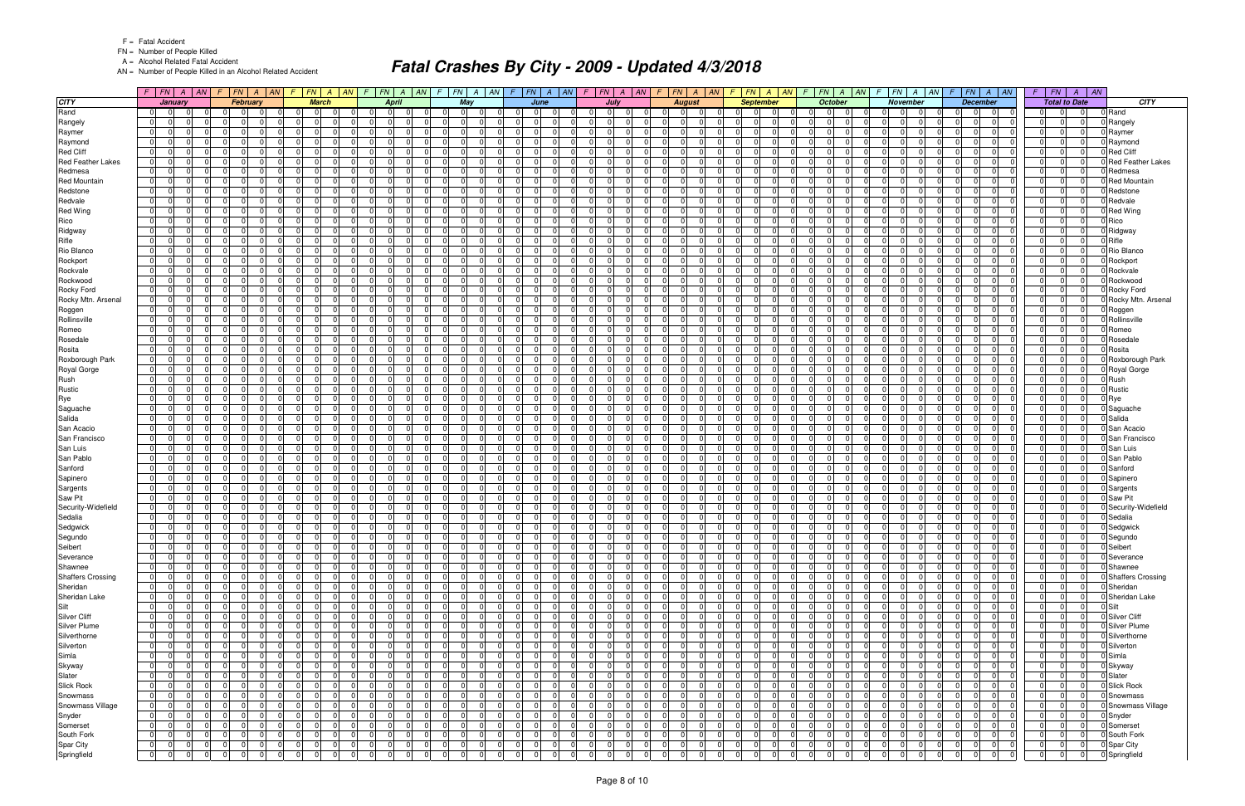FN = Number of People Killed

A = Alcohol Related Fatal Accident

AN = Number of People Killed in an Alcohol Related Accident

|                                     | $F$   $FN$   $A$   $AN$                                              |          | $F$ $FN$ $A$ $AN$                                                  | $\left  -\right $                |                                                          | F N A AN F F N A AN                                |                            | F.                   |                                                     | $FN$   A   AN   F   FN   A   AN                              |                                    | $F$ $FN$ $A$ $AN$    |                            |                                         |                | $F$ $ FN $ $A$ $ AN $ $F$ $ FN $ $A$ $ AN $                              | $F$ $ FN $ $A$ $ AN$              |                            |                                                                      | $F$ $FN$ $A$ $AN$ $F$ $FN$ $A$ $AN$                             | $F$   $FN$  <br>$A \mid AN$                              |                                    |
|-------------------------------------|----------------------------------------------------------------------|----------|--------------------------------------------------------------------|----------------------------------|----------------------------------------------------------|----------------------------------------------------|----------------------------|----------------------|-----------------------------------------------------|--------------------------------------------------------------|------------------------------------|----------------------|----------------------------|-----------------------------------------|----------------|--------------------------------------------------------------------------|-----------------------------------|----------------------------|----------------------------------------------------------------------|-----------------------------------------------------------------|----------------------------------------------------------|------------------------------------|
| <b>CITY</b>                         | January                                                              |          | February                                                           |                                  | <b>March</b>                                             | <b>April</b>                                       |                            |                      | May                                                 | June                                                         |                                    | July                 |                            | <b>August</b>                           |                | <b>September</b>                                                         | <b>October</b>                    |                            | <b>November</b>                                                      | <b>December</b>                                                 | <b>Total to Date</b>                                     | CITY                               |
| Rand                                | $\overline{0}$<br>$\Omega$                                           |          | $\Omega$<br>- 0                                                    |                                  | $\Omega$                                                 | 0 I                                                |                            | 0                    | 0                                                   | $\Omega$<br>$\Omega$<br>$\Omega$                             |                                    | 0 I                  | $\Omega$                   | $\overline{0}$                          |                | $\Omega$                                                                 | $\mathbf 0$                       | n                          | $\Omega$<br>$\Omega$                                                 | $\Omega$<br>$\Omega$                                            | $\Omega$                                                 | 0 Rand                             |
| Rangely                             | 0 <br>$\Omega$                                                       |          | 0<br>$\Omega$                                                      | $\overline{0}$                   | $\Omega$<br><sup>n</sup>                                 | $\Omega$<br>$\Omega$                               | $\Omega$                   | $\Omega$             | $\overline{0}$                                      | $\overline{0}$<br><sup>n</sup><br>$\overline{0}$             |                                    | 0I                   | $\Omega$                   | 0 <br>$\Omega$                          |                | $\overline{0}$<br>$\Omega$                                               | 0                                 | $\Omega$                   | $\overline{0}$<br>$\Omega$                                           | $\overline{0}$<br>$\Omega$<br>$\Omega$                          | $\Omega$<br>$\Omega$                                     | 0 Rangely                          |
| Raymer                              | $\overline{0}$<br>$\Omega$<br>$\Omega$                               |          | $\Omega$<br>$\Omega$                                               | $\Omega$                         | $\Omega$<br>$\Omega$                                     | $\overline{0}$<br>$\Omega$                         | $\Omega$                   | $\Omega$             | - 0 I<br>$\Omega$                                   | $\overline{0}$<br>$\Omega$<br>$\Omega$                       | $\Omega$                           | $\Omega$             | -01                        | 0 <br>-01                               |                | $\overline{0}$<br>$\Omega$                                               | $\mathbf 0$                       | $\Omega$                   | $\Omega$<br>$\Omega$                                                 | $\Omega$<br>$\Omega$<br>$\Omega$                                | $\Omega$<br>$\Omega$                                     | 0 Raymer                           |
| Raymond                             | 0 <br>- 0                                                            |          | $\Omega$<br>$\Omega$                                               | $\Omega$                         | $\Omega$<br>$\Omega$                                     | $\Omega$<br>$\Omega$                               | $\Omega$                   | $\Omega$             | - 0 I<br>- 0                                        | 0 <br>$\Omega$                                               | $\Omega$                           | $\Omega$             | $\Omega$                   | $\Omega$<br>-01                         |                | $\Omega$<br>$\Omega$                                                     | $\mathbf 0$                       | $\Omega$                   | $\Omega$<br>$\Omega$                                                 | $\Omega$<br>$\Omega$                                            | $\Omega$<br>$\Omega$                                     | Raymond                            |
| <b>Red Cliff</b>                    | 01<br>$\Omega$                                                       |          | U<br>$\Omega$<br>$\Omega$                                          | $\Omega$                         | $\Omega$                                                 | $\Omega$<br>- 0                                    | $\Omega$                   | $\Omega$             | $\mathbf 0$                                         | $\overline{0}$                                               | $\Omega$                           | $\Omega$             | $\Omega$                   | $\Omega$<br>$\overline{0}$              |                | $\Omega$<br>0                                                            | $\Omega$                          | $\Omega$                   | $\Omega$<br>$\Omega$                                                 | $\Omega$<br>$\Omega$                                            | $\Omega$<br>$\Omega$                                     | Red Cliff                          |
| <b>Red Feather Lakes</b>            | 0 <br>$\Omega$                                                       |          | $\Omega$<br>$\Omega$                                               | $\Omega$                         | $\Omega$<br>$\Omega$                                     | $\Omega$<br>$\Omega$                               | $\Omega$                   | $\Omega$             | 0 <br>$\Omega$                                      | $\Omega$<br>$\Omega$                                         |                                    | $\Omega$             | $\Omega$                   | $\Omega$<br>-01                         |                | $\Omega$<br>$\Omega$                                                     | $\Omega$                          | $\Omega$                   | $\Omega$<br>$\Omega$                                                 | $\Omega$<br>$\Omega$                                            | $\Omega$<br>$\Omega$                                     | <b>I</b> Red Feather Lakes         |
| Redmesa<br><b>Red Mountain</b>      | $\mathbf 0$<br>$\Omega$<br>$\overline{0}$<br>$\Omega$                |          | $\Omega$<br>$\Omega$<br>$\Omega$                                   | $\Omega$<br>$\Omega$             | $\Omega$<br>$\Omega$<br>$\Omega$<br>$\Omega$             | $\mathbf 0$<br>$\Omega$<br>$\Omega$<br>$\Omega$    | $\Omega$<br>$\Omega$       | $\Omega$<br>$\Omega$ | - 0 I<br>-0<br>- 0 I<br>$\Omega$                    | 0 <br>$\Omega$<br>$\Omega$<br>$\Omega$                       | $\Omega$                           | $\Omega$<br>$\Omega$ | $\overline{0}$<br>$\Omega$ | -01<br>$\Omega$<br>$\Omega$<br>$\Omega$ |                | $\overline{0}$<br>$\Omega$<br>$\Omega$<br>$\Omega$                       | $\mathbf 0$<br>$\Omega$           | $\Omega$<br>$\Omega$       | $\Omega$<br>$\Omega$<br>n<br>$\Omega$                                | $\Omega$<br>$\Omega$<br>$\Omega$<br>$\Omega$                    | $\Omega$<br> 0 <br>$\Omega$<br>$\Omega$                  | 0 Redmesa<br><b>I</b> Red Mountain |
| Redstone                            | $\overline{0}$<br>$\Omega$                                           |          | $\Omega$<br>$\Omega$                                               | $\Omega$                         | $\Omega$<br>0                                            | $\Omega$<br>$\Omega$                               | $\Omega$                   | $\Omega$             | $\overline{0}$<br>- 0                               | 0 <br>$\Omega$                                               | $\Omega$                           | $\Omega$             | $\Omega$                   | $\Omega$<br>$\overline{0}$              |                | $\overline{0}$<br>$\Omega$                                               | $\mathbf 0$                       | $\Omega$                   | $\Omega$<br>$\Omega$                                                 | $\Omega$<br>$\Omega$                                            | $\Omega$<br>$\Omega$                                     | Redstone                           |
| Redvale                             | $\Omega$<br>$\Omega$                                                 |          | 0                                                                  | $\Omega$                         | $\Omega$                                                 | $\Omega$                                           | $\Omega$                   | $\Omega$             | - 0 I                                               | $\Omega$<br>$\Omega$                                         |                                    | $\Omega$             | $\Omega$                   | $\Omega$                                |                | $\Omega$<br>$\Omega$                                                     | $\Omega$                          | $\Omega$                   | $\Omega$<br>$\Omega$                                                 | $\Omega$<br>$\Omega$                                            | $\Omega$<br>$\Omega$                                     | Redvale                            |
| <b>Red Wing</b>                     | $\overline{0}$<br>$\Omega$                                           |          | $\Omega$<br>$\Omega$                                               | $\Omega$                         | $\Omega$<br>$\Omega$                                     | $\overline{0}$<br>$\Omega$                         | $\Omega$                   | $\Omega$             | - 0 I<br>$\Omega$                                   | $\overline{0}$<br>$\Omega$<br>U                              | $\Omega$                           | $\Omega$             | $\Omega$                   | 0 <br>-01                               |                | $\overline{0}$<br>$\Omega$                                               | $\mathbf 0$                       | $\Omega$                   | $\Omega$<br>$\Omega$                                                 | $\Omega$<br>$\Omega$                                            | $\Omega$<br>$\Omega$                                     | 0 Red Wing                         |
| Rico                                | 0 <br>$\Omega$                                                       |          | $\Omega$<br>$\Omega$                                               | $\Omega$                         | $\Omega$<br>$\Omega$                                     | $\Omega$<br>- 0                                    | $\Omega$                   | $\Omega$             | - 0 I<br>- 0                                        | 0 <br>$\Omega$                                               | $\Omega$                           | $\Omega$             | $\Omega$                   | $\Omega$<br>$\overline{0}$              |                | $\Omega$<br>$\Omega$                                                     | $\mathbf 0$                       | $\Omega$                   | $\Omega$<br>$\Omega$                                                 | $\Omega$<br>$\Omega$                                            | $\Omega$<br>$\Omega$                                     | Rico                               |
| Ridgway                             | $\mathbf 0$<br>- 0                                                   |          | <sup>n</sup>                                                       | $\Omega$                         | $\Omega$                                                 | $\Omega$<br>$\Omega$                               | $\Omega$                   | 0                    | 0 <br>- 0                                           | - 0 I                                                        | $\Omega$                           | $\Omega$             | $\Omega$                   | 0<br>$\overline{0}$                     |                | $\Omega$<br><sup>0</sup>                                                 | .0                                | $\Omega$                   | 0<br>$\Omega$                                                        | $\Omega$<br>$\Omega$                                            | $\Omega$<br>$\Omega$                                     | 0 Ridgway                          |
| Rifle                               | $\overline{0}$<br>$\Omega$                                           |          | $\Omega$<br>$\Omega$                                               | $\Omega$                         | $\Omega$<br><sup>0</sup>                                 | $\Omega$<br>$\Omega$                               | $\Omega$                   | $\Omega$             | - 0 I<br>$\Omega$                                   | $\Omega$                                                     | $\Omega$                           | $\Omega$             | $\Omega$                   | $\Omega$<br>$\Omega$                    |                | $\Omega$<br>$\Omega$                                                     | $\Omega$                          | $\Omega$                   | $\Omega$<br>$\Omega$                                                 | $\Omega$<br>$\Omega$<br>$\Omega$                                | $\Omega$<br>$\Omega$                                     | Rifle                              |
| Rio Blanco                          | 0 <br>-0                                                             |          | $\Omega$<br>$\Omega$                                               | $\Omega$                         | $\Omega$<br>$\Omega$                                     | $\Omega$<br>$\Omega$                               | $\Omega$                   | $\Omega$             | - 0 I                                               | $\overline{0}$<br>$\overline{0}$                             |                                    | $\Omega$             | $\Omega$                   | $\Omega$<br>$\Omega$                    |                | $\mathbf 0$<br>$\Omega$                                                  | $\Omega$                          | $\Omega$                   | $\Omega$<br>$\Omega$                                                 | $\Omega$<br>$\mathbf 0$                                         | $\Omega$<br>$\Omega$                                     | 0 Rio Blanco                       |
| Rockport                            | $\overline{0}$<br>$\Omega$<br>$\Omega$                               |          | $\Omega$<br>$\Omega$                                               | $\Omega$                         | $\Omega$<br>$\Omega$                                     | $\overline{0}$<br>$\Omega$                         | n l                        | $\Omega$             | - 0 I<br>$\Omega$                                   | 0 <br>$\Omega$                                               | $\Omega$                           | 0I                   | $\Omega$                   | $\Omega$<br>-01                         |                | $\overline{0}$<br>$\Omega$                                               | $\cap$<br>$\mathbf 0$             | $\Omega$                   | $\Omega$<br>$\Omega$                                                 | $\Omega$<br>$\Omega$<br>$\Omega$                                | $\Omega$<br>$\Omega$                                     | 0 Rockport                         |
| Rockvale                            | $\mathbf 0$<br>$\Omega$<br><sup>0</sup>                              |          | $\Omega$<br>- 0                                                    | 0                                | $\Omega$<br>$\Omega$                                     | $\Omega$<br>$\Omega$                               | $\Omega$                   | $\Omega$             | $\mathbf 0$<br>- 0                                  | - 0 I<br>$\Omega$<br>∩                                       | $\Omega$                           | $\Omega$             | $\overline{0}$             | $\mathbf 0$<br>$\overline{0}$           |                | $\mathbf 0$<br>$\Omega$                                                  | $\mathbf 0$                       | $\Omega$                   | n l<br>$\Omega$<br>$\cap$                                            | $\Omega$<br>$\Omega$<br>$\Omega$                                | $\Omega$<br>$\Omega$                                     | Rockvale                           |
| Rockwood                            | $\overline{0}$<br>$\cap$<br>$\Omega$                                 |          | $\Omega$<br>$\Omega$<br>$\Omega$                                   | 0                                | $\Omega$<br>$\Omega$                                     | $\mathbf 0$<br>$\Omega$                            | n l                        | $\Omega$             | - 0 I<br>- 0                                        | 0 <br>$\Omega$                                               | $\Omega$                           | $\Omega$             | $\Omega$                   | $\Omega$<br>-01                         |                | $\Omega$<br>$\Omega$                                                     | - 0 I                             | $\Omega$                   | $\Omega$<br>$\Omega$                                                 | $\Omega$<br>$\Omega$<br>$\Omega$                                | $\Omega$<br>$\Omega$                                     | Rockwood                           |
| Rocky Ford                          | $\Omega$<br>$\Omega$                                                 |          | $\Omega$                                                           | $\Omega$                         | $\Omega$<br><sup>0</sup>                                 | $\Omega$<br>$\Omega$                               | $\Omega$                   | $\Omega$             | - 0 I                                               | $\Omega$<br>$\Omega$                                         |                                    | $\Omega$             | $\Omega$                   | $\Omega$<br>-01                         |                | $\Omega$<br>$\Omega$                                                     | $\Omega$                          | $\Omega$                   | $\Omega$<br>$\Omega$                                                 | $\Omega$<br>$\Omega$                                            | $\Omega$<br>$\Omega$                                     | <b>D</b> Rocky Ford                |
| Rocky Mtn. Arsenal                  | $\overline{0}$<br>$\overline{0}$<br>$\Omega$                         |          | $\Omega$<br>$\Omega$                                               | 0 I                              | $\Omega$<br>$\Omega$                                     | $\overline{0}$<br>$\Omega$                         | n l                        | $\Omega$             | - 0 I<br>$\Omega$                                   | 0 <br>$\Omega$<br>$\Omega$                                   | $\Omega$                           | $\Omega$             | $\overline{0}$             | 0 <br>-01                               |                | $\overline{0}$<br>$\Omega$                                               | $\Omega$<br>0 I                   | $\Omega$                   | $\overline{0}$<br>$\Omega$                                           | $\Omega$<br>$\Omega$<br>$\Omega$                                | $\overline{0}$<br> 0                                     | 0 Rocky Mtn. Arsenal               |
| Roggen                              | $\overline{0}$<br>$\Omega$<br><sup>0</sup>                           |          | $\Omega$<br>$\Omega$                                               | $\Omega$                         | $\Omega$<br>$\Omega$                                     | $\Omega$<br>$\Omega$                               | $\Omega$                   | $\Omega$             | $\mathbf 0$<br>- 0                                  | 0 <br>$\Omega$                                               | $\cap$                             | $\Omega$             | $\Omega$                   | $\Omega$<br>$\overline{0}$              |                | $\Omega$<br>$\Omega$                                                     | $\Omega$                          | $\Omega$                   | $\Omega$<br>$\Omega$                                                 | $\Omega$<br>$\Omega$                                            | $\Omega$<br>$\Omega$                                     | 0 Roggen                           |
| Rollinsville                        | $\overline{0}$<br>$\cap$<br>$\Omega$                                 |          | $\Omega$<br>$\cap$<br>$\Omega$                                     | $\Omega$                         | $\Omega$<br>$\Omega$<br>$\Omega$                         | $\Omega$<br>$\Omega$                               | n l                        | $\Omega$             | $\overline{0}$<br>$\Omega$                          | $\Omega$<br>$\Omega$                                         | $\Omega$                           | $\Omega$             | $\Omega$                   | 0 <br>-01                               |                | $\Omega$<br>$\Omega$<br>$\Omega$                                         | - 0 I<br>$\cap$                   | $\Omega$                   | $\Omega$<br>$\Omega$                                                 | $\Omega$<br>$\Omega$<br>$\Omega$                                | $\Omega$<br>$\Omega$                                     | Rollinsville                       |
| Romeo<br>Rosedale                   | $\overline{0}$<br>$\Omega$<br>$\overline{0}$<br>$\Omega$<br>$\Omega$ |          | $\Omega$<br>$\Omega$<br>$\Omega$<br>$\Omega$                       | $\mathbf 0$<br>$\Omega$          | $\Omega$<br>$\Omega$                                     | $\Omega$<br>$\Omega$<br>$\overline{0}$<br>$\Omega$ | $\Omega$<br>n l            | $\Omega$<br>$\Omega$ | - 0 I<br>- 0 I<br>$\Omega$                          | $\overline{0}$<br>$\Omega$<br> 0 <br>$\Omega$<br>$\Omega$    | $\Omega$                           | $\Omega$<br>0I       | $\Omega$<br>$\Omega$       | $\Omega$<br>$\Omega$<br>$\Omega$<br>-01 |                | $\mathbf 0$<br>$\Omega$<br>$\overline{0}$<br>$\Omega$                    | $\Omega$<br>$\cap$<br>$\mathbf 0$ | $\Omega$<br>$\Omega$       | $\Omega$<br>$\Omega$<br>$\Omega$                                     | $\Omega$<br>$\Omega$<br>$\Omega$<br>$\Omega$<br>$\Omega$        | $\Omega$<br>$\Omega$<br>$\Omega$<br>$\Omega$<br>$\Omega$ | Romeo<br>0 Rosedale                |
| Rosita                              | $\overline{0}$<br>- 0<br><sup>n</sup>                                |          | $\Omega$<br>- 0                                                    | - 0 I                            | $\Omega$<br>$\Omega$                                     | $\Omega$<br>$\Omega$                               | $\Omega$                   | $\Omega$             | $\mathbf 0$<br>- 0                                  | - 0 I<br>$\Omega$<br>∩                                       | $\cap$                             | $\Omega$             | $\Omega$                   | $\Omega$<br>$\overline{0}$              |                | $\overline{0}$<br>$\Omega$                                               | $\mathbf 0$                       | $\Omega$                   | n l<br>$\Omega$                                                      | $\Omega$<br>$\Omega$<br>$\Omega$                                | $\Omega$<br>$\Omega$                                     | Rosita                             |
| Roxborough Park                     | $\overline{0}$<br>- 0                                                |          | <sup>n</sup><br>$\Omega$                                           | $\Omega$                         | $\Omega$                                                 | $\overline{0}$<br>$\Omega$                         | $\Omega$                   | $\Omega$             | $\mathbf 0$<br>- C                                  | - 0 I                                                        | $\Omega$                           | 0I                   | $\Omega$                   | 0<br>$\overline{0}$                     |                | $\Omega$<br>$\Omega$                                                     | $\mathbf 0$                       | $\Omega$                   | $\Omega$<br>$\Omega$                                                 | $\Omega$<br>$\Omega$                                            | $\Omega$<br>$\Omega$                                     | 0 Roxborough Park                  |
| Royal Gorge                         | $\mathbf{0}$<br>n                                                    |          | $\Omega$                                                           | $\Omega$                         | $\Omega$                                                 | $\Omega$                                           | $\Omega$                   | $\Omega$             | - 0 I                                               | $\Omega$<br>$\Omega$                                         |                                    |                      | $\Omega$                   | $\Omega$<br>$\Omega$                    |                | $\Omega$<br>$\Omega$                                                     | $\Omega$                          | $\Omega$                   | $\Omega$<br>$\Omega$                                                 | $\Omega$<br>$\Omega$                                            | $\Omega$                                                 | 0 Royal Gorge                      |
| Rush                                | 0 <br>$\Omega$                                                       |          | $\Omega$<br>$\Omega$                                               | $\Omega$                         | $\Omega$<br>0                                            | - 01<br>$\Omega$                                   | $\Omega$                   | $\Omega$             | - 0 I<br>- 0                                        | $\overline{0}$<br>$\Omega$                                   |                                    | $\Omega$             | $\Omega$                   | -01<br>$\Omega$                         |                | $\overline{0}$<br>$\Omega$                                               | $\mathbf 0$                       | $\Omega$                   | $\Omega$<br>$\Omega$                                                 | $\Omega$<br>$\Omega$                                            | 0 <br>$\Omega$                                           | 0 Rush                             |
| Rustic                              | $\overline{0}$<br>- 0                                                |          | $\Omega$                                                           | $\Omega$                         | $\Omega$<br>$\Omega$                                     | $\Omega$<br>$\Omega$                               | $\Omega$                   | $\Omega$             | - 0 I<br>- C                                        | $\Omega$<br>$\Omega$                                         |                                    | $\Omega$             | $\Omega$                   | $\Omega$<br>-01                         |                | $\Omega$<br>$\Omega$                                                     | $\Omega$                          | $\Omega$                   | n<br>$\Omega$                                                        | $\Omega$<br>$\Omega$                                            | $\Omega$<br>$\Omega$                                     | Rustic                             |
| Rye                                 | $\overline{0}$<br>$\Omega$                                           |          | $\Omega$<br>- 0                                                    | $\Omega$                         | $\Omega$<br>$\Omega$                                     | $\Omega$<br>$\Omega$                               | $\Omega$                   | $\Omega$             | - 0 I<br>$\Omega$                                   | - 0 l<br>$\Omega$<br>$\Omega$                                | $\Omega$                           | $\Omega$             | $\Omega$                   | $\Omega$<br>-01                         |                | $\mathbf 0$<br>$\Omega$                                                  | $\mathbf 0$                       | $\Omega$                   | n l<br>$\Omega$                                                      | $\Omega$<br>$\Omega$<br><sup>n</sup>                            | $\Omega$<br> 0                                           | Rye                                |
| Saguache                            | $\overline{0}$                                                       |          | $\Omega$<br>$\Omega$                                               | $\Omega$                         | $\Omega$<br>$\Omega$                                     | $\Omega$<br>$\Omega$                               | $\Omega$                   | $\Omega$             | - 0 I                                               | $\Omega$<br>$\Omega$                                         |                                    | $\Omega$             | $\Omega$                   | $\Omega$<br>-01                         |                | $\mathbf{0}$<br>$\Omega$                                                 | $\Omega$                          | $\Omega$                   | $\Omega$<br>$\Omega$                                                 | $\Omega$<br>$\Omega$                                            | $\Omega$<br>$\Omega$                                     | 0 Saguache                         |
| Salida                              | - 0 I<br>$\Omega$                                                    |          | $\Omega$                                                           | $\Omega$                         | $\Omega$                                                 | $\Omega$<br>$\Omega$                               | $\Omega$                   | $\Omega$             | - 0 I                                               | $\Omega$<br>$\Omega$                                         |                                    | $\Omega$             | $\Omega$                   | $\Omega$<br>-01                         |                | $\Omega$<br>$\Omega$                                                     | $\Omega$                          | $\Omega$                   | $\Omega$<br>$\Omega$                                                 | $\Omega$<br>$\Omega$                                            | $\Omega$<br>$\Omega$                                     | 0 Salida                           |
| San Acacio                          | 0 <br>- 0                                                            |          | $\Omega$<br>$\Omega$                                               | - 0 I                            | $\Omega$<br>$\Omega$                                     | $\Omega$<br>$\Omega$                               | $\Omega$                   | $\Omega$             | - 0 I<br>- 0                                        | 0 <br>$\Omega$                                               | $\Omega$                           | $\Omega$             | $\Omega$                   | $\Omega$<br>$\overline{0}$              |                | $\mathbf{0}$<br>$\Omega$                                                 | $\mathbf 0$                       | $\Omega$                   | $\Omega$<br>$\Omega$                                                 | $\Omega$<br>$\Omega$                                            | $\Omega$<br>$\Omega$                                     | 0 San Acacio                       |
| San Francisco                       | $\overline{0}$<br>$\Omega$                                           |          | <sup>0</sup><br>$\Omega$                                           | $\Omega$                         | $\Omega$<br><sup>0</sup>                                 | $\Omega$<br>$\Omega$                               | $\Omega$                   | $\Omega$             | - 0 I<br>- 0                                        | 0                                                            | $\Omega$                           | $\Omega$             | $\Omega$                   | $\Omega$<br>-01                         |                | $\mathbf 0$<br>$\Omega$                                                  | $\Omega$                          | $\Omega$                   | $\Omega$<br>$\Omega$                                                 | $\Omega$<br>$\Omega$                                            | $\Omega$<br>$\Omega$                                     | <b>San Francisco</b>               |
| San Luis<br>San Pablo               | $\overline{0}$<br>- 0<br>$\overline{0}$<br>$\Omega$                  |          | $\Omega$<br>$\Omega$<br>$\Omega$                                   | $\Omega$<br>$\Omega$             | $\Omega$<br>$\Omega$<br>$\Omega$<br>0                    | $\Omega$<br>$\Omega$<br>$\Omega$<br>$\Omega$       | $\Omega$<br>$\Omega$       | $\Omega$<br>$\Omega$ | - 0 I<br>- 0<br>- 0 I                               | $\Omega$<br>$\Omega$<br>$\Omega$<br>$\Omega$                 |                                    | $\Omega$<br>0I       | $\Omega$<br>$\Omega$       | $\Omega$<br>-01<br>$\Omega$<br>$\Omega$ |                | $\Omega$<br>$\Omega$<br>$\Omega$<br>$\Omega$                             | $\Omega$<br>$\Omega$              | $\Omega$<br>$\Omega$       | $\Omega$<br>$\Omega$<br>$\Omega$<br>$\Omega$                         | $\Omega$<br>$\Omega$<br>$\Omega$<br>$\Omega$                    | $\Omega$<br>$\Omega$<br>$\Omega$<br>$\Omega$             | 0 San Luis<br>0 San Pablo          |
| Sanford                             | $\overline{0}$<br>$\Omega$                                           |          | $\Omega$                                                           | $\Omega$                         | $\Omega$<br>$\Omega$                                     | $\Omega$<br>$\Omega$                               | $\Omega$                   | $\Omega$             | - 0 I<br>- C                                        | 0 <br>$\Omega$                                               |                                    | $\Omega$             | $\Omega$                   | $\Omega$<br>$\overline{0}$              |                | $\Omega$<br>$\Omega$                                                     | $\Omega$                          | $\Omega$                   | n<br>$\Omega$                                                        | $\Omega$<br>$\Omega$                                            | $\Omega$<br>$\Omega$                                     | 0 Sanford                          |
| Sapinero                            | $\mathbf 0$<br>- 0<br><sup>n</sup>                                   |          | $\Omega$<br>$\Omega$                                               | - 0 I                            | $\Omega$<br>$\Omega$                                     | $\Omega$<br>$\Omega$                               | $\Omega$                   | $\Omega$             | 0 <br>- 0                                           | - 0 I<br>$\Omega$<br>U                                       | $\Omega$                           | $\Omega$             | $\Omega$                   | $\Omega$<br>$\overline{0}$              |                | $\overline{0}$<br>$\Omega$                                               | $\mathbf 0$                       | $\Omega$                   | $\Omega$<br>- 01                                                     | $\Omega$<br>$\Omega$<br><sup>n</sup>                            | $\Omega$<br>$\Omega$                                     | 0 Sapinero                         |
| Sargents                            | $\Omega$                                                             |          | 0<br>$\Omega$                                                      | $\Omega$                         | $\Omega$<br><sup>n</sup>                                 | $\Omega$<br>n                                      | $\Omega$                   | $\Omega$             | - 0 I<br>- C                                        | $\Omega$                                                     | $\Omega$                           | $\Omega$             | $\Omega$                   | $\Omega$<br>$\overline{0}$              |                | $\Omega$<br>0                                                            | $\Omega$                          | $\Omega$                   | $\Omega$<br>$\Omega$                                                 | $\Omega$<br>$\Omega$                                            | $\Omega$<br>$\Omega$                                     | 0 Sargents                         |
| Saw Pit                             | 0 <br>$\Omega$                                                       |          | $\Omega$                                                           | $\Omega$                         | $\Omega$<br>$\Omega$                                     | $\Omega$<br>$\Omega$                               | $\Omega$                   | $\Omega$             | - 0 I<br>- 0                                        | 0 <br><sup>0</sup><br>$\Omega$                               |                                    | $\Omega$             | $\Omega$                   | $\Omega$<br> 0                          |                | $\overline{0}$<br>$\Omega$                                               | $\mathbf 0$                       | $\Omega$                   | $\Omega$<br>$\Omega$                                                 | $\Omega$<br>$\Omega$<br>$\Omega$                                | $\Omega$<br>$\Omega$                                     | 0 Saw Pit                          |
| Security-Widefield                  | $\overline{0}$<br>$\Omega$<br>$\Omega$                               |          | $\Omega$<br>$\Omega$                                               | $\Omega$                         | $\Omega$<br>$\Omega$                                     | $\Omega$<br>$\Omega$                               | $\Omega$                   | $\Omega$             | - 0 I<br>$\Omega$                                   | $\overline{0}$<br>$\Omega$                                   |                                    | 0I                   | $\Omega$                   | 0 <br>-01                               |                | $\Omega$<br>$\Omega$                                                     | $\mathbf 0$                       | $\Omega$                   | $\overline{0}$<br>$\Omega$                                           | $\Omega$<br>$\Omega$<br>$\Omega$                                | $\Omega$<br>$\Omega$                                     | 0 Security-Widefield               |
| Sedalia                             | $\overline{0}$<br>$\Omega$<br>- 0                                    |          | $\Omega$<br>$\Omega$<br>- 0                                        | - 0 I                            | $\Omega$<br>$\Omega$                                     | - 01<br>- 0                                        | $\Omega$                   | $\Omega$             | 0 <br>- 0                                           | 0 <br>$\Omega$                                               | $\Omega$                           | 0I                   | $\Omega$                   | $\Omega$<br>$\overline{0}$              |                | $\Omega$<br>$\Omega$                                                     | $\mathbf 0$                       | $\Omega$                   | $\Omega$<br>$\Omega$                                                 | $\Omega$<br>$\Omega$<br>$\Omega$                                | $\Omega$<br>$\Omega$                                     | 0 Sedalia                          |
| Sedgwick                            | $\overline{0}$<br>$\Omega$<br>$\Omega$                               |          | $\Omega$<br>$\Omega$<br>$\Omega$                                   | $\overline{0}$                   | $\Omega$<br>$\Omega$                                     | $\overline{0}$<br>$\Omega$                         | $\Omega$                   | $\Omega$             | 0 <br>$\Omega$                                      | $\overline{0}$<br>$\Omega$<br><sup>n</sup>                   | $\Omega$                           | $\Omega$             | $\Omega$                   | $\Omega$<br>$\overline{0}$              |                | $\Omega$<br>$\Omega$<br>$\Omega$                                         | $\mathbf 0$                       | $\Omega$                   | $\Omega$<br>$\Omega$                                                 | $\Omega$<br>$\Omega$<br>-01                                     | $\Omega$<br>$\Omega$                                     | 0 Sedgwick                         |
| Segundo                             | 0 <br>$\Omega$                                                       |          | $\overline{0}$<br>$\Omega$<br>$\Omega$                             | $\Omega$                         | $\Omega$<br>$\Omega$                                     | $\overline{0}$<br>$\Omega$                         | $\Omega$                   | $\overline{0}$       | 0 <br>$\Omega$                                      | $\overline{0}$<br>$\Omega$<br>$\Omega$                       | $\Omega$                           | - 0 I                | $\Omega$                   | $\overline{0}$<br>$\Omega$              |                | $\overline{0}$<br>$\Omega$                                               | $\Omega$<br>$\mathbf 0$           | $\Omega$                   | $\overline{0}$<br>$\Omega$                                           | $\Omega$<br>$\Omega$                                            | $\Omega$<br>$\Omega$                                     | 0 Segundo                          |
| Seibert                             | $\overline{0}$<br>$\Omega$<br>$\overline{0}$                         |          | $\mathbf 0$<br>$\Omega$<br>$\Omega$                                | $\overline{0}$                   | $\overline{0}$<br>$\overline{0}$                         | $\overline{0}$<br>$\Omega$                         | 0 I                        | 0                    | 0 <br>$\Omega$                                      | $\overline{0}$<br>$\Omega$<br>$\overline{0}$                 |                                    | $\Omega$             | $\overline{0}$             | $\overline{0}$<br> 0                    |                | $\mathbf 0$<br>$\mathbf 0$                                               | 0 I                               | $\mathbf 0$                | $\overline{0}$<br>$\mathbf 0$                                        | $\mathbf 0$<br>$\Omega$                                         | $\Omega$<br>$\Omega$                                     | 0 Seibert                          |
| Severance                           | 0 <br>$\Omega$<br>- 01                                               |          | $\Omega$<br>$\Omega$<br>$\Omega$                                   | 0                                | $\overline{0}$<br>$\Omega$                               | - 01<br>$\Omega$                                   | 0                          | $\overline{0}$       | $\overline{0}$<br>$\overline{0}$                    | 0 <br>$\Omega$<br>$\mathbf 0$                                | $\Omega$                           | - 0 I                | $\overline{0}$             | $\overline{0}$<br> 0 <br>- 0            |                | $\mathbf 0$<br>$\Omega$<br>$\mathbf 0$                                   | $\Omega$<br> 0                    | $\Omega$                   | $\overline{0}$<br>$\mathbf 0$                                        | $\Omega$<br> 0 <br>$\Omega$                                     | $\overline{0}$<br> 0                                     | 0 Severance                        |
| Shawnee<br><b>Shaffers Crossing</b> | 0 <br>$\Omega$<br>$\Omega$<br> 0 <br>$\mathbf 0$<br>$\Omega$         |          | $\Omega$<br>$\Omega$<br>$\Omega$<br> 0 <br>$\mathbf 0$<br>$\Omega$ | $\overline{0}$<br>$\overline{0}$ | $\Omega$<br>$\Omega$<br>$\Omega$<br>$\overline{0}$       | $\Omega$<br>$\Omega$<br> 0 <br> 0                  | - 0 l<br> 0                | $\Omega$<br> 0       | $\overline{0}$<br>$\Omega$<br>$\overline{0}$<br>- 0 | 0 <br>$\Omega$<br>$\overline{0}$<br> 0 <br>$\Omega$          | $\Omega$<br>$\overline{0}$<br>- 01 | - 0 I                | $\overline{0}$<br> 0       | $\overline{0}$<br> 0 <br> 0 <br> 0      |                | $\mathbf{0}$<br>$\mathbf 0$<br>$\overline{0}$<br>$\mathbf 0$<br>$\Omega$ | - 0 l<br>01                       | $\Omega$<br>$\mathbf 0$    | $\overline{0}$<br>$\overline{0}$<br>$\overline{0}$<br>$\mathbf 0$    | $\Omega$<br>$\Omega$<br>-01<br>$\mathbf 0$<br>$\Omega$<br>-01   | $\overline{0}$<br> 0 <br>$\Omega$<br>$\Omega$            | 0 Shawnee<br>0 Shaffers Crossing   |
| Sheridan                            | 0 <br>$\Omega$<br>$\Omega$                                           |          | $\Omega$<br>$\overline{0}$                                         | $\overline{0}$                   | $\overline{0}$<br>$\Omega$                               | $\overline{0}$<br>0 I                              | - 0 l                      | $\overline{0}$       | $\overline{0}$<br>$\Omega$                          | 0 <br>$\Omega$<br>$\mathbf 0$                                | $\Omega$                           | -01<br>0 I           | 0                          | 0 <br> 0                                |                | $\overline{0}$<br>$\overline{0}$                                         | 01                                | $\Omega$                   | $\overline{0}$<br>$\overline{0}$                                     | $\Omega$<br>$\Omega$<br> 0                                      | $\overline{0}$<br> 0                                     | 0 Sheridan                         |
| Sheridan Lake                       | 0 <br>$\overline{0}$<br>$\Omega$                                     |          | $\Omega$<br>$\Omega$<br>$\Omega$                                   | $\overline{0}$                   | $\Omega$<br>$\overline{0}$                               | $\overline{0}$<br>$\Omega$                         | 0                          | $\Omega$             | $\overline{0}$<br>- 01                              | 0 <br>$\mathbf 0$<br>$\Omega$                                | $\Omega$                           | -01                  | $\overline{0}$             | $\Omega$<br> 0                          |                | $\mathbf 0$<br>$\mathbf 0$<br>$\Omega$                                   | $\Omega$<br> 0                    | $\Omega$                   | $\overline{0}$<br>$\mathbf 0$                                        | $\mathbf 0$<br>$\Omega$<br> 0                                   | $\Omega$<br> 0                                           | 0 Sheridan Lake                    |
| Silt                                | 0 <br>- 01<br>$\Omega$                                               |          | $\Omega$<br>$\mathbf 0$<br>$\overline{0}$                          | $\overline{0}$                   | $\overline{0}$<br>$\Omega$                               | 0 <br>0 I                                          | 0 I                        | $\overline{0}$       | 0 <br>$\overline{0}$                                | $\overline{0}$<br>$\mathbf 0$<br>$\Omega$                    | $\Omega$                           | 0 I                  | 0                          | $\overline{0}$<br> 0                    |                | 0 <br>$\overline{0}$<br>$\Omega$                                         | $\Omega$<br>01                    | $\Omega$                   | $\overline{0}$<br>$\overline{0}$                                     | $\Omega$<br>$\Omega$<br> 0                                      | $\overline{0}$<br> 0 <br>$\Omega$                        | 0 Silt                             |
| Silver Cliff                        | 0                                                                    |          | $\overline{0}$<br>- 0                                              | $\mathbf 0$                      | $\Omega$<br>0                                            | $\overline{0}$<br>$\Omega$                         | $\Omega$                   | 0                    | 0 <br>- 0                                           | $\overline{0}$<br>$\mathbf 0$                                |                                    | $\Omega$             | $\overline{0}$             | 0 <br>0                                 |                | $\mathbf 0$<br>0                                                         | $\overline{0}$                    | $\Omega$                   | $\overline{0}$<br>0                                                  | $\Omega$<br>$\mathbf 0$                                         | $\Omega$<br>$\Omega$                                     | 0 Silver Cliff                     |
| Silver Plume                        | 0 <br>- 01<br>$\Omega$                                               |          | 0 I<br>$\Omega$<br>$\Omega$                                        | 0 I                              | $\Omega$<br>$\Omega$                                     | 0 <br>0 I                                          | - 0 I                      | 0                    | $\overline{0}$<br>$\overline{0}$                    | 0 <br>$\Omega$                                               | $\overline{0}$<br>- 01             | 0 I                  | 0                          | $\overline{0}$<br> 0                    |                | 0 <br>$\mathbf 0$                                                        | $\Omega$<br>01                    | $\Omega$                   | $\overline{0}$<br>$\overline{0}$                                     | $\overline{0}$<br> 0 <br>$\Omega$                               | $\Omega$<br>$\overline{0}$                               | 0 Silver Plume                     |
| Silverthorne                        | 0 <br>$\Omega$                                                       |          | $\Omega$<br>$\Omega$                                               | 0                                | $\overline{0}$<br>$\Omega$                               | $\Omega$<br>$\Omega$                               | 0                          | $\overline{0}$       | 0 <br>$\Omega$                                      | 0 <br>$\mathbf 0$<br>$\Omega$                                | $\Omega$                           | $\Omega$             | 0                          | $\overline{0}$<br> 0                    |                | $\overline{0}$<br>$\overline{0}$                                         | 0                                 | $\Omega$                   | $\overline{0}$<br>$\overline{0}$                                     | $\mathbf 0$<br>$\Omega$<br>$\overline{0}$                       | $\Omega$<br>$\Omega$                                     | 0 Silverthorne                     |
| Silverton                           | 0 <br>$\Omega$                                                       |          | $\Omega$<br>$\mathbf 0$<br>$\Omega$                                | $\overline{0}$                   | $\Omega$<br>$\Omega$                                     | $\overline{0}$<br>0 I                              | - 0 l                      | $\Omega$             | $\overline{0}$<br>$\Omega$                          | $\overline{0}$<br>$\overline{0}$<br>$\Omega$                 | $\Omega$                           | - 0 I                | 0                          | $\Omega$<br> 0                          |                | 0 <br>$\mathbf 0$                                                        | $\Omega$<br> 0                    | $\Omega$                   | $\overline{0}$<br>$\mathbf 0$                                        | $\Omega$<br> 0 <br>$\Omega$                                     | 0 <br>$\Omega$                                           | 0 Silverton                        |
| Simla                               | 0 <br>$\Omega$                                                       |          | $\Omega$<br>$\Omega$                                               | 0                                | $\Omega$<br>$\Omega$                                     | $\Omega$<br>$\Omega$                               | $\Omega$                   | $\Omega$             | $\overline{0}$<br>$\Omega$                          | 0 <br>$\mathbf 0$                                            |                                    | $\Omega$             | $\overline{0}$             | 0 <br> 0                                |                | $\overline{0}$<br>$\mathbf 0$                                            | 0                                 | $\Omega$                   | $\overline{0}$<br>$\mathbf 0$                                        | 0 <br>$\Omega$<br>$\Omega$                                      | $\Omega$<br>$\Omega$                                     | 0 Simla                            |
| Skyway                              | $\mathbf 0$<br>$\Omega$                                              |          | $\overline{0}$<br>$\Omega$<br>$\Omega$                             | 0                                | $\overline{0}$<br>$\Omega$                               | $\mathbf 0$<br> 0                                  | - 0 l                      | $\overline{0}$       | $\overline{0}$<br>$\Omega$                          | 0 <br>$\mathbf 0$<br>$\Omega$                                | $\Omega$                           | 01                   | 0                          | 0 <br> 0                                |                | 0 <br>$\mathbf 0$                                                        | 01<br>$\Omega$                    | $\Omega$                   | $\overline{0}$<br>$\mathbf 0$                                        | 0 <br>$\overline{0}$<br>$\Omega$                                | $\Omega$<br> 0                                           | 0 Skyway                           |
| Slater                              | 0 <br>$\Omega$                                                       |          | $\Omega$<br>$\Omega$                                               | 0                                | $\Omega$<br>$\Omega$                                     | $\Omega$<br>$\Omega$                               | $\Omega$                   | $\Omega$             | 0 <br>$\Omega$                                      | 0 <br>$\mathbf 0$                                            | $\Omega$                           | $\Omega$             | $\overline{0}$             | $\Omega$<br> 0                          |                | $\mathbf{0}$<br>$\Omega$                                                 | - 0 I                             | $\Omega$                   | $\overline{0}$<br>$\overline{0}$                                     | $\Omega$<br>$\overline{0}$                                      | $\Omega$<br>$\Omega$                                     | 0 Slater                           |
| <b>Slick Rock</b>                   | 0 <br>$\Omega$<br>$\Omega$                                           |          | $\Omega$<br>$\Omega$<br>$\Omega$                                   | $\overline{0}$                   | - 01<br>$\Omega$                                         | $\overline{0}$<br>0 I                              | $\mathbf 0$                | $\overline{0}$       | $\overline{0}$<br>- 01                              | 0 <br>$\mathbf 0$<br>$\Omega$                                | $\Omega$                           | 0 I                  | 0                          | $\overline{0}$<br> 0                    |                | 0 <br>$\Omega$<br>$\mathbf 0$                                            | $\Omega$<br>01                    | $\Omega$                   | $\overline{0}$<br>- 01                                               | $\Omega$<br> 0 <br>$\Omega$                                     | 0 <br>$\Omega$                                           | 0 Slick Rock                       |
| Snowmass                            | $\mathbf{0}$<br>$\Omega$<br>$\Omega$                                 |          | $\Omega$<br>$\Omega$                                               | $\mathbf 0$                      | $\Omega$                                                 | $\Omega$<br>$\Omega$                               | $\Omega$                   | $\overline{0}$       | 0                                                   | $\mathbf{0}$<br>$\mathbf{0}$                                 |                                    | $\Omega$             | $\overline{0}$             | $\Omega$<br> 0                          |                | $\mathbf{0}$<br>$\mathbf 0$<br>$\Omega$                                  | 0 <br>$\Omega$                    | $\Omega$                   | $\overline{0}$<br>$\mathbf 0$                                        | $\mathbf 0$<br>$\overline{0}$                                   | $\Omega$<br> 0 <br>$\Omega$                              | 0 Snowmass                         |
| Snowmass Village<br>Snyder          | 0 <br>$\overline{0}$<br> 0 <br>$\Omega$                              |          | $\overline{0}$<br>$\Omega$<br>$\Omega$<br>$\Omega$<br>$\Omega$     | $\overline{0}$<br> 0             | $\overline{0}$<br>$\Omega$<br>$\overline{0}$<br>$\Omega$ | 0 <br> 0 <br>$\overline{0}$<br>$\Omega$            | $\overline{0}$<br>$\Omega$ | 0 <br>$\overline{0}$ | $\overline{0}$<br>$\overline{0}$<br> 0 <br>$\Omega$ | $\overline{0}$<br>$\Omega$<br> 0 <br>$\mathbf 0$<br>$\Omega$ | $\overline{0}$<br>- 01<br>$\Omega$ | 01<br>$\Omega$       | 0 <br> 0                   | 0 <br> 0 <br> 0 <br> 0                  |                | 0 <br>$\mathbf 0$<br>$\overline{0}$<br>$\overline{0}$                    | 01<br> 0 <br>$\Omega$             | $\overline{0}$<br>$\Omega$ | $\overline{0}$<br>$\overline{0}$<br>$\overline{0}$<br>$\overline{0}$ | $\overline{0}$<br> 0 <br>- 0 I<br>$\mathbf 0$<br>$\Omega$<br> 0 | 0 <br>$\Omega$<br> 0                                     | 0 Snowmass Village<br>0 Snyder     |
| Somerset                            | $\mathbf 0$<br>-0                                                    |          | $\Omega$<br>$\Omega$<br>$\Omega$                                   | 0                                | $\Omega$<br>$\Omega$                                     | $\overline{0}$<br>$\Omega$                         | $\Omega$                   | $\Omega$             | 01<br>- 0                                           | - 0 I<br>$\overline{0}$                                      | $\Omega$                           | $\Omega$             | $\overline{0}$             | $\Omega$<br> 0                          |                | $\mathbf{0}$<br>$\Omega$                                                 | $\mathbf 0$                       | $\Omega$                   | $\Omega$<br>$\mathbf 0$                                              | $\Omega$<br>$\mathbf 0$                                         | $\Omega$<br>$\Omega$                                     | 0 Somerset                         |
| South Fork                          | 0 <br>$\Omega$<br>$\Omega$                                           |          | $\Omega$<br>$\mathbf 0$<br>$\overline{0}$                          | $\overline{0}$                   | $\overline{0}$<br>$\Omega$                               | $\overline{0}$<br>0 I                              | - 0 I                      | $\overline{0}$       | $\overline{0}$<br>$\Omega$                          | 0 <br>$\Omega$                                               | $\overline{0}$<br>$\Omega$         | 0 I                  | $\overline{0}$             | $\overline{0}$<br> 0                    |                | $\overline{0}$<br>$\Omega$<br>$\overline{0}$                             | $\Omega$<br>$\overline{0}$        | $\Omega$                   | $\overline{0}$<br>$\overline{0}$                                     | $\mathbf 0$<br>$\Omega$<br> 0                                   | $\Omega$<br> 0                                           | 0 South Fork                       |
| Spar City                           | 0 <br>$\Omega$                                                       |          | 0 <br>$\overline{0}$<br>$\overline{0}$                             | $\overline{0}$                   | $\overline{0}$<br>$\overline{0}$                         | $\mathbf 0$<br> 0                                  | 0                          | 0                    | $\overline{0}$<br>$\Omega$                          | 0 <br>$\mathbf 0$<br>$\Omega$                                | $\overline{0}$                     | -01                  | 0                          | 0 <br> 0                                |                | $\overline{0}$<br>0                                                      | $\overline{0}$<br>$\overline{0}$  | 0                          | $\overline{0}$<br>$\mathbf 0$                                        | $\overline{0}$<br> 0 <br>$\overline{0}$                         | $\overline{0}$<br> 0                                     | 0 Spar City                        |
| Springfield                         | $\overline{0}$<br>$\overline{0}$<br>$\overline{0}$                   | $\Omega$ | 0 <br> 0 <br> 0                                                    | $\overline{0}$                   | $\overline{0}$<br>$\mathbf 0$                            | 0 <br>$\overline{0}$                               | $\overline{0}$             | $\overline{0}$       | 0 <br>$\overline{0}$<br>$\Omega$                    | $\overline{0}$<br> 0 <br>$\mathbf 0$                         | $\overline{0}$                     | $\overline{0}$       | $\overline{0}$             | $\overline{0}$<br> 0 <br>$\overline{0}$ | $\overline{0}$ | 0 <br>$\mathbf 0$<br> 0                                                  | $\mathbf 0$<br>$\overline{0}$     | $\Omega$                   | $\overline{0}$<br>$\overline{0}$<br>$\Omega$                         | 0 <br>$\overline{0}$<br> 0                                      | $\overline{0}$<br> 0 <br>$\Omega$                        | 0 Springfield                      |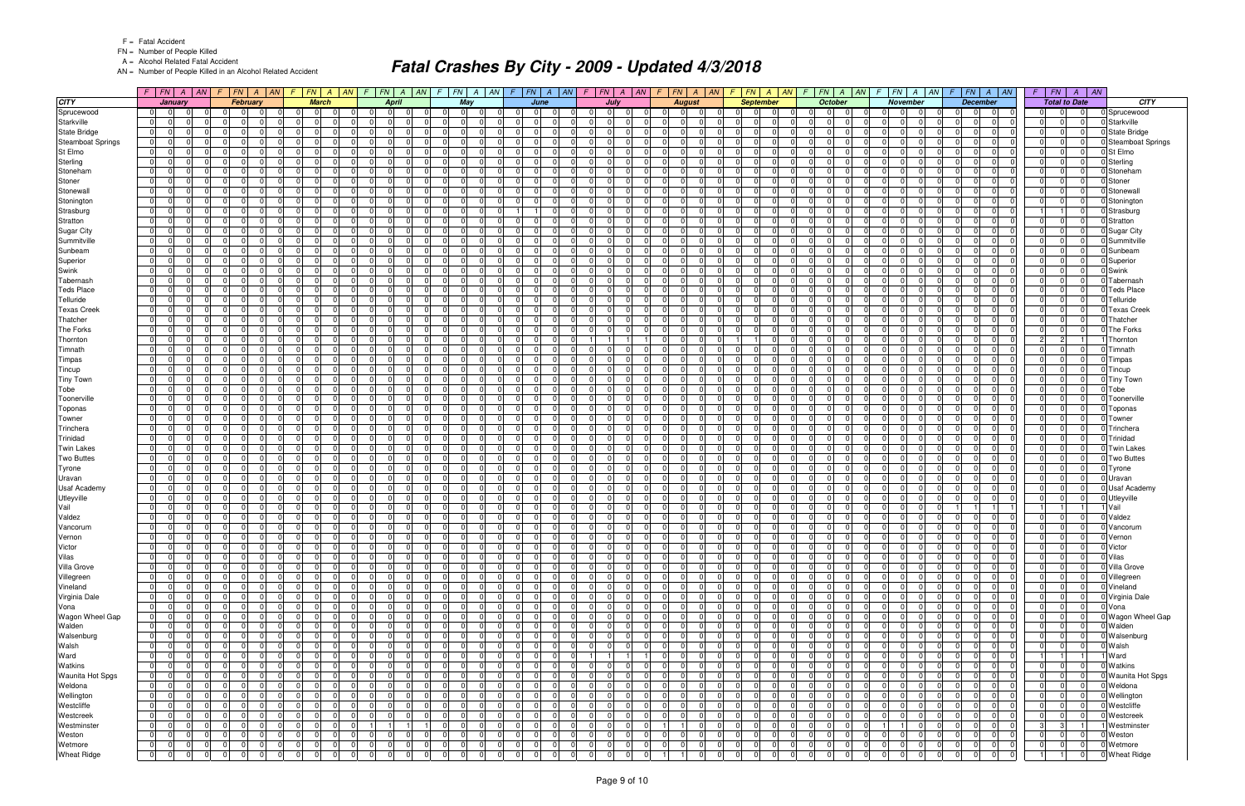FN = Number of People Killed

A = Alcohol Related Fatal Accident

AN = Number of People Killed in an Alcohol Related Accident

|                               |                                  | $F$   $FN$   $A$   $AN$                     | $\mathsf{F}$ |                      | F N A                |                          | $F$ $FN$ $A$ $AN$                                  | $\sqrt{F}$               |                      | $FN$ $A$ $AN$                  | F.                   | $FN$ $A$ $AN$ $F$ $FN$ $A$ $AN$    |                                  |                                              |                       |                         | $F$   $FN$   $A$   $AN$          |                | F.                   | F N   A   AN                     | -F                                              | $\mid FN \mid A \mid AN$ |                            | $F$ $ FN $ $A$ $ AN $                                 |                                              | $FN$ $A$ $AN$        |                                  | FN A AN                                                        |                      | $F$   $FN$                    |                      | $A \mid AN$ |                               |
|-------------------------------|----------------------------------|---------------------------------------------|--------------|----------------------|----------------------|--------------------------|----------------------------------------------------|--------------------------|----------------------|--------------------------------|----------------------|------------------------------------|----------------------------------|----------------------------------------------|-----------------------|-------------------------|----------------------------------|----------------|----------------------|----------------------------------|-------------------------------------------------|--------------------------|----------------------------|-------------------------------------------------------|----------------------------------------------|----------------------|----------------------------------|----------------------------------------------------------------|----------------------|-------------------------------|----------------------|-------------|-------------------------------|
| <b>CITY</b>                   |                                  | January                                     |              |                      | February             |                          | <b>March</b>                                       |                          | <b>April</b>         |                                |                      | May                                |                                  | June                                         |                       |                         | July                             |                |                      | <b>August</b>                    |                                                 | <b>September</b>         |                            | <b>October</b>                                        |                                              | <b>November</b>      |                                  | <b>December</b>                                                |                      | <b>Total to Date</b>          |                      |             | <b>CITY</b>                   |
| Sprucewood                    | 0                                |                                             |              |                      |                      | $\Omega$                 |                                                    |                          | $\Omega$             |                                |                      | $\Omega$                           |                                  |                                              |                       | $\Omega$                | $\Omega$                         |                |                      |                                  |                                                 |                          |                            | - 0                                                   |                                              | 0                    |                                  | $\Omega$                                                       | $\Omega$             |                               |                      |             | Sprucewood                    |
| Starkville                    | $\overline{0}$                   | $\Omega$<br>0                               |              | $\Omega$             | n                    | $\mathbf 0$              | $\Omega$                                           | $\Omega$                 | $\Omega$             | $\Omega$                       | $\Omega$             | $\Omega$<br>$\Omega$               |                                  | $\Omega$                                     | 0                     | $\Omega$                | $\Omega$                         |                | $\overline{0}$       | $\Omega$                         | $\mathbf 0$<br>$\Omega$                         | $\Omega$                 | $\Omega$                   | $\Omega$<br><sup>0</sup>                              | $\Omega$<br>$\Omega$                         | - 0                  | $\Omega$                         | $\Omega$<br>$\Omega$                                           | 0                    | $\Omega$                      | $\overline{0}$       |             | Starkville                    |
| <b>State Bridge</b>           | $\overline{0}$                   | $\Omega$<br>$\Omega$                        |              | $\Omega$             | $\Omega$             | - Ol                     | $\Omega$                                           | $\Omega$                 | $\Omega$             | $\Omega$                       | $\Omega$             | $\Omega$<br>$\Omega$               | $\Omega$                         | $\Omega$                                     | -01                   | - 0 I                   | $\Omega$                         | $\Omega$       | $\Omega$             | $\Omega$                         | $\Omega$<br>$\Omega$                            | $\Omega$                 | $\Omega$                   | $\Omega$<br>$\Omega$                                  | $\Omega$                                     | $\Omega$             | - 0 I                            | $\Omega$<br>$\Omega$                                           | - 0 I                | $\Omega$                      | $\Omega$             |             | <b>State Bridge</b>           |
| <b>Steamboat Springs</b>      | $\overline{0}$                   | 0<br>$\Omega$                               |              | $\Omega$             | $\Omega$             | $\Omega$                 | $\Omega$                                           | 0 I                      | $\Omega$             | $\Omega$                       | $\overline{0}$       | $\Omega$<br>- 0                    | $\Omega$                         | $\Omega$                                     | $\overline{0}$        | $\mathbf 0$             | $\Omega$<br>$\Omega$             |                | $\Omega$             | $\Omega$                         | $\Omega$<br>0                                   | $\Omega$                 | $\Omega$                   | $\Omega$<br>$\Omega$                                  | $\Omega$<br>$\Omega$                         | $\Omega$             | - 0 I                            | $\Omega$<br>$\Omega$                                           | - 0 I                | $\Omega$                      | $\Omega$             |             | <b>Steamboat Springs</b>      |
| St Elmo                       | $\overline{0}$                   | $\Omega$<br>$\Omega$                        |              | $\Omega$             |                      | $\Omega$                 | U                                                  | $\Omega$                 | $\Omega$             | $\Omega$                       | $\Omega$             | $\Omega$<br>$\Omega$               | $\Omega$                         | $\Omega$                                     | -01                   | $\Omega$                | $\Omega$                         |                | $\Omega$             | $\Omega$                         | $\Omega$<br>$\Omega$                            | $\Omega$                 | $\Omega$                   | $\cap$<br>- 0                                         | $\Omega$<br>$\Omega$                         | $\Omega$             | $\Omega$                         | $\Omega$<br>$\Omega$                                           | 0                    | $\Omega$                      | $\Omega$             |             | St Elmo                       |
| Sterling                      | $\overline{0}$                   | 0                                           |              | $\mathbf 0$          | $\Omega$             | $\Omega$                 | $\Omega$                                           | $\overline{0}$           | $\Omega$             | $\Omega$                       | $\overline{0}$       | - 0<br>$\Omega$                    | $\Omega$                         | $\Omega$                                     | -01                   | $\mathbf 0$             | $\Omega$<br>$\Omega$             |                | $\overline{0}$       | $\Omega$                         | $\Omega$<br>$\Omega$                            | $\Omega$                 | - 0 I                      | $\Omega$<br>$\Omega$                                  | $\Omega$<br>$\Omega$                         | $\Omega$             | $\Omega$                         | $\Omega$<br>$\Omega$                                           | $\mathbf 0$          | $\Omega$                      | $\Omega$             |             | J Sterling                    |
| Stoneham                      | $\overline{0}$                   | $\Omega$                                    |              | $\Omega$             | $\Omega$             | $\Omega$                 | $\Omega$                                           | $\overline{0}$           | $\Omega$             | $\Omega$                       | 0                    | $\Omega$<br>$\Omega$               | $\Omega$                         | $\Omega$                                     | -01                   | - 0 I                   | $\Omega$<br>$\Omega$             |                | $\Omega$             | $\Omega$                         | $\Omega$<br>n l                                 | $\Omega$                 | - 0 I                      | $\Omega$<br>$\Omega$                                  | $\Omega$<br>$\Omega$                         | $\Omega$             | - 0 I                            | $\Omega$<br>$\Omega$                                           | - 0 I                | $\Omega$                      | $\Omega$             |             | Stoneham                      |
| Stoner                        | $\overline{0}$                   | <sup>0</sup>                                |              | $\Omega$             | n                    | $\Omega$                 | <sup>n</sup>                                       | <sup>0</sup>             | $\Omega$             | $\Omega$                       | $\Omega$             | $\Omega$                           | $\Omega$                         | $\Omega$                                     | $\overline{0}$        | $\Omega$                | $\Omega$                         |                | $\Omega$             | $\Omega$                         | $\Omega$<br>0                                   | $\Omega$                 | $\Omega$                   | <sup>0</sup><br>- 0                                   | $\Omega$<br>$\Omega$                         | - 0                  | $\Omega$                         | $\Omega$<br>$\Omega$                                           | $\Omega$             | $\Omega$                      | $\Omega$             |             | Stoner                        |
| Stonewall                     | $\overline{0}$                   | $\Omega$<br>$\Omega$                        |              | $\Omega$             | $\Omega$             | $\Omega$                 | $\Omega$                                           | $\Omega$                 | $\Omega$             | $\Omega$                       | $\Omega$             | $\Omega$<br>$\Omega$               | $\Omega$                         | $\Omega$                                     | -01                   | $\Omega$                | $\Omega$<br>$\Omega$             |                | $\Omega$             | $\Omega$                         | $\Omega$<br>$\Omega$                            | $\Omega$                 | $\Omega$                   | $\Omega$<br>$\Omega$                                  | $\Omega$<br>$\Omega$                         | $\Omega$             | $\Omega$                         | $\Omega$<br>$\Omega$                                           | 0                    | $\Omega$                      | $\Omega$             |             | Stonewall                     |
| Stonington                    | $\overline{0}$                   | $\Omega$<br>$\Omega$<br>$\Omega$            |              | $\Omega$<br>$\Omega$ | $\Omega$             | $\mathbf{0}$<br>$\Omega$ | $\Omega$<br>$\Omega$<br>$\Omega$                   | 0                        | $\Omega$<br>$\Omega$ | $\Omega$<br>$\Omega$           | 0 <br>$\Omega$       | $\Omega$<br>- 0                    | 0                                | $\Omega$                                     | 0                     | $\overline{0}$          | $\Omega$<br>$\Omega$<br>$\Omega$ |                | $\overline{0}$       | $\Omega$                         | $\mathbf 0$<br>$\Omega$<br>$\Omega$<br>$\Omega$ | $\Omega$                 | 0                          | $\Omega$<br>$\Omega$<br>$\Omega$                      | $\overline{0}$<br>$\Omega$<br>$\Omega$       | $\Omega$<br>$\Omega$ | 0                                | $\Omega$<br>$\overline{0}$<br>$\Omega$<br>$\Omega$             | 0                    | $\Omega$                      | $\Omega$<br>$\Omega$ |             | Stoningtor                    |
| Strasburg                     | $\overline{0}$                   | <sup>0</sup>                                |              | $\Omega$             |                      | $\Omega$                 |                                                    | $\Omega$                 |                      | $\Omega$                       |                      | $\Omega$<br>$\Omega$<br>- 0        |                                  |                                              | -01                   | $\Omega$                |                                  |                | $\Omega$             | $\Omega$                         | $\Omega$<br>0                                   |                          | $\Omega$                   | $\Omega$<br>$\Omega$<br>$\Omega$                      | $\Omega$<br>$\Omega$                         |                      | - 0 I                            | $\Omega$<br>$\Omega$                                           |                      | $\Omega$                      | $\Omega$             |             | Strasburg                     |
| Stratton<br><b>Sugar City</b> | $\overline{0}$<br>$\overline{0}$ | $\Omega$<br>0                               |              | $\Omega$             | - 0                  | $\Omega$                 | $\Omega$                                           | 0 I<br><sup>0</sup>      | $\Omega$<br>$\Omega$ | $\Omega$                       | $\Omega$<br>$\Omega$ | $\Omega$<br>$\Omega$<br>$\Omega$   | $\Omega$<br>$\Omega$             | $\Omega$<br>$\Omega$                         | $\overline{0}$<br>-01 | $\mathbf 0$<br>$\Omega$ | $\Omega$<br>$\Omega$<br>$\Omega$ |                | $\Omega$<br>$\Omega$ | $\mathbf 0$<br>$\Omega$          | $\Omega$<br>0                                   | $\Omega$                 | $\mathbf 0$<br>$\Omega$    | n                                                     | <sup>0</sup><br>$\Omega$                     | $\Omega$<br>$\Omega$ | - 0 I<br>- 0 I                   | $\Omega$<br>0                                                  | $\mathbf 0$<br>- 0 I | $\Omega$                      | $\Omega$             |             | Stratton<br><b>Sugar City</b> |
| Summitville                   | $\overline{0}$                   | 0                                           |              | $\Omega$             |                      | $\Omega$                 | <sup>n</sup>                                       | $\Omega$                 | <sup>n</sup>         | $\Omega$                       | $\Omega$             | $\Omega$                           |                                  | 0.                                           | -01                   | $\Omega$                | $\Omega$                         |                | $\Omega$             | $\Omega$                         | $\Omega$<br>$\Omega$                            |                          | $\Omega$                   | n                                                     | $\Omega$                                     | $\Omega$             | $\Omega$                         | $\Omega$<br>$\Omega$                                           | $\Omega$             | $\Omega$                      | $\Omega$             |             | Summitville                   |
| Sunbeam                       | 0                                | 0                                           |              | $\mathbf 0$          | $\Omega$             | $\overline{0}$           | $\Omega$                                           | 0 I                      | $\Omega$             | $\Omega$                       | $\overline{0}$       | $\Omega$<br>$\Omega$               | $\Omega$                         | $\Omega$                                     | -01                   | $\mathbf 0$             | $\Omega$                         |                | $\overline{0}$       | $\Omega$                         | $\Omega$<br>$\Omega$                            | $\Omega$                 | $\overline{0}$             | $\Omega$<br>$\Omega$                                  | $\Omega$<br>$\Omega$                         | $\Omega$             | $\Omega$                         | $\Omega$<br>$\Omega$                                           | 0                    | $\Omega$                      | $\Omega$             |             | Sunbeam                       |
| Superior                      | $\overline{0}$                   | $\Omega$                                    |              | $\Omega$             |                      | $\Omega$                 | <sup>n</sup>                                       | <sup>0</sup>             | $\Omega$             | $\Omega$                       | $\Omega$             | $\Omega$<br>$\Omega$               | $\Omega$                         | $\Omega$                                     | -01                   | $\Omega$                | $\Omega$                         |                | $\Omega$             | $\Omega$                         | $\Omega$<br>$\Omega$                            |                          | $\Omega$                   | - 0                                                   | <sup>0</sup>                                 | $\Omega$             | $\Omega$                         | $\Omega$<br>$\Omega$                                           | 0                    | $\Omega$                      | $\Omega$             |             | Superior                      |
| Swink                         | $\overline{0}$                   | 0                                           |              | $\Omega$             | $\Omega$             | -01                      | $\Omega$<br>$\Omega$                               | $\overline{0}$           | $\Omega$             | $\Omega$                       | $\Omega$             | $\Omega$<br>0 I                    | $\Omega$                         | $\Omega$                                     | -01                   | $\mathbf 0$             | $\Omega$<br>$\Omega$             |                | $\Omega$             | $\Omega$                         | $\Omega$<br>$\Omega$                            | $\Omega$                 | $\overline{0}$             | $\Omega$<br>$\Omega$                                  | $\Omega$<br>$\Omega$                         | $\Omega$             | 0 I                              | $\Omega$<br>$\Omega$                                           | - 0 I                | $\Omega$                      | $\Omega$             |             | Swink                         |
| Tabernash                     | $\overline{0}$                   | $\Omega$                                    |              | $\Omega$             |                      | $\Omega$                 |                                                    | $\Omega$                 | $\Omega$             | $\Omega$                       | $\Omega$             | $\Omega$                           |                                  | 0                                            | - Ol                  | $\Omega$                | $\Omega$                         |                | $\Omega$             | $\Omega$                         | $\Omega$<br>$\Omega$                            |                          | $\Omega$                   | n                                                     | 0                                            | $\Omega$             | $\Omega$                         | $\Omega$<br>$\Omega$                                           | $\Omega$             | $\Omega$                      | $\Omega$             |             | Tabernash                     |
| <b>Teds Place</b>             | $\overline{0}$                   | 0                                           |              | $\mathbf 0$          | $\Omega$             | $\Omega$                 | $\Omega$                                           | $\overline{0}$           | $\Omega$             | $\Omega$                       | $\Omega$             | $\Omega$<br>$\Omega$               | $\Omega$                         | $\Omega$                                     | -01                   | $\mathbf 0$             | $\overline{0}$<br>$\Omega$       |                | $\Omega$             | $\Omega$                         | $\Omega$<br>$\Omega$                            |                          | $\overline{0}$             | $\Omega$<br>$\Omega$                                  | $\Omega$<br>$\Omega$                         | $\Omega$             | $\Omega$                         | $\Omega$<br>$\Omega$                                           | - 0 I                | $\Omega$                      | $\Omega$             |             | Teds Place                    |
| Telluride                     | 0                                | $\Omega$                                    |              | $\Omega$             | n                    | $\Omega$                 | $\Omega$                                           | $\Omega$                 | $\Omega$             | $\Omega$                       | $\Omega$             | $\Omega$<br>$\Omega$               | $\Omega$                         | $\Omega$                                     | -01                   | $\Omega$                | $\Omega$                         |                | $\Omega$             | $\Omega$                         | $\Omega$<br>$\Omega$                            | $\Omega$                 | $\Omega$                   | $\Omega$<br>$\Omega$                                  | $\Omega$<br>$\Omega$                         | $\Omega$             | $\Omega$                         | $\Omega$<br>$\Omega$                                           | 0                    | $\Omega$                      | $\Omega$             |             | Telluride                     |
| <b>Texas Creek</b>            | $\overline{0}$                   | $\Omega$<br>0                               |              | $\Omega$             | n                    | $\Omega$                 | 0<br>$\Omega$                                      | $\overline{0}$           | $\Omega$             | $\Omega$                       | $\overline{0}$       | $\Omega$<br>$\Omega$               | $\Omega$                         | $\Omega$                                     | -01                   | $\mathbf 0$             | $\Omega$                         |                | $\Omega$             | $\mathbf 0$                      | $\Omega$<br>0                                   | $\Omega$                 | $\overline{0}$             | $\Omega$                                              | $\Omega$<br>$\Omega$                         | $\Omega$             | 0 I                              | $\Omega$<br>$\Omega$                                           | - 0 I                | $\Omega$                      | $\Omega$             |             | <b>Texas Creek</b>            |
| Thatcher                      | $\mathbf 0$                      | $\Omega$                                    |              | $\Omega$             |                      | $\Omega$                 | $\Omega$                                           | <sup>0</sup>             | $\Omega$             | $\Omega$                       | nl                   | $\Omega$<br>$\sqrt{ }$             |                                  | $\Omega$                                     | $\Omega$              | $\Omega$                | $\Omega$                         |                | $\Omega$             | $\Omega$                         | $\Omega$<br>$\Omega$                            |                          | $\Omega$                   | $\Omega$                                              | $\Omega$                                     | $\Omega$             | $\Omega$                         | $\Omega$<br>$\Omega$                                           | 0                    | $\Omega$                      | $\Omega$             |             | Thatcher                      |
| <b>The Forks</b>              | $\overline{0}$                   | 0                                           |              | $\mathbf 0$          | $\Omega$             | $\overline{0}$           | $\Omega$                                           | 0 I                      | $\Omega$             | $\Omega$                       | $\overline{0}$       | - 0<br>$\Omega$                    | $\Omega$                         | $\Omega$                                     | -01                   | $\mathbf 0$             | $\Omega$                         |                | $\overline{0}$       | $\mathbf 0$                      | $\Omega$<br>$\Omega$                            | $\Omega$                 | $\overline{0}$             | $\Omega$<br>$\Omega$                                  | $\Omega$<br>$\Omega$                         | $\Omega$             | $\Omega$                         | $\Omega$<br>$\Omega$                                           | 0                    | $\Omega$                      | $\Omega$             |             | The Forks                     |
| Thornton                      | $\overline{0}$                   | $\Omega$                                    |              | $\Omega$             |                      | $\Omega$                 | <sup>n</sup>                                       | <sup>0</sup>             | $\Omega$             | $\Omega$                       | $\Omega$             | $\Omega$<br>$\Omega$               | $\Omega$                         | $\Omega$                                     | -01                   |                         |                                  |                | $\Omega$             | $\Omega$                         | $\mathbf{1}$                                    | $\Omega$                 | $\Omega$                   | $\Omega$                                              | $\Omega$                                     | $\Omega$             | $\Omega$                         | $\Omega$<br>$\Omega$                                           | $\vert$ 2            | $\overline{2}$                |                      |             | Thorntor                      |
| Timnath                       | $\overline{0}$                   | 0                                           |              | $\Omega$             | $\Omega$             | $\Omega$                 | $\Omega$<br>$\Omega$                               | $\overline{0}$           | $\Omega$             | $\Omega$                       | $\Omega$             | $\Omega$<br>$\Omega$               | $\Omega$                         | $\Omega$                                     | -01                   | $\mathbf 0$             | $\Omega$<br>$\Omega$             |                | $\Omega$             | $\Omega$                         | $\Omega$<br>$\Omega$                            | $\Omega$                 | $\overline{0}$             | $\Omega$<br>$\Omega$                                  | $\Omega$<br>$\Omega$                         | $\Omega$             | $\overline{0}$                   | $\Omega$<br>$\Omega$                                           | - 0 I                | $\Omega$                      | $\Omega$             |             | Timnath                       |
| Timpas                        | $\overline{0}$                   | $\Omega$                                    |              | $\Omega$             |                      | $\Omega$                 | $\Omega$<br>0                                      | <sup>0</sup>             | $\Omega$             | $\Omega$                       | $\Omega$             | $\Omega$<br>$\Omega$               |                                  | $\Omega$                                     | -01                   | $\Omega$                | $\Omega$                         |                | $\Omega$             | $\Omega$                         | $\Omega$<br>$\Omega$                            |                          | $\Omega$                   | $\Omega$<br>$\Omega$                                  | $\Omega$<br>$\Omega$                         | $\Omega$             | $\Omega$                         | $\Omega$<br>$\Omega$                                           | - 0 I                | $\Omega$                      | $\Omega$             |             | Timpas                        |
| Tincup                        | $\overline{0}$                   | <sup>0</sup>                                |              | $\Omega$             |                      | $\Omega$                 | 0                                                  | <sup>0</sup>             | $\Omega$             | $\Omega$                       | $\Omega$             | $\Omega$                           |                                  | $\Omega$                                     | -01                   | $\mathbf 0$             | $\Omega$                         |                | $\Omega$             | $\Omega$                         | $\Omega$<br>0                                   |                          | $\Omega$                   | $\Omega$<br><sup>0</sup>                              | $\Omega$                                     | $\Omega$             | $\Omega$                         | $\Omega$<br>$\Omega$                                           | $\mathbf 0$          | $\Omega$                      | $\Omega$             |             | J Tincup                      |
| <b>Tiny Town</b>              | $\overline{0}$                   | $\Omega$<br>$\Omega$                        |              | $\Omega$             | $\Omega$             | - 0                      | $\Omega$<br>$\Omega$                               | $\overline{0}$           | - 0 I                | $\Omega$                       | 0                    | $\Omega$<br>0 I                    | $\Omega$                         | $\Omega$                                     | -01                   | - 0 I                   | $\overline{0}$                   | $\Omega$       | $\overline{0}$       | $\mathbf 0$                      | $\Omega$<br>$\Omega$                            | $\Omega$                 | $\overline{0}$             | $\Omega$<br>$\Omega$                                  | $\overline{0}$<br>$\Omega$                   | -01                  | - 0 I                            | $\Omega$<br>$\Omega$                                           | - 0 I                | $\overline{0}$                | $\Omega$             |             | <b>Tiny Town</b>              |
| Tobe                          | $\overline{0}$                   | <sup>0</sup>                                |              | $\Omega$             |                      | $\Omega$                 |                                                    | <sup>0</sup>             | $\Omega$             | $\Omega$                       | $\Omega$             | $\Omega$                           | $\Omega$                         | $\Omega$                                     | $\overline{0}$        | $\Omega$                | $\Omega$                         |                | $\Omega$             | $\Omega$                         | $\Omega$<br>0                                   |                          | $\Omega$                   | <sup>0</sup><br>- 0                                   | <sup>0</sup>                                 | - 0                  | $\Omega$                         | $\Omega$<br>$\Omega$                                           | - 0 I                | $\Omega$                      | $\Omega$             |             | Tobe                          |
| Toonerville                   | 0                                | $\Omega$<br>$\Omega$                        |              | $\Omega$             | $\Omega$             | - Ol                     | $\Omega$<br>$\Omega$                               | $\Omega$                 | $\Omega$             | $\Omega$                       | $\Omega$             | $\Omega$<br>$\Omega$               | $\Omega$                         | $\Omega$                                     | -01                   | - 0 I                   | $\Omega$                         | $\Omega$       | $\Omega$             | $\cap$<br>$\Omega$               | $\Omega$<br>$\Omega$                            | $\Omega$                 | 0                          | $\Omega$<br>$\Omega$                                  | $\Omega$<br>$\Omega$                         | -01                  | $\Omega$                         | $\Omega$<br>$\Omega$                                           | 0                    | $\Omega$                      | $\Omega$             |             | Toonerville                   |
| Toponas                       | $\mathbf 0$                      | 0                                           |              | $\Omega$             |                      | $\Omega$                 | 0                                                  | $\Omega$                 | $\Omega$             | $\Omega$                       | $\overline{0}$       | $\Omega$                           |                                  | $\Omega$                                     | -01                   | $\Omega$                | $\Omega$                         |                | $\overline{0}$       | $\Omega$                         | $\Omega$<br>$\Omega$                            |                          | $\Omega$                   | $\Omega$                                              | $\Omega$                                     | $\Omega$             | $\Omega$                         | $\Omega$<br>$\Omega$                                           | $\Omega$             | $\Omega$                      | $\Omega$             |             | Toponas                       |
| Towner                        | $\overline{0}$                   | $\Omega$<br>$\Omega$                        |              | - 0 I                | $\Omega$             | - Ol                     | $\Omega$<br>$\Omega$                               | $\Omega$                 | $\Omega$             | $\Omega$                       | $\Omega$             | $\Omega$<br>$\Omega$               | $\Omega$                         | $\Omega$                                     | - Ol                  | 0 I                     | -01                              | $\Omega$       | $\overline{0}$       | $\Omega$<br>$\Omega$             | $\Omega$<br>n l                                 | $\Omega$                 | $\overline{0}$             | $\Omega$<br>$\Omega$                                  | $\Omega$<br>$\Omega$                         | $\Omega$             | 0 I                              | $\Omega$<br>$\Omega$                                           | - 0 I                | $\Omega$                      | $\Omega$             |             | Towner                        |
| Trinchera                     | $\overline{0}$                   | <sup>0</sup>                                |              | $\Omega$             | $\Omega$             | $\Omega$                 | $\Omega$                                           | $\Omega$                 | $\Omega$             | $\Omega$                       | $\overline{0}$       | $\Omega$<br>- 0                    | $\Omega$                         | $\Omega$                                     | $\overline{0}$        | $\mathbf 0$             | $\Omega$<br>$\Omega$             |                | $\Omega$             | $\Omega$                         | $\Omega$<br>0                                   | $\Omega$                 | $\Omega$                   | $\Omega$<br>$\Omega$                                  | $\Omega$<br>$\Omega$                         | $\Omega$             | - 0 I                            | $\Omega$<br>$\Omega$                                           | - 0 I                | $\Omega$                      | $\Omega$             |             | Trinchera                     |
| Trinidad                      | $\overline{0}$                   | $\Omega$<br>$\Omega$                        |              | $\Omega$             | $\Omega$             | - Ol                     | $\Omega$<br>$\Omega$                               | $\overline{0}$           | $\Omega$             | $\Omega$                       | 0                    | $\Omega$<br>$\Omega$               | $\Omega$                         | $\Omega$                                     | -01                   | $\Omega$                | $\Omega$<br>$\Omega$             |                | $\Omega$             | $\cap$<br>$\Omega$               | $\Omega$<br>$\Omega$                            | $\Omega$                 | $\overline{0}$             | $\Omega$<br>$\Omega$                                  | $\Omega$<br>$\Omega$                         | $\Omega$             | - 0 I                            | $\Omega$<br>$\Omega$                                           | - 0 I                | $\Omega$                      | $\Omega$             |             | Trinidad                      |
| <b>Twin Lakes</b>             | $\mathbf 0$                      | $\Omega$                                    |              | $\Omega$             |                      | $\Omega$                 | $\Omega$                                           | <sup>0</sup>             | $\Omega$             | $\Omega$                       | n l                  | $\Omega$                           |                                  | $\Omega$                                     | - Ol                  | $\Omega$                | $\Omega$                         |                | $\Omega$             | $\Omega$                         | $\Omega$<br>$\Omega$                            |                          | $\Omega$                   | $\Omega$<br><sup>0</sup>                              | $\Omega$                                     | $\Omega$             | $\Omega$                         | $\Omega$<br>$\Omega$                                           | $\Omega$             | $\Omega$                      | $\Omega$             |             | Twin Lakes                    |
| <b>Two Buttes</b>             | $\overline{0}$                   | $\Omega$<br>$\Omega$                        |              | - 0 I                | $\Omega$             | - 0                      | $\Omega$<br>$\Omega$                               | $\overline{0}$           | - 0 I                | $\Omega$                       | 0                    | $\Omega$<br>0 I                    | $\Omega$                         | $\Omega$                                     | - Ol                  | - 0 I                   | -01<br>$\Omega$                  |                | $\overline{0}$       | $\Omega$<br>$\mathbf 0$          | $\Omega$<br>n l                                 | $\Omega$                 | $\overline{0}$             | $\Omega$<br>$\Omega$                                  | $\overline{0}$<br>$\Omega$                   | -01                  | 0 I                              | $\Omega$<br>$\Omega$                                           | - 0 I                | $\Omega$                      | $\Omega$             |             | <b>Two Buttes</b>             |
| Tyrone                        | $\overline{0}$                   | <sup>0</sup><br><sup>0</sup>                |              | $\Omega$<br>$\Omega$ | n                    | $\Omega$<br>$\Omega$     | <sup>n</sup><br><sup>n</sup>                       | <sup>0</sup><br>$\Omega$ | $\Omega$<br>$\Omega$ | $\Omega$<br>$\Omega$           | $\Omega$<br>$\Omega$ | - C<br>$\Omega$<br>- 0<br>$\Omega$ | $\Omega$<br>$\Omega$             | $\Omega$<br>$\Omega$                         | -01                   | $\Omega$                | $\Omega$<br>$\Omega$<br>$\Omega$ |                | $\Omega$<br>$\Omega$ | $\Omega$<br>$\Omega$             | $\Omega$<br>0<br>$\Omega$<br>0                  | $\Omega$<br>$\Omega$     | $\Omega$<br>$\overline{0}$ | $\Omega$<br>- 0<br>$\Omega$<br>$\Omega$               | $\Omega$<br>$\Omega$<br>$\Omega$<br>$\Omega$ | $\Omega$<br>$\Omega$ | 0 <br>$\Omega$                   | $\Omega$<br>$\Omega$<br>$\Omega$<br>$\Omega$                   | 0 <br>- 0 I          | $\Omega$<br>$\Omega$          | $\Omega$<br>$\Omega$ |             | Tyrone                        |
| Uravan<br><b>Usaf Academy</b> | $\overline{0}$<br>$\mathbf 0$    | 0                                           |              | $\Omega$             |                      | $\mathbf 0$              | 0                                                  | $\Omega$                 | $\Omega$             | $\Omega$                       | $\overline{0}$       | $\Omega$                           | $\mathbf 0$                      | $\Omega$                                     | $\overline{0}$<br> 0  | $\mathbf 0$<br>$\Omega$ | $\Omega$                         |                | $\overline{0}$       | $\Omega$                         | $\Omega$<br>$\Omega$                            | $\Omega$                 | $\Omega$                   | $\Omega$                                              | $\Omega$                                     | $\Omega$             | $\Omega$                         | $\Omega$<br>$\Omega$                                           | $\Omega$             | $\Omega$                      | $\Omega$             |             | Uravan<br><b>Usaf Academy</b> |
| Utleyville                    | $\overline{0}$                   | $\Omega$                                    |              | $\Omega$             |                      | $\Omega$                 | $\Omega$                                           | $\Omega$                 | $\Omega$             | $\Omega$                       | $\Omega$             | $\Omega$<br>$\Omega$               | $\Omega$                         | $\Omega$                                     | - Ol                  | - 0 I                   | $\Omega$                         | <sup>n</sup>   | $\Omega$             | $\Omega$                         | $\Omega$<br>$\Omega$                            |                          | - 0 I                      | $\Omega$<br>$\Omega$                                  | $\Omega$                                     | $\Omega$             | n l                              | $\Omega$<br>$\Omega$                                           | - 0 I                | $\Omega$                      | $\Omega$             |             | <b>Utleyville</b>             |
| Vail                          | $\overline{0}$                   | $\Omega$                                    |              | $\Omega$             | - 0                  | $\overline{0}$           | $\Omega$                                           | $\Omega$                 | $\Omega$             | $\Omega$                       | $\Omega$             | $\Omega$<br>- 0                    | $\Omega$                         | $\Omega$                                     | -01                   | $\Omega$                | $\Omega$<br>$\Omega$             |                | $\Omega$             | $\Omega$                         | $\Omega$<br>n l                                 | $\Omega$                 | - 0 I                      | $\Omega$<br>$\Omega$                                  | $\Omega$                                     | $\Omega$             | $\overline{1}$                   |                                                                | -1                   |                               |                      |             | Vail                          |
| Valdez                        | $\overline{0}$                   | 0                                           |              | $\mathbf 0$          | n                    | $\Omega$                 | 0<br>$\Omega$                                      | $\overline{0}$           | $\Omega$             | $\Omega$                       | $\overline{0}$       | $\Omega$<br>$\Omega$               | $\Omega$                         | $\Omega$                                     | -01                   | $\Omega$                | $\Omega$                         |                | $\Omega$             | $\Omega$                         | $\Omega$<br>$\Omega$                            | $\Omega$                 | $\overline{0}$             | $\Omega$                                              | $\Omega$<br>$\Omega$                         | $\Omega$             | - 0 I                            | $\Omega$<br>$\Omega$                                           | - 0 I                | $\Omega$                      | $\Omega$             |             | Valdez                        |
| Vancorum                      | $\overline{0}$                   | $\Omega$                                    |              | - 0 I                | $\Omega$             | $\mathbf{0}$             | $\Omega$                                           | $\overline{0}$           | $\mathbf 0$          | $\Omega$                       | $\Omega$             | $\Omega$<br>$\Omega$               | $\Omega$                         | $\Omega$                                     | 0                     | $\overline{0}$          | $\Omega$                         | 0              | $\overline{0}$       | $\Omega$                         | $\Omega$<br>$\Omega$                            | $\Omega$                 | 0                          | $\Omega$                                              | $\Omega$<br>$\Omega$                         | $\Omega$             | $\mathbf 0$                      | $\Omega$<br>$\Omega$                                           | 0                    | $\Omega$                      | $\Omega$             |             | Vancorum                      |
| Vernon                        | $\overline{0}$                   | $\Omega$<br>$\Omega$                        |              | - 0 I                |                      | - Ol                     | $\Omega$                                           | $\overline{0}$           | n l                  | $\Omega$                       | $\Omega$             | $\Omega$<br>$\Omega$               | $\Omega$                         | $\Omega$                                     | -01                   | - 0 I                   | $\Omega$                         |                | $\Omega$             | $\Omega$                         | $\Omega$                                        |                          | 0                          | $\Omega$                                              | $\Omega$<br>$\Omega$                         | $\Omega$             | nl                               | 0                                                              | - 0 I                | $\Omega$                      | $\Omega$             |             | Vernon                        |
| Victor                        | $\mathbf 0$                      | 0 <br> 0                                    |              | - 0 I                | $\Omega$             | $\mathbf 0$              | $\Omega$<br>$\overline{0}$                         | $\Omega$                 | $\overline{0}$       | $\overline{0}$                 |                      | $\Omega$<br>$\Omega$               | $\mathbf 0$                      | $\overline{0}$                               | 0                     | $\Omega$                | $\overline{0}$                   | $\mathbf{0}$   | $\overline{0}$       | $\Omega$                         | $\mathbf 0$                                     | $\Omega$                 | $\overline{0}$             | $\Omega$                                              | $\mathbf 0$<br>$\Omega$                      | $\Omega$             | $\mathbf 0$                      | $\overline{0}$<br>$\mathbf 0$                                  | $\Omega$             | $\Omega$                      | $\Omega$             |             | 0 Victor                      |
| Vilas                         | $\overline{0}$                   | $\Omega$<br>$\Omega$                        |              | - 0 I                | $\Omega$             | - Ol                     | $\Omega$<br>$\Omega$                               | $\overline{0}$           | $\overline{0}$       | $\Omega$                       | 0                    | $\overline{0}$<br>$\overline{0}$   | $\Omega$                         | $\Omega$<br> 0                               |                       | 0 I                     | 0                                | $\Omega$       | $\overline{0}$       | - 0 I<br>$\Omega$                | $\overline{0}$<br>$\Omega$                      | $\Omega$                 | 0                          | $\Omega$<br>$\Omega$                                  | $\Omega$<br>- 0 I                            | $\Omega$             | $\overline{0}$                   | $\Omega$<br>$\overline{0}$                                     | 0                    | $\overline{0}$                | $\Omega$             |             | 0 Vilas                       |
| Villa Grove                   | $\overline{0}$                   | 0                                           |              | - 0 I                | $\Omega$             | 0                        | $\Omega$<br>$\overline{0}$                         | $\overline{0}$           | $\overline{0}$       | $\mathbf 0$                    | 0                    | $\Omega$<br>$\Omega$               | $\mathbf 0$                      | 0 <br>$\overline{0}$                         |                       | 0                       | $\overline{0}$<br>$\Omega$       |                | $\mathbf 0$          | 0 <br>$\Omega$                   | $\mathbf 0$<br> 0                               | 0                        | 0                          | $\Omega$<br>0                                         | $\overline{0}$<br> 0                         | $\overline{0}$       | $\overline{0}$                   | $\mathbf{0}$<br>$\mathbf 0$                                    | 0                    | $\overline{0}$                | $\Omega$             |             | 0 Villa Grove                 |
| Villegreen                    | $\overline{0}$                   | $\Omega$<br>$\Omega$                        |              | 0                    | $\Omega$             | 0                        | $\Omega$<br>$\Omega$                               | 0                        | $\overline{0}$       | $\overline{0}$                 | $\overline{0}$       | $\overline{0}$<br> 0               | $\Omega$                         | $\overline{0}$                               | $\overline{0}$        | $\overline{0}$          | $\overline{0}$                   | $\Omega$       | $\overline{0}$       | $\Omega$<br> 0                   | $\mathbf 0$<br> 0                               | $\Omega$                 | 0                          | $\overline{0}$<br>$\Omega$                            | 0 <br>$\Omega$                               | 0                    | $\overline{0}$                   | $\overline{0}$<br>$\overline{0}$                               | 0                    | $\overline{0}$                | $\Omega$             |             | 0 Villegreen                  |
| Vineland                      | 0                                | $\Omega$<br>0                               |              | - 0 I                | $\Omega$             | 0                        | $\overline{0}$<br>$\Omega$                         | $\overline{0}$           | 0                    | $\mathbf 0$                    | 0                    | $\Omega$<br>$\overline{0}$         | $\mathbf 0$                      | 0 <br>$\overline{0}$                         |                       | - 0 I                   | $\overline{0}$<br>$\Omega$       |                | $\overline{0}$       | 0                                | $\mathbf 0$<br> 0                               | $\Omega$                 | 0                          | $\Omega$<br>$\overline{0}$                            | 0 <br>$\Omega$                               | $\overline{0}$       | 0                                | $\mathbf 0$<br> 0                                              | 0                    | $\mathbf 0$                   | 0                    |             | 0 Vineland                    |
| Virginia Dale                 | $\overline{0}$                   | $\Omega$<br>$\Omega$                        |              | - 0 I                | $\Omega$             | 0                        | $\Omega$<br>$\Omega$                               | $\overline{0}$           | $\overline{0}$       | $\Omega$                       | $\overline{0}$       | $\Omega$<br>0 I                    | $\Omega$                         | $\overline{0}$<br> 0                         |                       | $\overline{0}$          | 0                                | $\Omega$       | $\overline{0}$       | $\Omega$<br>$\mathbf 0$          | $\overline{0}$<br> 0                            | $\Omega$                 | 0                          | $\Omega$<br>$\Omega$                                  | $\Omega$<br> 0                               | 0                    | $\overline{0}$                   | $\Omega$<br>$\overline{0}$                                     | 0                    | $\overline{0}$                | $\Omega$             |             | Virginia Dale                 |
| Vona                          | 0                                | $\Omega$                                    |              | - 0 I                | $\Omega$             | 0                        | $\Omega$<br>$\Omega$                               | 0                        | $\overline{0}$       | $\overline{0}$                 | $\overline{0}$       | $\overline{0}$<br>$\Omega$         | $\Omega$                         | 0 <br>$\overline{0}$                         |                       | 0                       | $\overline{0}$                   | $\Omega$       | $\overline{0}$       | - 0 I                            | $\overline{0}$<br> 0                            | $\overline{0}$           | 0                          | $\Omega$<br>$\Omega$                                  | $\Omega$<br> 0                               | 0                    | $\overline{0}$                   | $\overline{0}$<br>$\overline{0}$                               | 0                    | $\overline{0}$                | 0                    |             | ) Vona                        |
| Wagon Wheel Gap               | 0                                | 0<br>$\overline{0}$                         |              | 0                    | $\overline{0}$       | 0                        | $\overline{0}$<br>$\mathbf 0$                      | 0                        | $\overline{0}$       | $\overline{0}$                 | $\overline{0}$       | $\mathbf 0$<br> 0                  | 0                                | $\overline{0}$                               | 0                     | $\overline{0}$          | $\overline{0}$                   | $\Omega$       | $\overline{0}$       | $\Omega$<br>$\mathbf{0}$         | $\overline{0}$<br> 0                            | $\mathbf 0$              | 0                          | $\overline{0}$<br>$\Omega$                            | 0 <br>$\overline{0}$                         | 0                    | $\overline{0}$                   | $\overline{0}$<br>$\mathbf 0$                                  | 0                    | $\overline{0}$                | $\overline{0}$       |             | 0 Wagon Wheel Gap             |
| Walden                        | $\overline{0}$                   | $\Omega$<br>$\Omega$                        |              | - 0 l                | $\Omega$             | 0                        | $\Omega$<br>$\mathbf 0$                            | 0                        | $\overline{0}$       | $\mathbf 0$                    | $\overline{0}$       | $\overline{0}$<br>0 I              | $\Omega$                         | 0 <br>$\overline{0}$                         |                       | 0 I                     | $\overline{0}$<br>$\Omega$       |                | $\overline{0}$       | $\Omega$<br>$\Omega$             | $\mathbf 0$                                     | 0 <br>$\Omega$           | 0                          | $\Omega$<br>$\Omega$                                  | 0 <br>$\Omega$                               | 0                    | $\overline{0}$                   | $\overline{0}$<br>$\overline{0}$                               | - 0 l                | $\overline{0}$                | $\Omega$             |             | Walden                        |
| Walsenburg                    | 0                                | $\Omega$<br>0                               |              | $\Omega$<br> 0       | $\Omega$             | 0                        | $\overline{0}$<br>$\mathbf 0$                      | $\overline{0}$           | $\overline{0}$       | $\overline{0}$                 | 0                    | $\Omega$<br> 0                     | $\overline{0}$                   | 0 <br>$\overline{0}$                         |                       | 01                      | $\overline{0}$<br>$\overline{0}$ |                | $\overline{0}$       | 0 <br>$\Omega$                   | $\overline{0}$<br> 0                            | $\mathbf 0$              | 0                          | $\overline{0}$<br>$\mathbf 0$                         | $\mathbf{0}$<br> 0                           | 0                    | $\overline{0}$                   | $\overline{0}$<br>$\overline{0}$                               | 0                    | $\overline{0}$                | $\Omega$             |             | Walsenburg                    |
| Walsh                         | $\overline{0}$                   | $\Omega$<br>$\Omega$                        |              | 0                    | $\Omega$             | 0                        | $\Omega$<br>$\Omega$                               | $\overline{0}$           | $\overline{0}$       | $\Omega$                       | $\overline{0}$       | $\Omega$<br>$\Omega$               | $\Omega$                         | 0 <br>$\overline{0}$                         |                       | $\overline{0}$          | $\overline{0}$                   | $\Omega$       | $\overline{0}$       | $\Omega$<br>- 0 I                | $\overline{0}$<br> 0                            | $\Omega$                 | 0                          | $\Omega$<br>$\Omega$                                  | 0 <br>$\Omega$                               | $\Omega$             | $\overline{0}$                   | $\Omega$<br>$\overline{0}$                                     | 0                    | $\overline{0}$                | $\Omega$             |             | Walsh                         |
| Ward                          | $\overline{0}$                   | 0 <br>$\Omega$                              |              | $\Omega$<br> 0       | 0                    | 0                        | $\overline{0}$<br>$\mathbf 0$                      | 0                        | $\overline{0}$       | $\overline{0}$                 | $\overline{0}$       | $\overline{0}$<br> 0               | 0                                | 0 <br>$\overline{0}$                         |                       |                         |                                  |                | 0                    | 0 <br>- 01                       | $\mathbf 0$<br> 0                               | $\mathbf 0$              | 0                          | $\mathbf{0}$<br>0                                     | 0 <br>$\mathbf{0}$                           | $\overline{0}$       | $\overline{0}$                   | $\overline{0}$<br>$\mathbf 0$                                  |                      |                               |                      |             | Ward                          |
| Watkins                       | 0                                | $\Omega$<br>$\Omega$                        |              | - 0 I                | $\Omega$             | 0                        | $\Omega$<br>$\overline{0}$                         | 0                        | $\overline{0}$       | $\mathbf 0$                    | $\overline{0}$       | $\overline{0}$<br>$\overline{0}$   | $\mathbf 0$                      | 0                                            | 0                     | $\overline{0}$          | $\overline{0}$                   | $\overline{0}$ | $\overline{0}$       | 0                                | $\mathbf 0$                                     | 0 <br>$\overline{0}$     | 0                          | $\overline{0}$<br>$\Omega$                            | 0 <br> 0                                     | -01                  | $\overline{0}$                   | $\mathbf 0$<br>$\overline{0}$                                  | 0                    | $\overline{0}$                | $\Omega$             |             | Watkins                       |
| Waunita Hot Spgs              | $\overline{0}$                   | $\Omega$<br>0                               |              | $\mathbf 0$          | $\Omega$             | 0                        | $\Omega$<br>$\Omega$                               | 0 I                      | 0                    | $\overline{0}$                 | 0                    | $\Omega$<br>$\overline{0}$         | $\Omega$                         | 0 <br>$\overline{0}$                         |                       | 0                       | 0                                | $\Omega$       | $\overline{0}$       | 0 <br>$\Omega$                   | 0 <br> 0                                        | $\mathbf 0$              | 0                          | $\Omega$<br>$\Omega$                                  | $\Omega$<br> 0                               | $\overline{0}$       | $\overline{0}$                   | $\Omega$<br>$\overline{0}$                                     | 0                    | $\overline{0}$                | $\Omega$             |             | 0 Waunita Hot Spgs            |
| Weldona                       | 0                                | $\Omega$<br>$\Omega$                        |              | $\Omega$<br>- 0 I    | $\Omega$             | 0                        | $\Omega$<br>$\Omega$                               | $\overline{0}$           | $\overline{0}$       | $\mathbf 0$                    | $\overline{0}$       | $\Omega$<br>$\overline{0}$         | $\Omega$                         | 0 <br>$\overline{0}$                         |                       | $\overline{0}$          | $\overline{0}$                   | $\Omega$       | $\overline{0}$       | $\Omega$<br>- 0 I                | $\overline{0}$                                  | 0 <br>$\Omega$           | 0                          | $\Omega$<br>$\Omega$                                  | 0 <br>$\Omega$                               | 0                    | $\overline{0}$                   | $\Omega$<br>$\overline{0}$                                     | 0                    | $\overline{0}$                | $\Omega$             |             | Weldona                       |
| Wellington                    | $\overline{0}$                   | 0                                           |              | 0                    | 0                    | 0                        | $\overline{0}$<br>$\Omega$                         | $\overline{0}$           | 0                    | $\overline{0}$                 | $\overline{0}$       | $\Omega$<br>$\overline{0}$         | $\mathbf 0$                      | 0 <br>$\overline{0}$                         |                       | $\overline{0}$          | $\overline{0}$<br>$\Omega$       |                | $\mathbf 0$          | 0                                | $\mathbf 0$<br> 0                               | 0                        | 0                          | 0<br>$\Omega$                                         | 0 <br>$\overline{0}$                         | 0                    | $\overline{0}$                   | $\overline{0}$<br>$\mathbf 0$                                  | 0                    | $\overline{0}$                | 0                    |             | Wellington                    |
| Westcliffe                    | 0                                | $\Omega$<br>$\overline{0}$                  |              | 0                    | $\Omega$             | $\overline{0}$           | $\Omega$<br>$\mathbf 0$                            | 0                        | $\overline{0}$       | $\mathbf 0$                    | $\overline{0}$       | $\overline{0}$<br>$\overline{0}$   | $\overline{0}$                   | 0                                            | $\overline{0}$        | $\overline{0}$          | $\overline{0}$<br>$\Omega$       |                | $\overline{0}$       | $\overline{0}$<br>$\overline{0}$ | $\mathbf 0$                                     | 0 <br>$\overline{0}$     | 0                          | $\overline{0}$<br>$\overline{0}$                      | 0 <br>$\Omega$                               | 0                    | $\overline{0}$                   | 0 <br>$\overline{0}$                                           | 0                    | $\overline{0}$                | $\Omega$             |             | Westcliffe                    |
| Westcreek<br>Westminster      | 0 <br> 0                         | 0<br>$\Omega$<br>$\overline{0}$<br>$\Omega$ |              | 0 <br>- 0 I          | $\Omega$<br>$\Omega$ | 0 <br> 0                 | $\overline{0}$<br>$\Omega$<br>$\Omega$<br>$\Omega$ | 0                        | $\overline{0}$<br>11 | $\overline{0}$<br>$\mathbf{1}$ | 0 <br>$\overline{0}$ | - 01<br> 0 <br>- 01<br> 0          | $\overline{0}$<br>$\overline{0}$ | 0 <br>$\overline{0}$<br>$\overline{0}$<br> 0 |                       | 01<br>$\overline{0}$    | $\overline{0}$<br>$\Omega$<br> 0 | $\Omega$       | $\overline{0}$       | 0 <br>$\Omega$<br> 0             | 0 <br> 0 <br>$\overline{0}$<br> 0               | $\mathbf 0$<br>$\Omega$  | 0 <br> 0                   | $\overline{0}$<br>$\mathbf 0$<br>$\Omega$<br>$\Omega$ | $\overline{0}$<br> 0                         | 0 <br> 0             | $\overline{0}$<br>$\overline{0}$ | $\overline{0}$<br>$\overline{0}$<br>$\Omega$<br>$\overline{0}$ | 0 <br> 3             | $\mathbf 0$<br>3 <sup>1</sup> | $\Omega$             |             | Westcreek<br>Westminster      |
| Weston                        | $\mathbf 0$                      | $\Omega$                                    |              | $\Omega$             | $\Omega$             | $\mathbf 0$              | $\Omega$                                           | $\Omega$                 | 0                    | $\mathbf 0$                    | 0                    | $\Omega$<br>- 0                    |                                  | $\overline{0}$                               | 0                     | $\overline{0}$          | $\mathbf 0$                      |                | $\mathbf 0$          | $\Omega$                         | $\mathbf 0$<br>$\mathbf 0$                      | $\Omega$                 | $\mathbf 0$                | $\Omega$                                              | $\Omega$<br>$\Omega$                         | $\Omega$             | $\mathbf 0$                      | $\Omega$<br>$\overline{0}$                                     | 0                    | $\overline{0}$                | $\Omega$             |             | Weston                        |
| Wetmore                       | 0                                | 0                                           |              | 0                    | $\overline{0}$       | 0                        | $\overline{0}$<br>$\Omega$                         | 0                        | $\overline{0}$       | $\overline{0}$                 | 0                    | $\mathbf 0$<br> 0                  | 0                                | 0 <br> 0                                     |                       | $\overline{0}$          | 0                                | $\Omega$       | 0                    | 0 <br>$\Omega$                   | $\overline{0}$<br> 0                            | 0                        | 0                          | $\Omega$<br>$\overline{0}$                            | 0 <br> 0                                     | 0                    | $\overline{0}$                   | $\overline{0}$<br>$\overline{0}$                               | 0                    | $\overline{0}$                | $\overline{0}$       |             | 0 Wetmore                     |
| <b>Wheat Ridge</b>            | 0                                | $\overline{0}$<br>$\overline{0}$            |              | 0 <br>$\Omega$       | $\Omega$             | $\overline{0}$           | $\overline{0}$<br>$\overline{0}$                   | 0                        | $\overline{0}$       | $\mathbf 0$                    | $\overline{0}$       | $\mathbf 0$<br>$\overline{0}$      | $\mathbf{0}$                     | 0                                            | 0                     | $\overline{0}$          | 0                                | $\overline{0}$ |                      | $\overline{0}$<br>$\mathbf{1}$   | 0                                               | 0 <br>$\overline{0}$     | 0                          | $\mathbf 0$<br> 0                                     | 0 <br> 0                                     | 0                    | $\overline{0}$                   | $\mathbf 0$<br>$\mathbf 0$                                     | 1                    | $\overline{1}$                | $\overline{0}$       |             | 0 Wheat Ridge                 |
|                               |                                  |                                             |              |                      |                      |                          |                                                    |                          |                      |                                |                      |                                    |                                  |                                              |                       |                         |                                  |                |                      |                                  |                                                 |                          |                            |                                                       |                                              |                      |                                  |                                                                |                      |                               |                      |             |                               |